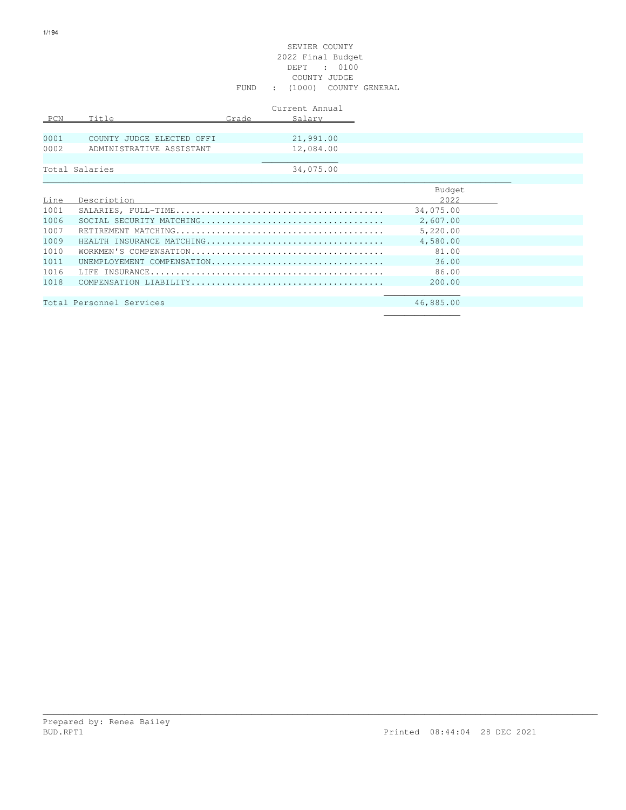#### SEVIER COUNTY 2022 Final Budget DEPT : 0100 COUNTY JUDGE FUND : (1000) COUNTY GENERAL

|      |                           |       | Current Annual |
|------|---------------------------|-------|----------------|
| PCN  | Title                     | Grade | Salary         |
|      |                           |       |                |
| 0001 | COUNTY JUDGE ELECTED OFFI |       | 21,991.00      |
| 0002 | ADMINISTRATIVE ASSISTANT  |       | 12,084.00      |
|      |                           |       |                |
|      | Total Salaries            |       | 34,075.00      |

|      |                            | Budget    |
|------|----------------------------|-----------|
| Line | Description                | 2022      |
| 1001 |                            | 34,075.00 |
| 1006 |                            | 2,607.00  |
| 1007 |                            | 5,220.00  |
| 1009 | HEALTH INSURANCE MATCHING  | 4,580.00  |
| 1010 |                            | 81.00     |
| 1011 | UNEMPIOYEMENT COMPENSATION | 36.00     |
| 1016 |                            | 86.00     |
| 1018 |                            | 200.00    |
|      |                            |           |
|      | Total Personnel Services   | 46,885.00 |
|      |                            |           |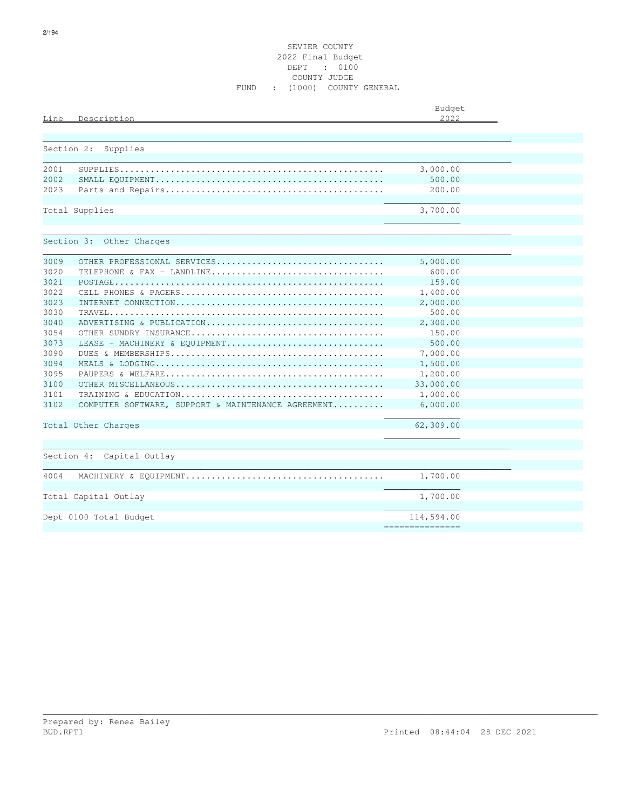#### SEVIER COUNTY 2022 Final Budget DEPT : 0100 COUNTY JUDGE FUND : (1000) COUNTY GENERAL

| Description<br>Line       |                                                    | Budget<br>2.022               |  |
|---------------------------|----------------------------------------------------|-------------------------------|--|
|                           |                                                    |                               |  |
| Section 2:<br>Supplies    |                                                    |                               |  |
| 2001                      |                                                    | 3,000.00                      |  |
| 2002                      |                                                    | 500.00                        |  |
| 2023                      |                                                    | 200.00                        |  |
| Total Supplies            |                                                    | 3,700.00                      |  |
| Section 3: Other Charges  |                                                    |                               |  |
| 3009                      | OTHER PROFESSIONAL SERVICES                        | 5,000.00                      |  |
| 3020                      | TELEPHONE & FAX - LANDLINE                         | 600.00                        |  |
| 3021                      |                                                    | 159.00                        |  |
| 3022                      |                                                    | 1,400.00                      |  |
| 3023                      |                                                    | 2,000.00                      |  |
| 3030                      |                                                    | 500.00                        |  |
| 3040                      | ADVERTISING & PUBLICATION                          | 2,300.00                      |  |
| 3054                      |                                                    | 150.00                        |  |
| 3073                      | LEASE - MACHINERY & EQUIPMENT                      | 500.00                        |  |
| 3090                      |                                                    | 7,000.00                      |  |
| 3094                      |                                                    | 1,500.00                      |  |
| 3095                      |                                                    | 1,200.00                      |  |
| 3100                      |                                                    | 33,000.00                     |  |
| 3101                      |                                                    | 1,000.00                      |  |
| 3102                      | COMPUTER SOFTWARE, SUPPORT & MAINTENANCE AGREEMENT | 6,000.00                      |  |
| Total Other Charges       |                                                    | 62,309.00                     |  |
| Section 4: Capital Outlay |                                                    |                               |  |
| 4004                      |                                                    | 1,700.00                      |  |
| Total Capital Outlay      |                                                    | 1,700.00                      |  |
| Dept 0100 Total Budget    |                                                    | 114,594.00<br>=============== |  |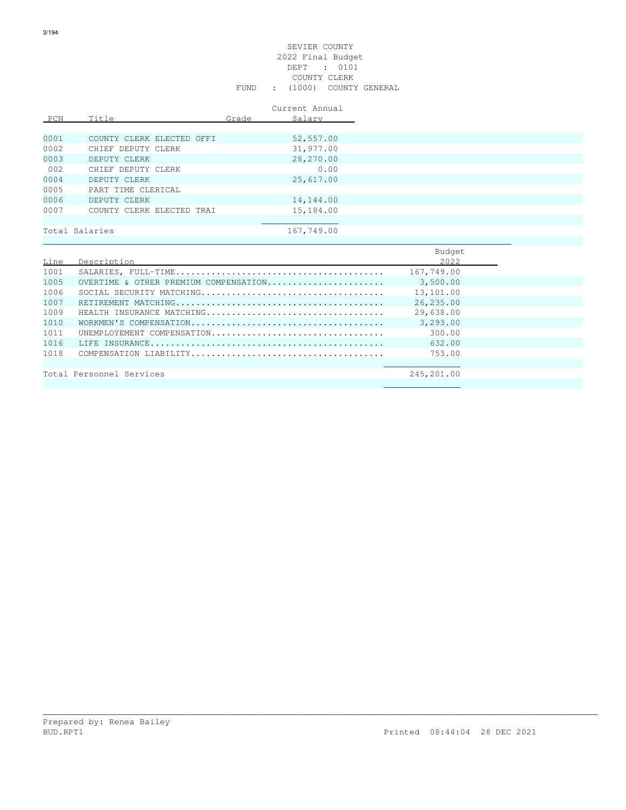#### SEVIER COUNTY 2022 Final Budget DEPT : 0101 COUNTY CLERK FUND : (1000) COUNTY GENERAL

|      |                           |       | Current Annual |
|------|---------------------------|-------|----------------|
| PCN  | Title                     | Grade | Salary         |
|      |                           |       |                |
| 0001 | COUNTY CLERK ELECTED OFFI |       | 52,557.00      |
| 0002 | CHIEF DEPUTY CLERK        |       | 31,977.00      |
| 0003 | DEPUTY CLERK              |       | 28,270.00      |
| 002  | CHIEF DEPUTY CLERK        |       | 0.00           |
| 0004 | DEPUTY CLERK              |       | 25,617.00      |
| 0005 | PART TIME CLERICAL        |       |                |
| 0006 | DEPUTY CLERK              |       | 14,144.00      |
| 0007 | COUNTY CLERK ELECTED TRAI |       | 15,184.00      |
|      |                           |       |                |
|      | Total Salaries            |       | 167,749.00     |
|      |                           |       |                |
|      |                           |       |                |

|      |                                       | <b>Budder</b> |
|------|---------------------------------------|---------------|
| Line | Description                           | 2022          |
| 1001 |                                       | 167,749.00    |
| 1005 | OVERTIME & OTHER PREMIUM COMPENSATION | 3,500.00      |
| 1006 |                                       | 13,101.00     |
| 1007 |                                       | 26,235.00     |
| 1009 | HEALTH INSURANCE MATCHING             | 29,638.00     |
| 1010 |                                       | 3,293.00      |
| 1011 | UNEMPLOYEMENT COMPENSATION            | 300.00        |
| 1016 |                                       | 632.00        |
| 1018 |                                       | 753.00        |
|      |                                       |               |
|      | Total Personnel Services              | 245,201.00    |
|      |                                       |               |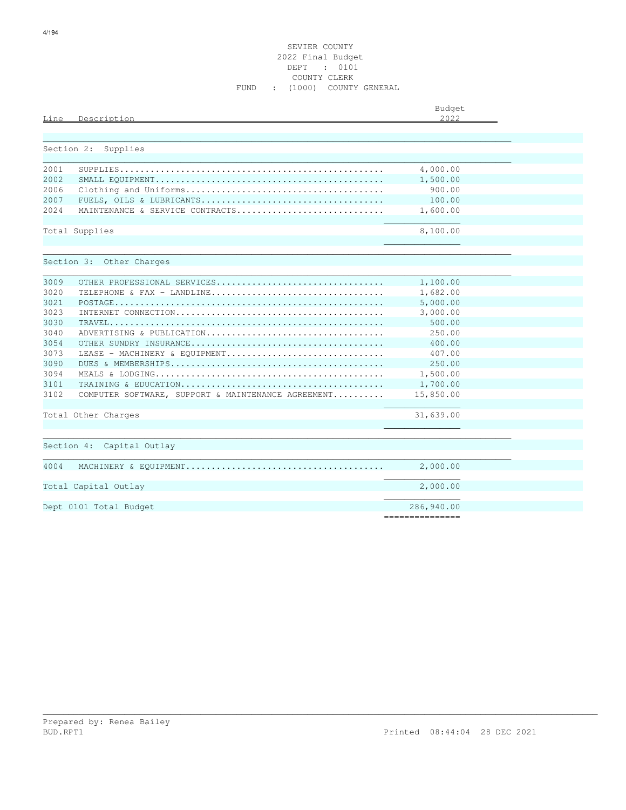#### SEVIER COUNTY 2022 Final Budget DEPT : 0101 COUNTY CLERK FUND : (1000) COUNTY GENERAL

| Description<br>Line                                        | Budget<br>2.022               |  |
|------------------------------------------------------------|-------------------------------|--|
|                                                            |                               |  |
| Section 2:<br>Supplies                                     |                               |  |
| 2001                                                       | 4,000.00                      |  |
| 2002                                                       | 1,500.00                      |  |
| 2006                                                       | 900.00                        |  |
| 2007                                                       | 100.00                        |  |
| 2.024<br>MAINTENANCE & SERVICE CONTRACTS                   | 1,600.00                      |  |
| Total Supplies                                             | 8,100.00                      |  |
|                                                            |                               |  |
|                                                            |                               |  |
| Section 3: Other Charges                                   |                               |  |
|                                                            |                               |  |
| 3009<br>OTHER PROFESSIONAL SERVICES                        | 1,100.00                      |  |
| 3020<br>TELEPHONE & FAX - LANDLINE                         | 1,682.00                      |  |
| 3021                                                       | 5,000.00                      |  |
| 3023                                                       | 3,000.00                      |  |
| 3030                                                       | 500.00                        |  |
| 3040<br>ADVERTISING & PUBLICATION<br>3054                  | 250.00                        |  |
| 3073                                                       | 400.00<br>407.00              |  |
| LEASE - MACHINERY & EQUIPMENT<br>3090                      | 250.00                        |  |
| 3094                                                       | 1,500.00                      |  |
| 3101                                                       | 1,700.00                      |  |
| 3102<br>COMPUTER SOFTWARE, SUPPORT & MAINTENANCE AGREEMENT | 15,850.00                     |  |
|                                                            |                               |  |
| Total Other Charges                                        | 31,639.00                     |  |
|                                                            |                               |  |
| Section 4: Capital Outlay                                  |                               |  |
| 4004                                                       | 2,000.00                      |  |
| Total Capital Outlay                                       | 2,000.00                      |  |
| Dept 0101 Total Budget                                     | 286,940.00<br>=============== |  |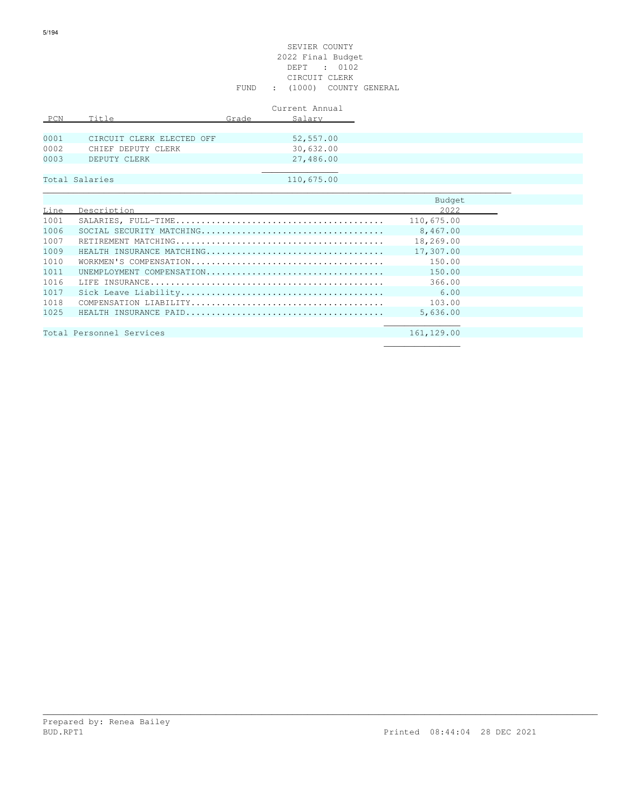#### SEVIER COUNTY 2022 Final Budget DEPT : 0102 CIRCUIT CLERK FUND : (1000) COUNTY GENERAL

|      |                           |       | Current Annual |
|------|---------------------------|-------|----------------|
| PCN  | Title                     | Grade | Salary         |
|      |                           |       |                |
| 0001 | CIRCUIT CLERK ELECTED OFF |       | 52,557.00      |
| 0002 | CHIEF DEPUTY CLERK        |       | 30,632.00      |
| 0003 | DEPUTY CLERK              |       | 27,486.00      |
|      |                           |       |                |
|      | Total Salaries            |       | 110,675.00     |

|      |                           | Budget     |  |
|------|---------------------------|------------|--|
| Line | Description               | 2022       |  |
| 1001 |                           | 110,675.00 |  |
| 1006 |                           | 8,467.00   |  |
| 1007 |                           | 18,269.00  |  |
| 1009 | HEALTH INSURANCE MATCHING | 17,307.00  |  |
| 1010 |                           | 150.00     |  |
| 1011 | UNEMPLOYMENT COMPENSATION | 150.00     |  |
| 1016 |                           | 366.00     |  |
| 1017 |                           | 6.00       |  |
| 1018 |                           | 103.00     |  |
| 1025 |                           | 5,636.00   |  |
|      |                           |            |  |
|      | Total Personnel Services  | 161,129.00 |  |

| Total Personnel Services |  |  | 101,149.00 |
|--------------------------|--|--|------------|
|                          |  |  |            |
|                          |  |  |            |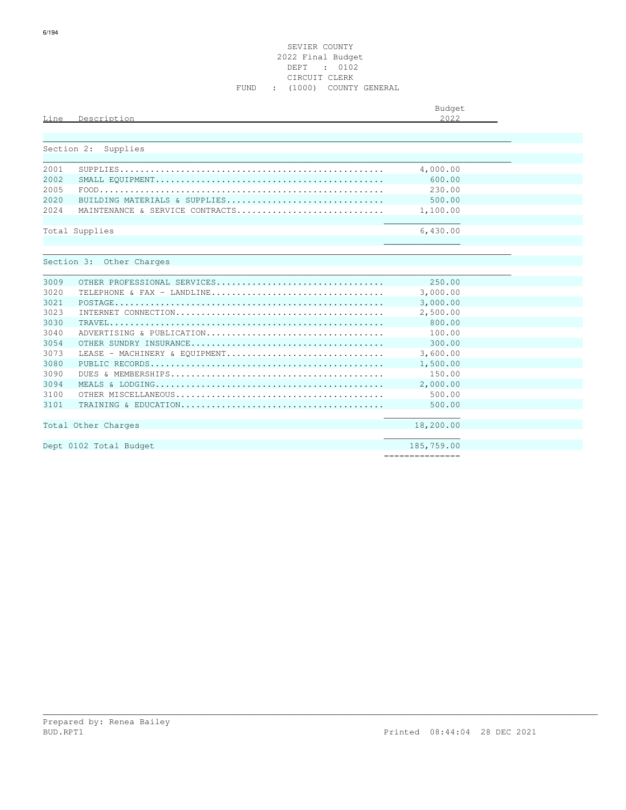#### SEVIER COUNTY 2022 Final Budget DEPT : 0102 CIRCUIT CLERK FUND : (1000) COUNTY GENERAL

| Line       | Description                     | Budget<br>2.022 |  |
|------------|---------------------------------|-----------------|--|
| Section 2: | Supplies                        |                 |  |
| 2001       |                                 | 4,000.00        |  |
| 2002       |                                 | 600.00          |  |
| 2005       |                                 | 230.00          |  |
| 2020       | BUILDING MATERIALS & SUPPLIES   | 500.00          |  |
| 2.024      | MAINTENANCE & SERVICE CONTRACTS | 1,100.00        |  |
|            | Total Supplies                  | 6,430.00        |  |
|            | Section 3: Other Charges        |                 |  |
| 3009       | OTHER PROFESSIONAL SERVICES     | 250.00          |  |
| 3020       | TELEPHONE & FAX - LANDLINE      | 3,000.00        |  |
| 3021       |                                 | 3,000.00        |  |
| 3023       |                                 | 2,500.00        |  |
| 3030       |                                 | 800.00          |  |
| 3040       | ADVERTISING & PUBLICATION       | 100.00          |  |
| 3054       |                                 | 300.00          |  |
| 3073       | LEASE - MACHINERY & EOUIPMENT   | 3,600.00        |  |
| 3080       |                                 | 1,500.00        |  |
| 3090       |                                 | 150.00          |  |
| 3094       |                                 | 2,000.00        |  |
| 3100       |                                 | 500.00          |  |
| 3101       |                                 | 500.00          |  |
|            | Total Other Charges             | 18,200.00       |  |
|            | Dept 0102 Total Budget          | 185,759.00      |  |

\_\_\_\_\_\_\_\_\_\_\_\_\_\_\_\_\_\_\_\_\_\_\_\_\_\_\_\_\_\_\_\_\_\_\_\_\_\_\_\_\_\_\_\_\_\_\_\_\_\_\_\_\_\_\_\_\_\_\_\_\_\_\_\_\_\_\_\_\_\_\_\_\_\_\_\_\_\_\_\_\_\_\_\_\_\_\_\_\_\_\_\_\_\_\_\_\_\_\_\_\_\_\_\_\_\_\_\_\_

===============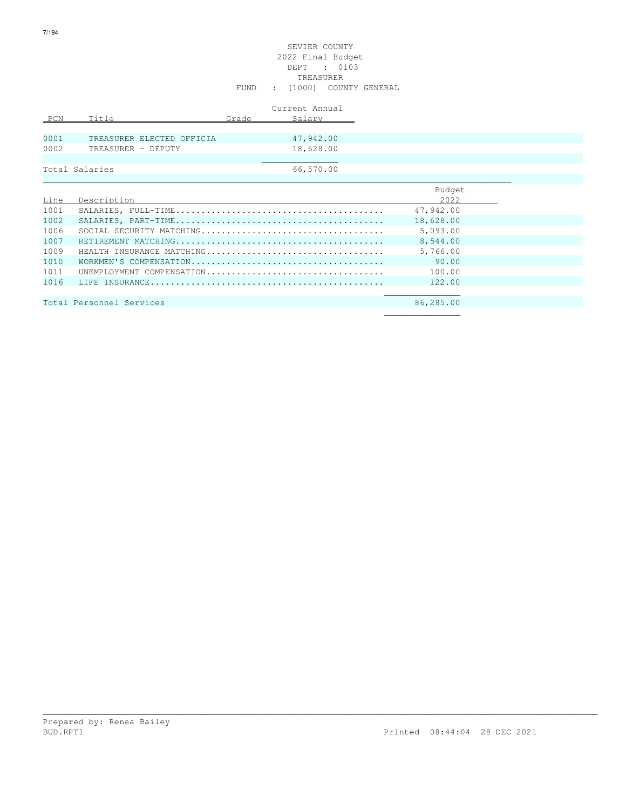#### SEVIER COUNTY 2022 Final Budget DEPT : 0103 TREASURER FUND : (1000) COUNTY GENERAL

|      |                           |       | Current Annual |
|------|---------------------------|-------|----------------|
| PCN  | Title                     | Grade | Salary         |
|      |                           |       |                |
| 0001 | TREASURER ELECTED OFFICIA |       | 47,942.00      |
| 0002 | TREASURER - DEPUTY        |       | 18,628.00      |
|      |                           |       |                |
|      | Total Salaries            |       | 66,570.00      |

|      |                           | Budget    |
|------|---------------------------|-----------|
| Line | Description               | 2022      |
| 1001 |                           | 47,942.00 |
| 1002 |                           | 18,628.00 |
| 1006 |                           | 5,093.00  |
| 1007 |                           | 8,544.00  |
| 1009 | HEALTH INSURANCE MATCHING | 5,766.00  |
| 1010 |                           | 90.00     |
| 1011 | UNEMPLOYMENT COMPENSATION | 100.00    |
| 1016 |                           | 122.00    |
|      |                           |           |
|      | Total Personnel Services  | 86,285.00 |
|      |                           |           |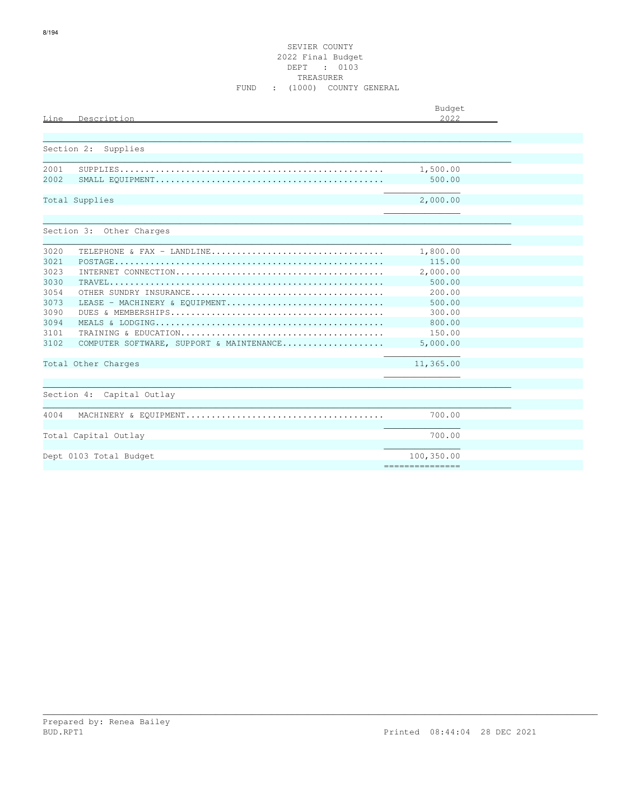#### SEVIER COUNTY 2022 Final Budget DEPT : 0103 TREASURER FUND : (1000) COUNTY GENERAL

| Line<br>Description                              | Budget<br>2.022 |  |
|--------------------------------------------------|-----------------|--|
|                                                  |                 |  |
| Section 2:<br>Supplies                           |                 |  |
| 2001                                             | 1,500.00        |  |
| 2002                                             | 500.00          |  |
| Total Supplies                                   | 2,000.00        |  |
| Section 3: Other Charges                         |                 |  |
| 3020<br>TELEPHONE & FAX - LANDLINE               | 1,800.00        |  |
| 3021                                             | 115.00          |  |
| 3023                                             | 2,000.00        |  |
| 3030                                             | 500.00          |  |
| 3054                                             | 200.00          |  |
| 3073<br>LEASE - MACHINERY & EOUIPMENT            | 500.00          |  |
| 3090                                             | 300.00          |  |
| 3094                                             | 800.00          |  |
| 3101                                             | 150.00          |  |
| 3102<br>COMPUTER SOFTWARE, SUPPORT & MAINTENANCE | 5,000.00        |  |
| Total Other Charges                              | 11,365.00       |  |
|                                                  |                 |  |
| Section 4: Capital Outlay                        |                 |  |
| 4004                                             | 700.00          |  |
| Total Capital Outlay                             | 700.00          |  |
| Dept 0103 Total Budget                           | 100,350.00      |  |
|                                                  | =============== |  |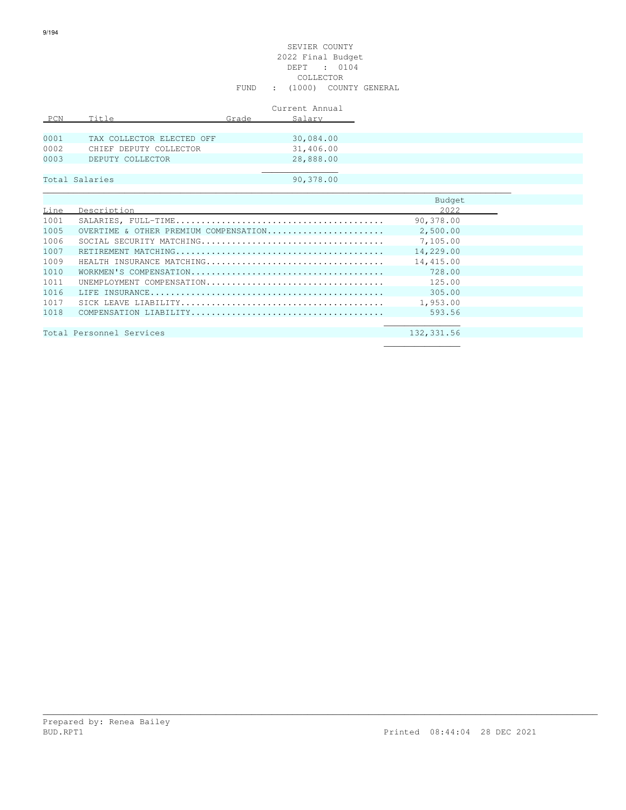#### SEVIER COUNTY 2022 Final Budget DEPT : 0104 COLLECTOR FUND : (1000) COUNTY GENERAL

|      |                           |       | Current Annual |
|------|---------------------------|-------|----------------|
| PCN  | Title                     | Grade | Salary         |
|      |                           |       |                |
| 0001 | TAX COLLECTOR ELECTED OFF |       | 30,084.00      |
| 0002 | CHIEF DEPUTY COLLECTOR    |       | 31,406.00      |
| 0003 | DEPUTY COLLECTOR          |       | 28,888.00      |
|      |                           |       |                |
|      | Total Salaries            |       | 90,378.00      |

|      |                                       | Budget    |
|------|---------------------------------------|-----------|
| Line | Description                           | 2022      |
| 1001 |                                       | 90,378.00 |
| 1005 | OVERTIME & OTHER PREMIUM COMPENSATION | 2,500.00  |
| 1006 |                                       | 7,105.00  |
| 1007 |                                       | 14,229.00 |
| 1009 | HEALTH INSURANCE MATCHING             | 14,415.00 |
| 1010 |                                       | 728.00    |
| 1011 | UNEMPIOYMENT COMPENSATION             | 125.00    |
| 1016 |                                       | 305.00    |
| 1017 |                                       | 1,953.00  |
| 1018 |                                       | 593.56    |
|      |                                       |           |

\_\_\_\_\_\_\_\_\_\_\_\_\_\_\_\_\_\_\_\_\_\_\_\_\_\_\_\_\_\_\_\_\_\_\_\_\_\_\_\_\_\_\_\_\_\_\_\_\_\_\_\_\_\_\_\_\_\_\_\_\_\_\_\_\_\_\_\_\_\_\_\_\_\_\_\_\_\_\_\_\_\_\_\_\_\_\_\_\_\_\_\_\_\_\_\_\_\_\_\_\_\_\_\_\_\_\_\_\_

Total Personnel Services 132,331.56  $\mathcal{L}_\mathcal{L}$  , we can assume that the contract of the contract of the contract of the contract of the contract of the contract of the contract of the contract of the contract of the contract of the contract of the contr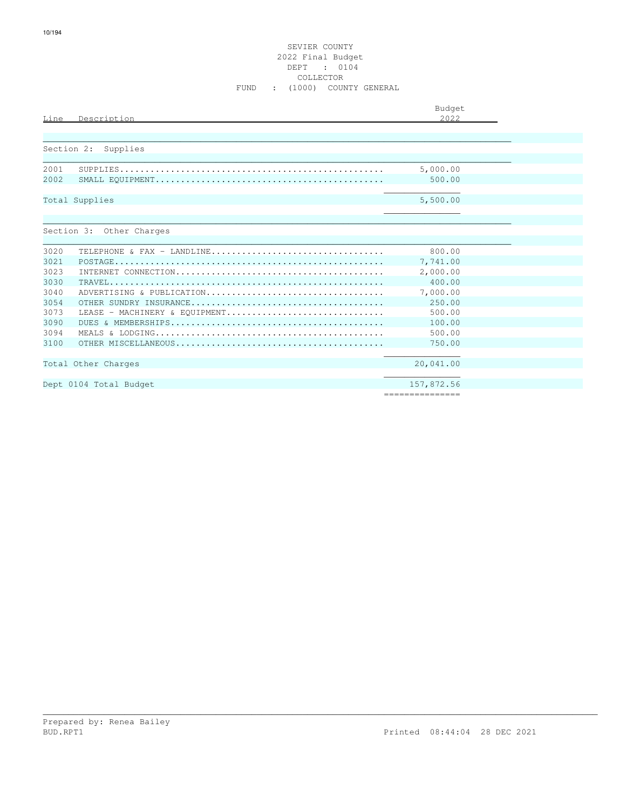#### SEVIER COUNTY 2022 Final Budget DEPT : 0104 COLLECTOR FUND : (1000) COUNTY GENERAL

| 2022<br>Description<br>Line<br>Section 2:<br>Supplies<br>5,000.00<br>2001<br>2002<br>500.00<br>5,500.00<br>Total Supplies<br>Section 3: Other Charges<br>3020<br>800.00<br>TELEPHONE & FAX - LANDLINE<br>3021<br>7,741.00<br>2,000.00<br>3023<br>3030<br>400.00<br>7,000.00<br>3040<br>ADVERTISING & PUBLICATION<br>3054<br>250.00<br>500.00<br>3073<br>LEASE - MACHINERY & EOUIPMENT<br>3090<br>100.00<br>500.00<br>3094<br>750.00<br>3100 |                     | Budget    |
|---------------------------------------------------------------------------------------------------------------------------------------------------------------------------------------------------------------------------------------------------------------------------------------------------------------------------------------------------------------------------------------------------------------------------------------------|---------------------|-----------|
|                                                                                                                                                                                                                                                                                                                                                                                                                                             |                     |           |
|                                                                                                                                                                                                                                                                                                                                                                                                                                             |                     |           |
|                                                                                                                                                                                                                                                                                                                                                                                                                                             |                     |           |
|                                                                                                                                                                                                                                                                                                                                                                                                                                             |                     |           |
|                                                                                                                                                                                                                                                                                                                                                                                                                                             |                     |           |
|                                                                                                                                                                                                                                                                                                                                                                                                                                             |                     |           |
|                                                                                                                                                                                                                                                                                                                                                                                                                                             |                     |           |
|                                                                                                                                                                                                                                                                                                                                                                                                                                             |                     |           |
|                                                                                                                                                                                                                                                                                                                                                                                                                                             |                     |           |
|                                                                                                                                                                                                                                                                                                                                                                                                                                             |                     |           |
|                                                                                                                                                                                                                                                                                                                                                                                                                                             |                     |           |
|                                                                                                                                                                                                                                                                                                                                                                                                                                             |                     |           |
|                                                                                                                                                                                                                                                                                                                                                                                                                                             |                     |           |
|                                                                                                                                                                                                                                                                                                                                                                                                                                             |                     |           |
|                                                                                                                                                                                                                                                                                                                                                                                                                                             |                     |           |
|                                                                                                                                                                                                                                                                                                                                                                                                                                             |                     |           |
|                                                                                                                                                                                                                                                                                                                                                                                                                                             |                     |           |
|                                                                                                                                                                                                                                                                                                                                                                                                                                             |                     |           |
|                                                                                                                                                                                                                                                                                                                                                                                                                                             |                     |           |
|                                                                                                                                                                                                                                                                                                                                                                                                                                             |                     |           |
|                                                                                                                                                                                                                                                                                                                                                                                                                                             | Total Other Charges | 20,041.00 |
|                                                                                                                                                                                                                                                                                                                                                                                                                                             |                     |           |
| 157,872.56<br>Dept 0104 Total Budget<br>===============                                                                                                                                                                                                                                                                                                                                                                                     |                     |           |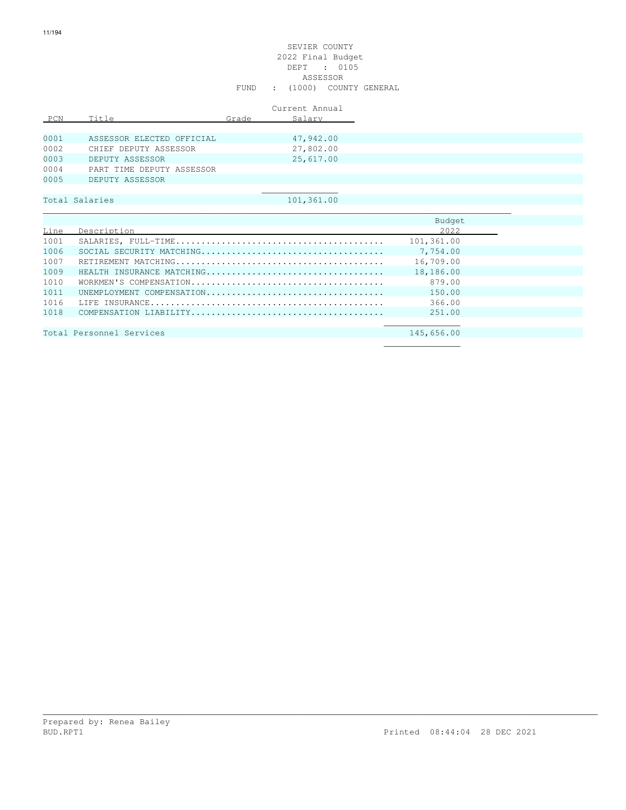|      |                           |       | Current Annual |
|------|---------------------------|-------|----------------|
| PCN  | Title                     | Grade | Salary         |
|      |                           |       |                |
| 0001 | ASSESSOR ELECTED OFFICIAL |       | 47,942.00      |
| 0002 | CHIEF DEPUTY ASSESSOR     |       | 27,802.00      |
| 0003 | DEPUTY ASSESSOR           |       | 25,617.00      |
| 0004 | PART TIME DEPUTY ASSESSOR |       |                |
| 0005 | DEPUTY ASSESSOR           |       |                |
|      |                           |       |                |

# Total Salaries 101,361.00

|      |                                                                                                                | Budget     |
|------|----------------------------------------------------------------------------------------------------------------|------------|
| Line | Description                                                                                                    | 2022       |
| 1001 |                                                                                                                | 101,361.00 |
| 1006 |                                                                                                                | 7,754.00   |
| 1007 |                                                                                                                | 16,709.00  |
| 1009 | HEALTH INSURANCE MATCHING                                                                                      | 18,186.00  |
| 1010 |                                                                                                                | 879.00     |
| 1011 | UNEMPIOYMENT COMPENSATION                                                                                      | 150.00     |
| 1016 |                                                                                                                | 366.00     |
| 1018 |                                                                                                                | 251.00     |
|      |                                                                                                                |            |
|      | 그 그 사람들은 그 사람들은 그 사람들은 그 사람들을 지르며 그 사람들을 지르며 그 사람들을 지르며 그 사람들을 지르며 그 사람들을 지르며 그 사람들을 지르며 그 사람들을 지르며 그 사람들을 지르며 |            |

\_\_\_\_\_\_\_\_\_\_\_\_\_\_\_\_\_\_\_\_\_\_\_\_\_\_\_\_\_\_\_\_\_\_\_\_\_\_\_\_\_\_\_\_\_\_\_\_\_\_\_\_\_\_\_\_\_\_\_\_\_\_\_\_\_\_\_\_\_\_\_\_\_\_\_\_\_\_\_\_\_\_\_\_\_\_\_\_\_\_\_\_\_\_\_\_\_\_\_\_\_\_\_\_\_\_\_\_\_

Total Personnel Services 145,656.00  $\mathcal{L}_\mathcal{L}$  , we can assume that the contract of the contract of the contract of the contract of the contract of the contract of the contract of the contract of the contract of the contract of the contract of the contr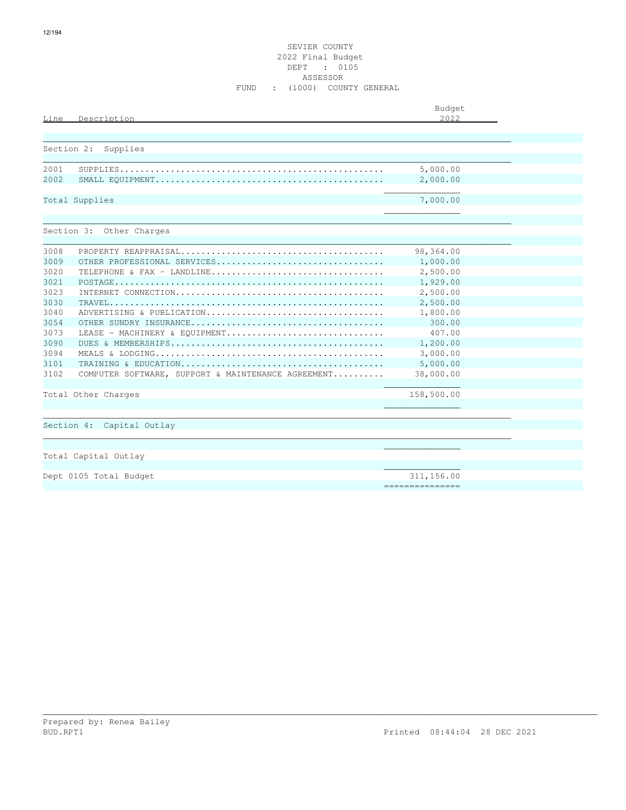#### SEVIER COUNTY 2022 Final Budget DEPT : 0105 ASSESSOR FUND : (1000) COUNTY GENERAL

| Line<br>Description                                        | Budget<br>2022       |  |
|------------------------------------------------------------|----------------------|--|
|                                                            |                      |  |
| Section 2: Supplies                                        |                      |  |
| 2001<br>2002                                               | 5,000.00<br>2,000.00 |  |
| Total Supplies                                             | 7,000.00             |  |
|                                                            |                      |  |
| Section 3: Other Charges                                   |                      |  |
| 3008                                                       | 98,364.00            |  |
| 3009<br>OTHER PROFESSIONAL SERVICES                        | 1,000.00             |  |
| 3020<br>TELEPHONE & FAX - LANDLINE                         | 2,500.00             |  |
| 3021                                                       | 1,929.00             |  |
| 3023                                                       | 2,500.00             |  |
| 3030                                                       | 2,500.00             |  |
| 3040<br>ADVERTISING & PUBLICATION                          | 1,800.00             |  |
| 3054                                                       | 300.00               |  |
| 3073<br>LEASE - MACHINERY & EOUIPMENT                      | 407.00               |  |
| 3090                                                       | 1,200.00             |  |
| 3094                                                       | 3,000.00             |  |
| 3101                                                       | 5,000.00             |  |
| 3102<br>COMPUTER SOFTWARE, SUPPORT & MAINTENANCE AGREEMENT | 38,000.00            |  |
| Total Other Charges                                        | 158,500.00           |  |
|                                                            |                      |  |
| Section 4: Capital Outlay                                  |                      |  |
| Total Capital Outlay                                       |                      |  |
| Dept 0105 Total Budget                                     | 311,156.00           |  |
|                                                            | ===============      |  |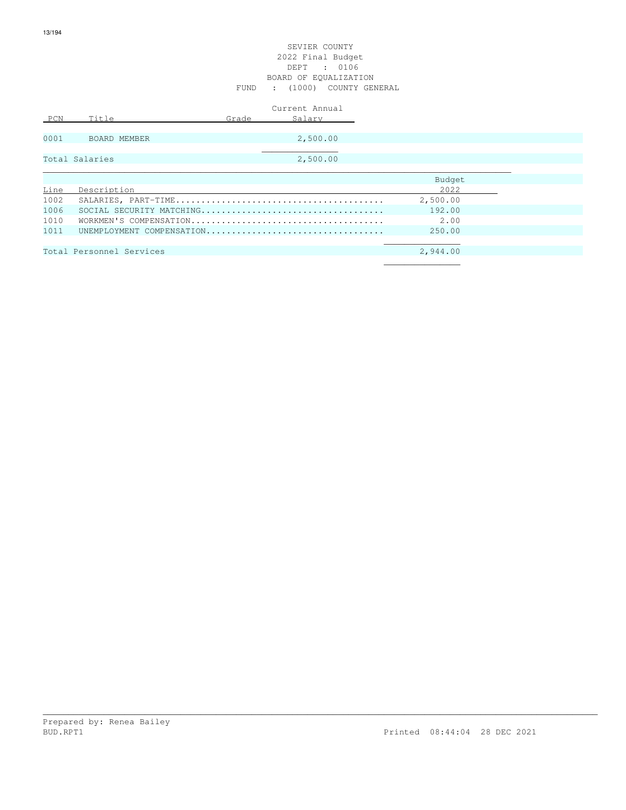#### SEVIER COUNTY 2022 Final Budget DEPT : 0106 BOARD OF EQUALIZATION FUND : (1000) COUNTY GENERAL

|      |                          |       | Current Annual            |          |  |
|------|--------------------------|-------|---------------------------|----------|--|
| PCN  | Title                    | Grade | Salary                    |          |  |
|      |                          |       |                           |          |  |
| 0001 | BOARD MEMBER             |       | 2,500.00                  |          |  |
|      |                          |       |                           |          |  |
|      | Total Salaries           |       | 2,500.00                  |          |  |
|      |                          |       |                           |          |  |
|      |                          |       |                           | Budget   |  |
| Line | Description              |       |                           | 2022     |  |
| 1002 |                          |       |                           | 2,500.00 |  |
| 1006 |                          |       |                           | 192.00   |  |
| 1010 |                          |       |                           | 2.00     |  |
| 1011 |                          |       | UNEMPLOYMENT COMPENSATION | 250.00   |  |
|      |                          |       |                           |          |  |
|      | Total Personnel Services |       |                           | 2,944.00 |  |
|      |                          |       |                           |          |  |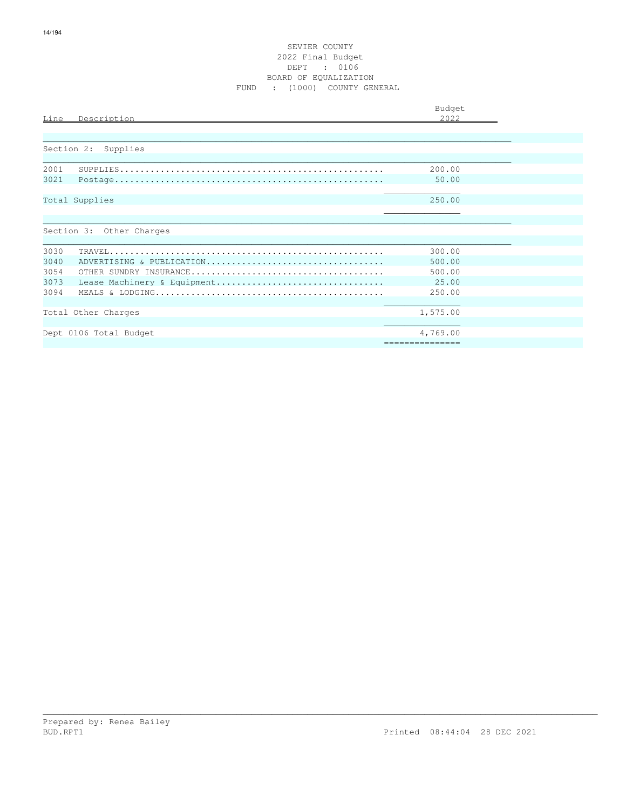| Line<br>Description                 | Budget<br>2022  |  |
|-------------------------------------|-----------------|--|
| Section 2: Supplies                 |                 |  |
| 2001                                | 200.00          |  |
| 3021                                | 50.00           |  |
| Total Supplies                      | 250.00          |  |
| Section 3: Other Charges            |                 |  |
| 3030                                | 300.00          |  |
| 3040<br>ADVERTISING & PUBLICATION   | 500.00          |  |
| 3054                                | 500.00          |  |
| 3073<br>Lease Machinery & Equipment | 25.00           |  |
| 3094                                | 250.00          |  |
|                                     |                 |  |
| Total Other Charges                 | 1,575.00        |  |
|                                     |                 |  |
| Dept 0106 Total Budget              | 4,769.00        |  |
|                                     | =============== |  |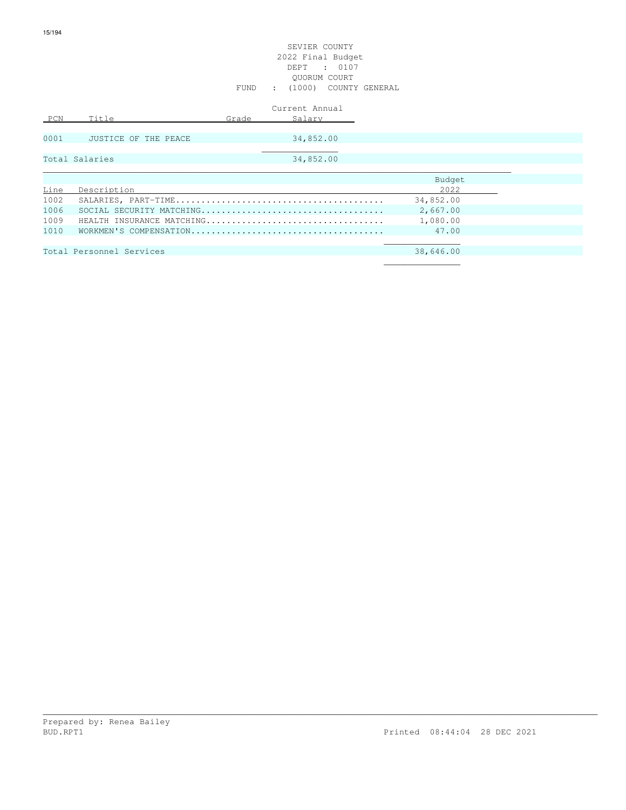|      |                           |       | Current Annual |           |
|------|---------------------------|-------|----------------|-----------|
| PCN  | Title                     | Grade | Salary         |           |
|      |                           |       |                |           |
| 0001 | JUSTICE OF THE PEACE      |       | 34,852.00      |           |
|      | Total Salaries            |       | 34,852.00      |           |
|      |                           |       |                |           |
|      |                           |       |                | Budget    |
| Line | Description               |       |                | 2022      |
| 1002 |                           |       |                | 34,852.00 |
| 1006 |                           |       |                | 2,667.00  |
| 1009 | HEALTH INSURANCE MATCHING |       |                | 1,080.00  |
| 1010 |                           |       |                | 47.00     |
|      |                           |       |                |           |
|      | Total Personnel Services  |       |                | 38,646.00 |
|      |                           |       |                |           |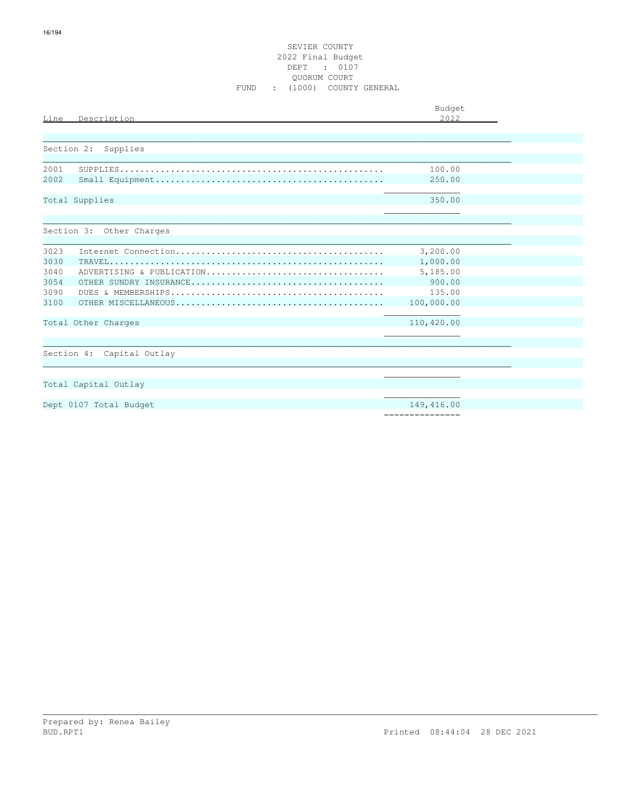#### SEVIER COUNTY 2022 Final Budget DEPT : 0107 QUORUM COURT FUND : (1000) COUNTY GENERAL

| Line | Description               | Budget<br>2022  |  |
|------|---------------------------|-----------------|--|
|      |                           |                 |  |
|      | Section 2:<br>Supplies    |                 |  |
| 2001 |                           | 100.00          |  |
| 2002 |                           | 250.00          |  |
|      | Total Supplies            | 350.00          |  |
|      | Section 3: Other Charges  |                 |  |
| 3023 |                           | 3,200.00        |  |
| 3030 |                           | 1,000.00        |  |
| 3040 | ADVERTISING & PUBLICATION | 5,185.00        |  |
| 3054 |                           | 900.00          |  |
| 3090 |                           | 135.00          |  |
| 3100 |                           | 100,000.00      |  |
|      | Total Other Charges       | 110,420.00      |  |
|      |                           |                 |  |
|      | Section 4: Capital Outlay |                 |  |
|      |                           |                 |  |
|      | Total Capital Outlay      |                 |  |
|      | Dept 0107 Total Budget    | 149,416.00      |  |
|      |                           | =============== |  |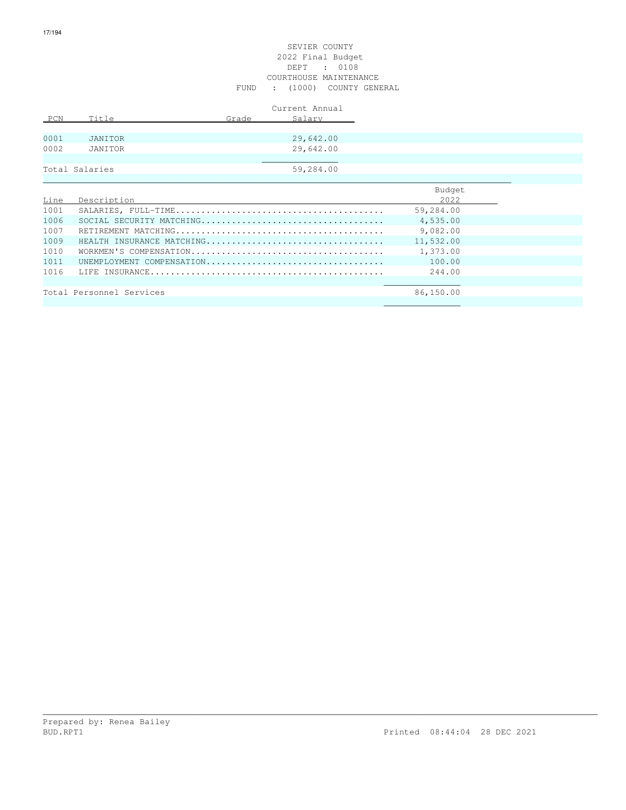#### SEVIER COUNTY 2022 Final Budget DEPT : 0108 COURTHOUSE MAINTENANCE FUND : (1000) COUNTY GENERAL

|      |                |       | Current Annual |       |
|------|----------------|-------|----------------|-------|
| PCN  | Title          | Grade | Salary         |       |
|      |                |       |                |       |
| 0001 | JANITOR        |       | 29,642.00      |       |
| 0002 | JANITOR        |       | 29,642.00      |       |
|      |                |       |                |       |
|      | Total Salaries |       | 59,284.00      |       |
|      |                |       |                |       |
|      |                |       |                | _____ |

|      |                           | Budget    |
|------|---------------------------|-----------|
| Line | Description               | 2022      |
| 1001 |                           | 59,284.00 |
| 1006 |                           | 4,535.00  |
| 1007 |                           | 9,082.00  |
| 1009 | HEALTH INSURANCE MATCHING | 11,532.00 |
| 1010 |                           | 1,373.00  |
| 1011 | UNEMPLOYMENT COMPENSATION | 100.00    |
| 1016 |                           | 244.00    |
|      |                           |           |
|      | Total Personnel Services  | 86,150.00 |
|      |                           |           |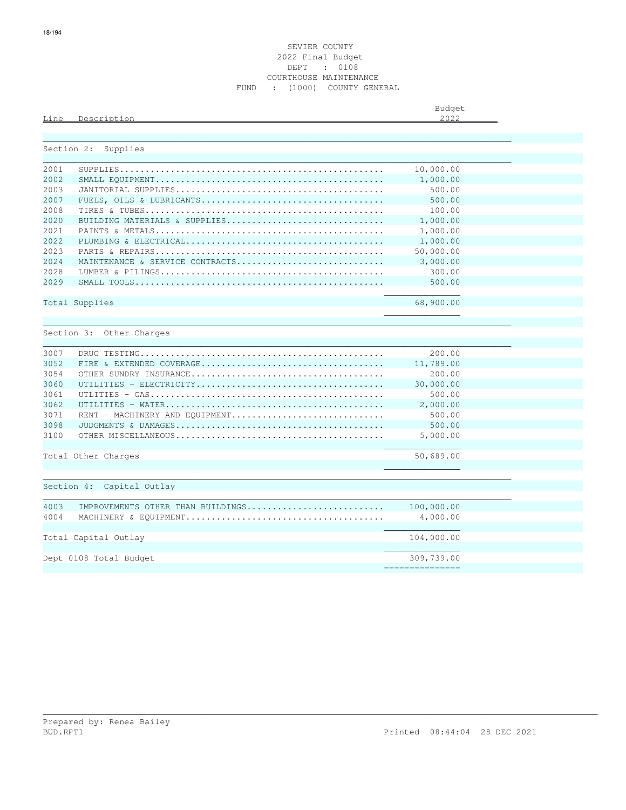### SEVIER COUNTY 2022 Final Budget DEPT : 0108 COURTHOUSE MAINTENANCE FUND : (1000) COUNTY GENERAL

|      |                            | Budget<br>$\sim$ |
|------|----------------------------|------------------|
| Line | Decerinti<br>$\sim$ $\sim$ | つれつつ<br>.        |
|      |                            |                  |

\_\_\_\_\_\_\_\_\_\_\_\_\_\_\_\_\_\_\_\_\_\_\_\_\_\_\_\_\_\_\_\_\_\_\_\_\_\_\_\_\_\_\_\_\_\_\_\_\_\_\_\_\_\_\_\_\_\_\_\_\_\_\_\_\_\_\_\_\_\_\_\_\_\_\_\_\_\_\_\_\_\_\_\_\_\_\_\_\_\_\_\_

| Section 2: | Supplies                          |                  |  |
|------------|-----------------------------------|------------------|--|
| 2001       |                                   | 10,000.00        |  |
| 2002       |                                   | 1,000.00         |  |
| 2003       |                                   | 500.00           |  |
| 2007       |                                   | 500.00           |  |
| 2008       |                                   | 100.00           |  |
| 2020       | BUILDING MATERIALS & SUPPLIES     | 1,000.00         |  |
| 2021       |                                   | 1,000.00         |  |
| 2.022      |                                   | 1,000.00         |  |
| 2023       |                                   | 50,000.00        |  |
| 2024       | MAINTENANCE & SERVICE CONTRACTS   | 3,000.00         |  |
| 2028       |                                   | 300.00           |  |
| 2029       |                                   | 500.00           |  |
|            | Total Supplies                    | 68,900.00        |  |
|            |                                   |                  |  |
|            | Section 3: Other Charges          |                  |  |
| 3007       |                                   | 200.00           |  |
| 3052       |                                   | 11,789.00        |  |
| 3054       |                                   | 200.00           |  |
| 3060       |                                   | 30,000.00        |  |
| 3061       |                                   | 500.00           |  |
| 3062       |                                   | 2,000.00         |  |
| 3071       | RENT - MACHINERY AND EOUIPMENT    | 500.00           |  |
| 3098       |                                   | 500.00           |  |
| 3100       |                                   | 5,000.00         |  |
|            | Total Other Charges               | 50,689.00        |  |
|            |                                   |                  |  |
|            | Section 4: Capital Outlay         |                  |  |
| 4003       | IMPROVEMENTS OTHER THAN BUILDINGS | 100,000.00       |  |
| 4004       |                                   | 4,000.00         |  |
|            |                                   |                  |  |
|            |                                   | 104,000.00       |  |
|            | Total Capital Outlay              |                  |  |
|            | Dept 0108 Total Budget            | 309,739.00       |  |
|            |                                   | ---------------- |  |
|            |                                   |                  |  |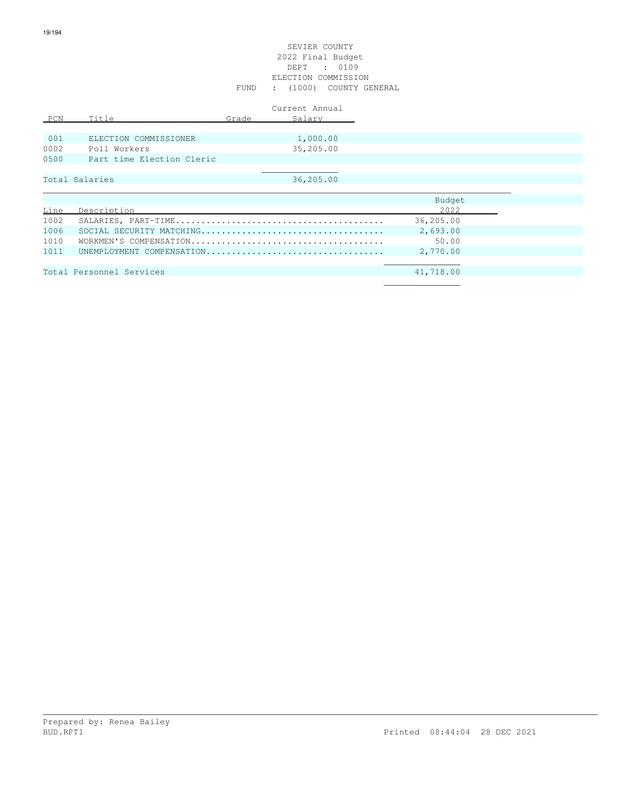#### SEVIER COUNTY 2022 Final Budget DEPT : 0109 ELECTION COMMISSION FUND : (1000) COUNTY GENERAL

|      |                           |       | Current Annual |
|------|---------------------------|-------|----------------|
| PCN  | Title                     | Grade | Salary         |
|      |                           |       |                |
| 001  | ELECTION COMMISSIONER     |       | 1,000.00       |
| 0002 | Poll Workers              |       | 35,205.00      |
| 0500 | Part time Election Cleric |       |                |
|      |                           |       |                |
|      | Total Salaries            |       | 36,205.00      |
|      |                           |       |                |
|      |                           |       |                |

|      |                           | Budget    |
|------|---------------------------|-----------|
| Line | Description               | 2022      |
| 1002 |                           | 36,205.00 |
| 1006 |                           | 2,693.00  |
| 1010 |                           | 50.00     |
| 1011 | UNEMPLOYMENT COMPENSATION | 2,770.00  |
|      |                           |           |
|      | Total Personnel Services  | 41,718.00 |
|      |                           |           |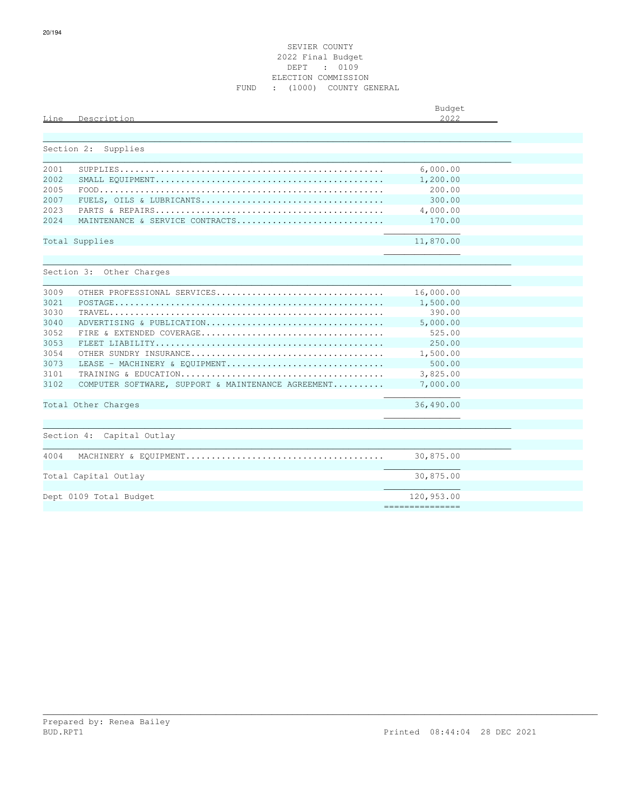| Line       | Description                                        | Budget<br>2022  |
|------------|----------------------------------------------------|-----------------|
| Section 2: | Supplies                                           |                 |
| 2001       |                                                    | 6,000.00        |
| 2002       |                                                    | 1,200.00        |
| 2005       |                                                    | 200.00          |
| 2007       |                                                    | 300.00          |
| 2023       |                                                    | 4,000.00        |
| 2.024      | MAINTENANCE & SERVICE CONTRACTS                    | 170.00          |
|            |                                                    |                 |
|            | Total Supplies                                     | 11,870.00       |
|            |                                                    |                 |
|            |                                                    |                 |
|            | Section 3: Other Charges                           |                 |
| 3009       | OTHER PROFESSIONAL SERVICES                        | 16,000.00       |
| 3021       |                                                    | 1,500.00        |
| 3030       |                                                    | 390.00          |
| 3040       | ADVERTISING & PUBLICATION                          | 5,000.00        |
| 3052       |                                                    | 525.00          |
| 3053       |                                                    | 250.00          |
| 3054       |                                                    | 1,500.00        |
| 3073       | LEASE - MACHINERY & EOUIPMENT                      | 500.00          |
| 3101       |                                                    | 3,825.00        |
| 3102       | COMPUTER SOFTWARE, SUPPORT & MAINTENANCE AGREEMENT | 7,000.00        |
|            | Total Other Charges                                | 36,490.00       |
|            |                                                    |                 |
|            | Section 4: Capital Outlay                          |                 |
|            |                                                    |                 |
| 4004       |                                                    | 30,875.00       |
|            | Total Capital Outlay                               | 30,875.00       |
|            |                                                    |                 |
|            | Dept 0109 Total Budget                             | 120,953.00      |
|            |                                                    | --------------- |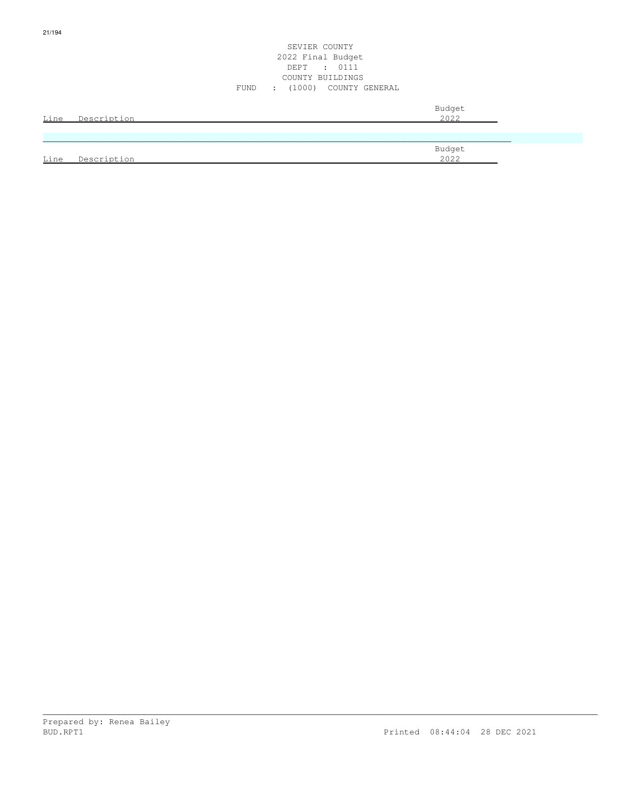#### SEVIER COUNTY 2022 Final Budget DEPT : 0111 COUNTY BUILDINGS FUND : (1000) COUNTY GENERAL

| Line | Description | Budget<br>2022 |
|------|-------------|----------------|
|      |             |                |
| Line | Description | Budget<br>2022 |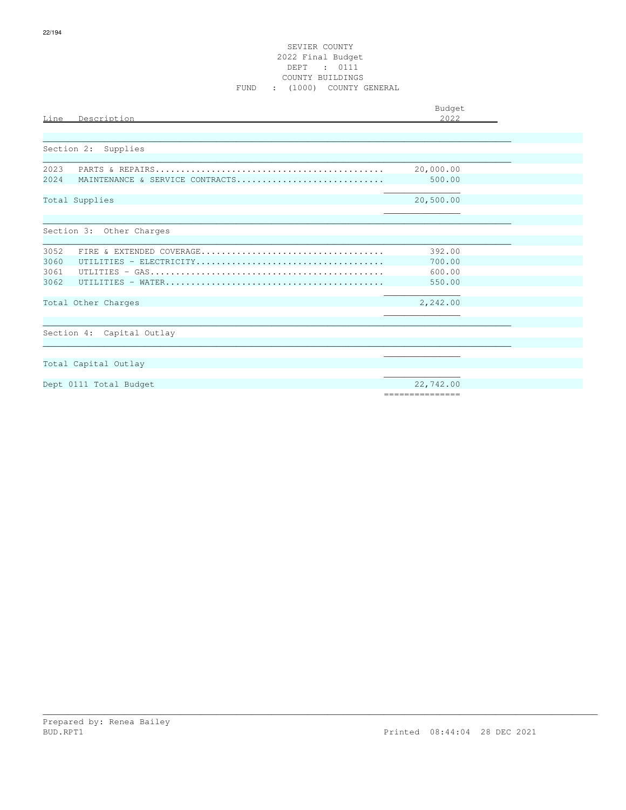#### SEVIER COUNTY 2022 Final Budget DEPT : 0111 COUNTY BUILDINGS FUND : (1000) COUNTY GENERAL

| Line | Description                     | Budget<br>2022  |
|------|---------------------------------|-----------------|
|      |                                 |                 |
|      |                                 |                 |
|      | Section 2: Supplies             |                 |
| 2023 |                                 | 20,000.00       |
| 2024 | MAINTENANCE & SERVICE CONTRACTS | 500.00          |
|      |                                 |                 |
|      | Total Supplies                  | 20,500.00       |
|      |                                 |                 |
|      |                                 |                 |
|      | Section 3: Other Charges        |                 |
| 3052 |                                 | 392.00          |
| 3060 |                                 | 700.00          |
| 3061 |                                 | 600.00          |
| 3062 |                                 | 550.00          |
|      |                                 |                 |
|      | Total Other Charges             | 2,242.00        |
|      |                                 |                 |
|      |                                 |                 |
|      | Section 4: Capital Outlay       |                 |
|      |                                 |                 |
|      | Total Capital Outlay            |                 |
|      |                                 |                 |
|      | Dept 0111 Total Budget          | 22,742.00       |
|      |                                 | =============== |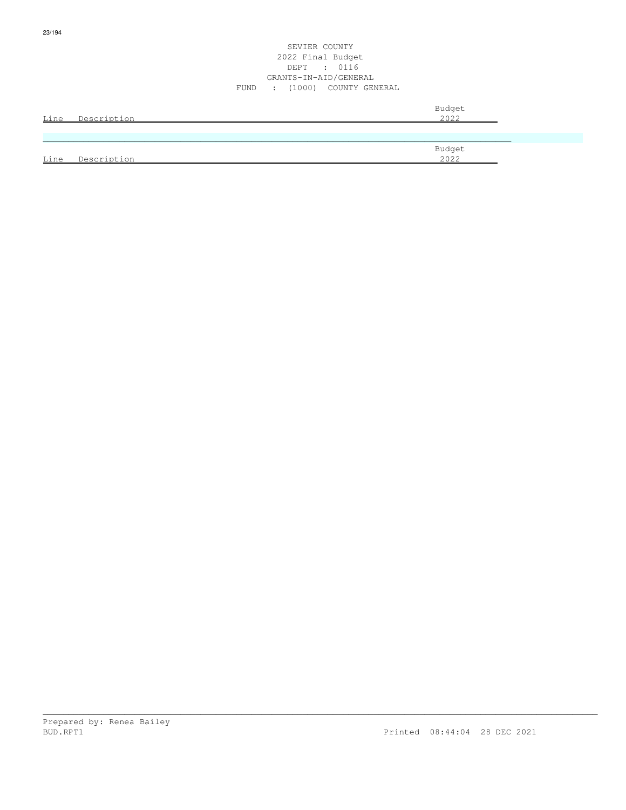#### SEVIER COUNTY 2022 Final Budget DEPT : 0116 GRANTS-IN-AID/GENERAL FUND : (1000) COUNTY GENERAL

| Line | Description | Budget<br>2022 |
|------|-------------|----------------|
|      |             |                |
| Line | Description | Budget<br>2022 |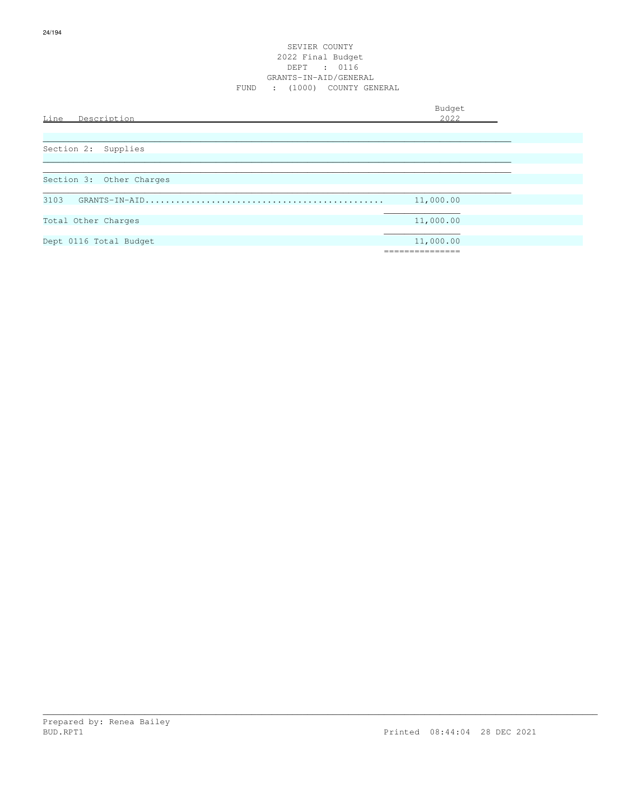#### SEVIER COUNTY 2022 Final Budget DEPT : 0116 GRANTS-IN-AID/GENERAL FUND : (1000) COUNTY GENERAL

Budget is a state of the state of the state of the state of the state of the state of the state of the state of the state of the state of the state of the state of the state of the state of the state of the state of the st

| Line<br>Description      | 2022       |
|--------------------------|------------|
|                          |            |
|                          |            |
| Section 2: Supplies      |            |
|                          |            |
|                          |            |
| Section 3: Other Charges |            |
|                          |            |
| 3103                     | 11,000.00  |
|                          |            |
| Total Other Charges      | 11,000.00  |
|                          |            |
| Dept 0116 Total Budget   | 11,000.00  |
|                          | ========== |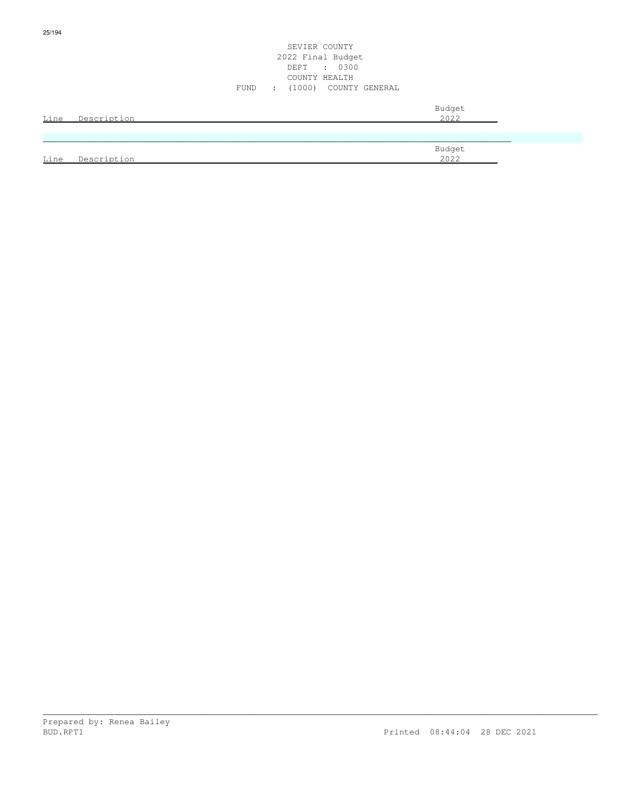|      |             | SEVIER COUNTY<br>2022 Final Budget<br>: 0300<br>DEPT<br>COUNTY HEALTH<br>: (1000) COUNTY GENERAL<br>FUND |  |
|------|-------------|----------------------------------------------------------------------------------------------------------|--|
| Line | Description | Budget<br>2022                                                                                           |  |
|      |             | Budget                                                                                                   |  |
| Line | Description | 2022                                                                                                     |  |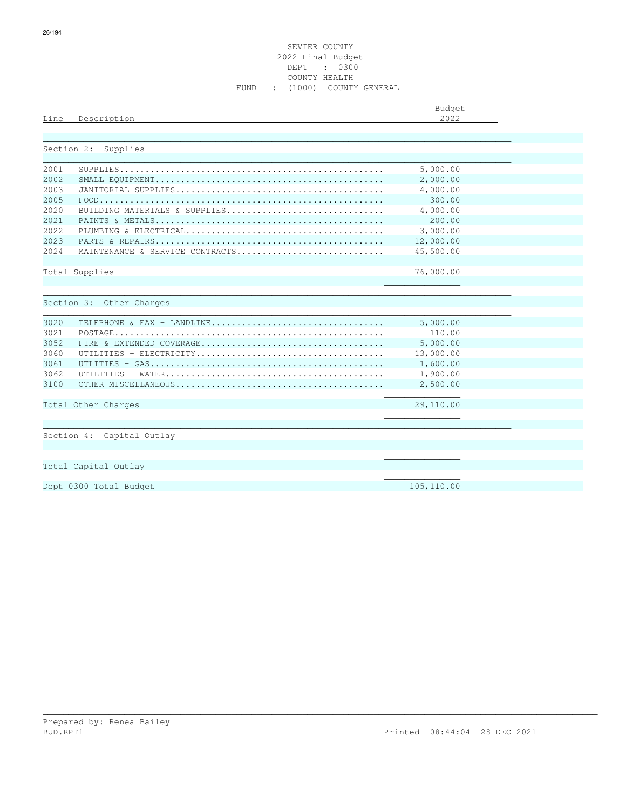|      |             | Budget |
|------|-------------|--------|
| Line | Description | 2022   |
|      |             |        |

|      | Section 2: Supplies             |                 |
|------|---------------------------------|-----------------|
| 2001 |                                 | 5,000.00        |
| 2002 |                                 | 2,000.00        |
| 2003 |                                 | 4,000.00        |
| 2005 |                                 | 300.00          |
| 2020 | BUILDING MATERIALS & SUPPLIES   | 4,000.00        |
| 2021 |                                 | 200.00          |
| 2022 |                                 | 3,000.00        |
| 2023 |                                 | 12,000.00       |
| 2024 | MAINTENANCE & SERVICE CONTRACTS | 45,500.00       |
|      |                                 |                 |
|      | Total Supplies                  | 76,000.00       |
|      |                                 |                 |
|      | Section 3: Other Charges        |                 |
|      |                                 |                 |
| 3020 | TELEPHONE & FAX - LANDLINE      | 5,000.00        |
| 3021 |                                 | 110.00          |
| 3052 |                                 | 5,000.00        |
| 3060 |                                 | 13,000.00       |
| 3061 |                                 | 1,600.00        |
| 3062 |                                 | 1,900.00        |
| 3100 |                                 | 2,500.00        |
|      |                                 | 29,110.00       |
|      | Total Other Charges             |                 |
|      |                                 |                 |
|      | Section 4: Capital Outlay       |                 |
|      |                                 |                 |
|      |                                 |                 |
|      | Total Capital Outlay            |                 |
|      |                                 |                 |
|      | Dept 0300 Total Budget          | 105,110.00      |
|      |                                 | =============== |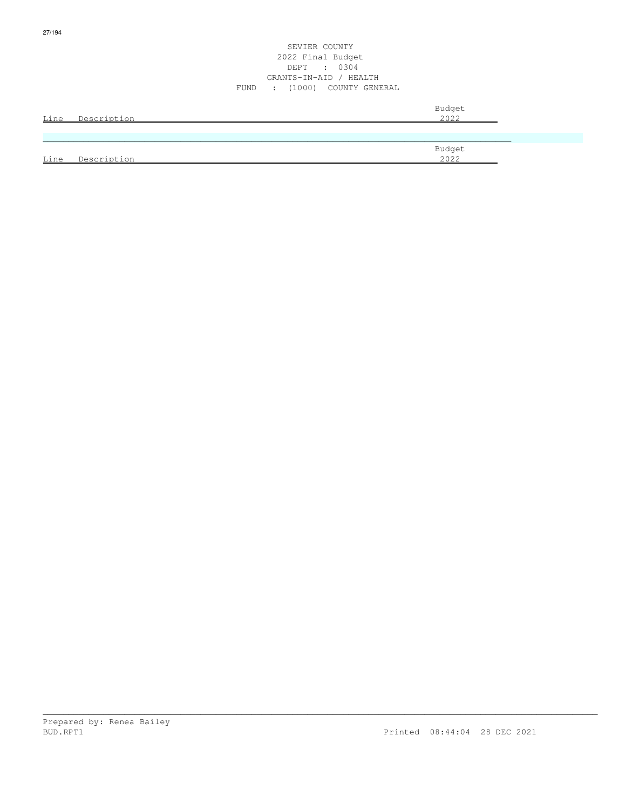#### SEVIER COUNTY 2022 Final Budget DEPT : 0304 GRANTS-IN-AID / HEALTH FUND : (1000) COUNTY GENERAL

| Line | Description | Budget<br>2022 |
|------|-------------|----------------|
|      |             |                |
|      |             | Budget         |
| Line | Description | 2022           |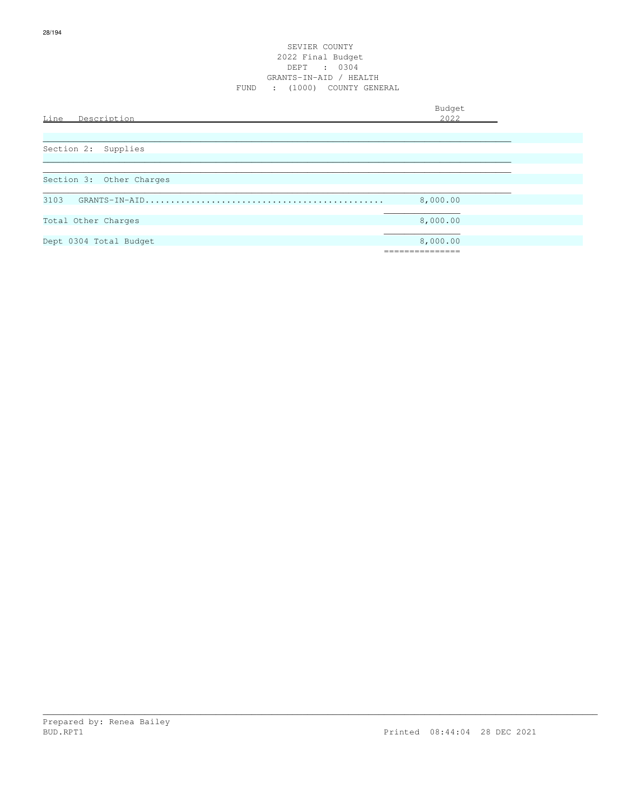#### SEVIER COUNTY 2022 Final Budget DEPT : 0304 GRANTS-IN-AID / HEALTH FUND : (1000) COUNTY GENERAL

| Line<br>Description      | Budget<br>2022 |  |
|--------------------------|----------------|--|
|                          |                |  |
| Section 2: Supplies      |                |  |
| Section 3: Other Charges |                |  |
| 3103                     | 8,000.00       |  |
| Total Other Charges      | 8,000.00       |  |
| Dept 0304 Total Budget   | 8,000.00       |  |
|                          |                |  |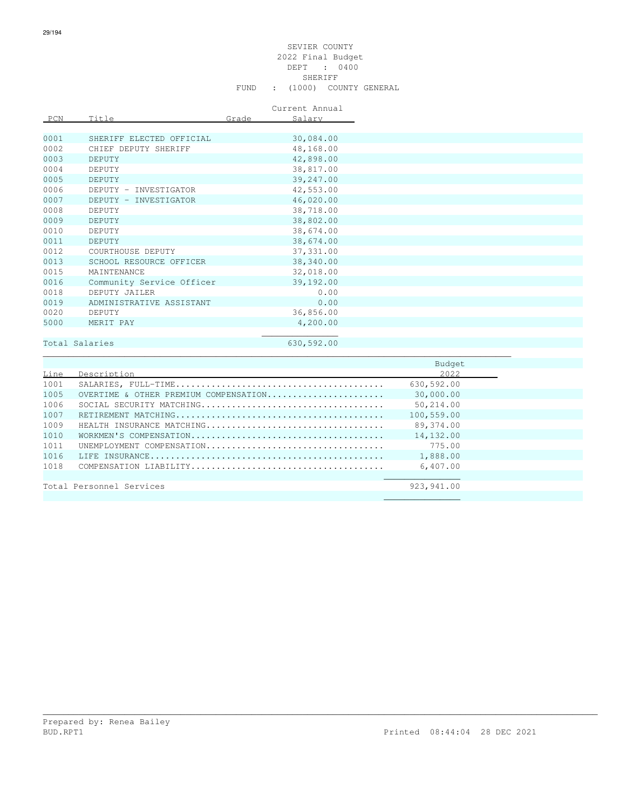### SEVIER COUNTY 2022 Final Budget DEPT : 0400 SHERIFF SHERIFF SHERIFF SHERIFF SHERIFF SHERIFF SHERIFF SHERIFF SHERIFF SHERIFF SHERIFF SHERIFF SHERIFF SHERIFF SHERIFF SHERIFF SHERIFF SHERIFF SHERIFF SHERIFF SHERIFF SHERIFF SHERIFF SHERIFF SHERIFF SHERIFF SHERIFF SHERIF FUND : (1000) COUNTY GENERAL

Current Annual

| PCN  | Title                     | Grade | Salary     |
|------|---------------------------|-------|------------|
|      |                           |       |            |
| 0001 | SHERIFF ELECTED OFFICIAL  |       | 30,084.00  |
| 0002 | CHIEF DEPUTY SHERIFF      |       | 48,168.00  |
| 0003 | <b>DEPUTY</b>             |       | 42,898.00  |
| 0004 | DEPUTY                    |       | 38,817.00  |
| 0005 | DEPUTY                    |       | 39,247.00  |
| 0006 | DEPUTY - INVESTIGATOR     |       | 42,553.00  |
| 0007 | DEPUTY - INVESTIGATOR     |       | 46,020.00  |
| 0008 | DEPUTY                    |       | 38,718.00  |
| 0009 | DEPUTY                    |       | 38,802.00  |
| 0010 | DEPUTY                    |       | 38,674.00  |
| 0011 | <b>DEPUTY</b>             |       | 38,674.00  |
| 0012 | COURTHOUSE DEPUTY         |       | 37, 331.00 |
| 0013 | SCHOOL RESOURCE OFFICER   |       | 38,340.00  |
| 0015 | MAINTENANCE               |       | 32,018.00  |
| 0016 | Community Service Officer |       | 39,192.00  |
| 0018 | DEPUTY JAILER             |       | 0.00       |
| 0019 | ADMINISTRATIVE ASSISTANT  |       | 0.00       |
| 0020 | DEPUTY                    |       | 36,856.00  |
| 5000 | MERIT PAY                 |       | 4,200.00   |
|      |                           |       |            |

## Total Salaries 630,592.00

\_\_\_\_\_\_\_\_\_\_\_\_\_\_\_\_\_\_\_\_\_\_\_\_\_\_\_\_\_\_\_\_\_\_\_\_\_\_\_\_\_\_\_\_\_\_\_\_\_\_\_\_\_\_\_\_\_\_\_\_\_\_\_\_\_\_\_\_\_\_\_\_\_\_\_\_\_\_\_\_\_\_\_\_\_\_\_\_\_\_\_\_

|      |                                       | Budget      |  |
|------|---------------------------------------|-------------|--|
| Line | Description                           | 2022        |  |
| 1001 |                                       | 630,592.00  |  |
| 1005 | OVERTIME & OTHER PREMIUM COMPENSATION | 30,000.00   |  |
| 1006 |                                       | 50,214.00   |  |
| 1007 |                                       | 100,559.00  |  |
| 1009 | HEALTH INSURANCE MATCHING             | 89,374.00   |  |
| 1010 |                                       | 14,132.00   |  |
| 1011 | UNEMPLOYMENT COMPENSATION             | 775.00      |  |
| 1016 |                                       | 1,888.00    |  |
| 1018 |                                       | 6,407.00    |  |
|      |                                       |             |  |
|      | Total Personnel Services              | 923, 941.00 |  |
|      |                                       |             |  |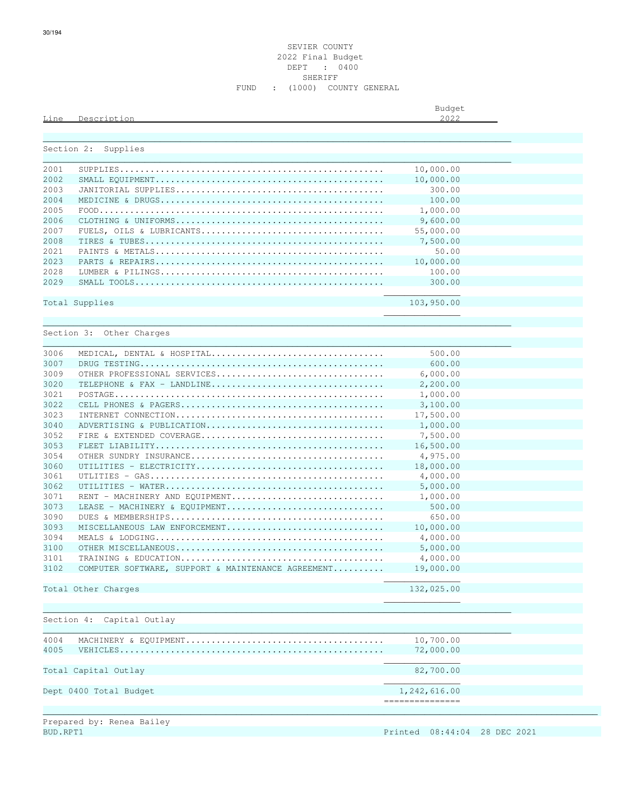| Budget |  |
|--------|--|
| つへつつ   |  |

| Section 2: | Supplies                                           |                  |
|------------|----------------------------------------------------|------------------|
|            |                                                    |                  |
| 2001       |                                                    | 10,000.00        |
| 2002       |                                                    | 10,000.00        |
| 2003       |                                                    | 300.00           |
| 2004       |                                                    | 100.00           |
| 2005       |                                                    | 1,000.00         |
| 2006       |                                                    | 9,600.00         |
| 2007       |                                                    | 55,000.00        |
| 2008       |                                                    | 7,500.00         |
| 2021       |                                                    | 50.00            |
| 2023       |                                                    | 10,000.00        |
| 2028       |                                                    | 100.00           |
| 2029       |                                                    | 300.00           |
|            | Total Supplies                                     | 103,950.00       |
|            |                                                    |                  |
|            | Section 3: Other Charges                           |                  |
|            |                                                    |                  |
| 3006       | MEDICAL, DENTAL & HOSPITAL                         | 500.00           |
| 3007       |                                                    | 600.00           |
| 3009       | OTHER PROFESSIONAL SERVICES                        | 6,000.00         |
| 3020       | TELEPHONE & FAX - LANDLINE                         | 2,200.00         |
| 3021       |                                                    | 1,000.00         |
| 3022       |                                                    | 3,100.00         |
| 3023       |                                                    | 17,500.00        |
| 3040       | ADVERTISING & PUBLICATION                          | 1,000.00         |
| 3052       |                                                    | 7,500.00         |
| 3053       |                                                    | 16,500.00        |
| 3054       |                                                    | 4,975.00         |
| 3060       |                                                    | 18,000.00        |
| 3061       |                                                    | 4,000.00         |
| 3062       |                                                    | 5,000.00         |
| 3071       | RENT - MACHINERY AND EQUIPMENT                     | 1,000.00         |
| 3073       |                                                    | 500.00           |
|            | LEASE - MACHINERY & EOUIPMENT                      |                  |
| 3090       |                                                    | 650.00           |
| 3093       | MISCELLANEOUS LAW ENFORCEMENT                      | 10,000.00        |
| 3094       |                                                    | 4,000.00         |
| 3100       |                                                    | 5,000.00         |
| 3101       |                                                    | 4,000.00         |
| 3102       | COMPUTER SOFTWARE, SUPPORT & MAINTENANCE AGREEMENT | 19,000.00        |
|            | Total Other Charges                                | 132,025.00       |
|            |                                                    |                  |
|            |                                                    |                  |
|            | Section 4:<br>Capital Outlay                       |                  |
| 4004       |                                                    | 10,700.00        |
| 4005       | VEHICLES                                           | 72,000.00        |
|            |                                                    |                  |
|            | Total Capital Outlay                               | 82,700.00        |
|            |                                                    |                  |
|            | Dept 0400 Total Budget                             | 1,242,616.00     |
|            |                                                    | ---------------- |

Prepared by: Renea Bailey<br>BUD.RPT1

Printed 08:44:04 28 DEC 2021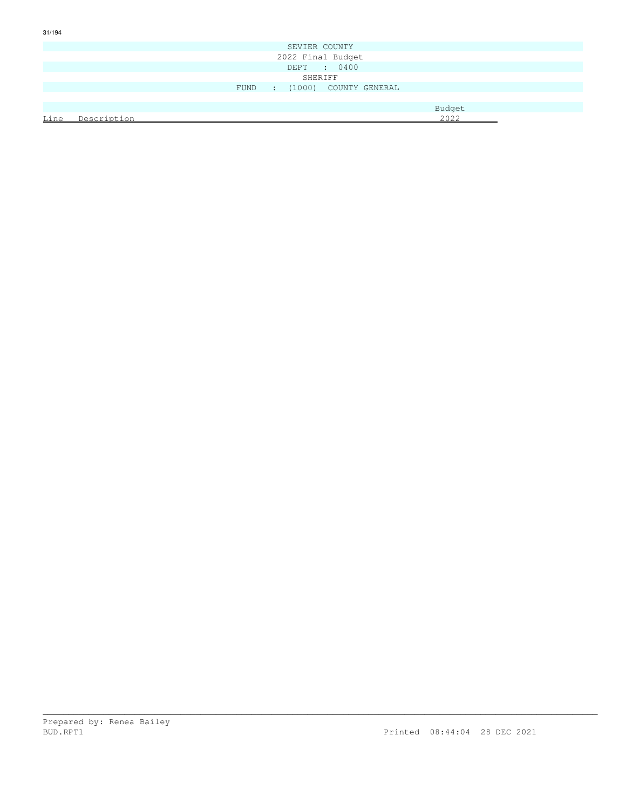|                   |                  |  | SEVIER COUNTY                |        |  |
|-------------------|------------------|--|------------------------------|--------|--|
| 2022 Final Budget |                  |  |                              |        |  |
|                   |                  |  | DEPT : 0400                  |        |  |
|                   |                  |  | SHERIFF                      |        |  |
|                   |                  |  | FUND : (1000) COUNTY GENERAL |        |  |
|                   |                  |  |                              |        |  |
|                   |                  |  |                              | Budget |  |
|                   | Line Description |  |                              | 2022   |  |
|                   |                  |  |                              |        |  |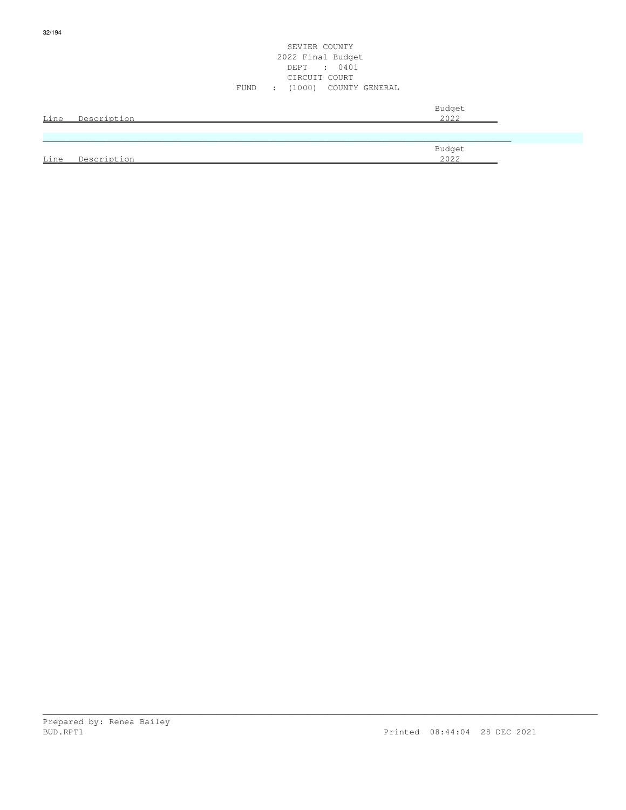|      |                  | SEVIER COUNTY<br>2022 Final Budget<br>DEPT : 0401<br>CIRCUIT COURT<br>FUND : (1000) COUNTY GENERAL |  |
|------|------------------|----------------------------------------------------------------------------------------------------|--|
|      | Line Description | Budget<br>2022                                                                                     |  |
| Line | Description      | Budget<br>2022                                                                                     |  |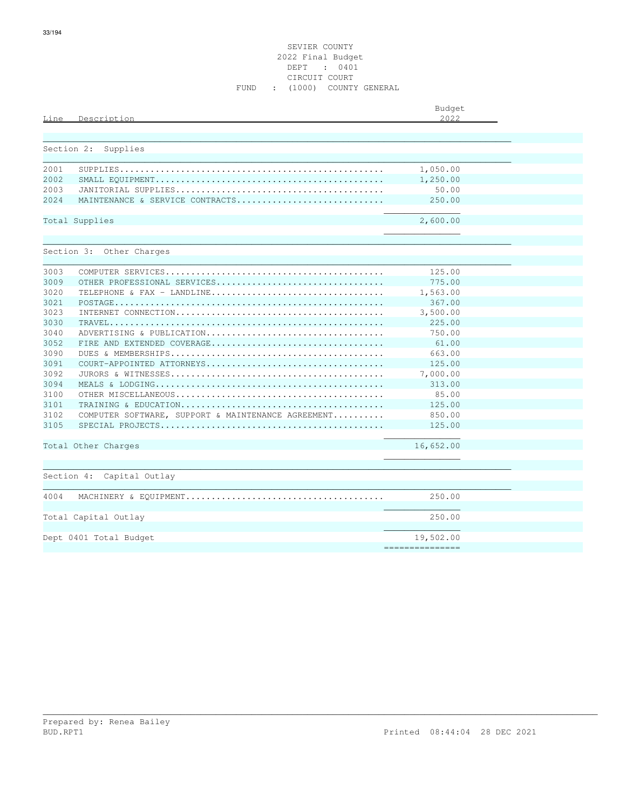| Line | Description                                                                                            | Budget<br>2022 |  |
|------|--------------------------------------------------------------------------------------------------------|----------------|--|
|      |                                                                                                        |                |  |
|      |                                                                                                        |                |  |
|      | Section 2:<br>Supplies                                                                                 |                |  |
| 2001 |                                                                                                        | 1,050.00       |  |
| 2002 |                                                                                                        | 1,250.00       |  |
| 2003 |                                                                                                        | 50.00          |  |
| 2024 | MAINTENANCE & SERVICE CONTRACTS                                                                        | 250.00         |  |
|      | Total Supplies                                                                                         | 2,600.00       |  |
|      |                                                                                                        |                |  |
|      |                                                                                                        |                |  |
|      | Section 3: Other Charges                                                                               |                |  |
| 3003 |                                                                                                        | 125.00         |  |
| 3009 | OTHER PROFESSIONAL SERVICES                                                                            | 775.00         |  |
| 3020 | TELEPHONE & FAX - LANDLINE                                                                             | 1,563.00       |  |
| 3021 |                                                                                                        | 367.00         |  |
| 3023 |                                                                                                        | 3,500.00       |  |
| 3030 | $\texttt{TRAVEL}\dots\dots\dots\dots\dots\dots\dots\dots\dots\dots\dots\dots\dots\dots\dots\dots\dots$ | 225.00         |  |
| 3040 | ADVERTISING & PUBLICATION                                                                              | 750.00         |  |
| 3052 | FIRE AND EXTENDED COVERAGE                                                                             | 61.00          |  |
| 3090 |                                                                                                        | 663.00         |  |
| 3091 | COURT-APPOINTED ATTORNEYS                                                                              | 125.00         |  |
| 3092 |                                                                                                        | 7,000.00       |  |
| 3094 |                                                                                                        | 313.00         |  |
| 3100 |                                                                                                        | 85.00          |  |
| 3101 |                                                                                                        | 125.00         |  |
| 3102 | COMPUTER SOFTWARE, SUPPORT & MAINTENANCE AGREEMENT                                                     | 850.00         |  |
| 3105 |                                                                                                        | 125.00         |  |
|      | Total Other Charges                                                                                    | 16,652.00      |  |
|      |                                                                                                        |                |  |
|      |                                                                                                        |                |  |
|      | Section 4: Capital Outlay                                                                              |                |  |
| 4004 |                                                                                                        | 250.00         |  |
|      |                                                                                                        |                |  |
|      | Total Capital Outlay                                                                                   | 250.00         |  |
|      | Dept 0401 Total Budget                                                                                 | 19,502.00      |  |

===============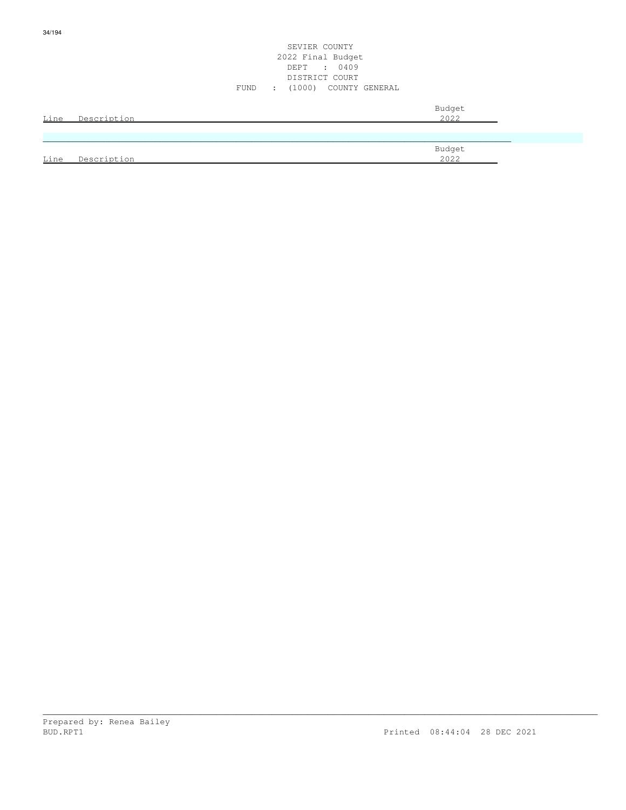|      |                  | SEVIER COUNTY<br>2022 Final Budget<br>DEPT : 0409<br>DISTRICT COURT<br>FUND : (1000) COUNTY GENERAL |  |
|------|------------------|-----------------------------------------------------------------------------------------------------|--|
|      | Line Description | Budget<br>2022                                                                                      |  |
| Line | Description      | Budget<br>2022                                                                                      |  |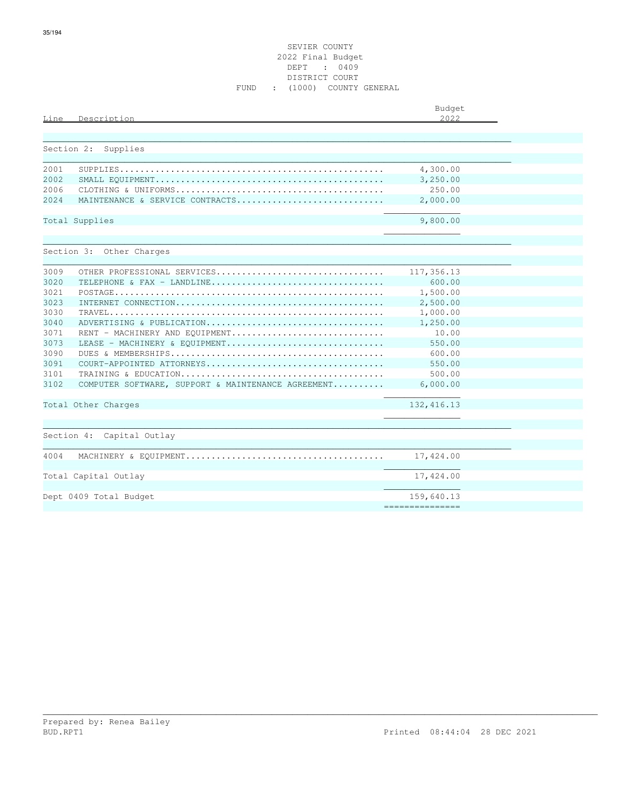| Description<br>Line                                        | Budget<br>2022  |
|------------------------------------------------------------|-----------------|
|                                                            |                 |
| Section 2:<br>Supplies                                     |                 |
|                                                            |                 |
| 2001                                                       | 4,300.00        |
| 2002                                                       | 3,250.00        |
| 2006                                                       | 250.00          |
| 2.024<br>MAINTENANCE & SERVICE CONTRACTS                   | 2,000.00        |
| Total Supplies                                             | 9,800.00        |
|                                                            |                 |
| Section 3: Other Charges                                   |                 |
|                                                            |                 |
| 3009<br>OTHER PROFESSIONAL SERVICES                        | 117,356.13      |
| 3020<br>TELEPHONE & FAX - LANDLINE                         | 600.00          |
| 3021                                                       | 1,500.00        |
| 3023                                                       | 2,500.00        |
| 3030                                                       | 1,000.00        |
| 3040<br>ADVERTISING & PUBLICATION                          | 1,250.00        |
| 3071<br>RENT - MACHINERY AND EQUIPMENT                     | 10.00           |
| 3073<br>LEASE - MACHINERY & EQUIPMENT                      | 550.00          |
| 3090                                                       | 600.00          |
| 3091<br>COURT-APPOINTED ATTORNEYS                          | 550.00          |
| 3101                                                       | 500.00          |
| 3102<br>COMPUTER SOFTWARE, SUPPORT & MAINTENANCE AGREEMENT | 6,000.00        |
| Total Other Charges                                        | 132, 416.13     |
|                                                            |                 |
| Section 4: Capital Outlay                                  |                 |
|                                                            |                 |
| 4004                                                       | 17,424.00       |
| Total Capital Outlay                                       | 17,424.00       |
|                                                            |                 |
| Dept 0409 Total Budget                                     | 159,640.13      |
|                                                            | =============== |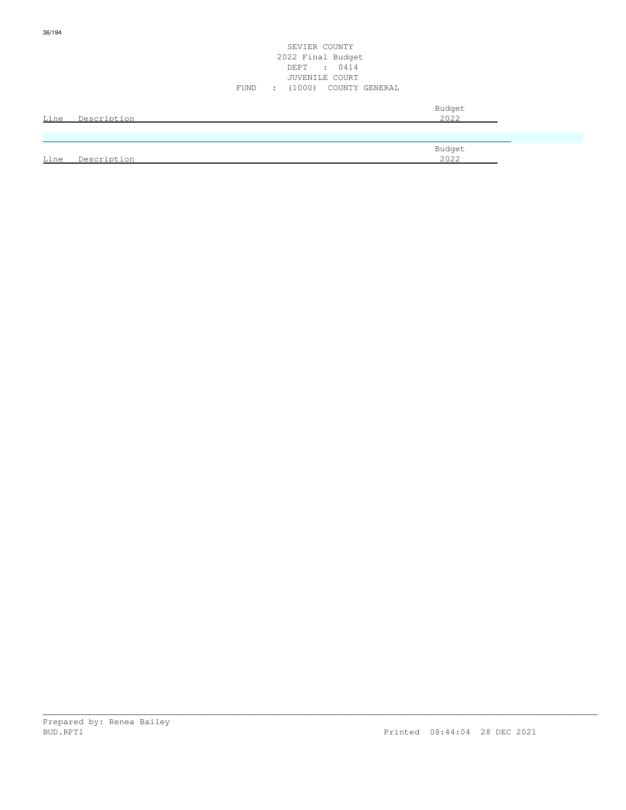|      |             | SEVIER COUNTY<br>2022 Final Budget<br>DEPT : 0414<br>JUVENILE COURT<br>FUND : (1000) COUNTY GENERAL |
|------|-------------|-----------------------------------------------------------------------------------------------------|
| Line | Description | Budget<br>2022                                                                                      |
|      |             |                                                                                                     |
| Line | Description | Budget<br>2022                                                                                      |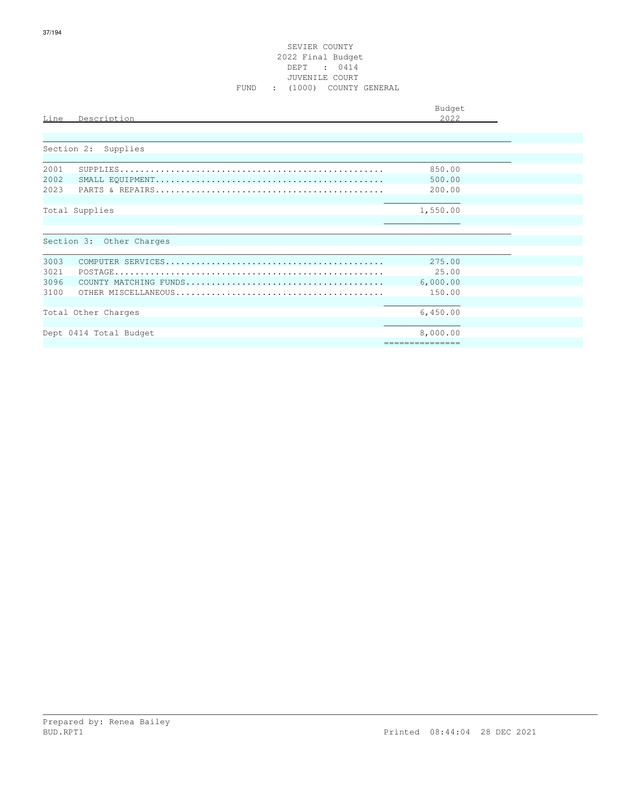| Line                 | Description                                   | Budget<br>2022                           |  |
|----------------------|-----------------------------------------------|------------------------------------------|--|
|                      | Section 2: Supplies                           |                                          |  |
| 2001<br>2002<br>2023 |                                               | 850.00<br>500.00<br>200.00               |  |
|                      | Total Supplies<br>Section 3: Other Charges    | 1,550.00                                 |  |
| 3003<br>3021         |                                               | 275.00<br>2.5.00                         |  |
| 3096<br>3100         |                                               | 6,000.00<br>150.00                       |  |
|                      | Total Other Charges<br>Dept 0414 Total Budget | 6,450.00<br>8,000.00<br>---------------- |  |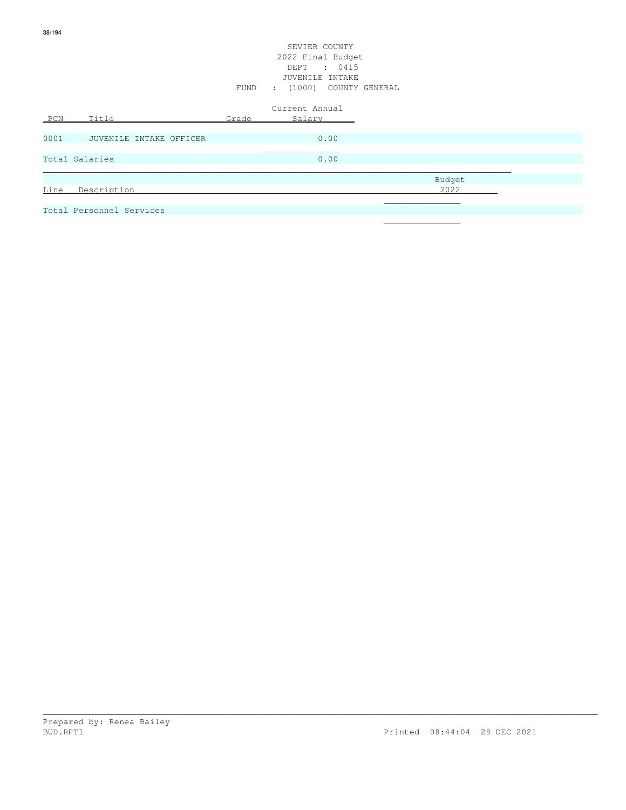## SEVIER COUNTY 2022 Final Budget DEPT : 0415 JUVENILE INTAKE FUND : (1000) COUNTY GENERAL

| PCN  | Title                    | Grade | Current Annual<br>Salary |        |
|------|--------------------------|-------|--------------------------|--------|
| 0001 | JUVENILE INTAKE OFFICER  |       | 0.00                     |        |
|      | Total Salaries           |       | 0.00                     |        |
|      |                          |       |                          | Budget |
| Line | Description              |       |                          | 2022   |
|      | Total Personnel Services |       |                          |        |

\_\_\_\_\_\_\_\_\_\_\_\_\_\_\_\_\_\_\_\_\_\_\_\_\_\_\_\_\_\_\_\_\_\_\_\_\_\_\_\_\_\_\_\_\_\_\_\_\_\_\_\_\_\_\_\_\_\_\_\_\_\_\_\_\_\_\_\_\_\_\_\_\_\_\_\_\_\_\_\_\_\_\_\_\_\_\_\_\_\_\_\_\_\_\_\_\_\_\_\_\_\_\_\_\_\_\_\_\_

 $\mathcal{L}_\mathcal{L}$  , we can assume that the contract of the contract of the contract of the contract of the contract of the contract of the contract of the contract of the contract of the contract of the contract of the contr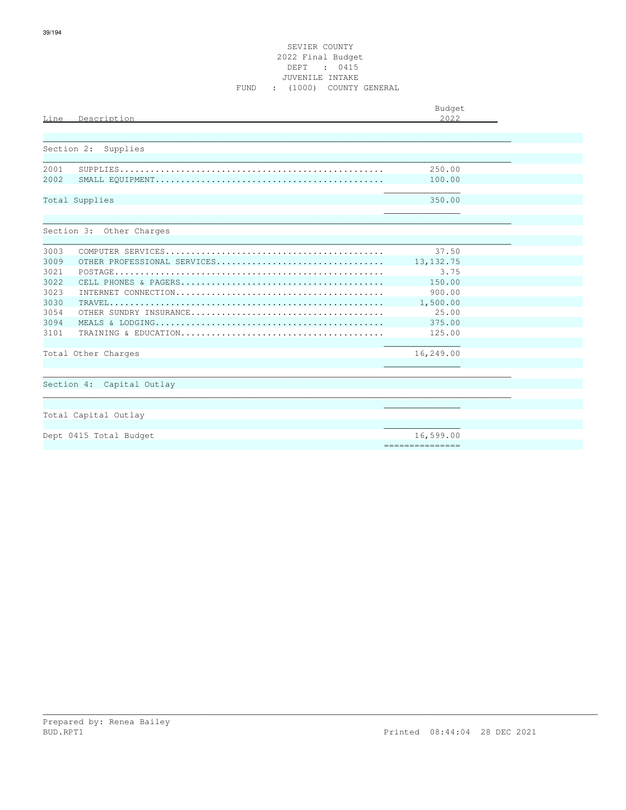| Description<br>Line                 | Budget<br>2.022  |  |
|-------------------------------------|------------------|--|
|                                     |                  |  |
| Section 2:<br>Supplies              |                  |  |
| 2001                                | 250.00           |  |
| 2002                                | 100.00           |  |
| Total Supplies                      | 350.00           |  |
|                                     |                  |  |
| Section 3: Other Charges            |                  |  |
| 3003                                | 37.50            |  |
| 3009<br>OTHER PROFESSIONAL SERVICES | 13, 132.75       |  |
| 3021                                | 3.75             |  |
| 3022                                | 150.00           |  |
| 3023                                | 900.00           |  |
| 3030                                | 1,500.00         |  |
| 3054                                | 25.00            |  |
| 3094                                | 375.00           |  |
| 3101                                | 125.00           |  |
| Total Other Charges                 | 16,249.00        |  |
|                                     |                  |  |
| Section 4: Capital Outlay           |                  |  |
|                                     |                  |  |
|                                     |                  |  |
| Total Capital Outlay                |                  |  |
|                                     |                  |  |
| Dept 0415 Total Budget              | 16,599.00        |  |
|                                     | ================ |  |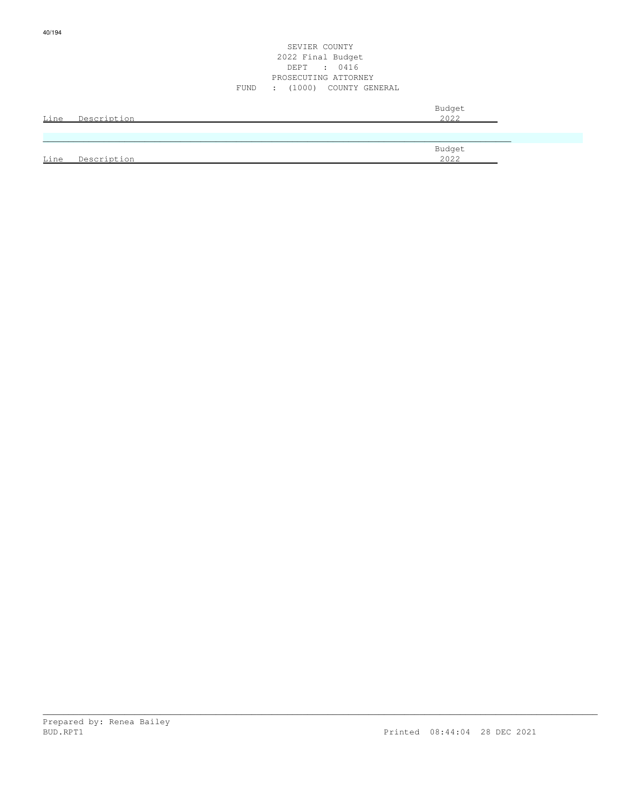| Line | Description | Budget<br>2022 |
|------|-------------|----------------|
|      |             |                |
| Line | Description | Budget<br>2022 |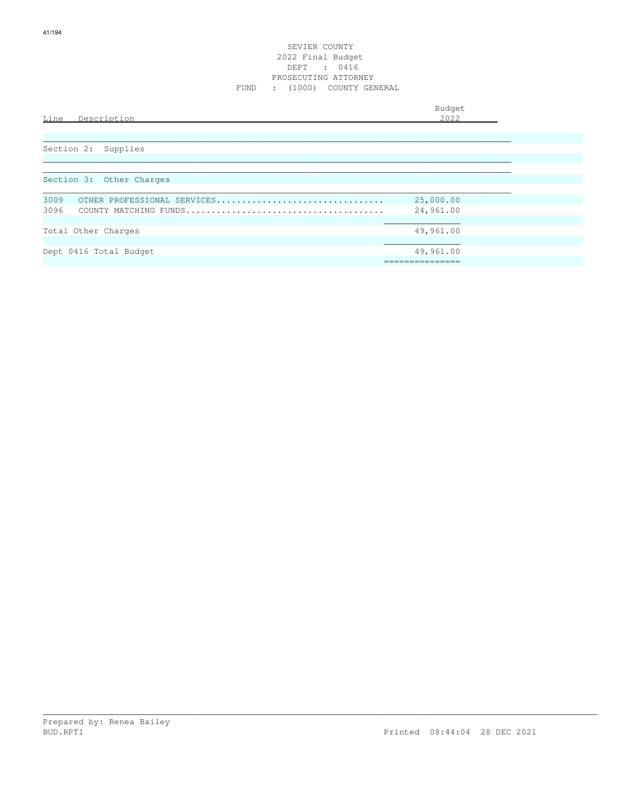Budget is a state of the state of the state of the state of the state of the state of the state of the state of the state of the state of the state of the state of the state of the state of the state of the state of the st

| Description<br>Line                 | 2022      |
|-------------------------------------|-----------|
| Section 2:<br>Supplies              |           |
| Section 3: Other Charges            |           |
| 3009<br>OTHER PROFESSIONAL SERVICES | 25,000.00 |
| 3096                                | 24,961.00 |
|                                     |           |
| Total Other Charges                 | 49,961.00 |
|                                     |           |
| Dept 0416 Total Budget              | 49,961.00 |
|                                     |           |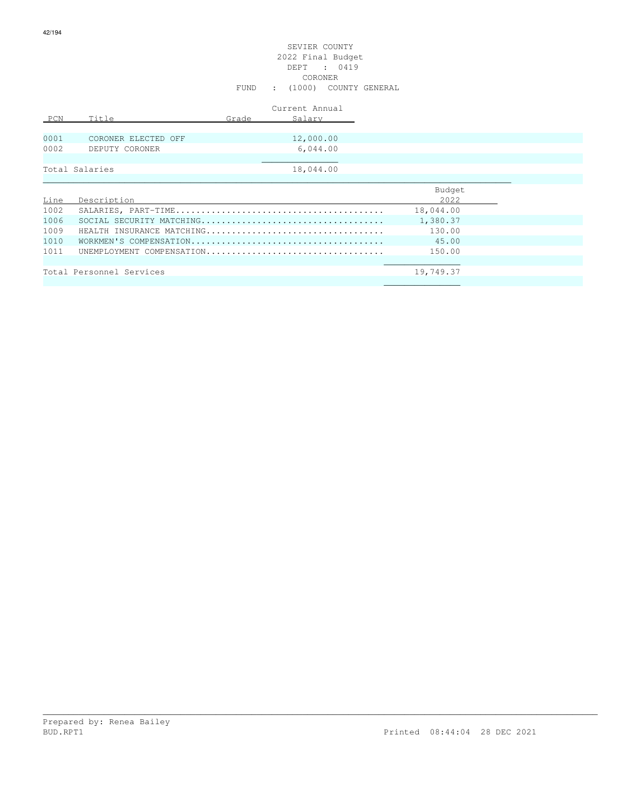# SEVIER COUNTY 2022 Final Budget DEPT : 0419 CORONER FUND : (1000) COUNTY GENERAL

|      |                           |       | Current Annual |           |
|------|---------------------------|-------|----------------|-----------|
| PCN  | Title                     | Grade | Salary         |           |
|      |                           |       |                |           |
| 0001 | CORONER ELECTED OFF       |       | 12,000.00      |           |
| 0002 | DEPUTY CORONER            |       | 6,044.00       |           |
|      |                           |       |                |           |
|      | Total Salaries            |       | 18,044.00      |           |
|      |                           |       |                |           |
|      |                           |       |                | Budget    |
| Line | Description               |       |                | 2022      |
| 1002 |                           |       |                | 18,044.00 |
| 1006 |                           |       |                | 1,380.37  |
| 1009 | HEALTH INSURANCE MATCHING |       |                | 130.00    |
| 1010 |                           |       |                | 45.00     |
| 1011 | UNEMPLOYMENT COMPENSATION |       |                | 150.00    |
|      |                           |       |                |           |

\_\_\_\_\_\_\_\_\_\_\_\_\_\_\_\_\_\_\_\_\_\_\_\_\_\_\_\_\_\_\_\_\_\_\_\_\_\_\_\_\_\_\_\_\_\_\_\_\_\_\_\_\_\_\_\_\_\_\_\_\_\_\_\_\_\_\_\_\_\_\_\_\_\_\_\_\_\_\_\_\_\_\_\_\_\_\_\_\_\_\_\_\_\_\_\_\_\_\_\_\_\_\_\_\_\_\_\_\_

 $\mathcal{L}_\mathcal{L}$  , we have the contribution of the contribution of the contribution of the contribution of the contribution of the contribution of the contribution of the contribution of the contribution of the contribution

19,749.37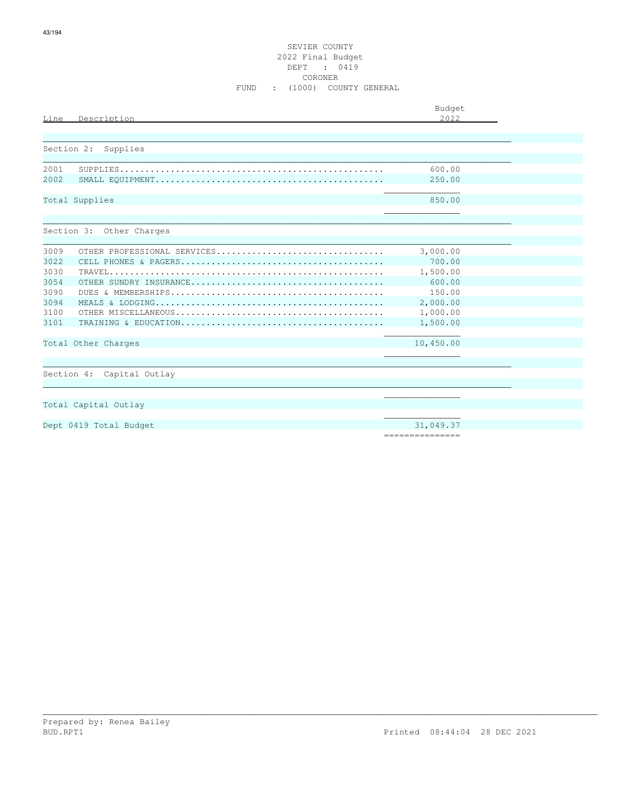## SEVIER COUNTY 2022 Final Budget DEPT : 0419 **CORONER** FUND : (1000) COUNTY GENERAL

| Description<br>Line                 | Budget<br>2.022 |
|-------------------------------------|-----------------|
|                                     |                 |
| Section 2: Supplies                 |                 |
| 2001                                | 600.00          |
| 2002                                | 250.00          |
| Total Supplies                      | 850.00          |
| Section 3: Other Charges            |                 |
|                                     |                 |
| 3009<br>OTHER PROFESSIONAL SERVICES | 3,000.00        |
| 3022                                | 700.00          |
| 3030                                | 1,500.00        |
| 3054                                | 600.00          |
| 3090                                | 150.00          |
| 3094                                | 2,000.00        |
| 3100                                | 1,000.00        |
| 3101                                | 1,500.00        |
| Total Other Charges                 | 10,450.00       |
|                                     |                 |
| Section 4: Capital Outlay           |                 |
|                                     |                 |
| Total Capital Outlay                |                 |
|                                     |                 |
| Dept 0419 Total Budget              | 31,049.37       |
|                                     | =============== |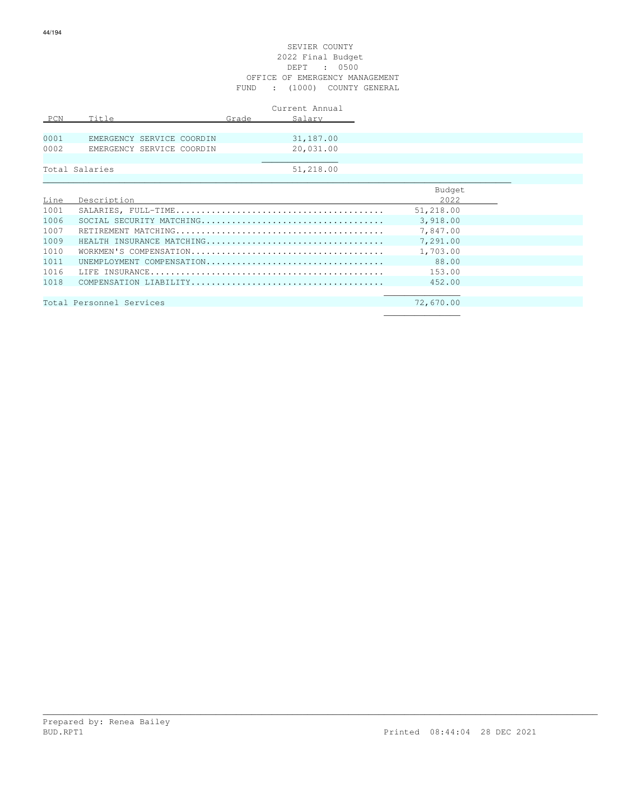## SEVIER COUNTY 2022 Final Budget DEPT : 0500 OFFICE OF EMERGENCY MANAGEMENT FUND : (1000) COUNTY GENERAL

|      |                           |  |       | Current Annual |
|------|---------------------------|--|-------|----------------|
| PCN  | Title                     |  | Grade | Salary         |
|      |                           |  |       |                |
| 0001 | EMERGENCY SERVICE COORDIN |  |       | 31,187.00      |
| 0002 | EMERGENCY SERVICE COORDIN |  |       | 20,031.00      |
|      |                           |  |       |                |
|      | Total Salaries            |  |       | 51,218.00      |
|      |                           |  |       |                |

|      |                           | Budget    |
|------|---------------------------|-----------|
| Line | Description               | 2022      |
| 1001 |                           | 51,218.00 |
| 1006 |                           | 3,918,00  |
| 1007 |                           | 7,847.00  |
| 1009 | HEALTH INSURANCE MATCHING | 7,291.00  |
| 1010 |                           | 1,703.00  |
| 1011 | UNEMPLOYMENT COMPENSATION | 88.00     |
| 1016 |                           | 153.00    |
| 1018 |                           | 452.00    |
|      |                           |           |
|      | Total Personnel Services  | 72,670.00 |
|      |                           |           |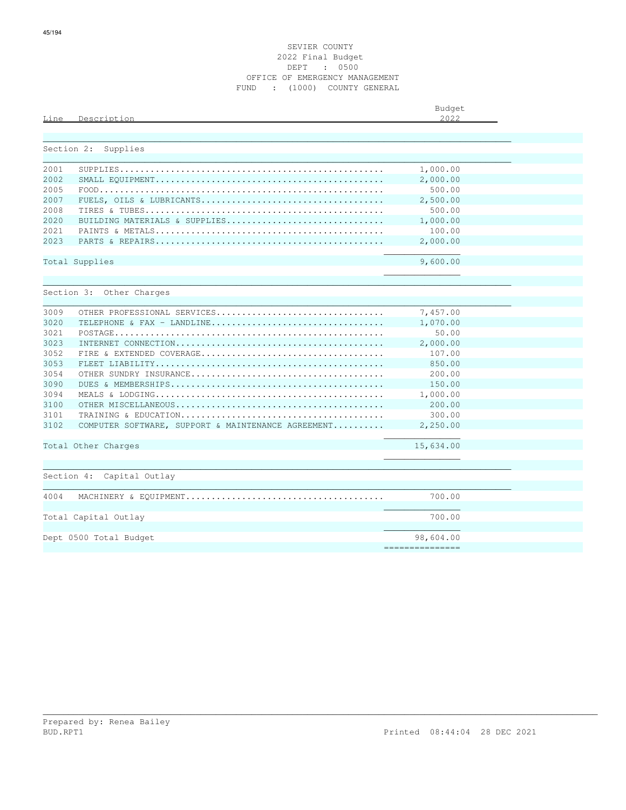|      |                                                    | Budget    |  |
|------|----------------------------------------------------|-----------|--|
| Line | Description                                        | 2.022     |  |
|      |                                                    |           |  |
|      | Section 2:<br>Supplies                             |           |  |
| 2001 |                                                    | 1,000.00  |  |
| 2002 |                                                    | 2,000.00  |  |
| 2005 |                                                    | 500.00    |  |
| 2007 |                                                    | 2,500.00  |  |
| 2008 |                                                    | 500.00    |  |
| 2020 | BUILDING MATERIALS & SUPPLIES                      | 1,000.00  |  |
| 2021 |                                                    | 100.00    |  |
| 2023 |                                                    | 2,000.00  |  |
|      | Total Supplies                                     | 9,600.00  |  |
|      |                                                    |           |  |
|      |                                                    |           |  |
|      | Section 3: Other Charges                           |           |  |
| 3009 | OTHER PROFESSIONAL SERVICES                        | 7,457.00  |  |
| 3020 | TELEPHONE & FAX - LANDLINE                         | 1,070.00  |  |
| 3021 |                                                    | 50.00     |  |
| 3023 |                                                    | 2,000.00  |  |
| 3052 |                                                    | 107.00    |  |
| 3053 |                                                    | 850.00    |  |
| 3054 |                                                    | 200.00    |  |
| 3090 |                                                    | 150.00    |  |
| 3094 |                                                    | 1,000.00  |  |
| 3100 |                                                    | 200.00    |  |
| 3101 |                                                    | 300.00    |  |
| 3102 | COMPUTER SOFTWARE, SUPPORT & MAINTENANCE AGREEMENT | 2,250.00  |  |
|      | Total Other Charges                                | 15,634.00 |  |
|      |                                                    |           |  |
|      | Section 4: Capital Outlay                          |           |  |
|      |                                                    |           |  |
| 4004 |                                                    | 700.00    |  |
|      | Total Capital Outlay                               | 700.00    |  |
|      |                                                    |           |  |
|      | Dept 0500 Total Budget                             | 98,604.00 |  |

===============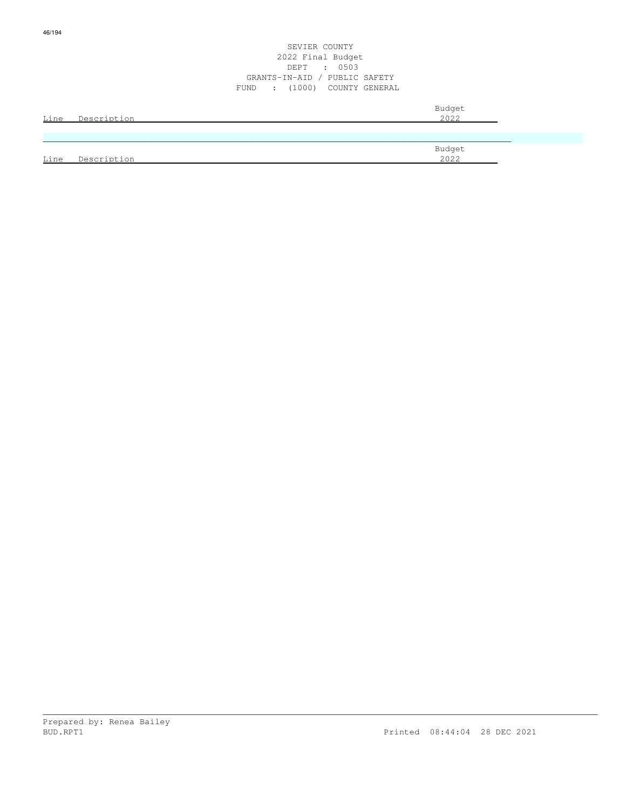|      |             | SEVIER COUNTY<br>2022 Final Budget<br>$\cdot$ 0503<br>DEPT<br>GRANTS-IN-AID / PUBLIC SAFETY<br>FUND : (1000) COUNTY GENERAL |                |  |
|------|-------------|-----------------------------------------------------------------------------------------------------------------------------|----------------|--|
| Line | Description |                                                                                                                             | Budget<br>2022 |  |
|      |             |                                                                                                                             |                |  |
| Line | Description |                                                                                                                             | Budget<br>2022 |  |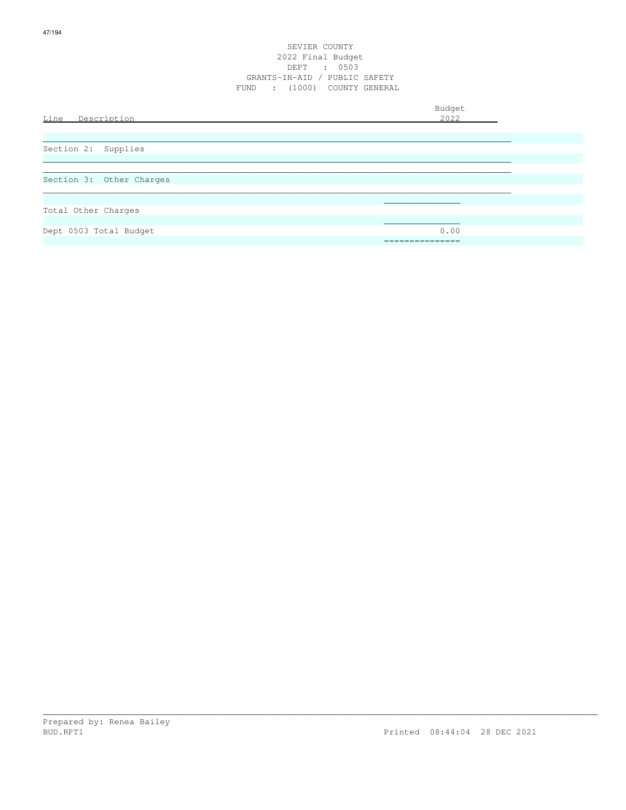## SEVIER COUNTY 2022 Final Budget DEPT : 0503 GRANTS-IN-AID / PUBLIC SAFETY FUND : (1000) COUNTY GENERAL

| Line Description         | Budget<br>2022 |
|--------------------------|----------------|
| Section 2: Supplies      |                |
| Section 3: Other Charges |                |
| Total Other Charges      |                |
| Dept 0503 Total Budget   | 0.00           |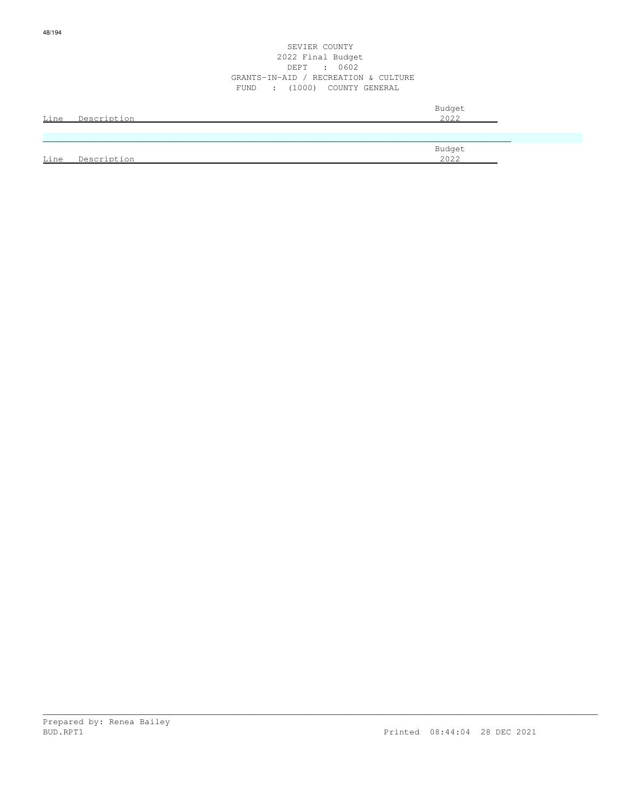|      |             | Budget |
|------|-------------|--------|
| Line | Description | 2022   |
|      |             |        |
|      |             |        |
|      |             | Budget |
| Line | Description | 2022   |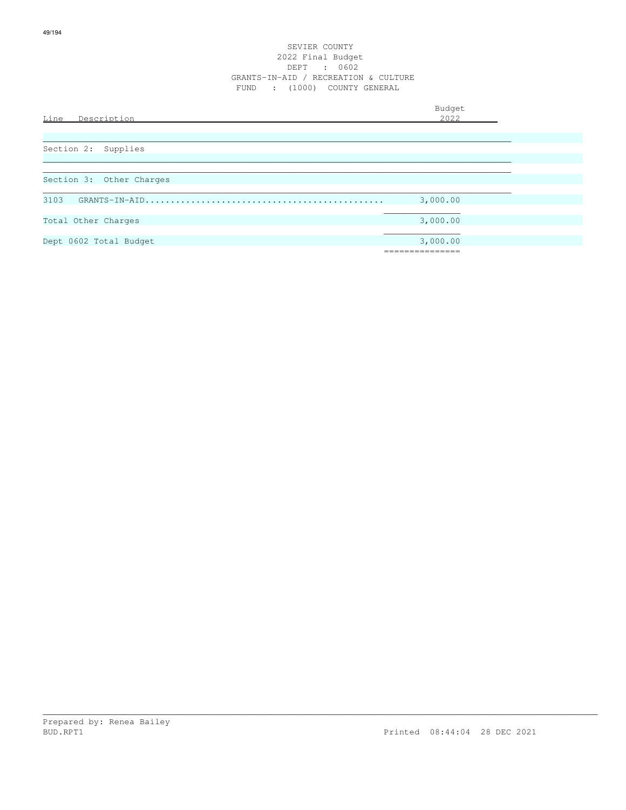| Line<br>Description      | Budget<br>2022 |  |
|--------------------------|----------------|--|
|                          |                |  |
| Section 2:<br>Supplies   |                |  |
|                          |                |  |
| Section 3: Other Charges |                |  |
| 3103                     | 3,000.00       |  |
| Total Other Charges      | 3,000.00       |  |
| Dept 0602 Total Budget   | 3,000.00       |  |
|                          |                |  |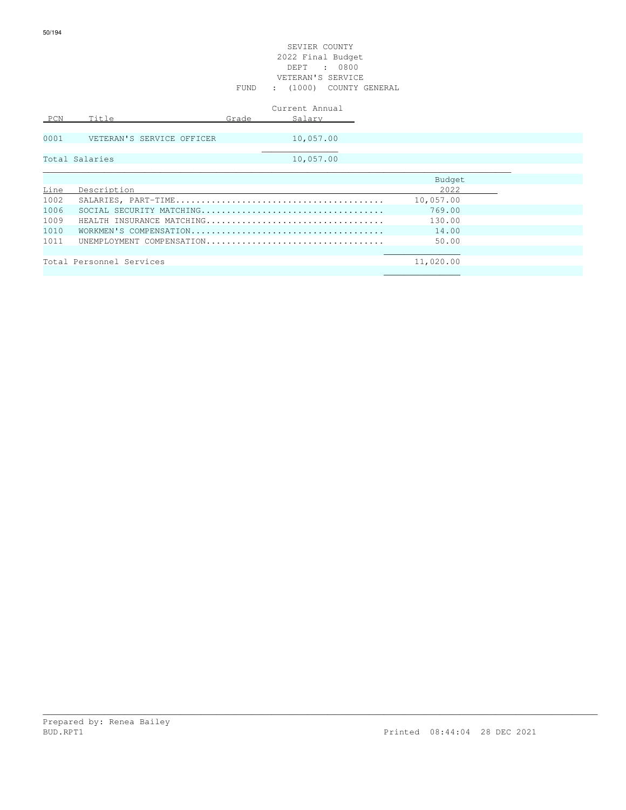|      |                           |       | Current Annual |           |  |
|------|---------------------------|-------|----------------|-----------|--|
| PCN  | Title                     | Grade | Salary         |           |  |
|      |                           |       |                |           |  |
| 0001 | VETERAN'S SERVICE OFFICER |       | 10,057.00      |           |  |
|      |                           |       |                |           |  |
|      | Total Salaries            |       | 10,057.00      |           |  |
|      |                           |       |                |           |  |
|      |                           |       |                | Budget    |  |
| Line | Description               |       |                | 2022      |  |
| 1002 |                           |       |                | 10,057.00 |  |
| 1006 |                           |       |                | 769.00    |  |
| 1009 | HEALTH INSURANCE MATCHING |       |                | 130.00    |  |
| 1010 |                           |       |                | 14.00     |  |
| 1011 | UNEMPLOYMENT COMPENSATION |       |                | 50.00     |  |
|      |                           |       |                |           |  |
|      | Total Personnel Services  |       |                | 11,020.00 |  |
|      |                           |       |                |           |  |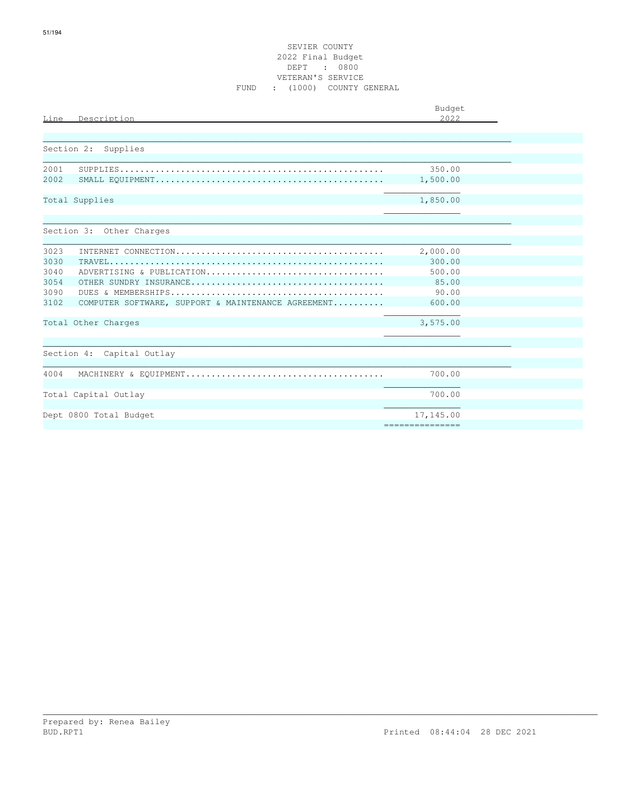|                |                                                                                                             | Budget          |  |  |
|----------------|-------------------------------------------------------------------------------------------------------------|-----------------|--|--|
| Line           | Description                                                                                                 | 2.022           |  |  |
|                |                                                                                                             |                 |  |  |
| Section 2:     | Supplies                                                                                                    |                 |  |  |
| 2001           | ${\tt SUPPLIES.\dots\dots\dots\dots\dots\dots\dots\dots\dots\dots\dots\dots\dots\dots\dots\dots\dots\dots}$ | 350.00          |  |  |
| 2002           |                                                                                                             | 1,500.00        |  |  |
| Total Supplies |                                                                                                             | 1,850.00        |  |  |
|                | Section 3: Other Charges                                                                                    |                 |  |  |
| 3023           |                                                                                                             | 2,000.00        |  |  |
| 3030           |                                                                                                             | 300.00          |  |  |
| 3040           | ADVERTISING & PUBLICATION                                                                                   | 500.00          |  |  |
| 3054           |                                                                                                             | 85.00           |  |  |
| 3090           |                                                                                                             | 90.00           |  |  |
| 3102           | COMPUTER SOFTWARE, SUPPORT & MAINTENANCE AGREEMENT                                                          | 600.00          |  |  |
|                | Total Other Charges                                                                                         | 3,575.00        |  |  |
|                |                                                                                                             |                 |  |  |
|                | Section 4: Capital Outlay                                                                                   |                 |  |  |
| 4004           |                                                                                                             | 700.00          |  |  |
|                | Total Capital Outlay                                                                                        | 700.00          |  |  |
|                | Dept 0800 Total Budget                                                                                      | 17,145.00       |  |  |
|                |                                                                                                             | =============== |  |  |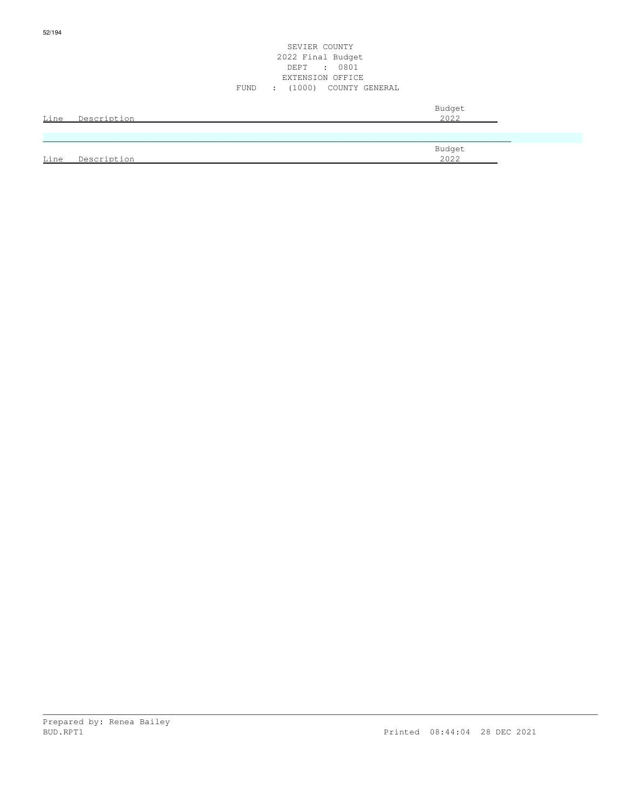| Line | Description | Budget<br>2022 |
|------|-------------|----------------|
|      |             |                |
| Line | Description | Budget<br>2022 |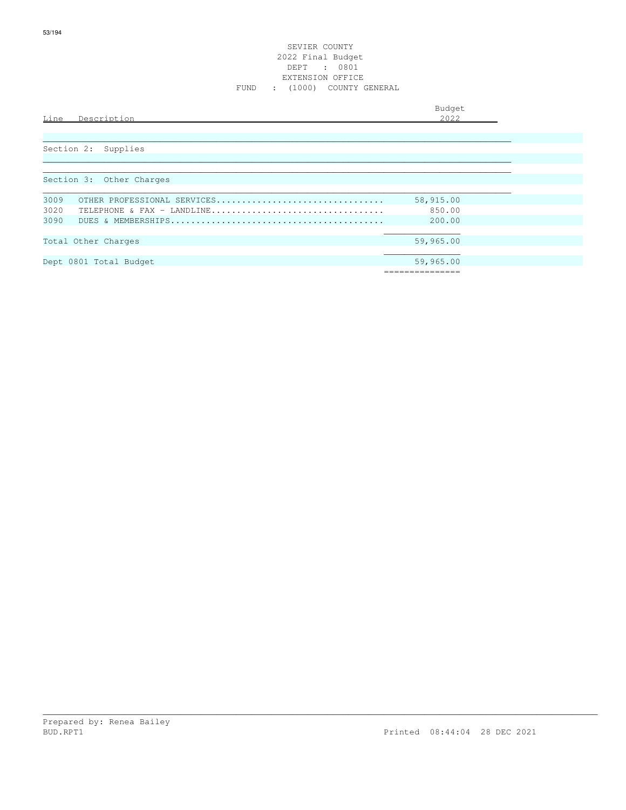| Budget |  |  |
|--------|--|--|
|--------|--|--|

 $\overline{\phantom{a}}$ 

| Line | ' د ر<br>. .<br>. | $\sim$ |
|------|-------------------|--------|
|      |                   |        |

| Section 2: Supplies                 |           |
|-------------------------------------|-----------|
|                                     |           |
|                                     |           |
| Section 3: Other Charges            |           |
|                                     |           |
| 3009<br>OTHER PROFESSIONAL SERVICES | 58,915.00 |
| 3020<br>TELEPHONE & FAX - LANDLINE  | 850.00    |
| 3090                                | 200.00    |
|                                     |           |
| Total Other Charges                 | 59,965.00 |
|                                     |           |
| Dept 0801 Total Budget              | 59,965.00 |
|                                     |           |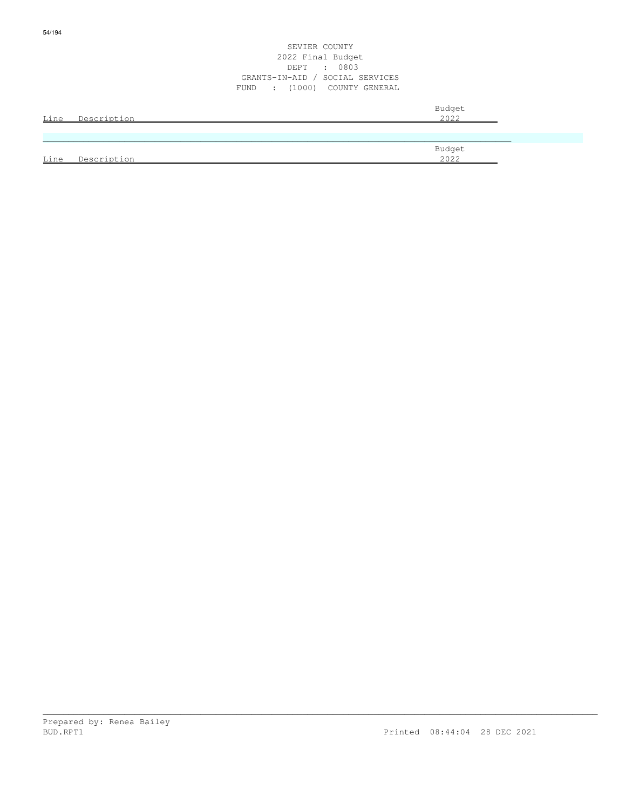|      |                  | 2022 Final Budget               |        |  |
|------|------------------|---------------------------------|--------|--|
|      |                  | DEPT : 0803                     |        |  |
|      |                  | GRANTS-IN-AID / SOCIAL SERVICES |        |  |
|      |                  | FUND : (1000) COUNTY GENERAL    |        |  |
|      |                  |                                 | Budget |  |
|      | Line Description |                                 | 2022   |  |
|      |                  |                                 |        |  |
|      |                  |                                 |        |  |
|      |                  |                                 | Budget |  |
| Line | Description      |                                 | 2022   |  |

SEVIER COUNTY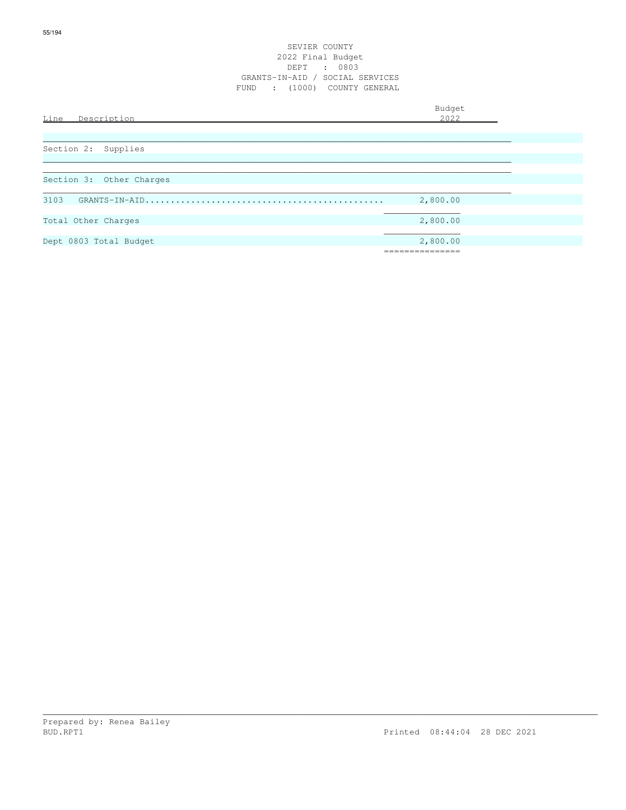## SEVIER COUNTY 2022 Final Budget DEPT : 0803 GRANTS-IN-AID / SOCIAL SERVICES FUND : (1000) COUNTY GENERAL

Budget is a state of the state of the state of the state of the state of the state of the state of the state of the state of the state of the state of the state of the state of the state of the state of the state of the st Line Description 2022 \_\_\_\_\_\_\_\_\_\_\_\_\_\_\_\_\_\_\_\_\_\_\_\_\_\_\_\_\_\_\_\_\_\_\_\_\_\_\_\_\_\_\_\_\_\_\_\_\_\_\_\_\_\_\_\_\_\_\_\_\_\_\_\_\_\_\_\_\_\_\_\_\_\_\_\_\_\_\_\_\_\_\_\_\_\_\_\_\_\_\_\_ Section 2: Supplies  $\ldots$  . The contribution of the contribution of the contribution of the contribution of the contribution of the contribution of the contribution of the contribution of the contribution of the contribution of the contribut \_\_\_\_\_\_\_\_\_\_\_\_\_\_\_\_\_\_\_\_\_\_\_\_\_\_\_\_\_\_\_\_\_\_\_\_\_\_\_\_\_\_\_\_\_\_\_\_\_\_\_\_\_\_\_\_\_\_\_\_\_\_\_\_\_\_\_\_\_\_\_\_\_\_\_\_\_\_\_\_\_\_\_\_\_\_\_\_\_\_\_\_ Section 3: Other Charges \_\_\_\_\_\_\_\_\_\_\_\_\_\_\_\_\_\_\_\_\_\_\_\_\_\_\_\_\_\_\_\_\_\_\_\_\_\_\_\_\_\_\_\_\_\_\_\_\_\_\_\_\_\_\_\_\_\_\_\_\_\_\_\_\_\_\_\_\_\_\_\_\_\_\_\_\_\_\_\_\_\_\_\_\_\_\_\_\_\_\_\_ 3103 GRANTS-IN-AID............................................... 2,800.00  $\mathcal{L}_\mathcal{L}$  , which is a set of the set of the set of the set of the set of the set of the set of the set of the set of the set of the set of the set of the set of the set of the set of the set of the set of the set of Total Other Charges 2,800.00  $\mathcal{L}_\mathcal{L}$  , which is a set of the set of the set of the set of the set of the set of the set of the set of the set of the set of the set of the set of the set of the set of the set of the set of the set of the set of Dept 0803 Total Budget 2,800.00 ===============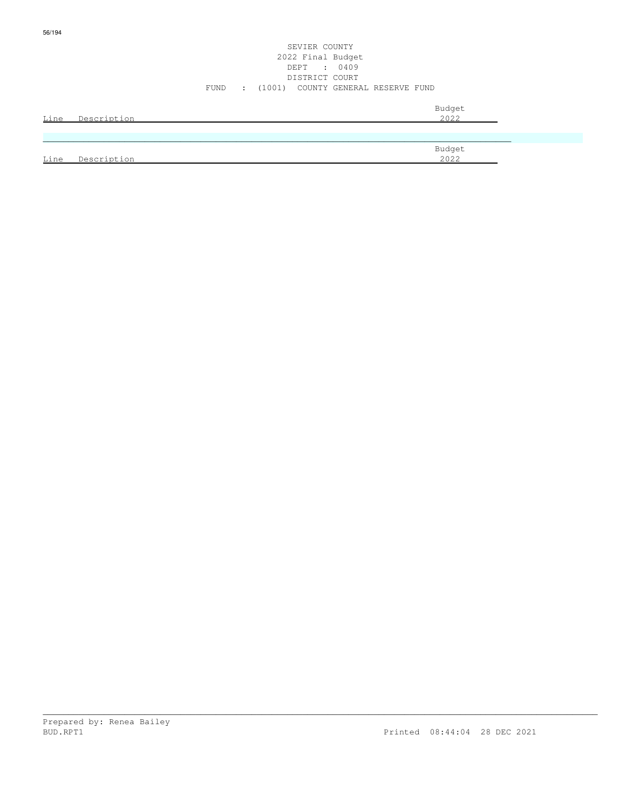# SEVIER COUNTY 2022 Final Budget DEPT : 0409 DISTRICT COURT FUND : (1001) COUNTY GENERAL RESERVE FUND

|      | Line Description | Budget<br>2022 |
|------|------------------|----------------|
|      |                  |                |
| Line | Description      | Budget<br>2022 |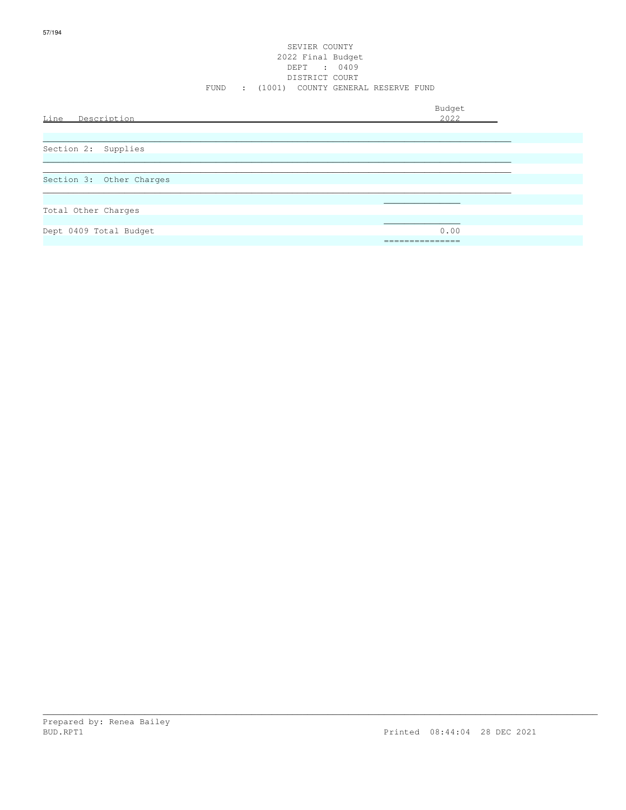## SEVIER COUNTY 2022 Final Budget DEPT : 0409 DISTRICT COURT FUND : (1001) COUNTY GENERAL RESERVE FUND

| Line<br>Description      | Budget<br>2022     |  |
|--------------------------|--------------------|--|
| Section 2: Supplies      |                    |  |
| Section 3: Other Charges |                    |  |
| Total Other Charges      |                    |  |
| Dept 0409 Total Budget   | 0.00<br>__________ |  |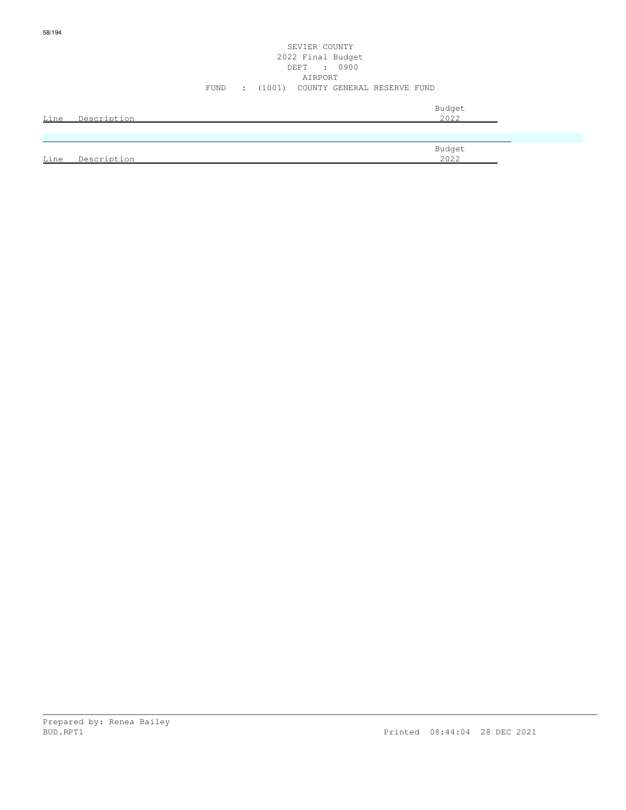# SEVIER COUNTY 2022 Final Budget DEPT : 0900 AIRPORT FUND : (1001) COUNTY GENERAL RESERVE FUND

| Line | Description | Budget<br>2022 |
|------|-------------|----------------|
|      |             |                |
| Line | Description | Budget<br>2022 |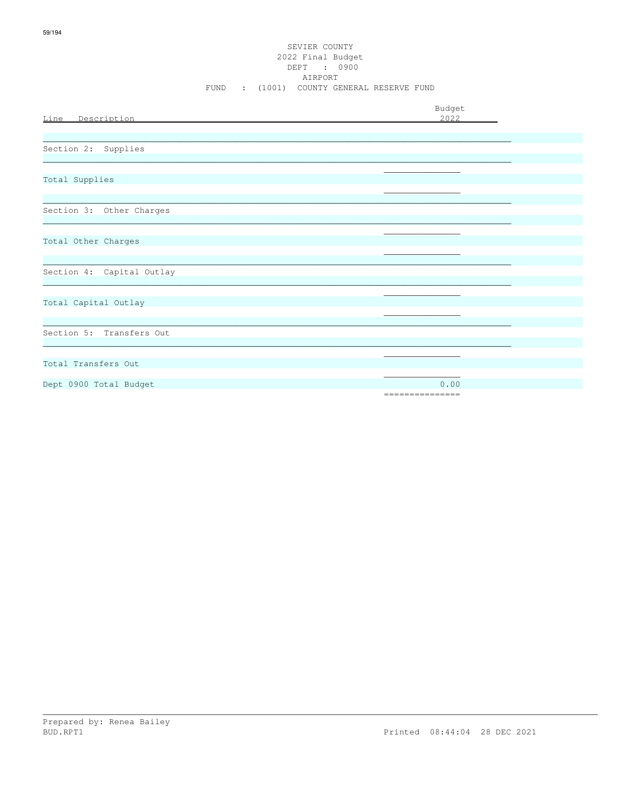# SEVIER COUNTY 2022 Final Budget DEPT : 0900 AIRPORT FUND : (1001) COUNTY GENERAL RESERVE FUND

| Line Description          | Budget<br>2022           |
|---------------------------|--------------------------|
| Section 2: Supplies       |                          |
| Total Supplies            |                          |
| Section 3: Other Charges  |                          |
| Total Other Charges       |                          |
| Section 4: Capital Outlay |                          |
| Total Capital Outlay      |                          |
| Section 5: Transfers Out  |                          |
| Total Transfers Out       |                          |
| Dept 0900 Total Budget    | 0.00<br>---------------- |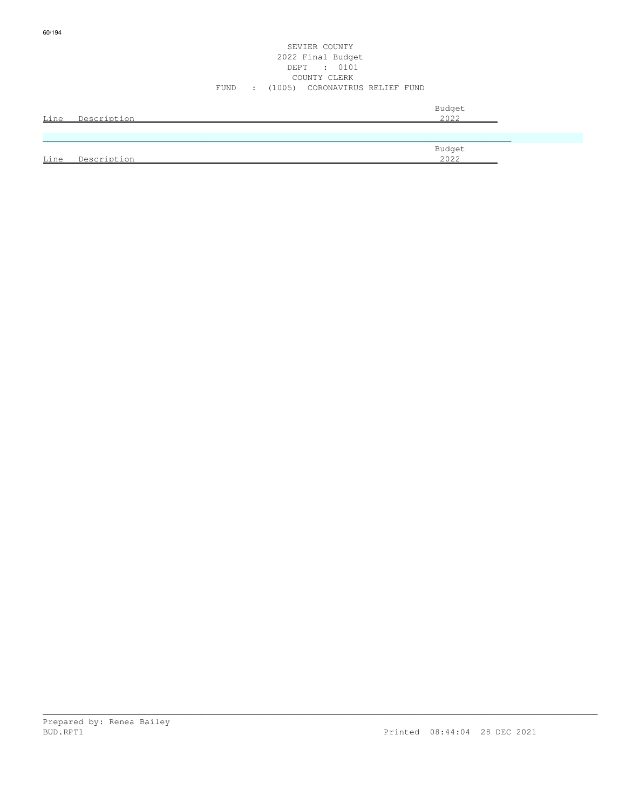## SEVIER COUNTY 2022 Final Budget DEPT : 0101 COUNTY CLERK FUND : (1005) CORONAVIRUS RELIEF FUND

| Line | Description | Budget<br>2022 |
|------|-------------|----------------|
|      |             |                |
| Line | Description | Budget<br>2022 |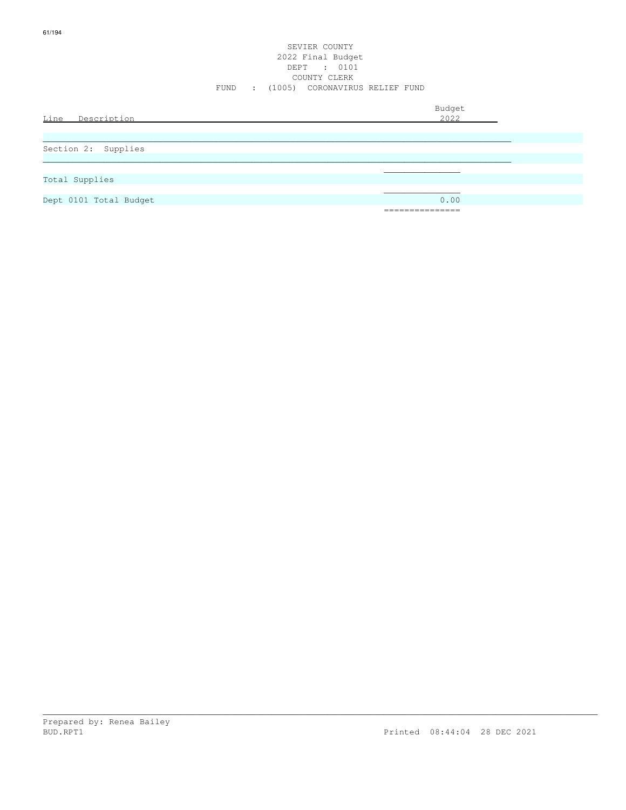## SEVIER COUNTY 2022 Final Budget DEPT : 0101 COUNTY CLERK FUND : (1005) CORONAVIRUS RELIEF FUND

Budget is a state of the state of the state of the state of the state of the state of the state of the state of the state of the state of the state of the state of the state of the state of the state of the state of the st

| Line | Des<br>$\sim$ $\sim$ $\sim$ $\sim$ $\sim$ $\sim$ $\sim$<br>◡⊥⊥◡└<br>ノヒ エ シェエー |  |
|------|-------------------------------------------------------------------------------|--|
|      |                                                                               |  |

| Section 2: Supplies    |                 |
|------------------------|-----------------|
|                        |                 |
| Total Supplies         |                 |
|                        |                 |
| Dept 0101 Total Budget | 0.00            |
|                        | =============== |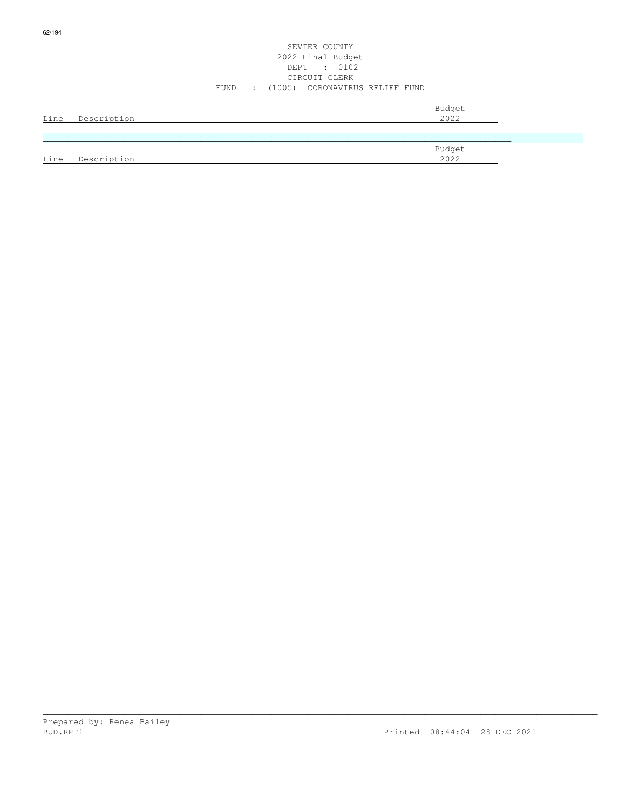Line Description 2022

SEVIER COUNTY

\_\_\_\_\_\_\_\_\_\_\_\_\_\_\_\_\_\_\_\_\_\_\_\_\_\_\_\_\_\_\_\_\_\_\_\_\_\_\_\_\_\_\_\_\_\_\_\_\_\_\_\_\_\_\_\_\_\_\_\_\_\_\_\_\_\_\_\_\_\_\_\_\_\_\_\_\_\_\_\_\_\_\_\_\_\_\_\_\_\_\_\_\_\_\_\_\_\_\_\_\_\_\_\_\_\_\_\_\_

62/194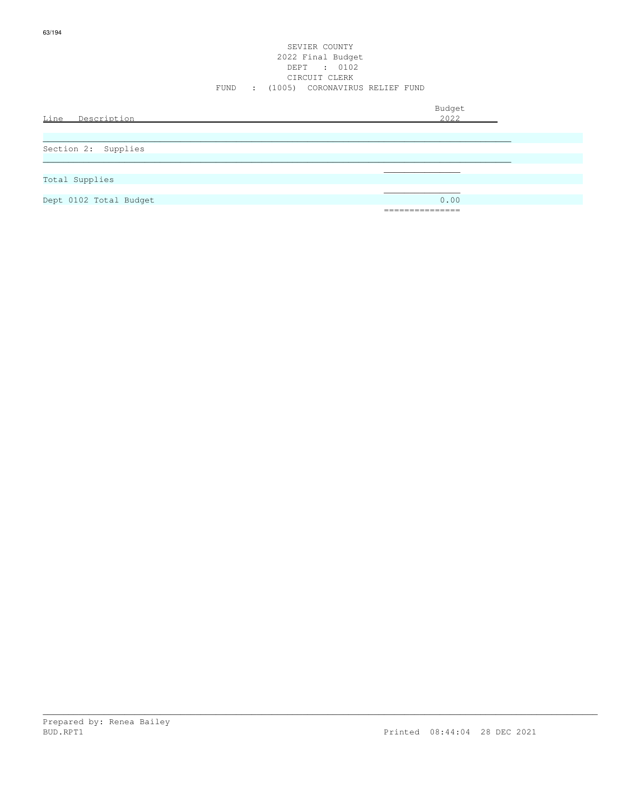## SEVIER COUNTY 2022 Final Budget DEPT : 0102 CIRCUIT CLERK FUND : (1005) CORONAVIRUS RELIEF FUND

Budget is a state of the state of the state of the state of the state of the state of the state of the state of the state of the state of the state of the state of the state of the state of the state of the state of the st

| Line | ∙ د∩.<br>$\sim$<br>. |  |
|------|----------------------|--|
|      |                      |  |

| Section 2: Supplies    |                           |
|------------------------|---------------------------|
|                        |                           |
|                        |                           |
| Total Supplies         |                           |
|                        |                           |
| Dept 0102 Total Budget | 0.00                      |
|                        | ---------<br>------------ |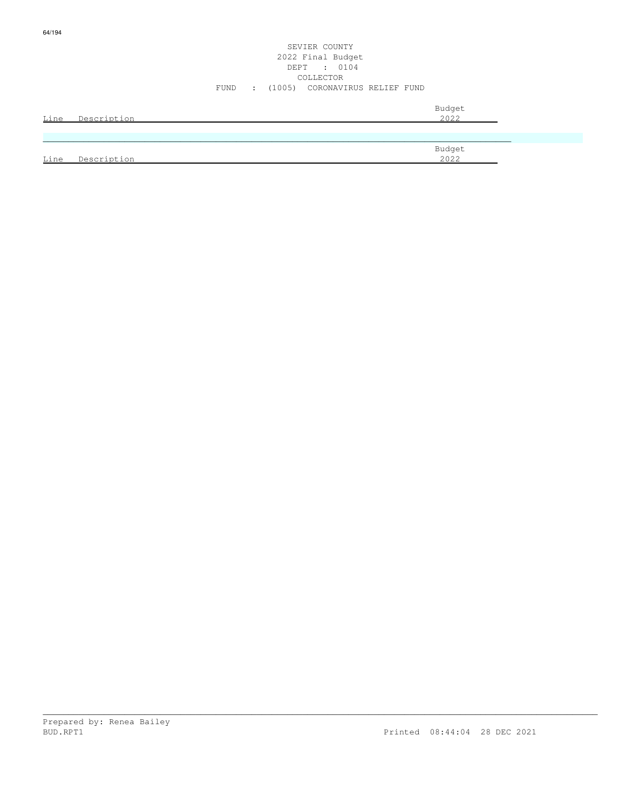# SEVIER COUNTY 2022 Final Budget DEPT : 0104 COLLECTOR FUND : (1005) CORONAVIRUS RELIEF FUND

| Line | Description | Budget<br>2022 |
|------|-------------|----------------|
|      |             |                |
|      |             | Budget         |
| Line | Description | 2022           |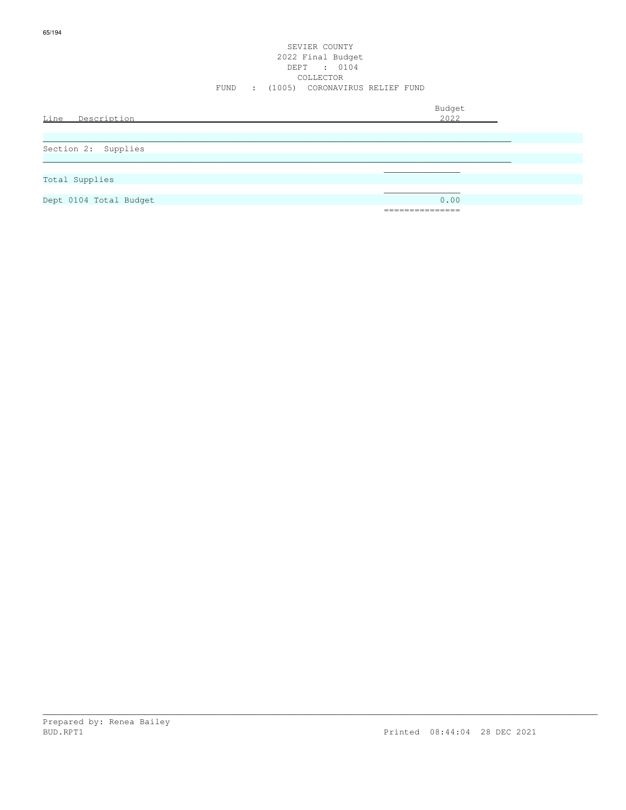|                     | SEVIER COUNTY<br>2022 Final Budget<br>DEPT : 0104<br>COLLECTOR |  |
|---------------------|----------------------------------------------------------------|--|
|                     | FUND : (1005) CORONAVIRUS RELIEF FUND                          |  |
| Line Description    | Budget<br>2022                                                 |  |
| Section 2: Supplies |                                                                |  |
|                     |                                                                |  |

 $\mathcal{L}_\mathcal{L}$  , we can assume that the contract of the contract of the contract of the contract of the contract of the contract of the contract of the contract of the contract of the contract of the contract of the contr

65/194

Dept 0104 Total Budget 0.00

===============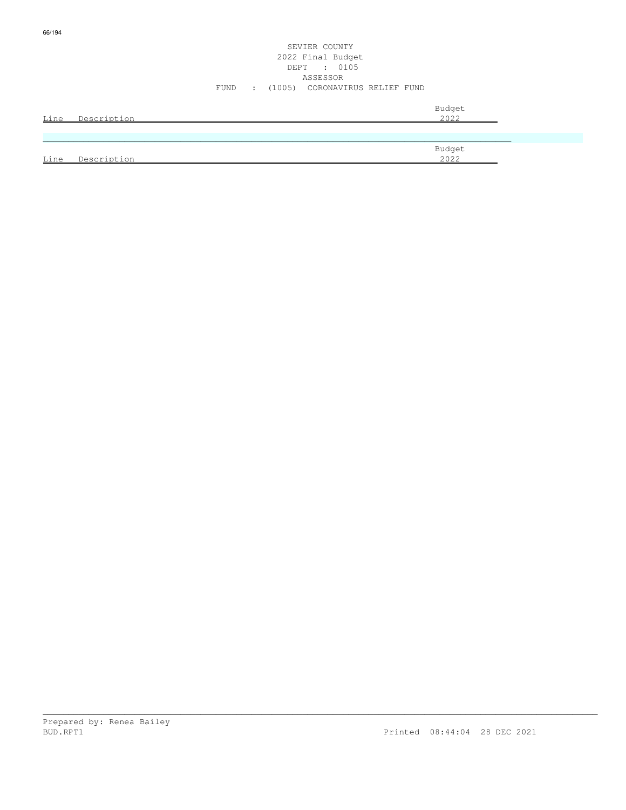66/194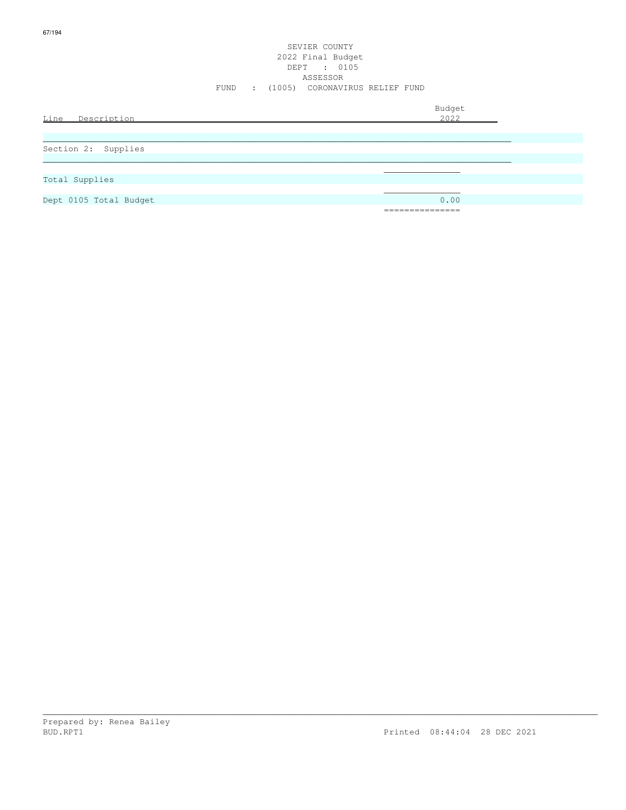|                        |      |  | SEVIER COUNTY<br>2022 Final Budget<br>DEPT : 0105<br>ASSESSOR |                |  |
|------------------------|------|--|---------------------------------------------------------------|----------------|--|
|                        | FUND |  | : (1005) CORONAVIRUS RELIEF FUND                              |                |  |
| Line<br>Description    |      |  |                                                               | Budget<br>2022 |  |
|                        |      |  |                                                               |                |  |
|                        |      |  |                                                               |                |  |
| Section 2: Supplies    |      |  |                                                               |                |  |
|                        |      |  |                                                               |                |  |
| Total Supplies         |      |  |                                                               |                |  |
|                        |      |  |                                                               |                |  |
| Dept 0105 Total Budget |      |  |                                                               | 0.00           |  |
|                        |      |  |                                                               | ------------   |  |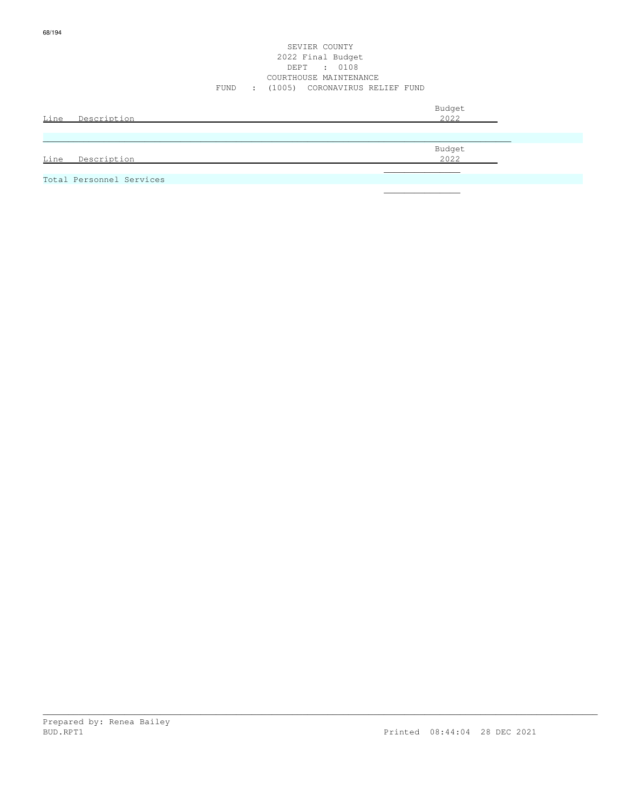68/194

## SEVIER COUNTY 2022 Final Budget DEPT : 0108 COURTHOUSE MAINTENANCE FUND : (1005) CORONAVIRUS RELIEF FUND

\_\_\_\_\_\_\_\_\_\_\_\_\_\_\_\_\_\_\_\_\_\_\_\_\_\_\_\_\_\_\_\_\_\_\_\_\_\_\_\_\_\_\_\_\_\_\_\_\_\_\_\_\_\_\_\_\_\_\_\_\_\_\_\_\_\_\_\_\_\_\_\_\_\_\_\_\_\_\_\_\_\_\_\_\_\_\_\_\_\_\_\_\_\_\_\_\_\_\_\_\_\_\_\_\_\_\_\_\_

| Line Description         | Budget<br>2022 |
|--------------------------|----------------|
|                          |                |
| Line Description         | Budget<br>2022 |
| Total Personnel Services |                |

 $\mathcal{L}_\mathcal{L}$  , we can assume that the contract of the contract of the contract of the contract of the contract of the contract of the contract of the contract of the contract of the contract of the contract of the contr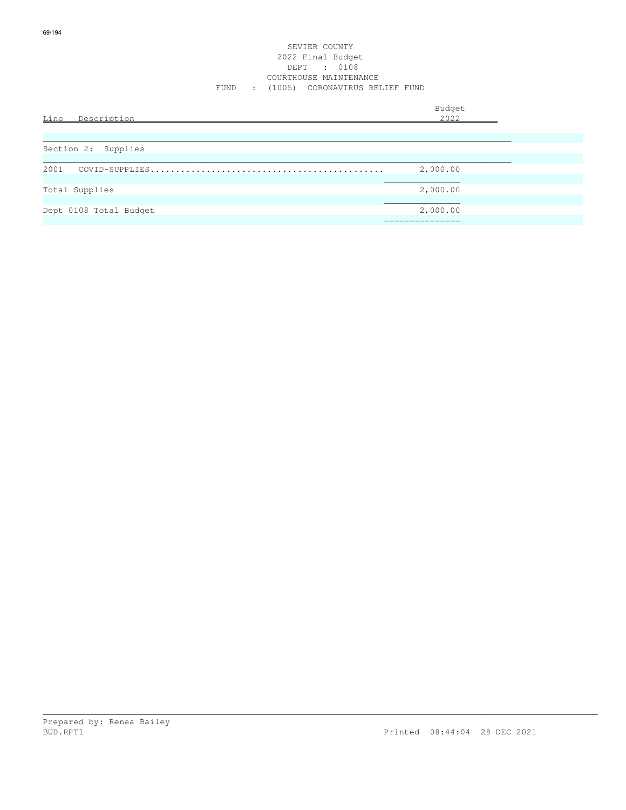| Line<br>Description    | Budget<br>2022              |  |
|------------------------|-----------------------------|--|
| Section 2: Supplies    |                             |  |
| 2001                   | 2,000.00                    |  |
| Total Supplies         | 2,000.00                    |  |
| Dept 0108 Total Budget | 2,000.00<br>_______________ |  |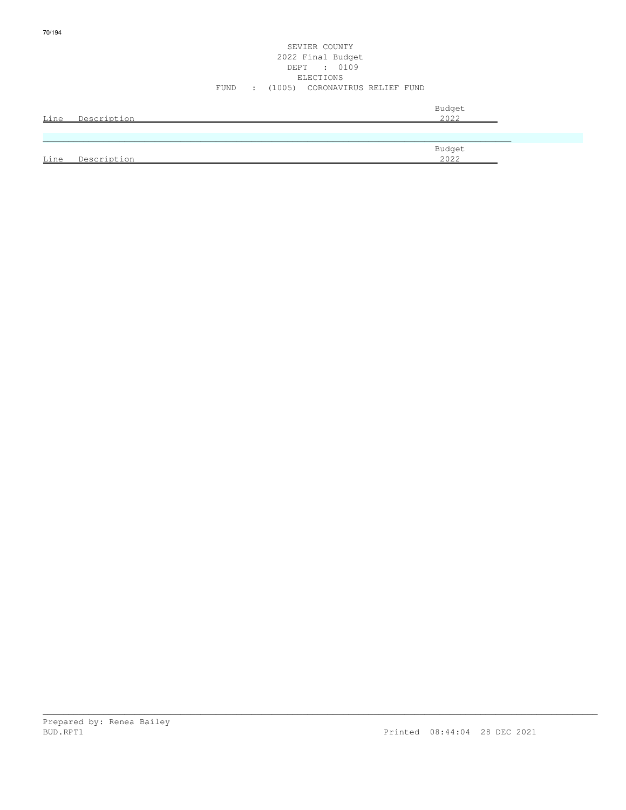| Line | Description | 2022   |
|------|-------------|--------|
|      |             |        |
|      |             |        |
|      |             | Budget |
| Line | Description | 2022   |

70/194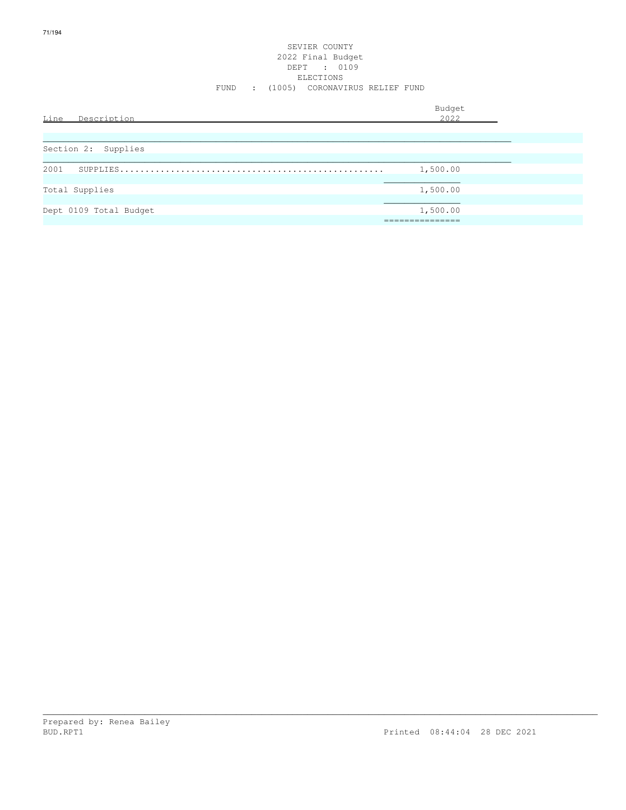| Line Description       | Budget<br>2022                            |  |
|------------------------|-------------------------------------------|--|
| Section 2: Supplies    |                                           |  |
| 2001                   | 1,500.00                                  |  |
| Total Supplies         | 1,500.00                                  |  |
| Dept 0109 Total Budget | 1,500.00<br>___________<br>______________ |  |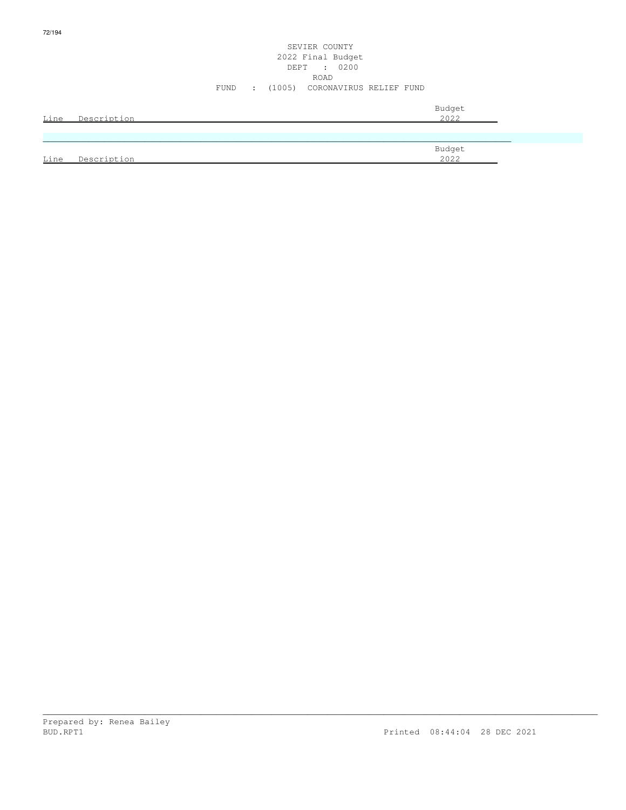|      |             | SEVIER COUNTY<br>2022 Final Budget<br>DEPT : 0200<br>ROAD |  |
|------|-------------|-----------------------------------------------------------|--|
|      |             | (1005) CORONAVIRUS RELIEF FUND<br>FUND<br>$\mathcal{L}$   |  |
| Line | Description | Budget<br>2022                                            |  |
|      |             |                                                           |  |
| Line | Description | Budget<br>2022                                            |  |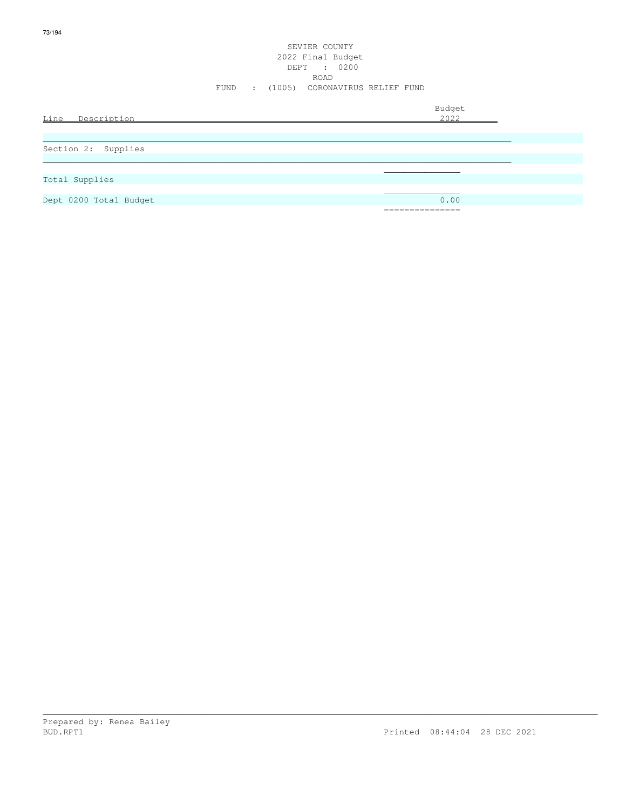|                        | FUND<br>$\sim 100$ | SEVIER COUNTY<br>2022 Final Budget<br>DEPT : 0200<br>ROAD<br>(1005) CORONAVIRUS RELIEF FUND |                      |  |
|------------------------|--------------------|---------------------------------------------------------------------------------------------|----------------------|--|
| Line Description       |                    |                                                                                             | Budget<br>2022       |  |
| Section 2: Supplies    |                    |                                                                                             |                      |  |
| Total Supplies         |                    |                                                                                             |                      |  |
| Dept 0200 Total Budget |                    |                                                                                             | 0.00<br>____________ |  |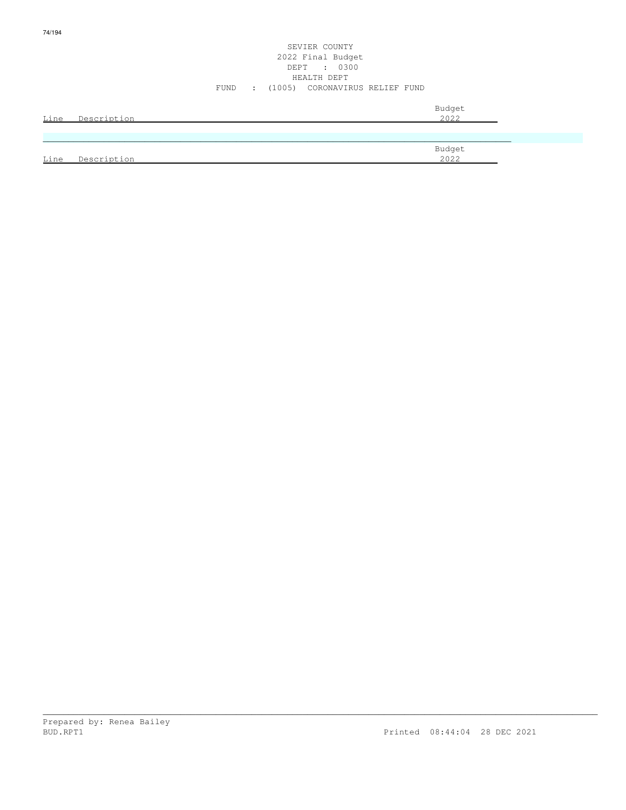| <u>Line</u> | Description | Budget<br>2022 |
|-------------|-------------|----------------|
|             |             |                |
|             |             | Budget         |
| Line        | Description | 2022           |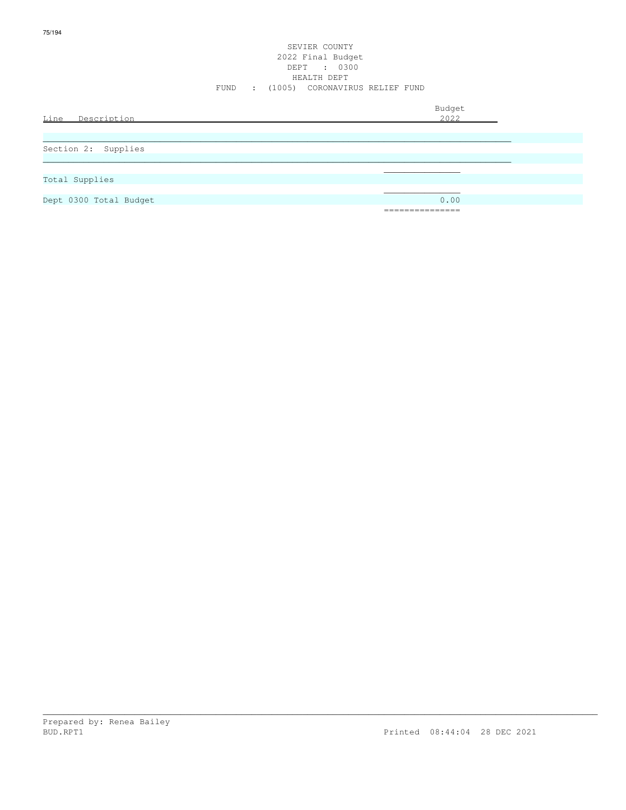|                     | SEVIER COUNTY<br>2022 Final Budget<br>DEPT : 0300<br>HEALTH DEPT<br>FUND : (1005) CORONAVIRUS RELIEF FUND |                |
|---------------------|-----------------------------------------------------------------------------------------------------------|----------------|
| Line<br>Description |                                                                                                           | Budget<br>2022 |
| Section 2: Supplies |                                                                                                           |                |
| Total Supplies      |                                                                                                           |                |

Dept 0300 Total Budget 0.00

===============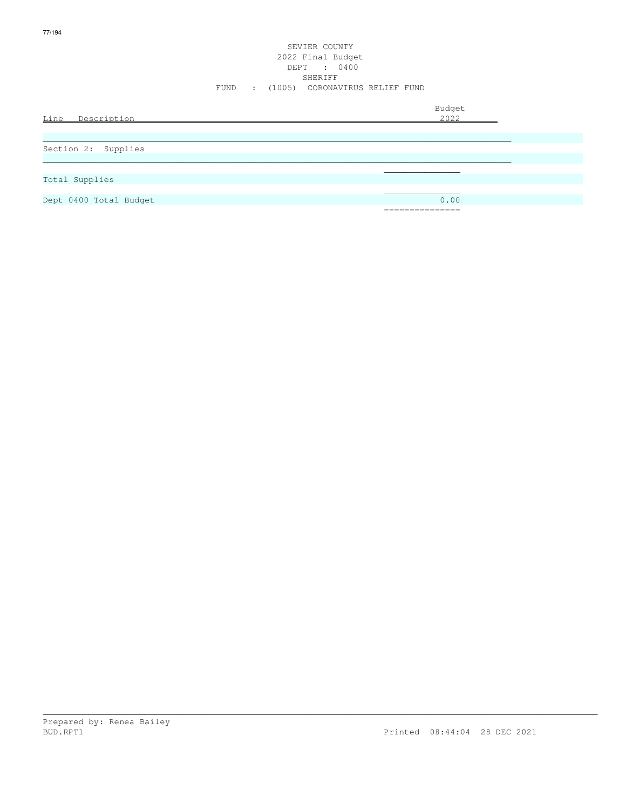|                        | FUND<br>$\sim 100$ | SEVIER COUNTY<br>2022 Final Budget<br>DEPT : 0400<br>SHERIFF<br>(1005) CORONAVIRUS RELIEF FUND |                |
|------------------------|--------------------|------------------------------------------------------------------------------------------------|----------------|
| Line<br>Description    |                    |                                                                                                | Budget<br>2022 |
|                        |                    |                                                                                                |                |
| Section 2: Supplies    |                    |                                                                                                |                |
|                        |                    |                                                                                                |                |
| Total Supplies         |                    |                                                                                                |                |
| Dept 0400 Total Budget |                    |                                                                                                | 0.00           |
|                        |                    |                                                                                                | =======        |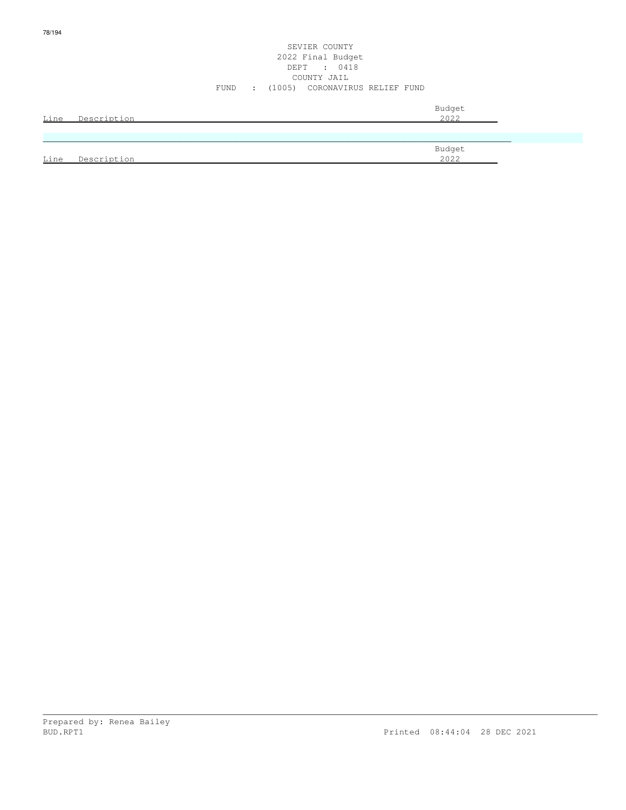en de la provincia de la provincia de la provincia de la provincia de la provincia de la provincia de la provi Line Description 2022

SEVIER COUNTY

\_\_\_\_\_\_\_\_\_\_\_\_\_\_\_\_\_\_\_\_\_\_\_\_\_\_\_\_\_\_\_\_\_\_\_\_\_\_\_\_\_\_\_\_\_\_\_\_\_\_\_\_\_\_\_\_\_\_\_\_\_\_\_\_\_\_\_\_\_\_\_\_\_\_\_\_\_\_\_\_\_\_\_\_\_\_\_\_\_\_\_\_\_\_\_\_\_\_\_\_\_\_\_\_\_\_\_\_\_

78/194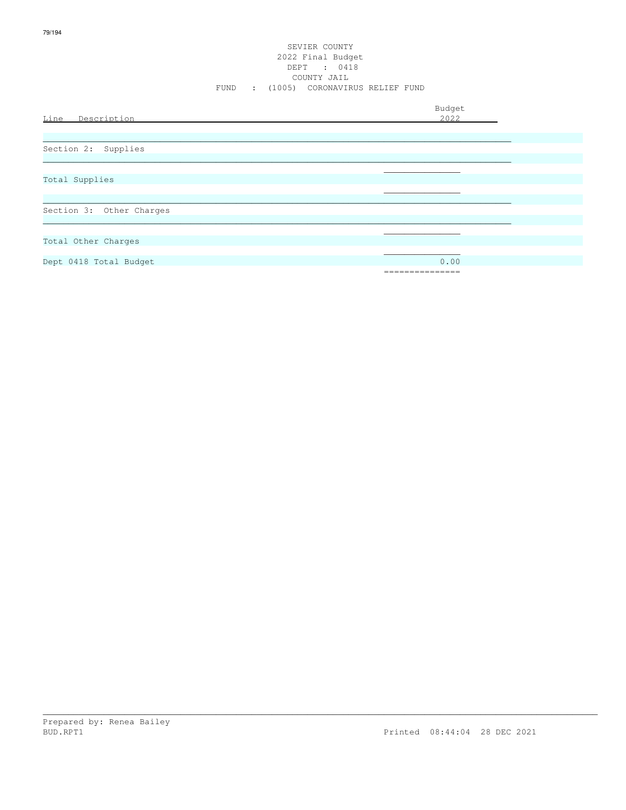#### SEVIER COUNTY 2022 Final Budget DEPT : 0418 COUNTY JAIL FUND : (1005) CORONAVIRUS RELIEF FUND

|                          | Budget       |
|--------------------------|--------------|
| Line Description         | 2022         |
|                          |              |
|                          |              |
| Section 2: Supplies      |              |
|                          |              |
|                          |              |
| Total Supplies           |              |
|                          |              |
|                          |              |
| Section 3: Other Charges |              |
|                          |              |
|                          |              |
| Total Other Charges      |              |
|                          |              |
| Dept 0418 Total Budget   | 0.00         |
|                          | ============ |
|                          |              |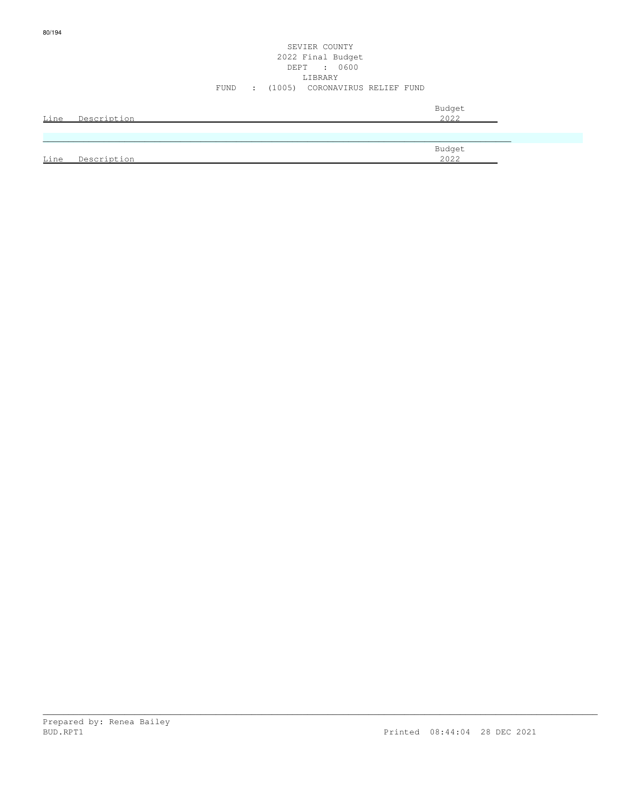### SEVIER COUNTY 2022 Final Budget DEPT : 0600 LIBRARY FUND : (1005) CORONAVIRUS RELIEF FUND

| Line | Description | Budget<br>2022 |
|------|-------------|----------------|
|      |             |                |
|      |             | Budget         |
| Line | Description | 2022           |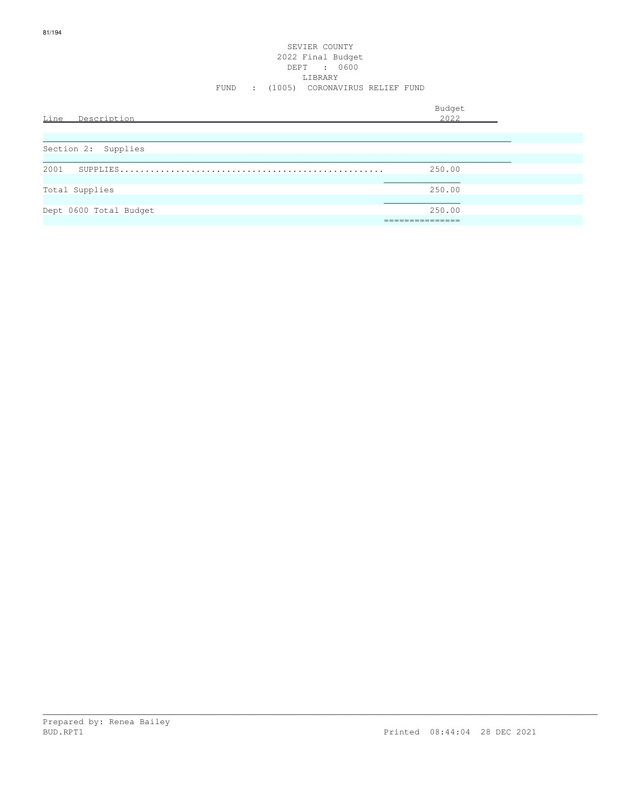#### SEVIER COUNTY 2022 Final Budget DEPT : 0600 LIBRARY FUND : (1005) CORONAVIRUS RELIEF FUND

| Line<br>Description    | Budget<br>2022            |
|------------------------|---------------------------|
| Section 2: Supplies    |                           |
| 2001                   | 250.00                    |
| Total Supplies         | 250.00                    |
| Dept 0600 Total Budget | 250.00<br>=============== |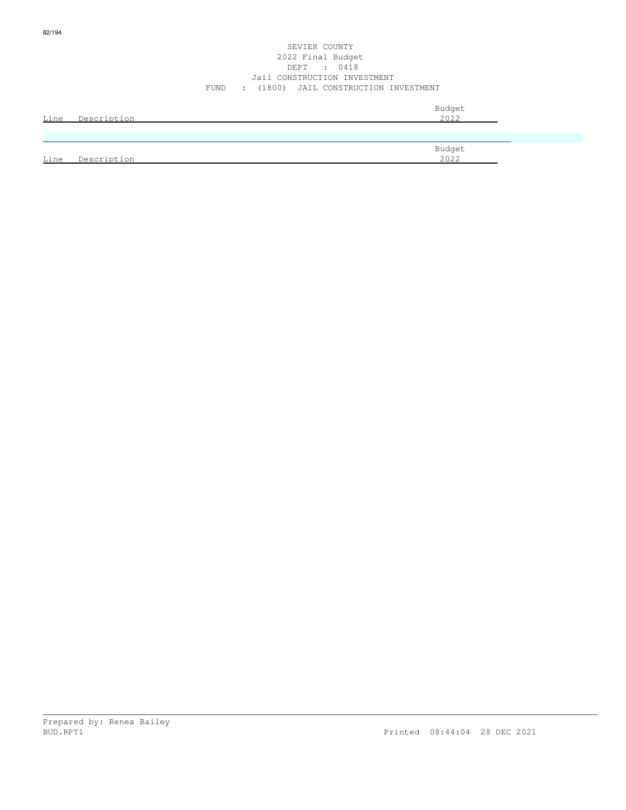#### SEVIER COUNTY 2022 Final Budget DEPT : 0418 Jail CONSTRUCTION INVESTMENT FUND : (1800) JAIL CONSTRUCTION INVESTMENT

| Line | Description | Budget<br>2022 |
|------|-------------|----------------|
|      |             |                |
|      |             | Budget         |
| Line | Description | 2022           |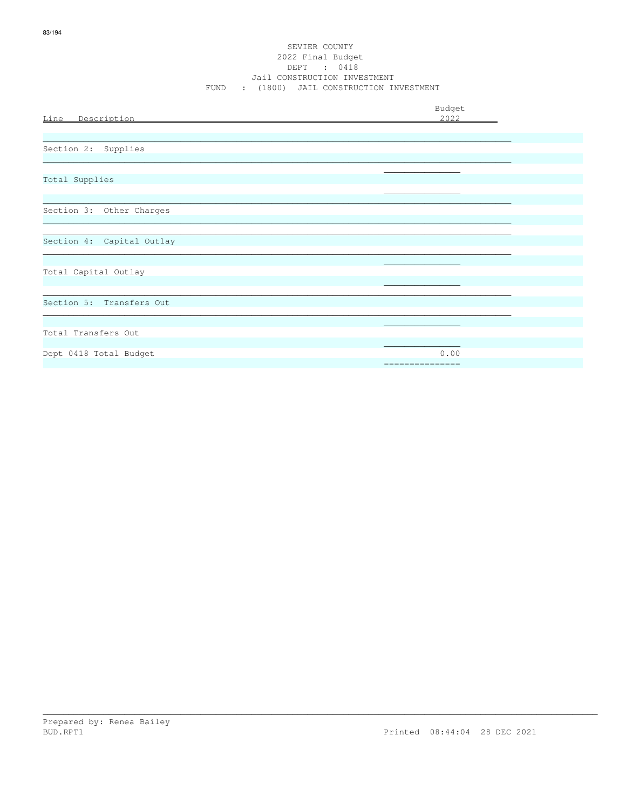#### SEVIER COUNTY 2022 Final Budget DEPT : 0418 Jail CONSTRUCTION INVESTMENT FUND : (1800) JAIL CONSTRUCTION INVESTMENT

|                           | Budget          |
|---------------------------|-----------------|
| Line Description          | 2022            |
|                           |                 |
| Section 2: Supplies       |                 |
|                           |                 |
| Total Supplies            |                 |
|                           |                 |
| Section 3: Other Charges  |                 |
|                           |                 |
| Section 4: Capital Outlay |                 |
|                           |                 |
| Total Capital Outlay      |                 |
|                           |                 |
| Section 5: Transfers Out  |                 |
|                           |                 |
| Total Transfers Out       |                 |
| Dept 0418 Total Budget    | 0.00            |
|                           | =============== |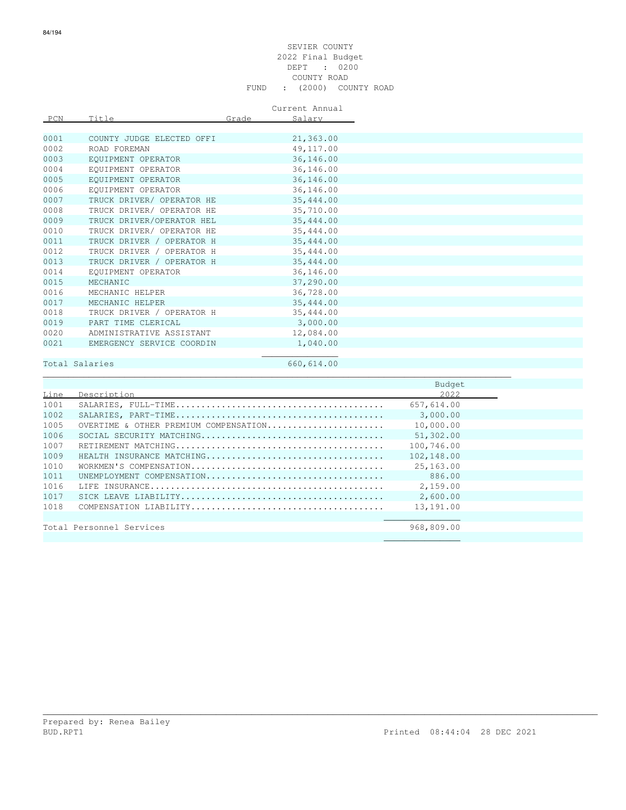#### SEVIER COUNTY 2022 Final Budget DEPT : 0200 COUNTY ROAD FUND : (2000) COUNTY ROAD

Current Annual

| PCN  | Title                     | Grade | Salary     |
|------|---------------------------|-------|------------|
|      |                           |       |            |
| 0001 | COUNTY JUDGE ELECTED OFFI |       | 21,363.00  |
| 0002 | ROAD FOREMAN              |       | 49, 117.00 |
| 0003 | EQUIPMENT OPERATOR        |       | 36,146.00  |
| 0004 | EOUIPMENT OPERATOR        |       | 36,146.00  |
| 0005 | EOUIPMENT OPERATOR        |       | 36,146.00  |
| 0006 | EOUIPMENT OPERATOR        |       | 36,146.00  |
| 0007 | TRUCK DRIVER/ OPERATOR HE |       | 35, 444.00 |
| 0008 | TRUCK DRIVER/ OPERATOR HE |       | 35,710.00  |
| 0009 | TRUCK DRIVER/OPERATOR HEL |       | 35,444.00  |
| 0010 | TRUCK DRIVER/ OPERATOR HE |       | 35, 444.00 |
| 0011 | TRUCK DRIVER / OPERATOR H |       | 35,444.00  |
| 0012 | TRUCK DRIVER / OPERATOR H |       | 35,444.00  |
| 0013 | TRUCK DRIVER / OPERATOR H |       | 35,444.00  |
| 0014 | EOUIPMENT OPERATOR        |       | 36,146.00  |
| 0015 | MECHANIC                  |       | 37,290.00  |
| 0016 | MECHANIC HELPER           |       | 36,728.00  |
| 0017 | MECHANIC HELPER           |       | 35,444.00  |
| 0018 | TRUCK DRIVER / OPERATOR H |       | 35,444.00  |
| 0019 | PART TIME CLERICAL        |       | 3,000.00   |
| 0020 | ADMINISTRATIVE ASSISTANT  |       | 12,084.00  |
| 0021 | EMERGENCY SERVICE COORDIN |       | 1,040.00   |
|      |                           |       |            |

## Total Salaries 660,614.00

|      |                                       | Budget     |  |
|------|---------------------------------------|------------|--|
| Line | Description                           | 2022       |  |
| 1001 |                                       | 657,614.00 |  |
| 1002 |                                       | 3,000.00   |  |
| 1005 | OVERTIME & OTHER PREMIUM COMPENSATION | 10,000.00  |  |
| 1006 |                                       | 51,302.00  |  |
| 1007 |                                       | 100,746.00 |  |
| 1009 | HEALTH INSURANCE MATCHING             | 102,148.00 |  |
| 1010 |                                       | 25,163.00  |  |
| 1011 | UNEMPIOYMENT COMPENSATION             | 886.00     |  |
| 1016 |                                       | 2,159.00   |  |
| 1017 |                                       | 2,600.00   |  |
| 1018 |                                       | 13,191.00  |  |
|      |                                       |            |  |
|      | Total Personnel Services              | 968,809.00 |  |
|      |                                       |            |  |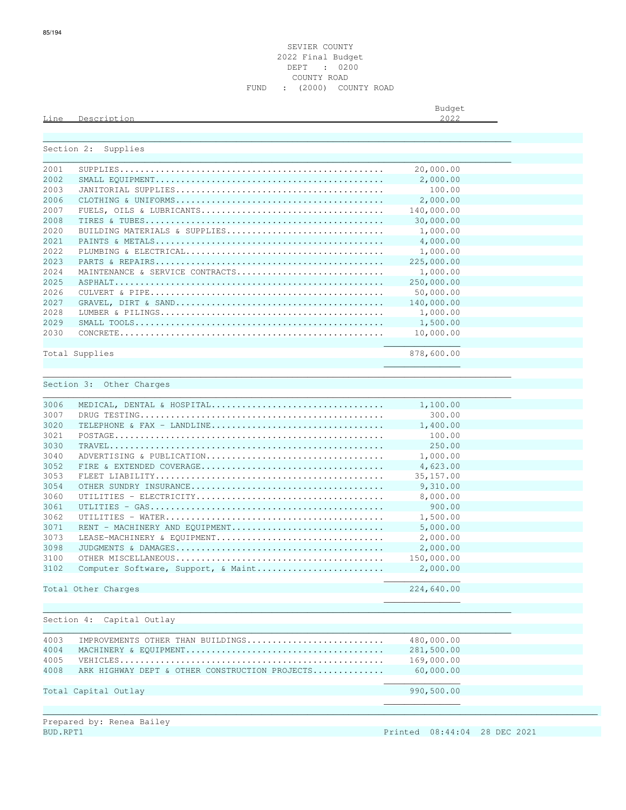Line Description 2022

Budget is a state of the state of the state of the state of the state of the state of the state of the state of the state of the state of the state of the state of the state of the state of the state of the state of the st

| Section 2: | Supplies                                                                                             |            |  |
|------------|------------------------------------------------------------------------------------------------------|------------|--|
| 2001       |                                                                                                      | 20,000.00  |  |
| 2002       |                                                                                                      | 2,000.00   |  |
| 2003       |                                                                                                      | 100.00     |  |
| 2006       |                                                                                                      | 2,000.00   |  |
| 2007       |                                                                                                      | 140,000.00 |  |
| 2008       |                                                                                                      | 30,000.00  |  |
| 2020       | BUILDING MATERIALS & SUPPLIES                                                                        | 1,000.00   |  |
|            |                                                                                                      |            |  |
| 2021       |                                                                                                      | 4,000.00   |  |
| 2022       |                                                                                                      | 1,000.00   |  |
| 2023       |                                                                                                      | 225,000.00 |  |
| 2024       | MAINTENANCE & SERVICE CONTRACTS                                                                      | 1,000.00   |  |
| 2025       |                                                                                                      | 250,000.00 |  |
| 2026       |                                                                                                      | 50,000.00  |  |
| 2027       |                                                                                                      | 140,000.00 |  |
| 2028       |                                                                                                      | 1,000.00   |  |
| 2029       |                                                                                                      | 1,500.00   |  |
| 2030       | $\texttt{CONCRETE} \dots\dots\dots\dots\dots\dots\dots\dots\dots\dots\dots\dots\dots\dots\dots\dots$ | 10,000.00  |  |
|            |                                                                                                      |            |  |
|            | Total Supplies                                                                                       | 878,600.00 |  |
|            |                                                                                                      |            |  |
|            | Section 3: Other Charges                                                                             |            |  |
|            |                                                                                                      |            |  |
| 3006       | MEDICAL, DENTAL & HOSPITAL                                                                           | 1,100.00   |  |
| 3007       |                                                                                                      | 300.00     |  |
| 3020       |                                                                                                      | 1,400.00   |  |
| 3021       |                                                                                                      | 100.00     |  |
| 3030       |                                                                                                      | 250.00     |  |
| 3040       | ADVERTISING & PUBLICATION                                                                            | 1,000.00   |  |
| 3052       |                                                                                                      | 4,623.00   |  |
| 3053       |                                                                                                      | 35, 157.00 |  |
| 3054       |                                                                                                      | 9,310.00   |  |
| 3060       |                                                                                                      | 8,000.00   |  |
| 3061       |                                                                                                      | 900.00     |  |
| 3062       |                                                                                                      | 1,500.00   |  |
| 3071       | RENT - MACHINERY AND EQUIPMENT                                                                       | 5,000.00   |  |
| 3073       | LEASE-MACHINERY & EQUIPMENT                                                                          | 2,000.00   |  |
| 3098       |                                                                                                      | 2,000.00   |  |
| 3100       |                                                                                                      | 150,000.00 |  |
| 3102       | Computer Software, Support, & Maint                                                                  | 2,000.00   |  |
|            |                                                                                                      |            |  |
|            | Total Other Charges                                                                                  | 224,640.00 |  |
|            |                                                                                                      |            |  |
|            |                                                                                                      |            |  |
|            | Section 4:<br>Capital Outlay                                                                         |            |  |
| 4003       | IMPROVEMENTS OTHER THAN BUILDINGS                                                                    | 480,000.00 |  |
| 4004       |                                                                                                      | 281,500.00 |  |
| 4005       |                                                                                                      | 169,000.00 |  |
| 4008       | ARK HIGHWAY DEPT & OTHER CONSTRUCTION PROJECTS                                                       | 60,000.00  |  |
|            |                                                                                                      |            |  |
|            | Total Capital Outlay                                                                                 | 990,500.00 |  |
|            |                                                                                                      |            |  |
|            |                                                                                                      |            |  |
|            |                                                                                                      |            |  |

| Prepared by: Renea Bailey |  |  |
|---------------------------|--|--|
| BUD.RPT1                  |  |  |

But and the printed 08:44:04 28 DEC 2021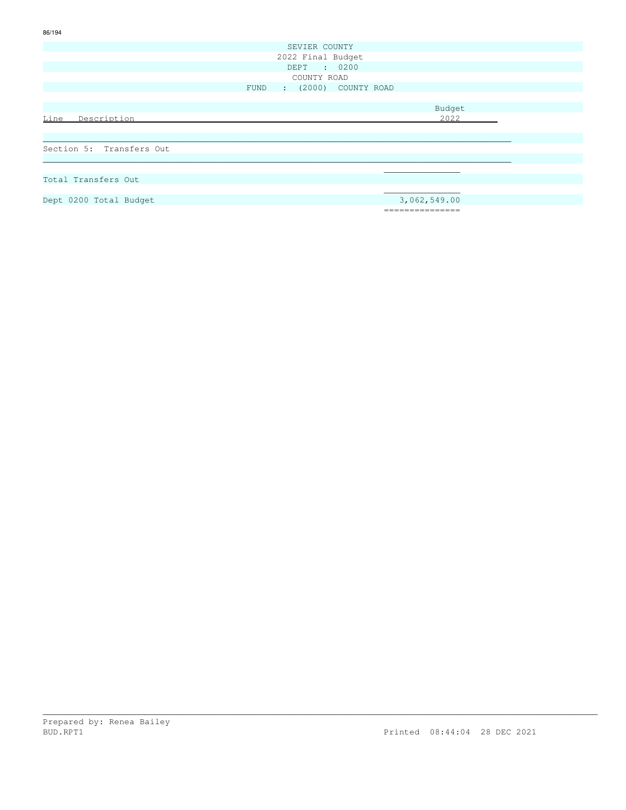|                          | SEVIER COUNTY                |  |
|--------------------------|------------------------------|--|
|                          | 2022 Final Budget            |  |
|                          | DEPT : 0200                  |  |
|                          | COUNTY ROAD                  |  |
|                          | : (2000) COUNTY ROAD<br>FUND |  |
|                          |                              |  |
|                          | Budget                       |  |
| Description<br>Line      | 2022                         |  |
|                          |                              |  |
|                          |                              |  |
| Section 5: Transfers Out |                              |  |
|                          |                              |  |
|                          |                              |  |
| Total Transfers Out      |                              |  |
|                          |                              |  |
| Dept 0200 Total Budget   | 3,062,549.00                 |  |
|                          | =========                    |  |

86/194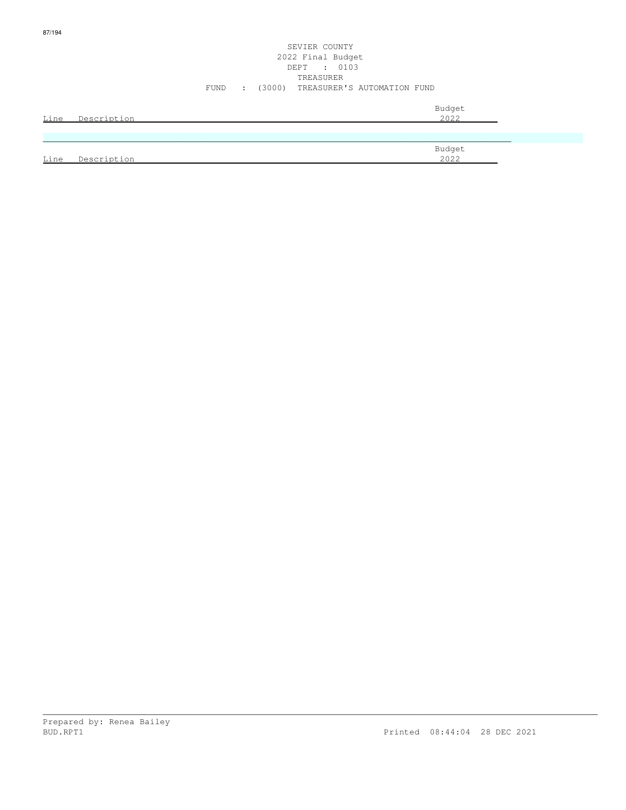#### SEVIER COUNTY 2022 Final Budget DEPT : 0103 TREASURER FUND : (3000) TREASURER'S AUTOMATION FUND

| Line | Description | Budget<br>2022 |
|------|-------------|----------------|
|      |             |                |
| Line | Description | Budget<br>2022 |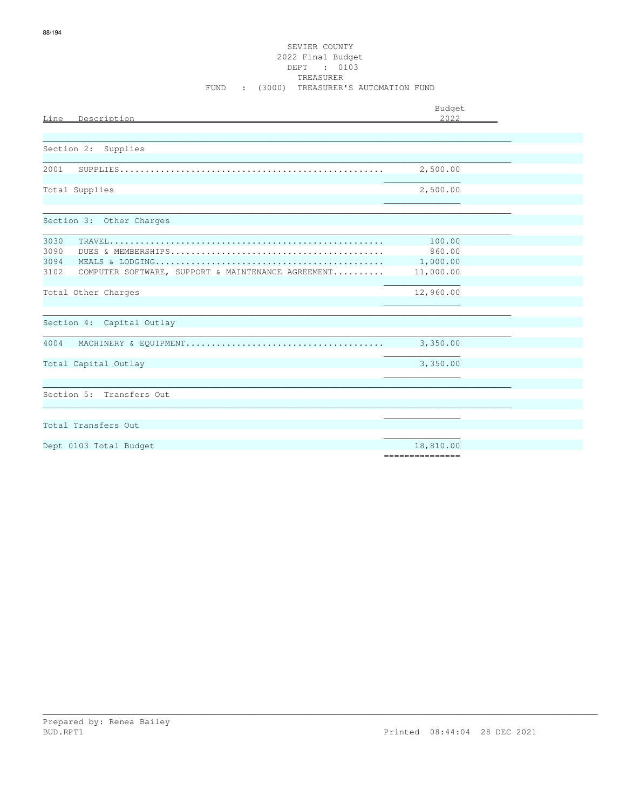| Line Description                                                                   | Budget<br>2.022                           |  |
|------------------------------------------------------------------------------------|-------------------------------------------|--|
|                                                                                    |                                           |  |
| Section 2: Supplies                                                                |                                           |  |
| 2001                                                                               | 2,500.00                                  |  |
| Total Supplies                                                                     | 2,500.00                                  |  |
| Section 3: Other Charges                                                           |                                           |  |
| 3030<br>3090<br>3094<br>3102<br>COMPUTER SOFTWARE, SUPPORT & MAINTENANCE AGREEMENT | 100.00<br>860.00<br>1,000.00<br>11,000.00 |  |
| Total Other Charges                                                                | 12,960.00                                 |  |
| Section 4: Capital Outlay                                                          |                                           |  |
| 4004                                                                               | 3,350.00                                  |  |
| Total Capital Outlay                                                               | 3,350.00                                  |  |
| Section 5: Transfers Out                                                           |                                           |  |
| Total Transfers Out                                                                |                                           |  |
| Dept 0103 Total Budget                                                             | 18,810.00<br>===============              |  |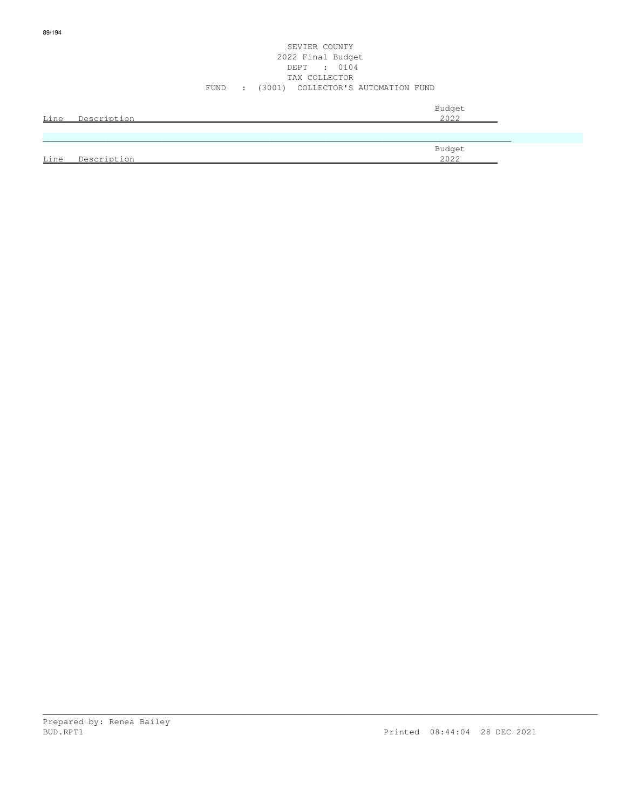#### SEVIER COUNTY 2022 Final Budget DEPT : 0104 TAX COLLECTOR FUND : (3001) COLLECTOR'S AUTOMATION FUND

| Line | Description | Budget<br>2022 |
|------|-------------|----------------|
|      |             |                |
| Line | Description | Budget<br>2022 |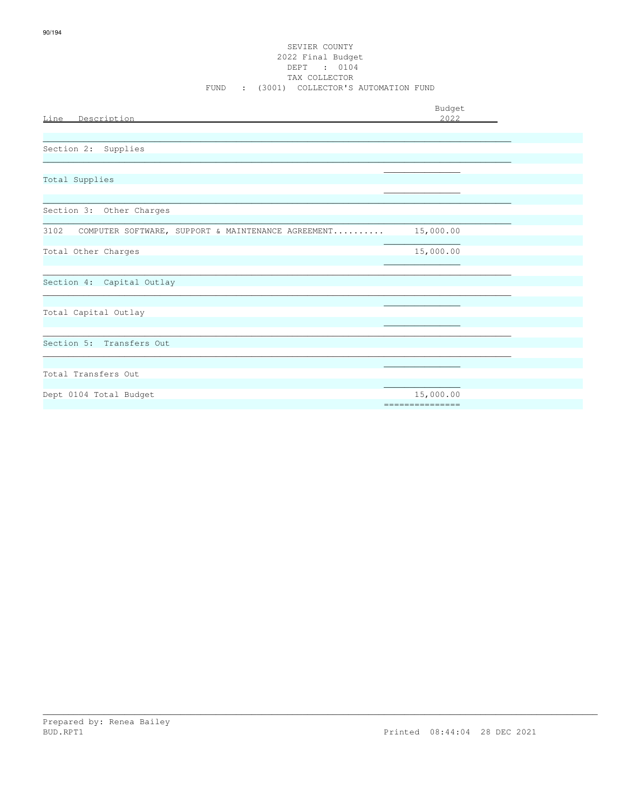## SEVIER COUNTY 2022 Final Budget DEPT : 0104<br>TAX COLLECTOR FUND : (3001) COLLECTOR'S AUTOMATION FUND

| Line Description                                        | Budget<br>2022                |  |
|---------------------------------------------------------|-------------------------------|--|
| Section 2: Supplies                                     |                               |  |
| Total Supplies                                          |                               |  |
| Section 3: Other Charges                                |                               |  |
| 3102 COMPUTER SOFTWARE, SUPPORT & MAINTENANCE AGREEMENT | 15,000.00                     |  |
| Total Other Charges                                     | 15,000.00                     |  |
| Section 4: Capital Outlay                               |                               |  |
| Total Capital Outlay                                    |                               |  |
| Section 5: Transfers Out                                |                               |  |
| Total Transfers Out                                     |                               |  |
| Dept 0104 Total Budget                                  | 15,000.00<br>---------------- |  |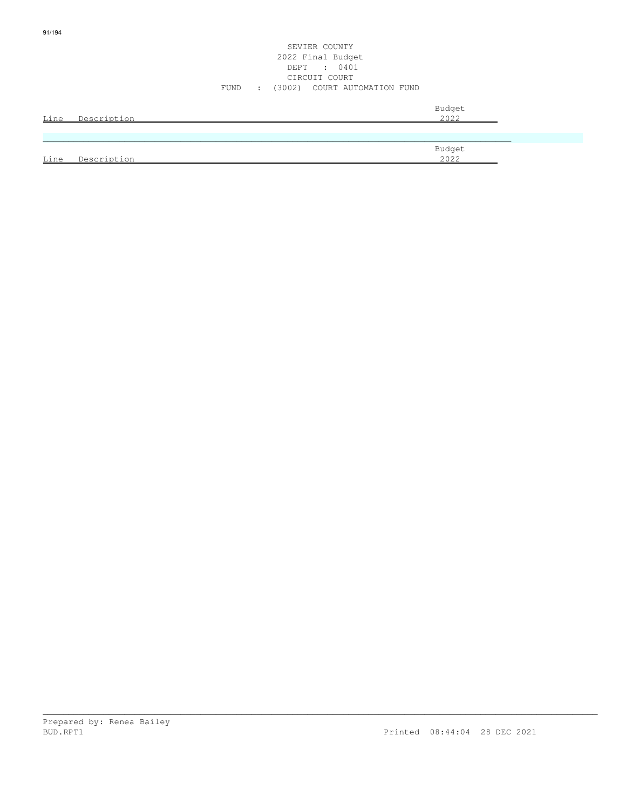Line Description 2022

91/194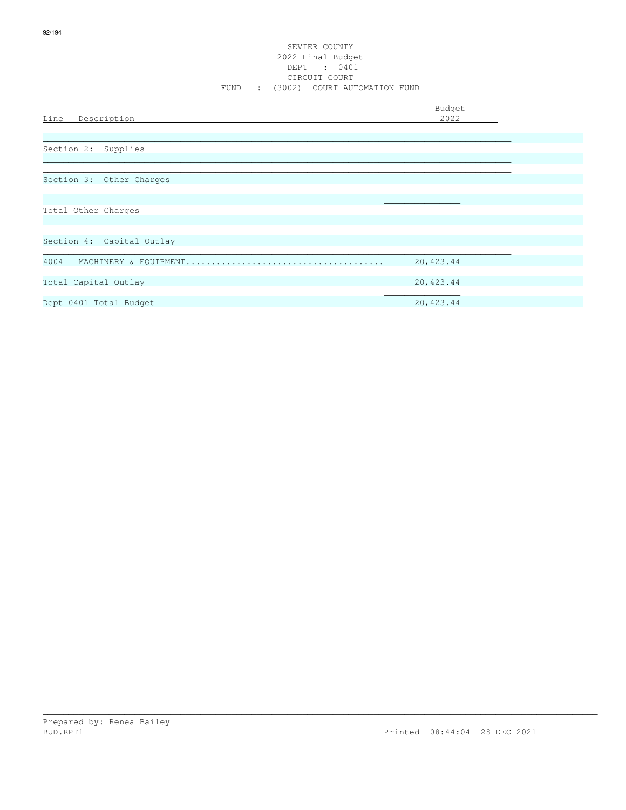| Line Description          | Budget<br>2022               |  |
|---------------------------|------------------------------|--|
| Section 2: Supplies       |                              |  |
| Section 3: Other Charges  |                              |  |
| Total Other Charges       |                              |  |
| Section 4: Capital Outlay |                              |  |
| 4004                      | 20,423.44                    |  |
| Total Capital Outlay      | 20,423.44                    |  |
| Dept 0401 Total Budget    | 20,423.44<br>=============== |  |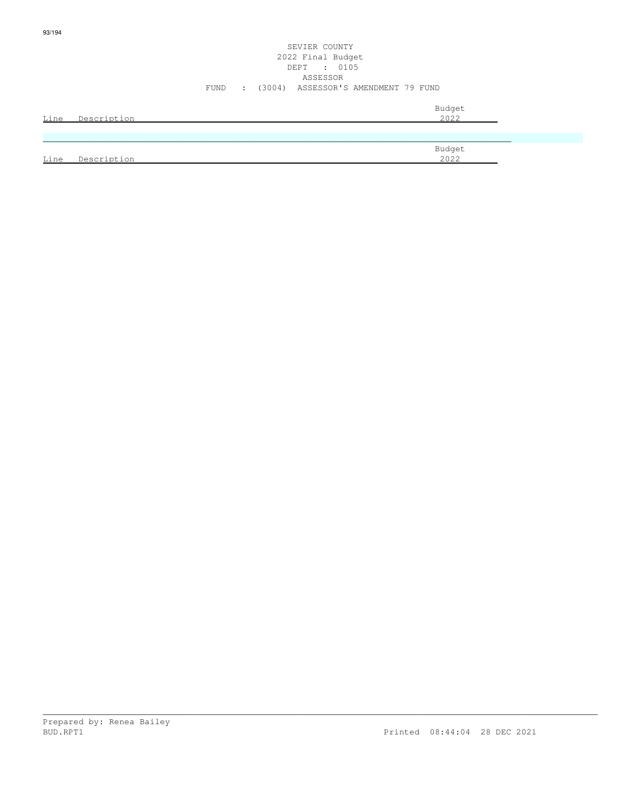### SEVIER COUNTY 2022 Final Budget DEPT : 0105 ASSESSOR FUND : (3004) ASSESSOR'S AMENDMENT 79 FUND

| Line        | Description | Budget<br>2022 |
|-------------|-------------|----------------|
|             |             |                |
| <u>Line</u> | Description | Budget<br>2022 |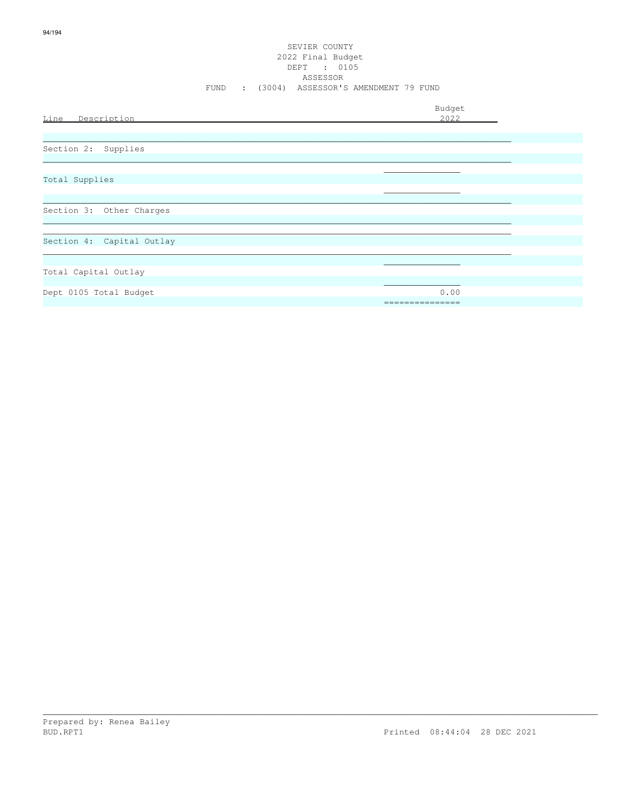#### SEVIER COUNTY 2022 Final Budget DEPT : 0105 ASSESSOR FUND : (3004) ASSESSOR'S AMENDMENT 79 FUND

| Line Description          | Budget<br>2022          |
|---------------------------|-------------------------|
|                           |                         |
| Section 2: Supplies       |                         |
| Total Supplies            |                         |
| Section 3: Other Charges  |                         |
| Section 4: Capital Outlay |                         |
| Total Capital Outlay      |                         |
| Dept 0105 Total Budget    | 0.00<br>_______________ |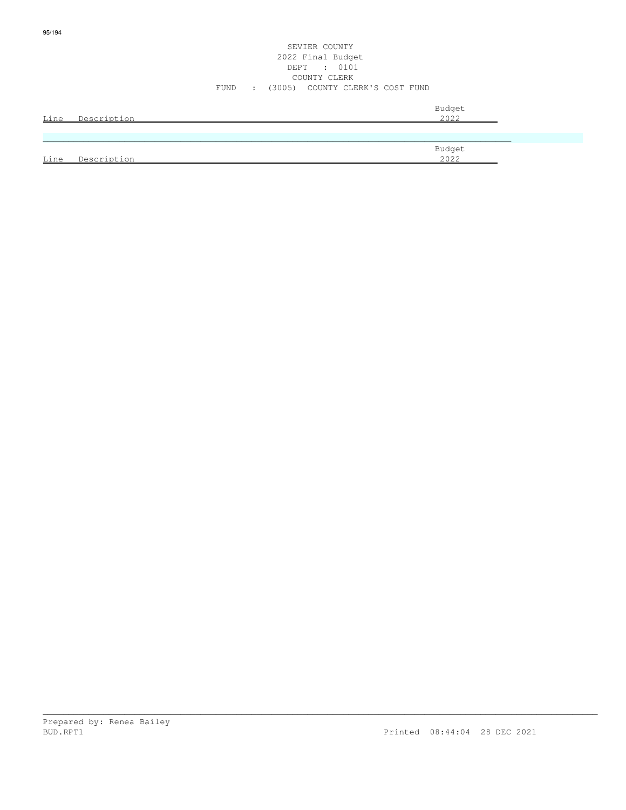|      |             |      |             | 2022 Final Budget<br>DEPT : 0101 |                |  |
|------|-------------|------|-------------|----------------------------------|----------------|--|
|      |             |      |             | COUNTY CLERK                     |                |  |
|      |             | FUND | $\sim 1000$ | (3005) COUNTY CLERK'S COST FUND  |                |  |
| Line | Description |      |             |                                  | Budget<br>2022 |  |
|      |             |      |             |                                  |                |  |
|      |             |      |             |                                  | Budget         |  |
| Line | Description |      |             |                                  | 2022           |  |

SEVIER COUNTY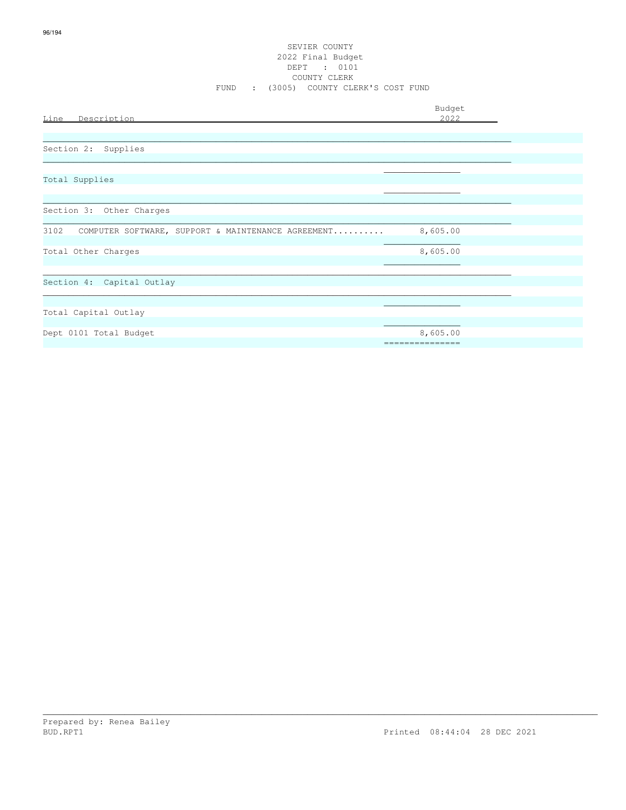#### SEVIER COUNTY 2022 Final Budget DEPT : 0101 COUNTY CLERK FUND : (3005) COUNTY CLERK'S COST FUND

| Line Description                                        | Budget<br>2022  |
|---------------------------------------------------------|-----------------|
|                                                         |                 |
| Section 2: Supplies                                     |                 |
|                                                         |                 |
| Total Supplies                                          |                 |
| Section 3: Other Charges                                |                 |
|                                                         |                 |
| 3102 COMPUTER SOFTWARE, SUPPORT & MAINTENANCE AGREEMENT | 8,605.00        |
| Total Other Charges                                     | 8,605.00        |
|                                                         |                 |
| Section 4: Capital Outlay                               |                 |
|                                                         |                 |
| Total Capital Outlay                                    |                 |
| Dept 0101 Total Budget                                  | 8,605.00        |
|                                                         | =============== |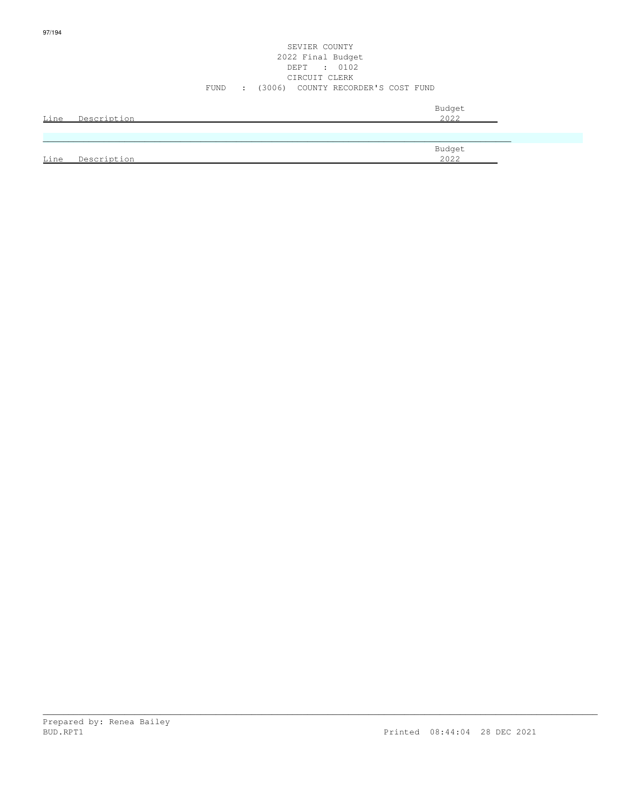#### SEVIER COUNTY 2022 Final Budget DEPT : 0102 CIRCUIT CLERK FUND : (3006) COUNTY RECORDER'S COST FUND

| Line | Description | Budget<br>2022 |
|------|-------------|----------------|
|      |             |                |
| Line | Description | Budget<br>2022 |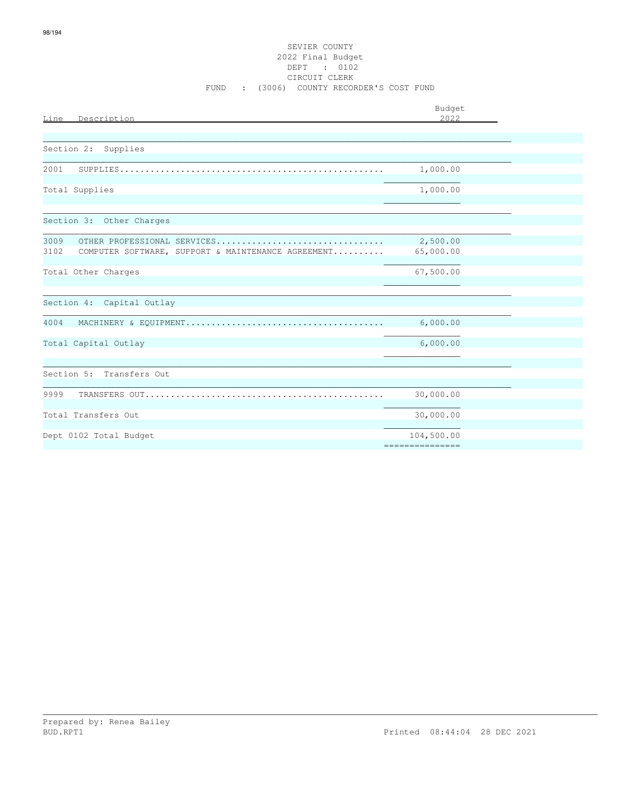| Line<br>Description                                                                                                 | Budget<br>2022 |  |
|---------------------------------------------------------------------------------------------------------------------|----------------|--|
|                                                                                                                     |                |  |
| Section 2: Supplies                                                                                                 |                |  |
| 2001<br>${\tt SUPPLIES.\dots\dots\dots\dots\dots\dots\dots\dots\dots\dots\dots\dots\dots\dots\dots\dots\dots\dots}$ | 1,000.00       |  |
| Total Supplies                                                                                                      | 1,000.00       |  |
|                                                                                                                     |                |  |
| Section 3: Other Charges                                                                                            |                |  |
| 3009<br>OTHER PROFESSIONAL SERVICES                                                                                 | 2,500.00       |  |
| 3102<br>COMPUTER SOFTWARE, SUPPORT & MAINTENANCE AGREEMENT                                                          | 65,000.00      |  |
| Total Other Charges                                                                                                 | 67,500.00      |  |
|                                                                                                                     |                |  |
| Section 4: Capital Outlay                                                                                           |                |  |
| 4004                                                                                                                | 6,000.00       |  |
| Total Capital Outlay                                                                                                | 6,000.00       |  |
|                                                                                                                     |                |  |
| Section 5: Transfers Out                                                                                            |                |  |
| 9999                                                                                                                | 30,000.00      |  |
| Total Transfers Out                                                                                                 | 30,000.00      |  |
| Dept 0102 Total Budget                                                                                              | 104,500.00     |  |
|                                                                                                                     |                |  |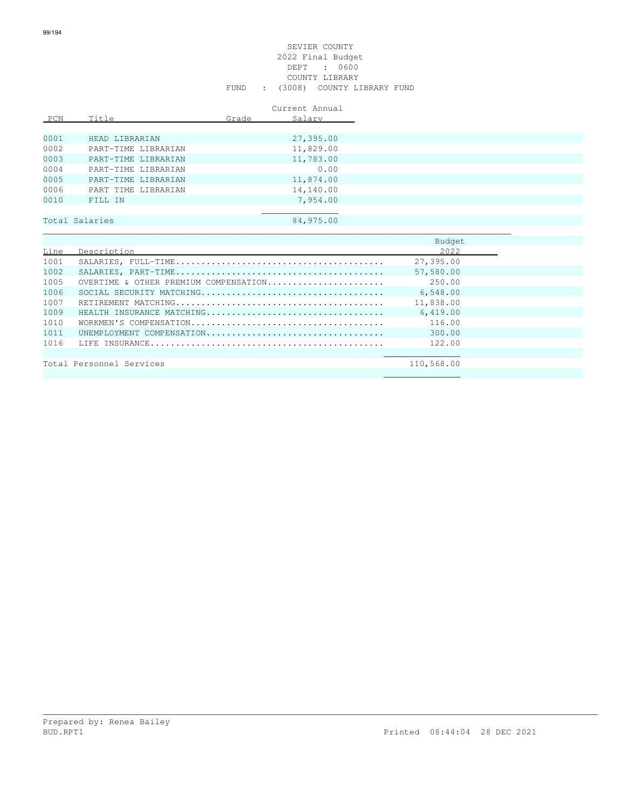|      |                     |       | Current Annual |
|------|---------------------|-------|----------------|
| PCN  | Title               | Grade | Salary         |
|      |                     |       |                |
| 0001 | HEAD LIBRARIAN      |       | 27,395.00      |
| 0002 | PART-TIME LIBRARIAN |       | 11,829.00      |
| 0003 | PART-TIME LIBRARIAN |       | 11,783.00      |
| 0004 | PART-TIME LIBRARIAN |       | 0.00           |
| 0005 | PART-TIME LIBRARIAN |       | 11,874.00      |
| 0006 | PART TIME LIBRARIAN |       | 14,140.00      |
| 0010 | FILL IN             |       | 7,954.00       |
|      |                     |       |                |
|      | Total Salaries      |       | 84,975.00      |
|      |                     |       |                |
|      |                     |       |                |
| Line | Description         |       |                |

| Line | Description                           | 2022       |
|------|---------------------------------------|------------|
| 1001 |                                       | 27,395.00  |
| 1002 |                                       | 57,580.00  |
| 1005 | OVERTIME & OTHER PREMIUM COMPENSATION | 250.00     |
| 1006 |                                       | 6,548.00   |
| 1007 |                                       | 11,838.00  |
| 1009 | HEALTH INSURANCE MATCHING             | 6,419.00   |
| 1010 |                                       | 116.00     |
| 1011 | UNEMPIOYMENT COMPENSATION             | 300.00     |
| 1016 |                                       | 122.00     |
|      |                                       |            |
|      | Total Personnel Services              | 110,568.00 |

 $\mathcal{L}_\text{max}$  , and the contract of the contract of the contract of the contract of the contract of the contract of the contract of the contract of the contract of the contract of the contract of the contract of the contr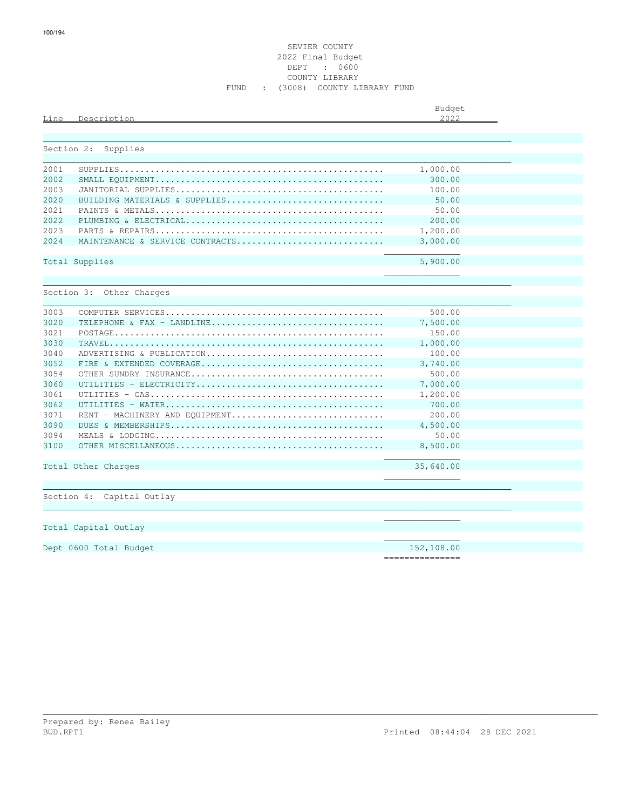#### SEVIER COUNTY 2022 Final Budget DEPT : 0600 COUNTY LIBRARY FUND : (3008) COUNTY LIBRARY FUND

| Line       | Description                     | Budget<br>2.022 |  |
|------------|---------------------------------|-----------------|--|
|            |                                 |                 |  |
| Section 2: | Supplies                        |                 |  |
| 2001       |                                 | 1,000.00        |  |
| 2002       |                                 | 300.00          |  |
| 2003       |                                 | 100.00          |  |
| 2020       | BUILDING MATERIALS & SUPPLIES   | 50.00           |  |
| 2021       |                                 | 50.00           |  |
| 2.022      |                                 | 200.00          |  |
| 2023       |                                 | 1,200.00        |  |
| 2024       | MAINTENANCE & SERVICE CONTRACTS | 3,000.00        |  |
|            | Total Supplies                  | 5,900.00        |  |
|            |                                 |                 |  |
|            | Section 3: Other Charges        |                 |  |
|            |                                 |                 |  |
| 3003       |                                 | 500.00          |  |
| 3020       | TELEPHONE & FAX - LANDLINE      | 7,500.00        |  |
| 3021       |                                 | 150.00          |  |
| 3030       |                                 | 1,000.00        |  |
| 3040       | ADVERTISING & PUBLICATION       | 100.00          |  |
| 3052       |                                 | 3,740.00        |  |
| 3054       |                                 | 500.00          |  |
| 3060       |                                 | 7,000.00        |  |
| 3061       |                                 | 1,200.00        |  |
| 3062       |                                 | 700.00          |  |
| 3071       | RENT - MACHINERY AND EQUIPMENT  | 200.00          |  |
| 3090       |                                 | 4,500.00        |  |
| 3094       |                                 | 50.00           |  |
| 3100       |                                 | 8,500.00        |  |
|            | Total Other Charges             | 35,640.00       |  |
|            |                                 |                 |  |
|            |                                 |                 |  |
|            | Section 4: Capital Outlay       |                 |  |
|            |                                 |                 |  |
|            | Total Capital Outlay            |                 |  |
|            |                                 |                 |  |
|            | Dept 0600 Total Budget          | 152,108.00      |  |

\_\_\_\_\_\_\_\_\_\_\_\_\_\_\_\_\_\_\_\_\_\_\_\_\_\_\_\_\_\_\_\_\_\_\_\_\_\_\_\_\_\_\_\_\_\_\_\_\_\_\_\_\_\_\_\_\_\_\_\_\_\_\_\_\_\_\_\_\_\_\_\_\_\_\_\_\_\_\_\_\_\_\_\_\_\_\_\_\_\_\_\_\_\_\_\_\_\_\_\_\_\_\_\_\_\_\_\_\_

===============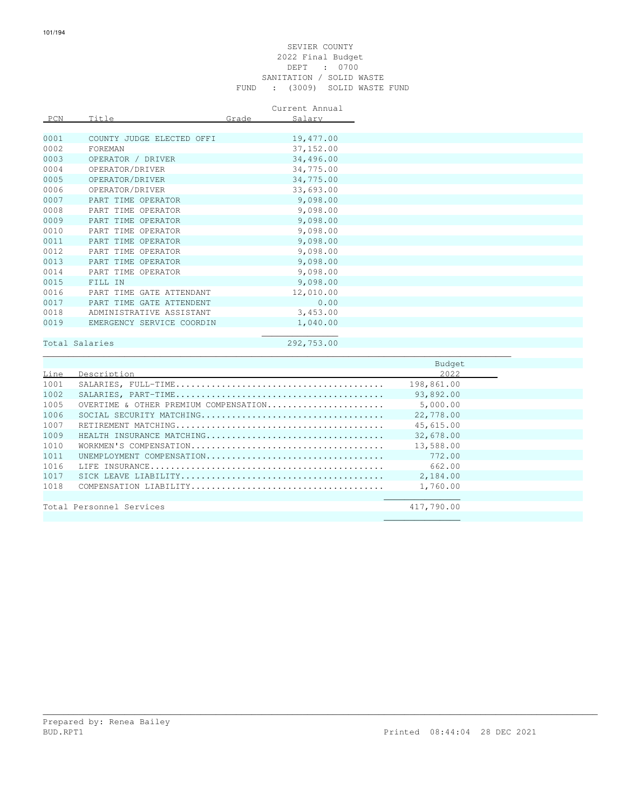#### SEVIER COUNTY 2022 Final Budget DEPT : 0700 SANITATION / SOLID WASTE FUND : (3009) SOLID WASTE FUND

Current Annual

| PCN  | Title                     | Grade | Salary     |
|------|---------------------------|-------|------------|
|      |                           |       |            |
| 0001 | COUNTY JUDGE ELECTED OFFI |       | 19,477.00  |
| 0002 | FOREMAN                   |       | 37, 152.00 |
| 0003 | OPERATOR / DRIVER         |       | 34,496.00  |
| 0004 | OPERATOR/DRIVER           |       | 34,775.00  |
| 0005 | OPERATOR/DRIVER           |       | 34,775.00  |
| 0006 | OPERATOR/DRIVER           |       | 33,693.00  |
| 0007 | PART TIME OPERATOR        |       | 9,098.00   |
| 0008 | PART TIME OPERATOR        |       | 9,098.00   |
| 0009 | PART TIME OPERATOR        |       | 9,098.00   |
| 0010 | PART TIME OPERATOR        |       | 9,098.00   |
| 0011 | PART TIME OPERATOR        |       | 9,098.00   |
| 0012 | PART TIME OPERATOR        |       | 9,098.00   |
| 0013 | PART TIME OPERATOR        |       | 9,098.00   |
| 0014 | PART TIME OPERATOR        |       | 9,098.00   |
| 0015 | FILL IN                   |       | 9,098.00   |
| 0016 | PART TIME GATE ATTENDANT  |       | 12,010.00  |
| 0017 | PART TIME GATE ATTENDENT  |       | 0.00       |
| 0018 | ADMINISTRATIVE ASSISTANT  |       | 3,453.00   |
| 0019 | EMERGENCY SERVICE COORDIN |       | 1,040.00   |
|      |                           |       |            |

### Total Salaries 292,753.00

\_\_\_\_\_\_\_\_\_\_\_\_\_\_\_\_\_\_\_\_\_\_\_\_\_\_\_\_\_\_\_\_\_\_\_\_\_\_\_\_\_\_\_\_\_\_\_\_\_\_\_\_\_\_\_\_\_\_\_\_\_\_\_\_\_\_\_\_\_\_\_\_\_\_\_\_\_\_\_\_\_\_\_\_\_\_\_\_\_\_\_\_

|      |                                       | Budget     |  |
|------|---------------------------------------|------------|--|
| Line | Description                           | 2022       |  |
| 1001 |                                       | 198,861.00 |  |
| 1002 |                                       | 93,892.00  |  |
| 1005 | OVERTIME & OTHER PREMIUM COMPENSATION | 5,000.00   |  |
| 1006 |                                       | 22,778.00  |  |
| 1007 |                                       | 45,615.00  |  |
| 1009 | HEALTH INSURANCE MATCHING             | 32,678.00  |  |
| 1010 |                                       | 13,588.00  |  |
| 1011 | UNEMPIOYMENT COMPENSATION             | 772.00     |  |
| 1016 |                                       | 662.00     |  |
| 1017 |                                       | 2,184.00   |  |
| 1018 |                                       | 1,760.00   |  |
|      |                                       |            |  |
|      | Total Personnel Services              | 417,790.00 |  |
|      |                                       |            |  |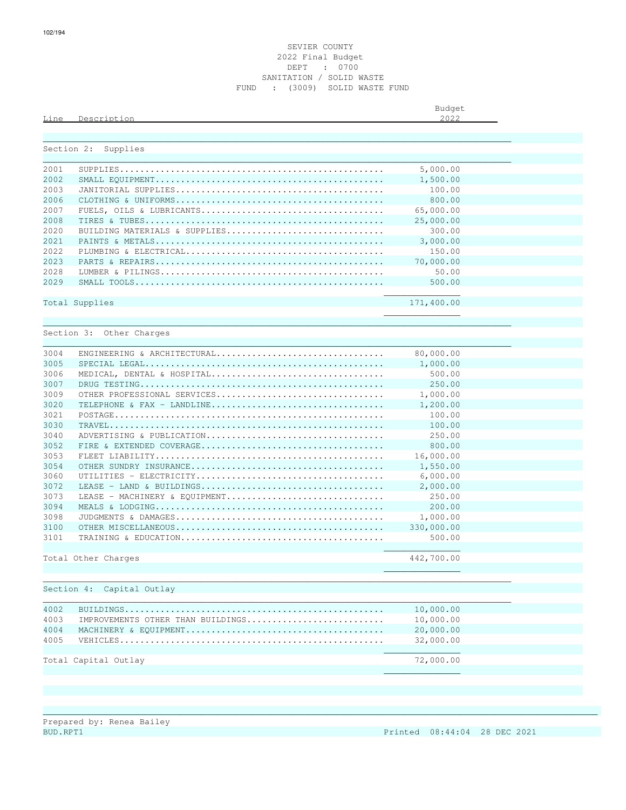#### SEVIER COUNTY 2022 Final Budget DEPT : 0700 SANITATION / SOLID WASTE FUND : (3009) SOLID WASTE FUND

|      |                        | Budget                       |
|------|------------------------|------------------------------|
| Line | Decorinti<br>i ∩n<br>ັ | $\cap$ $\cap$ $\cap$<br>ムぃムム |
|      |                        |                              |

|            | Section 2: Supplies               |            |  |
|------------|-----------------------------------|------------|--|
| 2001       |                                   | 5,000.00   |  |
| 2002       |                                   | 1,500.00   |  |
| 2003       |                                   | 100.00     |  |
| 2006       |                                   | 800.00     |  |
|            |                                   |            |  |
| 2007       |                                   | 65,000.00  |  |
| 2008       |                                   | 25,000.00  |  |
| 2020       | BUILDING MATERIALS & SUPPLIES     | 300.00     |  |
| 2021       |                                   | 3,000.00   |  |
| 2022       |                                   | 150.00     |  |
| 2023       |                                   | 70,000.00  |  |
| 2028       |                                   | 50.00      |  |
| 2029       |                                   | 500.00     |  |
|            | Total Supplies                    | 171,400.00 |  |
|            |                                   |            |  |
|            |                                   |            |  |
| Section 3: | Other Charges                     |            |  |
| 3004       | ENGINEERING & ARCHITECTURAL       | 80,000.00  |  |
| 3005       |                                   | 1,000.00   |  |
| 3006       | MEDICAL, DENTAL & HOSPITAL        | 500.00     |  |
| 3007       |                                   | 250.00     |  |
| 3009       | OTHER PROFESSIONAL SERVICES       | 1,000.00   |  |
| 3020       | TELEPHONE & FAX - LANDLINE        | 1,200.00   |  |
| 3021       |                                   | 100.00     |  |
| 3030       |                                   | 100.00     |  |
| 3040       | ADVERTISING & PUBLICATION         | 250.00     |  |
|            |                                   |            |  |
| 3052       |                                   | 800.00     |  |
| 3053       |                                   | 16,000.00  |  |
| 3054       |                                   | 1,550.00   |  |
| 3060       |                                   | 6,000.00   |  |
| 3072       |                                   | 2,000.00   |  |
| 3073       | LEASE - MACHINERY & EOUIPMENT     | 250.00     |  |
| 3094       |                                   | 200.00     |  |
| 3098       |                                   | 1,000.00   |  |
| 3100       |                                   | 330,000.00 |  |
| 3101       |                                   | 500.00     |  |
|            | Total Other Charges               | 442,700.00 |  |
|            |                                   |            |  |
|            |                                   |            |  |
|            | Section 4: Capital Outlay         |            |  |
| 4002       |                                   | 10,000.00  |  |
| 4003       | IMPROVEMENTS OTHER THAN BUILDINGS | 10,000.00  |  |
|            |                                   |            |  |
| 4004       |                                   | 20,000.00  |  |
| 4005       |                                   | 32,000.00  |  |

\_\_\_\_\_\_\_\_\_\_\_\_\_\_\_\_\_\_\_\_\_\_\_\_\_\_\_\_\_\_\_\_\_\_\_\_\_\_\_\_\_\_\_\_\_\_\_\_\_\_\_\_\_\_\_\_\_\_\_\_\_\_\_\_\_\_\_\_\_\_\_\_\_\_\_\_\_\_\_\_\_\_\_\_\_\_\_\_\_\_\_\_\_\_\_\_\_\_\_\_\_\_\_\_\_\_\_\_\_

 $\mathcal{L}_\text{max}$  , and the contract of the contract of the contract of the contract of the contract of the contract of the contract of the contract of the contract of the contract of the contract of the contract of the contr

Total Capital Outlay 72,000.00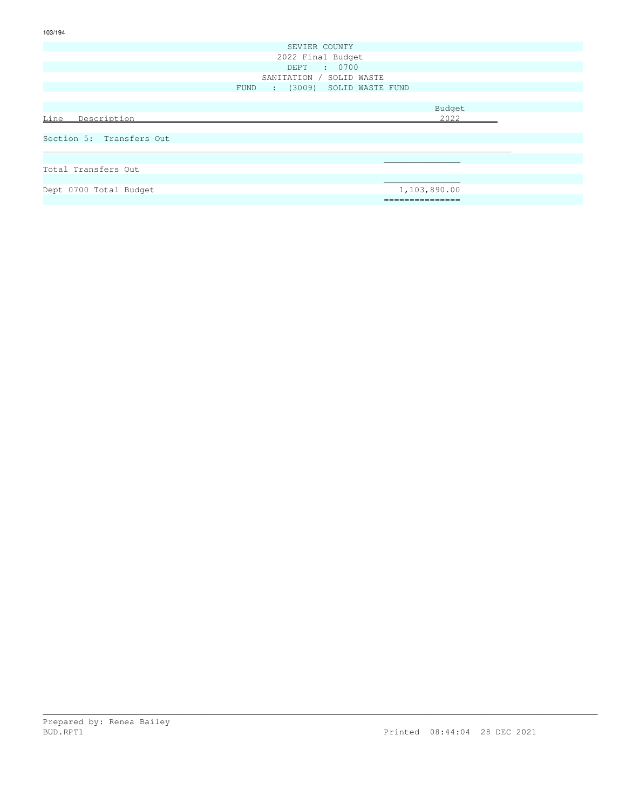|                          | SEVIER COUNTY                     |
|--------------------------|-----------------------------------|
|                          | 2022 Final Budget                 |
|                          | DEPT : 0700                       |
|                          | SANITATION / SOLID WASTE          |
|                          | : (3009) SOLID WASTE FUND<br>FUND |
|                          |                                   |
|                          | Budget                            |
| Description<br>Line      | 2022                              |
|                          |                                   |
| Section 5: Transfers Out |                                   |
|                          |                                   |
|                          |                                   |
| Total Transfers Out      |                                   |
|                          |                                   |
| Dept 0700 Total Budget   | 1,103,890.00                      |
|                          | ===============                   |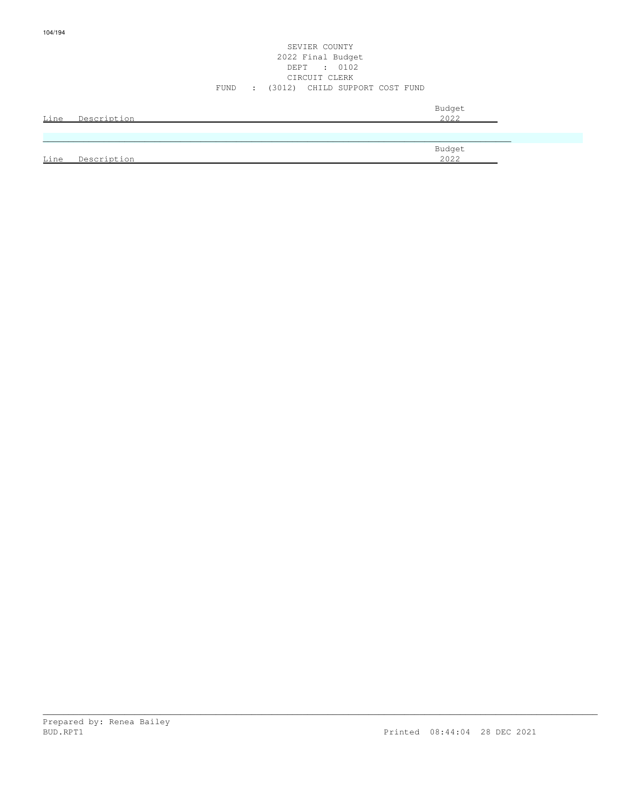#### SEVIER COUNTY 2022 Final Budget DEPT : 0102 CIRCUIT CLERK FUND : (3012) CHILD SUPPORT COST FUND

| Line | Description | Budget<br>2022 |
|------|-------------|----------------|
|      |             |                |
|      |             | Budget         |
| Line | Description | 2022           |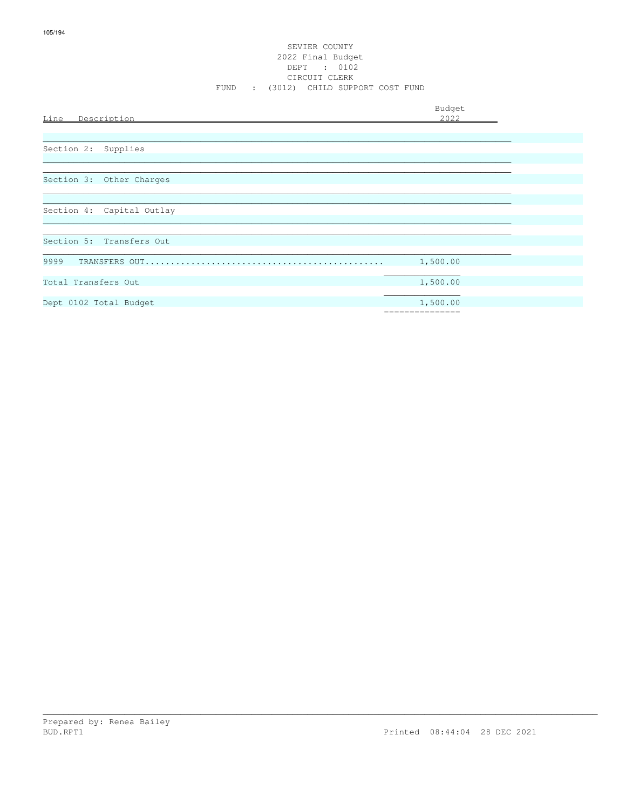## SEVIER COUNTY 2022 Final Budget DEPT : 0102<br>CIRCUIT CLERK FUND : (3012) CHILD SUPPORT COST FUND

Budget

| Description<br><u>Line</u> | 2022            |
|----------------------------|-----------------|
|                            |                 |
|                            |                 |
| Section 2:<br>Supplies     |                 |
|                            |                 |
|                            |                 |
| Section 3: Other Charges   |                 |
|                            |                 |
|                            |                 |
| Section 4: Capital Outlay  |                 |
|                            |                 |
|                            |                 |
|                            |                 |
| Section 5: Transfers Out   |                 |
|                            |                 |
| 9999                       | 1,500.00        |
|                            |                 |
| Total Transfers Out        | 1,500.00        |
|                            |                 |
| Dept 0102 Total Budget     | 1,500.00        |
|                            | =============== |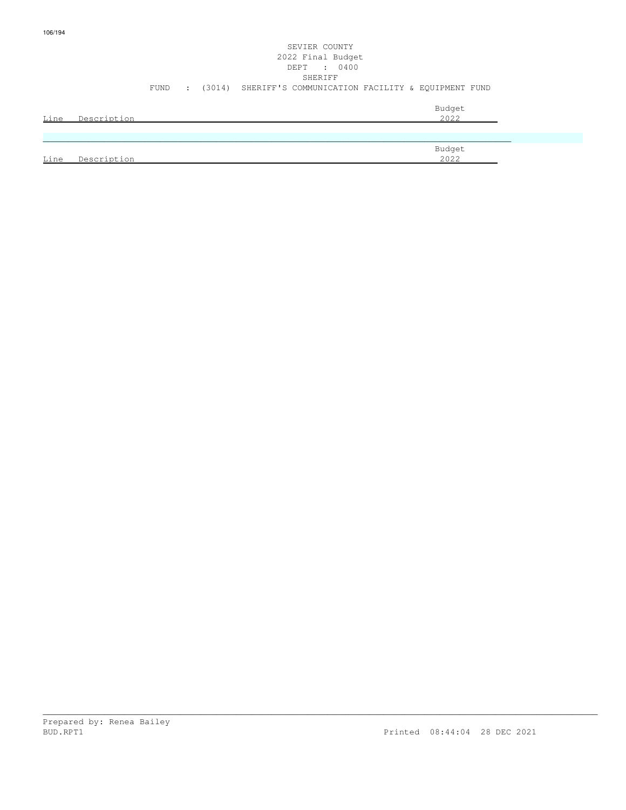## SEVIER COUNTY 2022 Final Budget DEPT : 0400 SHERIFF FUND : (3014) SHERIFF'S COMMUNICATION FACILITY & EQUIPMENT FUND Budget is a state of the state of the state of the state of the state of the state of the state of the state of the state of the state of the state of the state of the state of the state of the state of the state of the st Line Description 2022

|      |                           | Budget       |
|------|---------------------------|--------------|
| Line | Decorint<br>$\sim$ $\sim$ | 2022<br>ムUムム |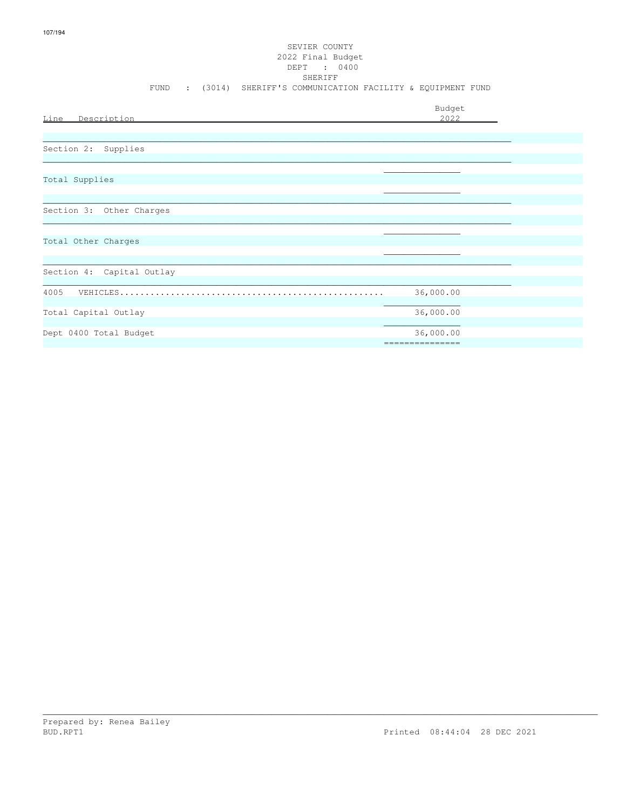# SEVIER COUNTY 2022 Final Budget DEPT : 0400 FUND : (3014) SHERIFF'S COMMUNICATION FACILITY & EQUIPMENT FUND

| Line<br>Description       | Budget<br>2022               |
|---------------------------|------------------------------|
|                           |                              |
| Section 2: Supplies       |                              |
| Total Supplies            |                              |
| Section 3: Other Charges  |                              |
| Total Other Charges       |                              |
|                           |                              |
| Section 4: Capital Outlay |                              |
| 4005<br>VEHICLES          | 36,000.00                    |
| Total Capital Outlay      | 36,000.00                    |
| Dept 0400 Total Budget    | 36,000.00<br>=============== |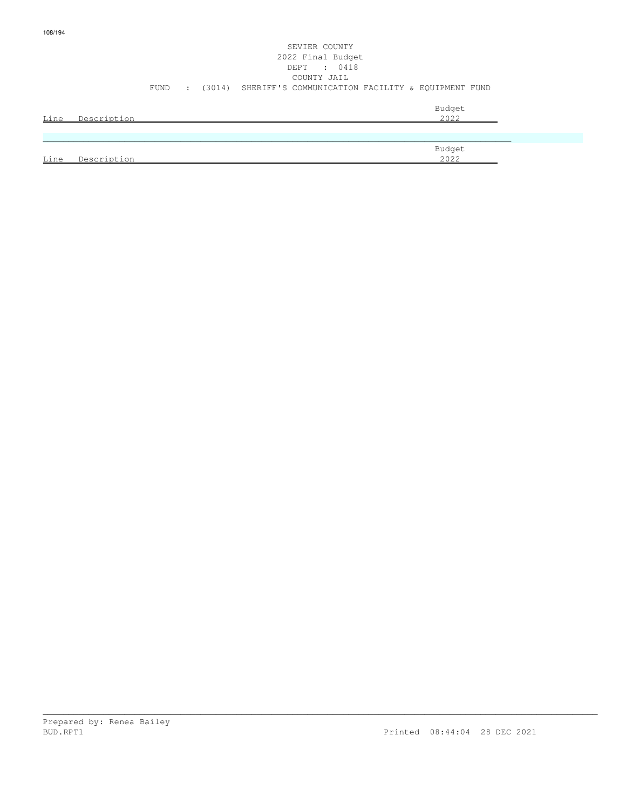| COUNTY JAIL<br>: (3014) SHERIFF'S COMMUNICATION FACILITY & EOUIPMENT FUND<br>FUND<br>Budget |      |             |  | SEVIER COUNTY<br>2022 Final Budget |  |
|---------------------------------------------------------------------------------------------|------|-------------|--|------------------------------------|--|
|                                                                                             |      |             |  | DEPT : 0418                        |  |
|                                                                                             |      |             |  |                                    |  |
|                                                                                             |      |             |  |                                    |  |
|                                                                                             |      |             |  |                                    |  |
|                                                                                             | Line | Description |  | 2022                               |  |

|      |          | Budget       |
|------|----------|--------------|
| Line | Decerint | 2022<br>ムリムム |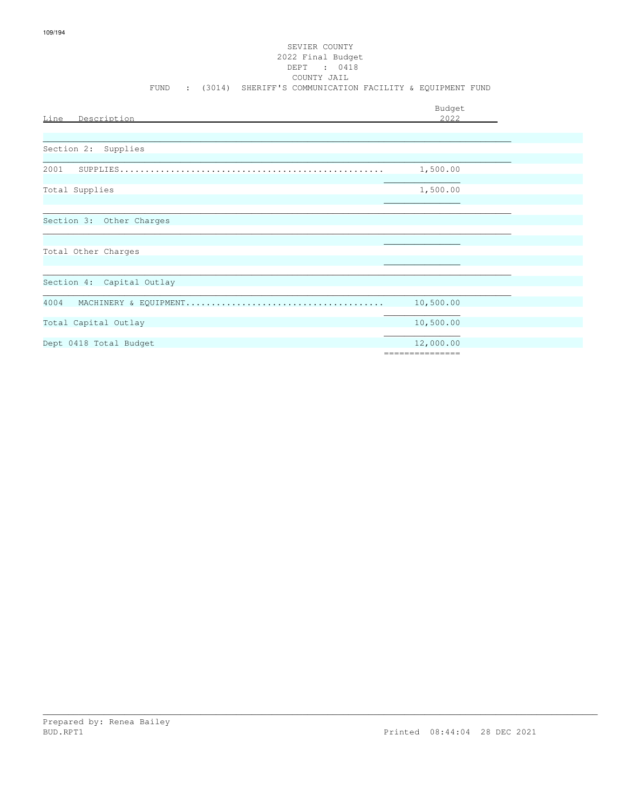# SEVIER COUNTY 2022 Final Budget DEPT : 0418<br>COUNTY JAIL FUND : (3014) SHERIFF'S COMMUNICATION FACILITY & EQUIPMENT FUND

|                           | Budget                       |
|---------------------------|------------------------------|
| Line Description          | 2.022                        |
|                           |                              |
| Section 2: Supplies       |                              |
| 2001<br>SUPPLIES          | 1,500.00                     |
| Total Supplies            | 1,500.00                     |
| Section 3: Other Charges  |                              |
|                           |                              |
| Total Other Charges       |                              |
|                           |                              |
| Section 4: Capital Outlay |                              |
| 4004                      | 10,500.00                    |
| Total Capital Outlay      | 10,500.00                    |
| Dept 0418 Total Budget    | 12,000.00<br>=============== |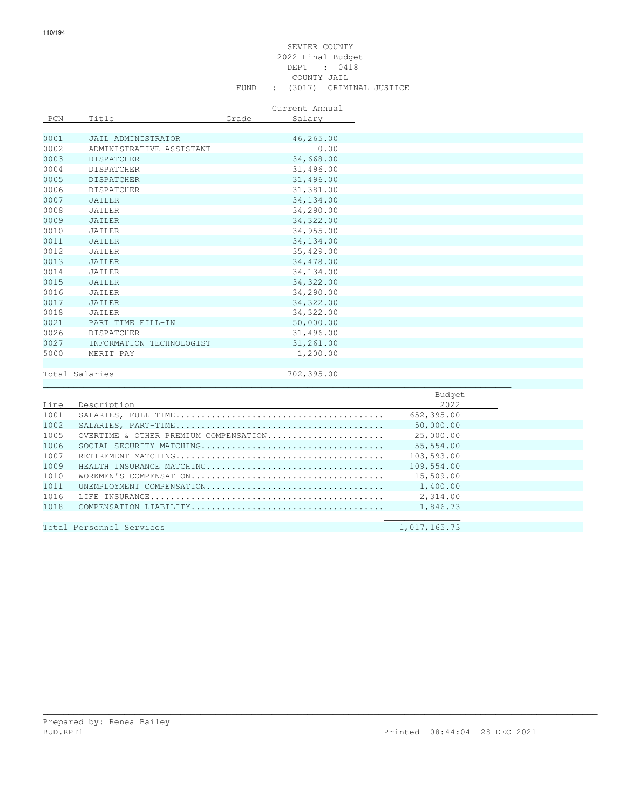### SEVIER COUNTY 2022 Final Budget DEPT : 0418 COUNTY JAIL FUND : (3017) CRIMINAL JUSTICE

Current Annual

| PCN  | Title                    | Grade | Salary     |
|------|--------------------------|-------|------------|
|      |                          |       |            |
| 0001 | JAIL ADMINISTRATOR       |       | 46,265.00  |
| 0002 | ADMINISTRATIVE ASSISTANT |       | 0.00       |
| 0003 | <b>DISPATCHER</b>        |       | 34,668.00  |
| 0004 | <b>DISPATCHER</b>        |       | 31,496.00  |
| 0005 | <b>DISPATCHER</b>        |       | 31,496.00  |
| 0006 | <b>DISPATCHER</b>        |       | 31,381.00  |
| 0007 | JAILER                   |       | 34, 134.00 |
| 0008 | JAILER                   |       | 34,290.00  |
| 0009 | JAILER                   |       | 34, 322.00 |
| 0010 | JAILER                   |       | 34,955.00  |
| 0011 | <b>JAILER</b>            |       | 34,134.00  |
| 0012 | JAILER                   |       | 35,429.00  |
| 0013 | JAILER                   |       | 34,478.00  |
| 0014 | JAILER                   |       | 34,134.00  |
| 0015 | JAILER                   |       | 34, 322.00 |
| 0016 | JAILER                   |       | 34,290.00  |
| 0017 | JAILER                   |       | 34, 322.00 |
| 0018 | JAILER                   |       | 34, 322.00 |
| 0021 | PART TIME FILL-IN        |       | 50,000.00  |
| 0026 | <b>DISPATCHER</b>        |       | 31,496.00  |
| 0027 | INFORMATION TECHNOLOGIST |       | 31,261.00  |
| 5000 | MERIT PAY                |       | 1,200.00   |
|      |                          |       |            |
|      | Total Salaries           |       | 702,395.00 |
|      |                          |       |            |

|      |                                       | Budget       |
|------|---------------------------------------|--------------|
| Line | Description                           | 2022         |
| 1001 |                                       | 652,395.00   |
| 1002 |                                       | 50,000.00    |
| 1005 | OVERTIME & OTHER PREMIUM COMPENSATION | 25,000.00    |
| 1006 |                                       | 55,554.00    |
| 1007 |                                       | 103,593.00   |
| 1009 | HEALTH INSURANCE MATCHING             | 109,554.00   |
| 1010 |                                       | 15,509.00    |
| 1011 | UNEMPLOYMENT COMPENSATION             | 1,400.00     |
| 1016 |                                       | 2,314.00     |
| 1018 |                                       | 1,846.73     |
|      |                                       |              |
|      | Total Personnel Services              | 1,017,165.73 |
|      |                                       |              |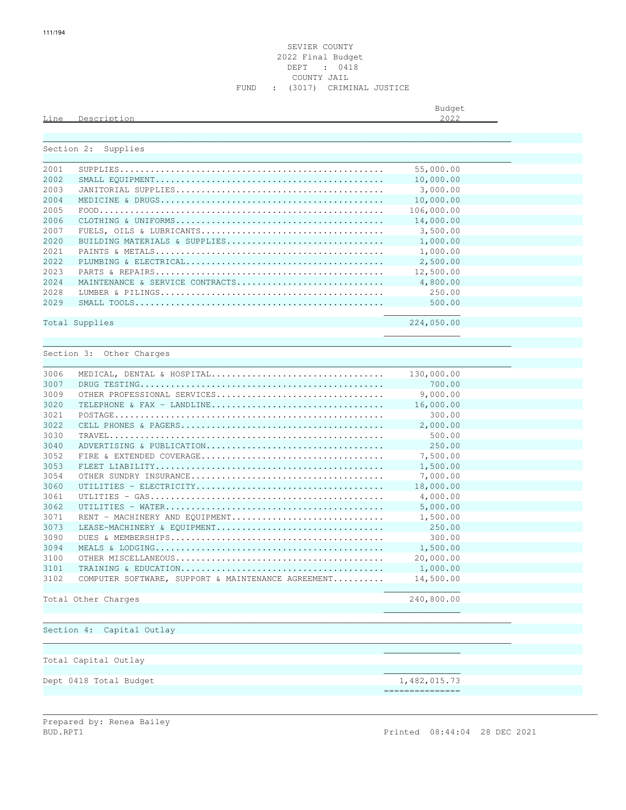### SEVIER COUNTY 2022 Final Budget DEPT : 0418 COUNTY JAIL FUND : (3017) CRIMINAL JUSTICE

Budget is a state of the state of the state of the state of the state of the state of the state of the state of the state of the state of the state of the state of the state of the state of the state of the state of the st

## Line Description 2022

|              | Section 2: Supplies                                |                 |
|--------------|----------------------------------------------------|-----------------|
| 2001         |                                                    | 55,000.00       |
| 2002         |                                                    | 10,000.00       |
| 2003         |                                                    | 3,000.00        |
| 2004         |                                                    | 10,000.00       |
| 2005         |                                                    | 106,000.00      |
| 2006         |                                                    | 14,000.00       |
| 2007         |                                                    | 3,500.00        |
|              |                                                    |                 |
| 2020<br>2021 | BUILDING MATERIALS & SUPPLIES                      | 1,000.00        |
|              |                                                    | 1,000.00        |
| 2022         |                                                    | 2,500.00        |
| 2023         |                                                    | 12,500.00       |
| 2024         | MAINTENANCE & SERVICE CONTRACTS                    | 4,800.00        |
| 2028         |                                                    | 250.00          |
| 2029         |                                                    | 500.00          |
|              | Total Supplies                                     | 224,050.00      |
|              |                                                    |                 |
|              |                                                    |                 |
|              | Section 3: Other Charges                           |                 |
| 3006         | MEDICAL, DENTAL & HOSPITAL                         | 130,000.00      |
| 3007         |                                                    | 700.00          |
| 3009         | OTHER PROFESSIONAL SERVICES                        | 9,000.00        |
| 3020         | TELEPHONE & FAX - LANDLINE                         | 16,000.00       |
| 3021         |                                                    | 300.00          |
| 3022         |                                                    | 2,000.00        |
| 3030         |                                                    | 500.00          |
| 3040         | ADVERTISING & PUBLICATION                          | 250.00          |
| 3052         |                                                    | 7,500.00        |
| 3053         |                                                    | 1,500.00        |
| 3054         |                                                    | 7,000.00        |
| 3060         |                                                    | 18,000.00       |
| 3061         |                                                    | 4,000.00        |
| 3062         |                                                    | 5,000.00        |
| 3071         | RENT - MACHINERY AND EQUIPMENT                     | 1,500.00        |
| 3073         | LEASE-MACHINERY & EQUIPMENT                        | 250.00          |
| 3090         |                                                    | 300.00          |
| 3094         |                                                    | 1,500.00        |
| 3100         |                                                    | 20,000.00       |
| 3101         |                                                    | 1,000.00        |
| 3102         | COMPUTER SOFTWARE, SUPPORT & MAINTENANCE AGREEMENT | 14,500.00       |
|              |                                                    |                 |
|              | Total Other Charges                                | 240,800.00      |
|              |                                                    |                 |
|              | Section 4: Capital Outlay                          |                 |
|              |                                                    |                 |
|              |                                                    |                 |
|              | Total Capital Outlay                               |                 |
|              | Dept 0418 Total Budget                             | 1,482,015.73    |
|              |                                                    | =============== |
|              |                                                    |                 |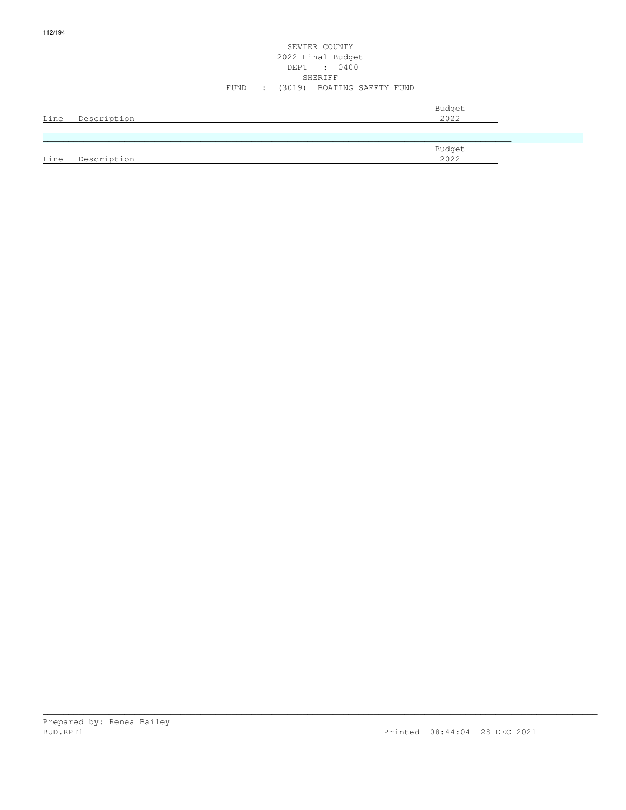### SEVIER COUNTY 2022 Final Budget DEPT : 0400 SHERIFF SHERIFF SHERIFF SHERIFF SHERIFF SHERIFF SHERIFF SHERIFF SHERIFF SHERIFF SHERIFF SHERIFF SHERIFF SHERIFF SHERIFF SHERIFF SHERIFF SHERIFF SHERIFF SHERIFF SHERIFF SHERIFF SHERIFF SHERIFF SHERIFF SHERIFF SHERIFF SHERIF FUND : (3019) BOATING SAFETY FUND

|      | Line Description | Budget<br>2022        |
|------|------------------|-----------------------|
|      |                  |                       |
|      |                  | Budget<br><u>2022</u> |
| Line | Description      |                       |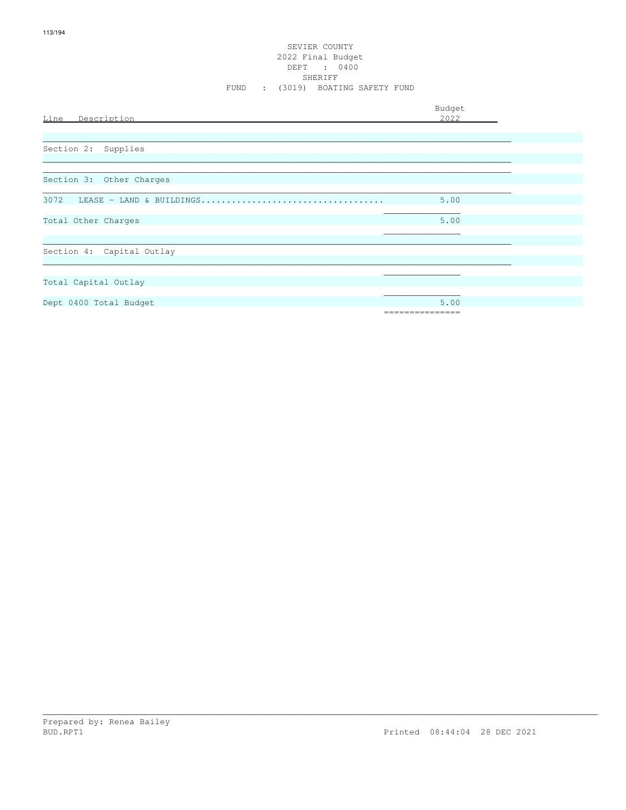# SEVIER COUNTY 2022 Final Budget<br>DEPT : 0400<br>SHERIFF FUND : (3019) BOATING SAFETY FUND

| Line Description                 | Budget<br>2022          |  |
|----------------------------------|-------------------------|--|
| Section 2: Supplies              |                         |  |
| Section 3: Other Charges         |                         |  |
| 3072<br>LEASE - LAND & BUILDINGS | 5.00                    |  |
| Total Other Charges              | 5.00                    |  |
| Section 4: Capital Outlay        |                         |  |
| Total Capital Outlay             |                         |  |
| Dept 0400 Total Budget           | 5.00<br>=============== |  |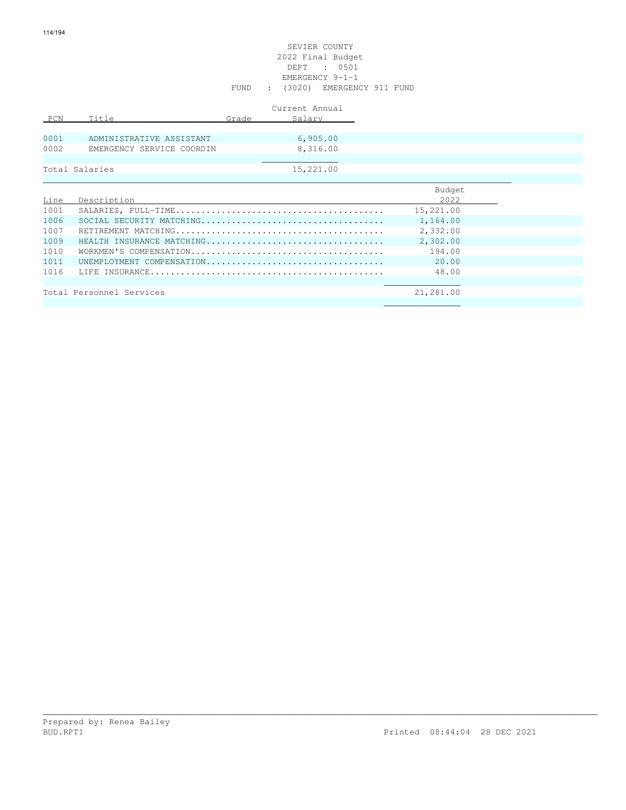### SEVIER COUNTY 2022 Final Budget DEPT : 0501 EMERGENCY 9-1-1 FUND : (3020) EMERGENCY 911 FUND

| PCN  | Title                     | Grade | Current Annual<br>Salary |       |
|------|---------------------------|-------|--------------------------|-------|
|      |                           |       |                          |       |
| 0001 | ADMINISTRATIVE ASSISTANT  |       | 6,905.00                 |       |
| 0002 | EMERGENCY SERVICE COORDIN |       | 8,316.00                 |       |
|      |                           |       |                          |       |
|      | Total Salaries            |       | 15,221.00                |       |
|      |                           |       |                          |       |
|      |                           |       |                          | _____ |

|      |                           | Budget    |
|------|---------------------------|-----------|
| Line | Description               | 2022      |
| 1001 |                           | 15,221.00 |
| 1006 |                           | 1,164.00  |
| 1007 |                           | 2,332.00  |
| 1009 | HEALTH INSURANCE MATCHING | 2,302.00  |
| 1010 |                           | 194.00    |
| 1011 | UNEMPLOYMENT COMPENSATION | 20.00     |
| 1016 |                           | 48.00     |
|      |                           |           |
|      | Total Personnel Services  | 21,281.00 |
|      |                           |           |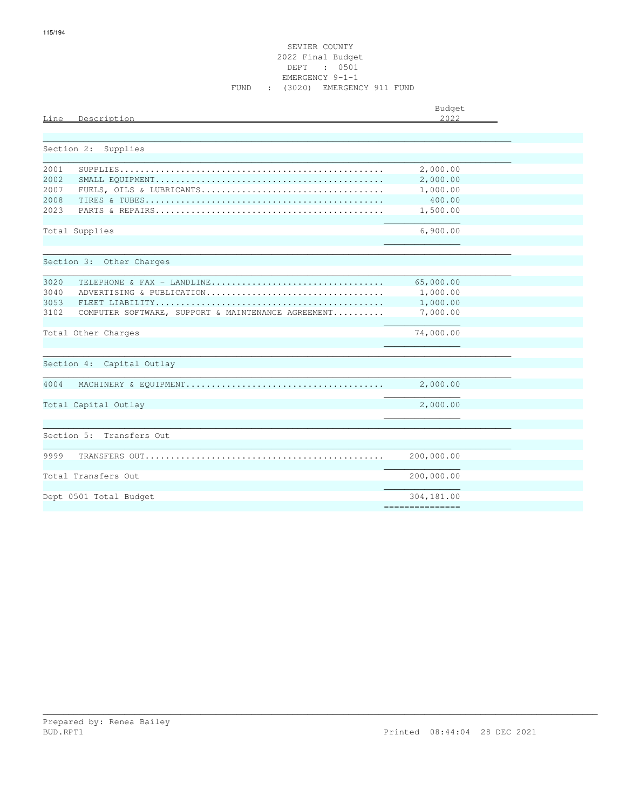| Description<br>Line                                        | Budget<br>2022  |
|------------------------------------------------------------|-----------------|
|                                                            |                 |
| Section 2:<br>Supplies                                     |                 |
|                                                            |                 |
| 2001                                                       | 2,000.00        |
| 2002                                                       | 2,000.00        |
| 2007                                                       | 1,000.00        |
| 2008                                                       | 400.00          |
| 2023                                                       | 1,500.00        |
| Total Supplies                                             | 6,900.00        |
|                                                            |                 |
|                                                            |                 |
| Section 3: Other Charges                                   |                 |
|                                                            |                 |
| 3020<br>TELEPHONE & FAX - LANDLINE                         | 65,000.00       |
| 3040<br>ADVERTISING & PUBLICATION                          | 1,000.00        |
| 3053                                                       | 1,000.00        |
| 3102<br>COMPUTER SOFTWARE, SUPPORT & MAINTENANCE AGREEMENT | 7,000.00        |
|                                                            |                 |
| Total Other Charges                                        | 74,000.00       |
|                                                            |                 |
|                                                            |                 |
| Section 4:<br>Capital Outlay                               |                 |
| 4004                                                       |                 |
|                                                            |                 |
| Total Capital Outlay                                       | 2,000.00        |
|                                                            |                 |
|                                                            |                 |
| Section 5: Transfers Out                                   |                 |
|                                                            |                 |
| 9999                                                       | 200,000.00      |
|                                                            |                 |
| Total Transfers Out                                        | 200,000.00      |
|                                                            |                 |
| Dept 0501 Total Budget                                     | 304,181.00      |
|                                                            | =============== |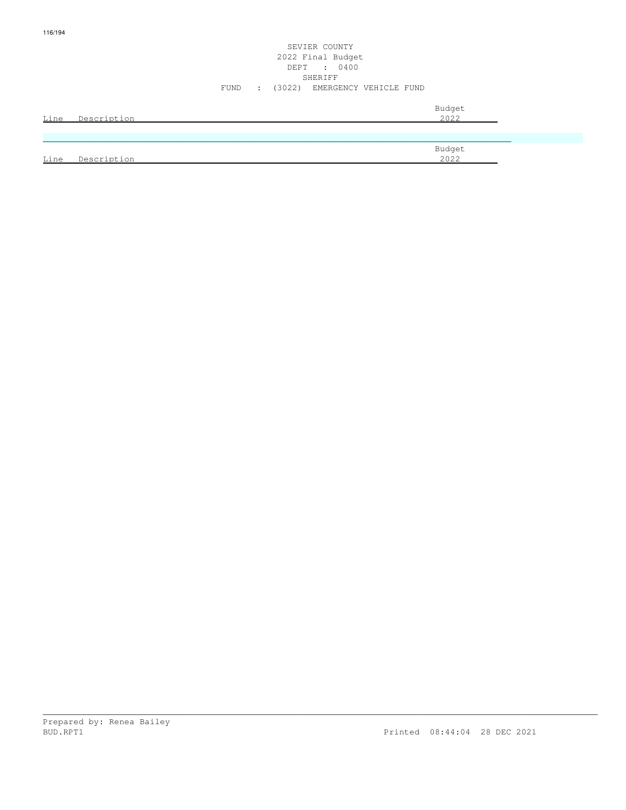### SEVIER COUNTY 2022 Final Budget DEPT : 0400 SHERIFF FUND : (3022) EMERGENCY VEHICLE FUND

| Line | Description | Budget<br>2022 |
|------|-------------|----------------|
|      |             |                |
| Line | Description | Budget<br>2022 |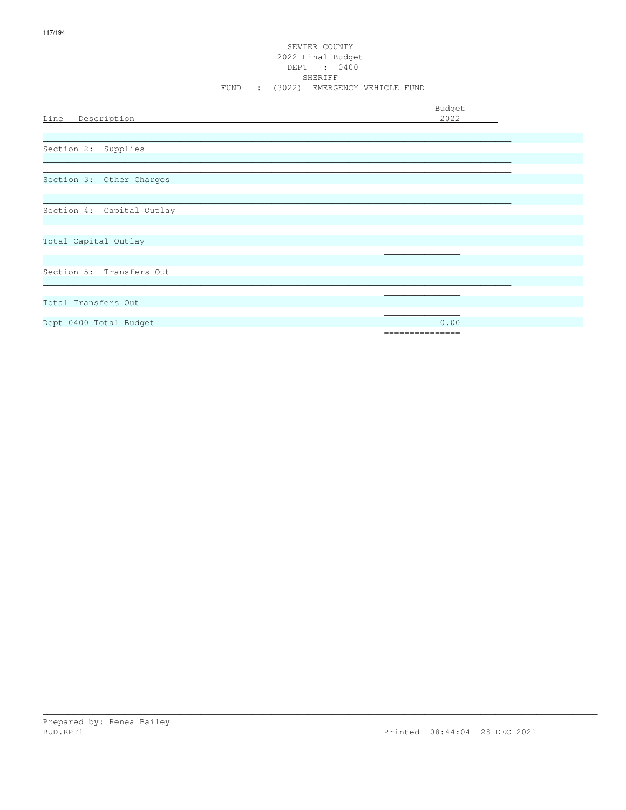### SEVIER COUNTY 2022 Final Budget DEPT : 0400 FUND : (3022) EMERGENCY VEHICLE FUND

Budget

| Section 2: Supplies<br>Section 3: Other Charges<br>Section 4: Capital Outlay<br>Total Capital Outlay<br>Section 5: Transfers Out<br>0.00<br>Dept 0400 Total Budget<br>=============== | Line Description    | 2022 |
|---------------------------------------------------------------------------------------------------------------------------------------------------------------------------------------|---------------------|------|
|                                                                                                                                                                                       |                     |      |
|                                                                                                                                                                                       |                     |      |
|                                                                                                                                                                                       |                     |      |
|                                                                                                                                                                                       |                     |      |
|                                                                                                                                                                                       |                     |      |
|                                                                                                                                                                                       |                     |      |
|                                                                                                                                                                                       |                     |      |
|                                                                                                                                                                                       |                     |      |
|                                                                                                                                                                                       |                     |      |
|                                                                                                                                                                                       |                     |      |
|                                                                                                                                                                                       |                     |      |
|                                                                                                                                                                                       |                     |      |
|                                                                                                                                                                                       |                     |      |
|                                                                                                                                                                                       |                     |      |
|                                                                                                                                                                                       |                     |      |
|                                                                                                                                                                                       |                     |      |
|                                                                                                                                                                                       |                     |      |
|                                                                                                                                                                                       |                     |      |
|                                                                                                                                                                                       |                     |      |
|                                                                                                                                                                                       | Total Transfers Out |      |
|                                                                                                                                                                                       |                     |      |
|                                                                                                                                                                                       |                     |      |
|                                                                                                                                                                                       |                     |      |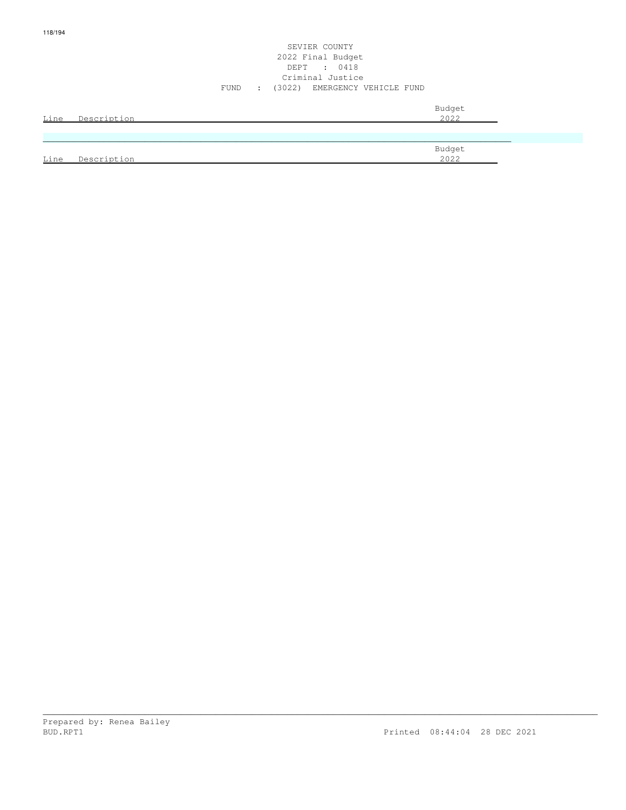### SEVIER COUNTY 2022 Final Budget DEPT : 0418 Criminal Justice FUND : (3022) EMERGENCY VEHICLE FUND

| Line | Description | Budget<br>2022 |
|------|-------------|----------------|
|      |             |                |
|      |             | Budget         |
| Line | Description | 2022           |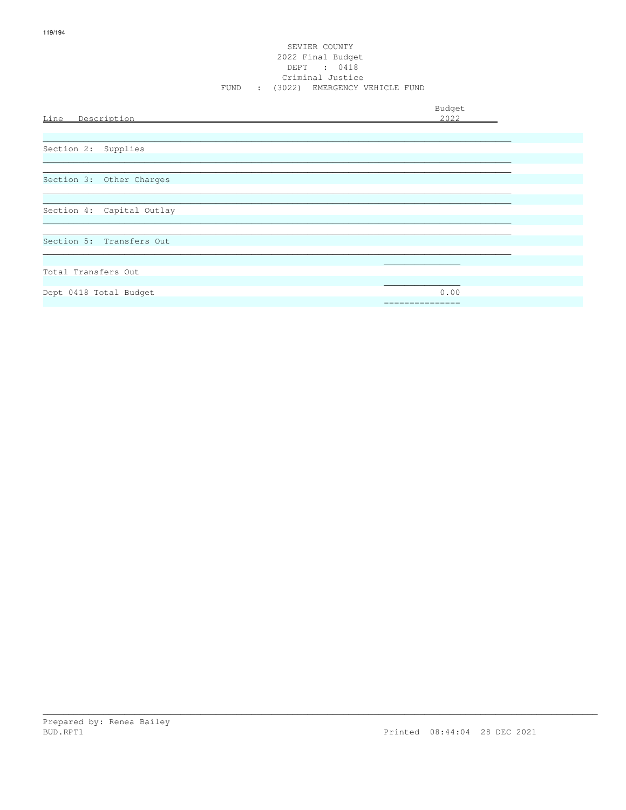### SEVIER COUNTY 2022 Final Budget DEPT : 0418<br>Criminal Justice FUND : (3022) EMERGENCY VEHICLE FUND

| Line Description          | Budget<br>2022          |
|---------------------------|-------------------------|
| Section 2: Supplies       |                         |
| Section 3: Other Charges  |                         |
| Section 4: Capital Outlay |                         |
| Section 5: Transfers Out  |                         |
| Total Transfers Out       |                         |
| Dept 0418 Total Budget    | 0.00<br>--------------- |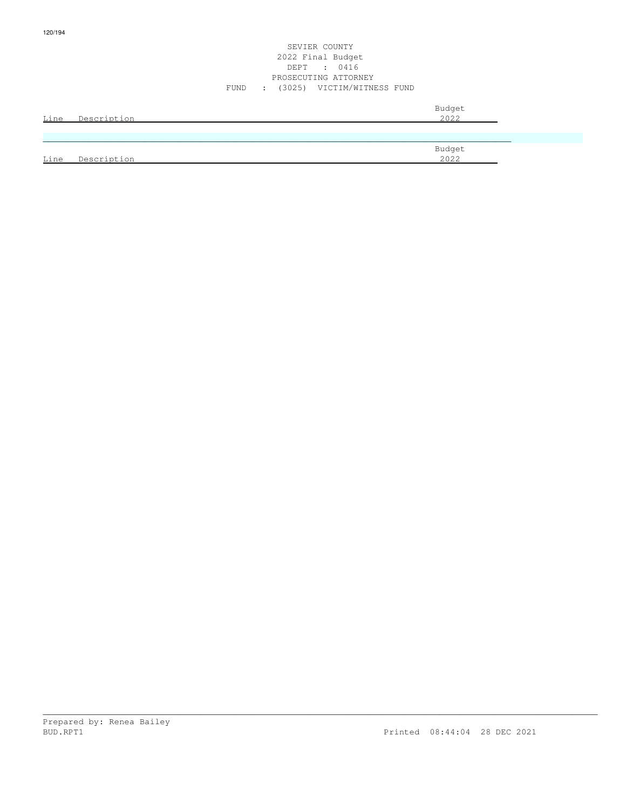### SEVIER COUNTY 2022 Final Budget DEPT : 0416 PROSECUTING ATTORNEY FUND : (3025) VICTIM/WITNESS FUND

|      | Line Description | Budget<br>2022 |
|------|------------------|----------------|
|      |                  |                |
|      |                  | Budget         |
| Line | Description      | 2022           |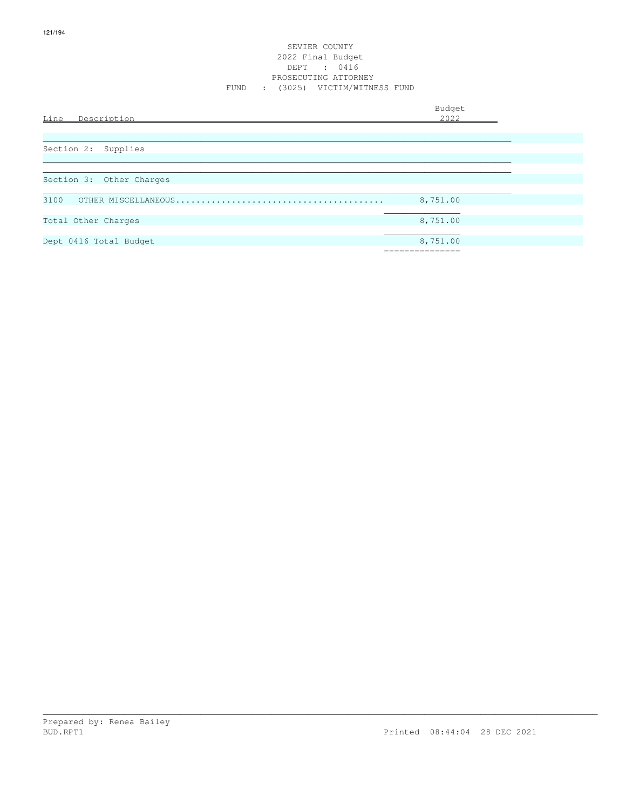### SEVIER COUNTY 2022 Final Budget DEPT : 0416 PROSECUTING ATTORNEY FUND : (3025) VICTIM/WITNESS FUND

| Line<br>Description      | Budget<br>2022 |
|--------------------------|----------------|
|                          |                |
| Section 2: Supplies      |                |
|                          |                |
| Section 3: Other Charges |                |
| 3100                     | 8,751.00       |
| Total Other Charges      | 8,751.00       |
| Dept 0416 Total Budget   | 8,751.00       |
|                          | ----------     |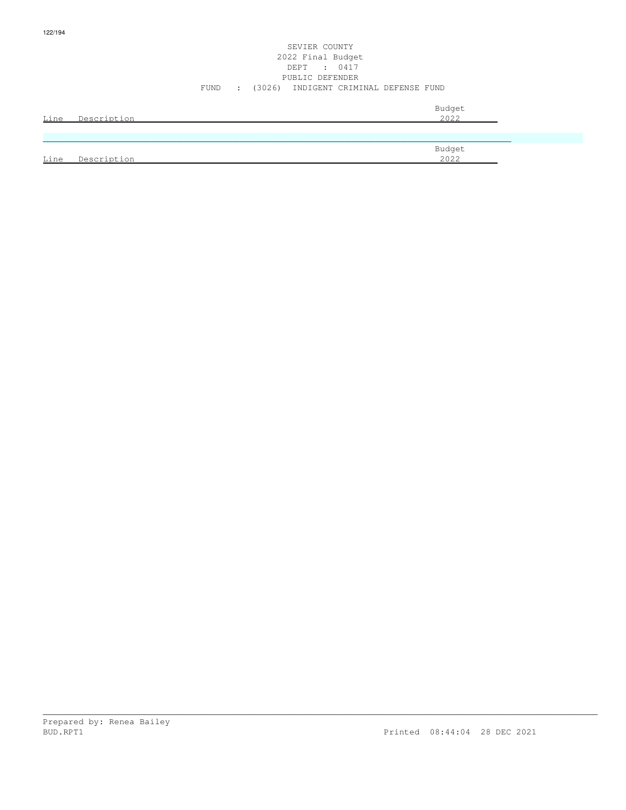### SEVIER COUNTY 2022 Final Budget DEPT : 0417 PUBLIC DEFENDER FUND : (3026) INDIGENT CRIMINAL DEFENSE FUND

| Line | Description | Budget<br>2022 |
|------|-------------|----------------|
|      |             |                |
|      |             | Budget         |
| Line | Description | 2022           |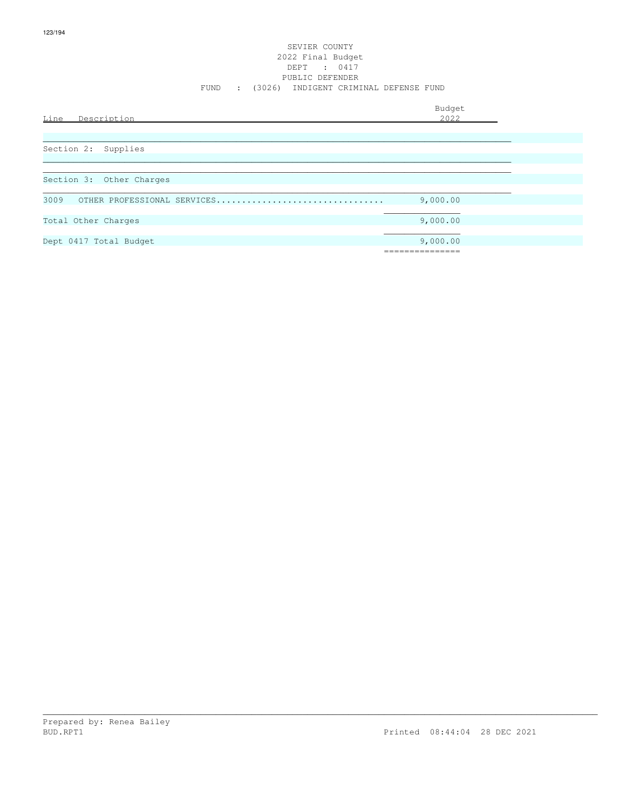### SEVIER COUNTY 2022 Final Budget DEPT : 0417 PUBLIC DEFENDER FUND : (3026) INDIGENT CRIMINAL DEFENSE FUND

| Description<br>Line                 | Budget<br>2022 |
|-------------------------------------|----------------|
|                                     |                |
| Section 2: Supplies                 |                |
|                                     |                |
| Section 3: Other Charges            |                |
| 3009<br>OTHER PROFESSIONAL SERVICES | 9,000.00       |
| Total Other Charges                 | 9,000.00       |
| Dept 0417 Total Budget              | 9,000.00       |
|                                     |                |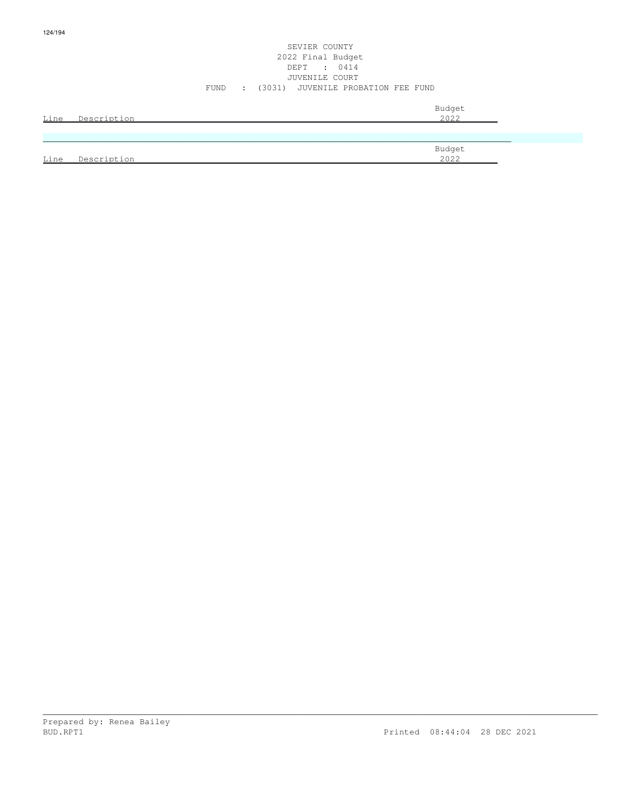### SEVIER COUNTY 2022 Final Budget DEPT : 0414 JUVENILE COURT FUND : (3031) JUVENILE PROBATION FEE FUND

| Line | Description | Budget<br>2022 |
|------|-------------|----------------|
|      |             |                |
| Line | Description | Budget<br>2022 |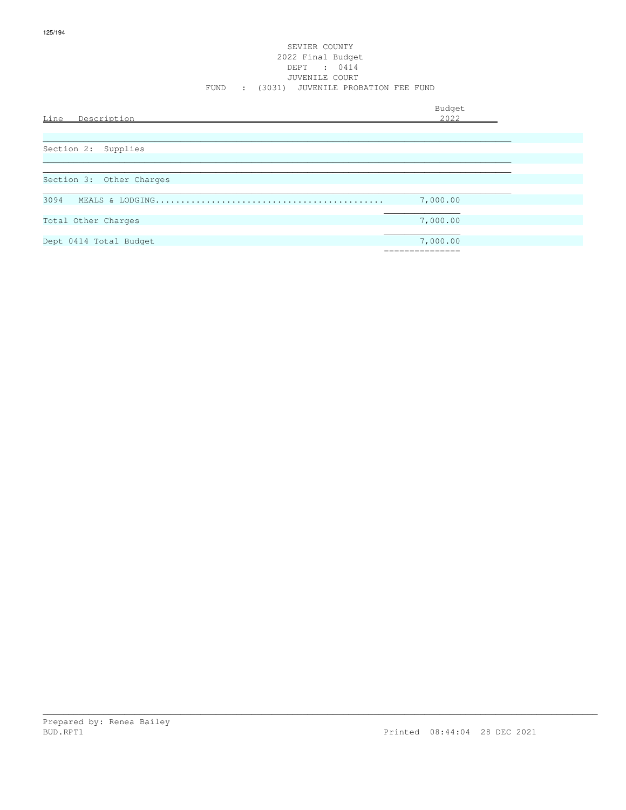### SEVIER COUNTY 2022 Final Budget DEPT : 0414 JUVENILE COURT FUND : (3031) JUVENILE PROBATION FEE FUND

| Line<br>Description      | Budget<br>2022             |
|--------------------------|----------------------------|
| Section 2: Supplies      |                            |
| Section 3: Other Charges |                            |
| 3094                     | 7,000.00                   |
| Total Other Charges      | 7,000.00                   |
| Dept 0414 Total Budget   | 7,000.00<br>:============= |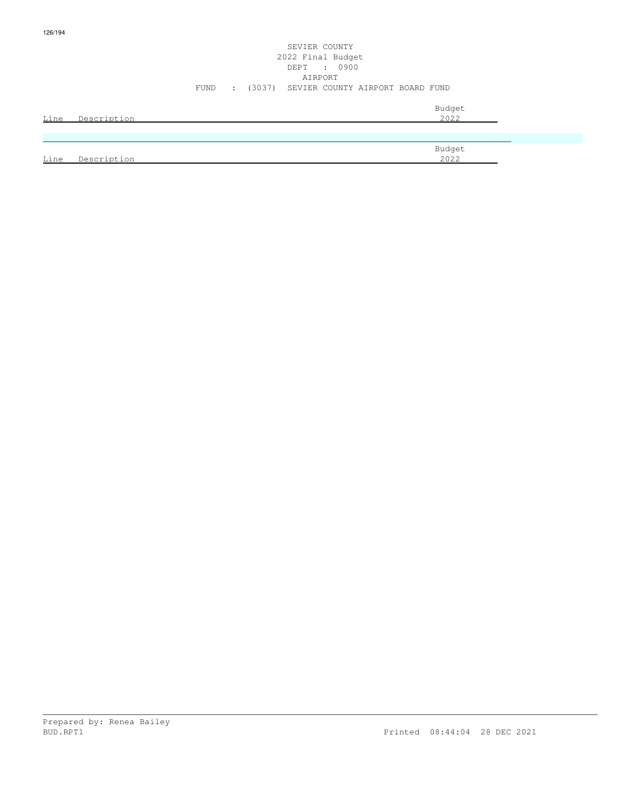### SEVIER COUNTY 2022 Final Budget DEPT : 0900 AIRPORT FUND : (3037) SEVIER COUNTY AIRPORT BOARD FUND

|      |             | Budget<br>2022 |
|------|-------------|----------------|
| Line | Description |                |
|      |             |                |
|      |             | Budget         |
| Line | Description | 2022           |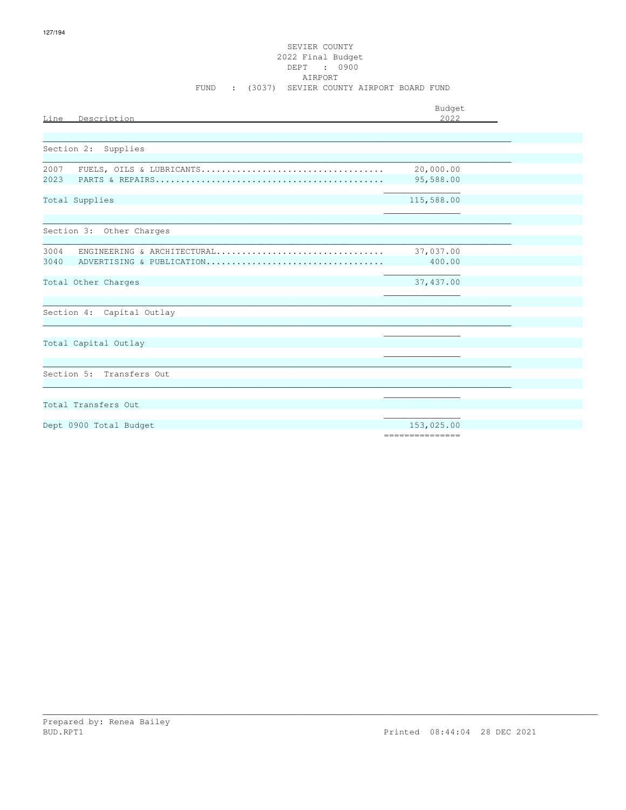| Description<br>Line                 | Budget<br>2022         |
|-------------------------------------|------------------------|
|                                     |                        |
| Section 2: Supplies                 |                        |
| 2007                                |                        |
| 2023                                | 20,000.00<br>95,588.00 |
| Total Supplies                      | 115,588.00             |
|                                     |                        |
| Section 3: Other Charges            |                        |
|                                     |                        |
| 3004<br>ENGINEERING & ARCHITECTURAL | 37,037.00              |
| 3040<br>ADVERTISING & PUBLICATION   | 400.00                 |
| Total Other Charges                 | 37,437.00              |
|                                     |                        |
| Section 4: Capital Outlay           |                        |
|                                     |                        |
| Total Capital Outlay                |                        |
|                                     |                        |
| Section 5: Transfers Out            |                        |
|                                     |                        |
|                                     |                        |
| Total Transfers Out                 |                        |
| Dept 0900 Total Budget              | 153,025.00             |
|                                     | ===============        |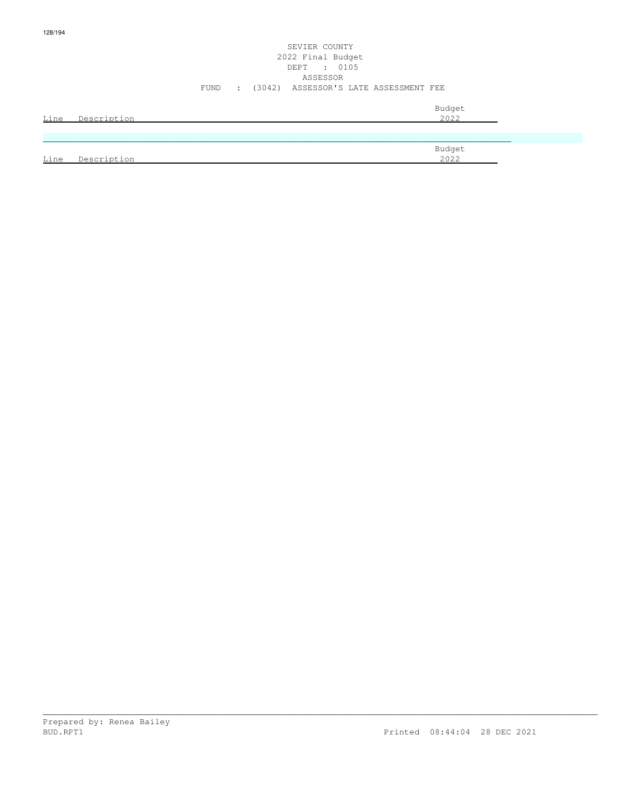### SEVIER COUNTY 2022 Final Budget DEPT : 0105 ASSESSOR FUND : (3042) ASSESSOR'S LATE ASSESSMENT FEE

| <u>Line</u> | Description | Budget<br>2022 |
|-------------|-------------|----------------|
|             |             |                |
| Line        | Description | Budget<br>2022 |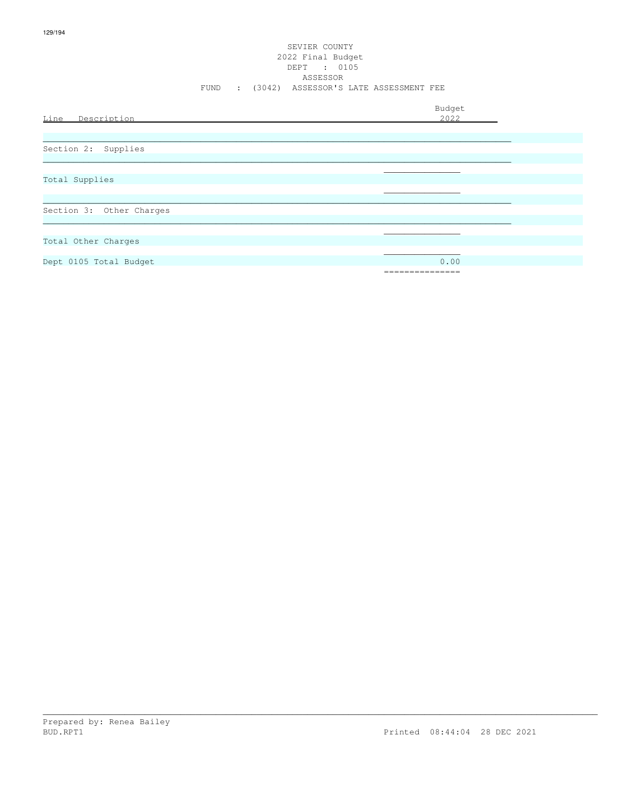### SEVIER COUNTY 2022 Final Budget DEPT : 0105 ASSESSOR FUND : (3042) ASSESSOR'S LATE ASSESSMENT FEE

|                          | Budget          |
|--------------------------|-----------------|
| Line<br>Description      | 2022            |
|                          |                 |
|                          |                 |
| Section 2: Supplies      |                 |
|                          |                 |
|                          |                 |
| Total Supplies           |                 |
|                          |                 |
|                          |                 |
| Section 3: Other Charges |                 |
|                          |                 |
|                          |                 |
| Total Other Charges      |                 |
|                          |                 |
| Dept 0105 Total Budget   | 0.00            |
|                          | =============== |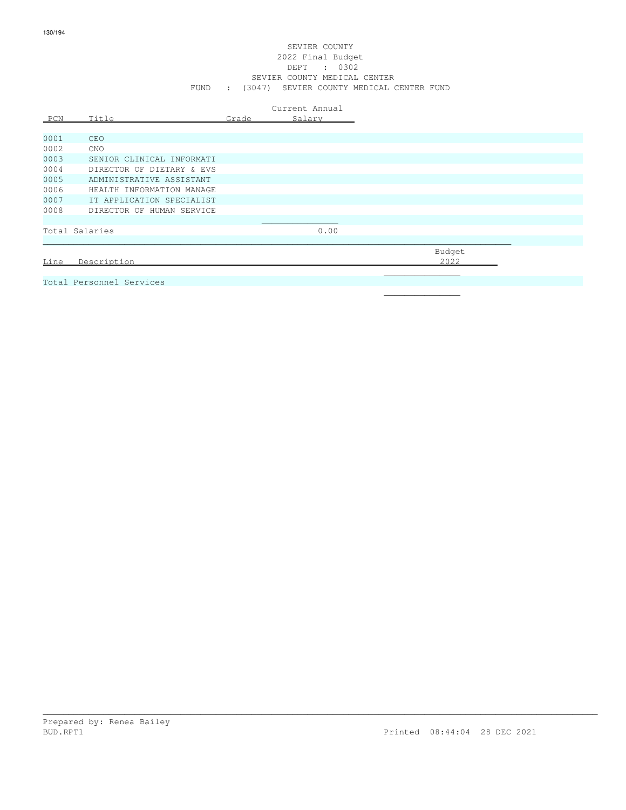### SEVIER COUNTY 2022 Final Budget DEPT : 0302 SEVIER COUNTY MEDICAL CENTER FUND : (3047) SEVIER COUNTY MEDICAL CENTER FUND

|      |                           |       | Current Annual |
|------|---------------------------|-------|----------------|
| PCN  | Title                     | Grade | Salary         |
| 0001 |                           |       |                |
|      | <b>CEO</b>                |       |                |
| 0002 | <b>CNO</b>                |       |                |
| 0003 | SENIOR CLINICAL INFORMATI |       |                |
| 0004 | DIRECTOR OF DIETARY & EVS |       |                |
| 0005 | ADMINISTRATIVE ASSISTANT  |       |                |
| 0006 | HEALTH INFORMATION MANAGE |       |                |
| 0007 | IT APPLICATION SPECIALIST |       |                |
| 0008 | DIRECTOR OF HUMAN SERVICE |       |                |
|      |                           |       |                |
|      | Total Salaries            |       | 0.00           |
|      |                           |       |                |
|      |                           |       |                |
| Line | Description               |       |                |
|      |                           |       |                |
|      | Total Personnel Services  |       |                |

\_\_\_\_\_\_\_\_\_\_\_\_\_\_\_\_\_\_\_\_\_\_\_\_\_\_\_\_\_\_\_\_\_\_\_\_\_\_\_\_\_\_\_\_\_\_\_\_\_\_\_\_\_\_\_\_\_\_\_\_\_\_\_\_\_\_\_\_\_\_\_\_\_\_\_\_\_\_\_\_\_\_\_\_\_\_\_\_\_\_\_\_\_\_\_\_\_\_\_\_\_\_\_\_\_\_\_\_\_

 $\mathcal{L}_\text{max}$  , and the contract of the contract of the contract of the contract of the contract of the contract of the contract of the contract of the contract of the contract of the contract of the contract of the contr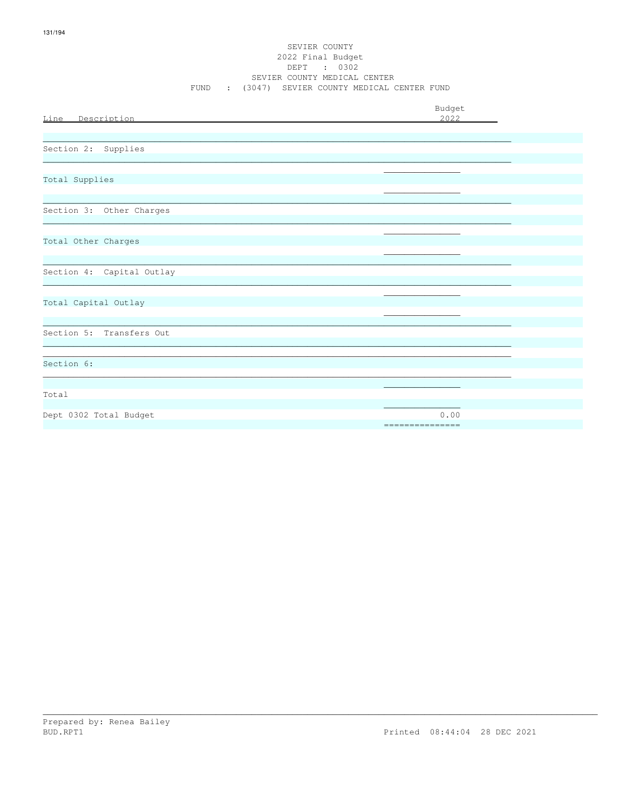### SEVIER COUNTY 2022 Final Budget DEPT : 0302 SEVIER COUNTY MEDICAL CENTER FUND : (3047) SEVIER COUNTY MEDICAL CENTER FUND

| Line Description          | Budget<br>2022           |
|---------------------------|--------------------------|
| Section 2: Supplies       |                          |
| Total Supplies            |                          |
| Section 3: Other Charges  |                          |
| Total Other Charges       |                          |
| Section 4: Capital Outlay |                          |
| Total Capital Outlay      |                          |
| Section 5: Transfers Out  |                          |
| Section 6:                |                          |
| Total                     |                          |
| Dept 0302 Total Budget    | 0.00<br>================ |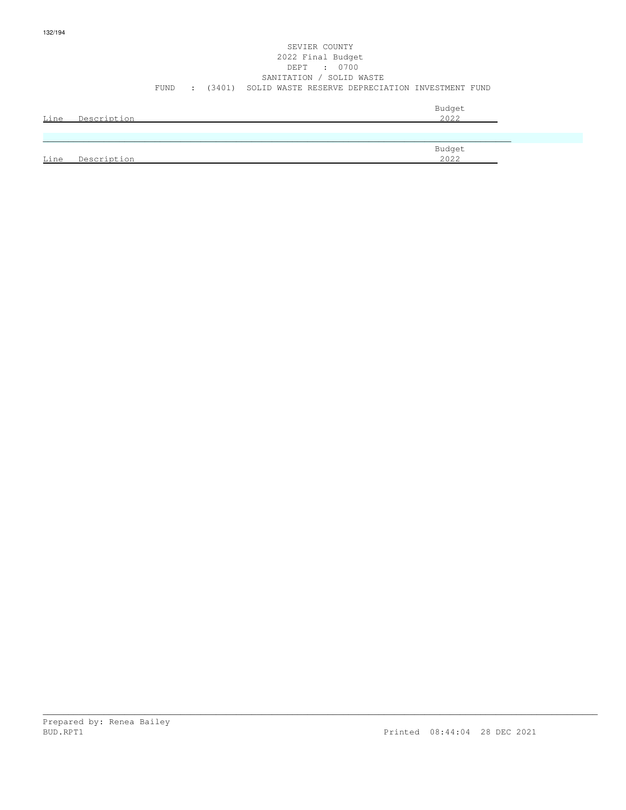### SEVIER COUNTY 2022 Final Budget DEPT : 0700 SANITATION / SOLID WASTE FUND : (3401) SOLID WASTE RESERVE DEPRECIATION INVESTMENT FUND

| Line | Description | Budget<br>2022 |
|------|-------------|----------------|
|      |             |                |
| Line | Description | Budget<br>2022 |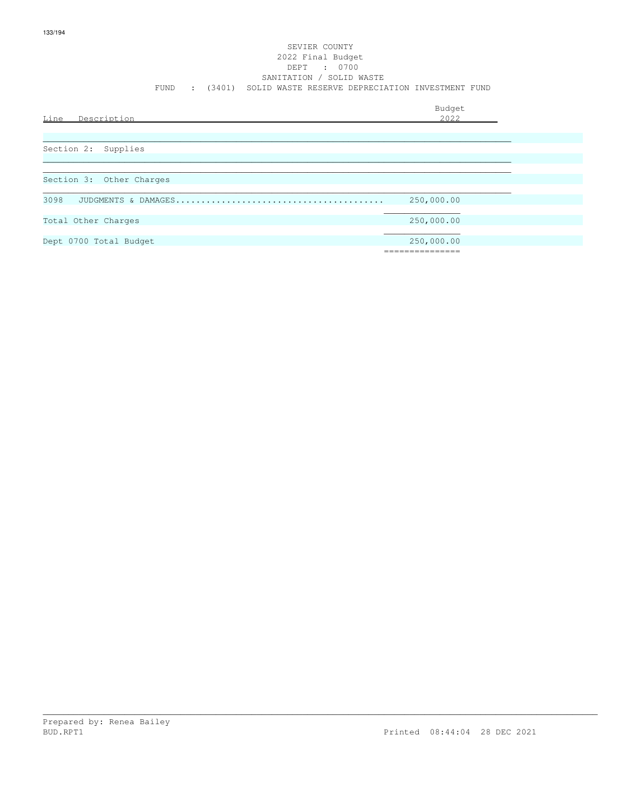### SEVIER COUNTY 2022 Final Budget DEPT : 0700 SANITATION / SOLID WASTE FUND : (3401) SOLID WASTE RESERVE DEPRECIATION INVESTMENT FUND

| Line<br>Description      | Budget<br>2022 |
|--------------------------|----------------|
|                          |                |
| Section 2: Supplies      |                |
| Section 3: Other Charges |                |
| 3098                     |                |
|                          | 250,000.00     |
| Total Other Charges      | 250,000.00     |
| Dept 0700 Total Budget   | 250,000.00     |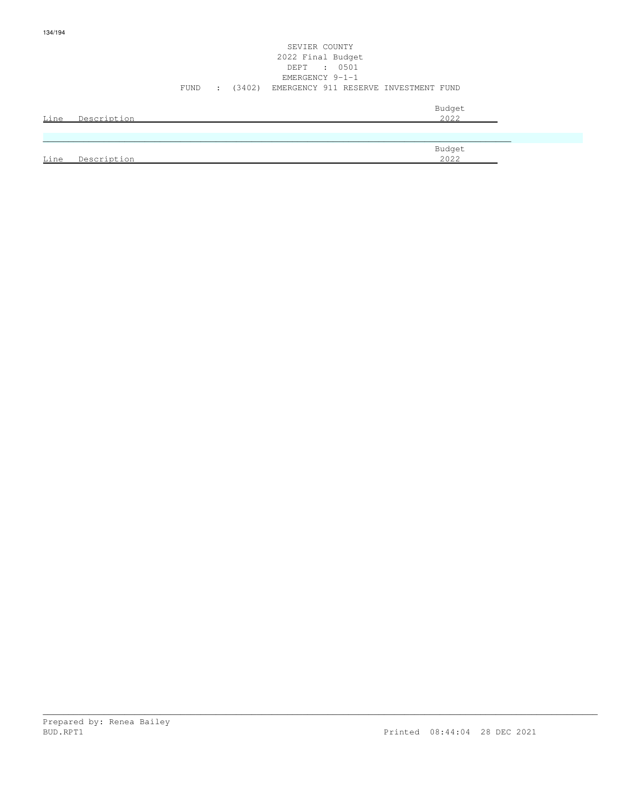### SEVIER COUNTY 2022 Final Budget DEPT : 0501 EMERGENCY 9-1-1 FUND : (3402) EMERGENCY 911 RESERVE INVESTMENT FUND

|      |             | Budget |
|------|-------------|--------|
| Line | Description | 2022   |
|      |             |        |
|      |             |        |
|      |             | Budget |

|      |             | ------ |
|------|-------------|--------|
| Line | Description | 2022   |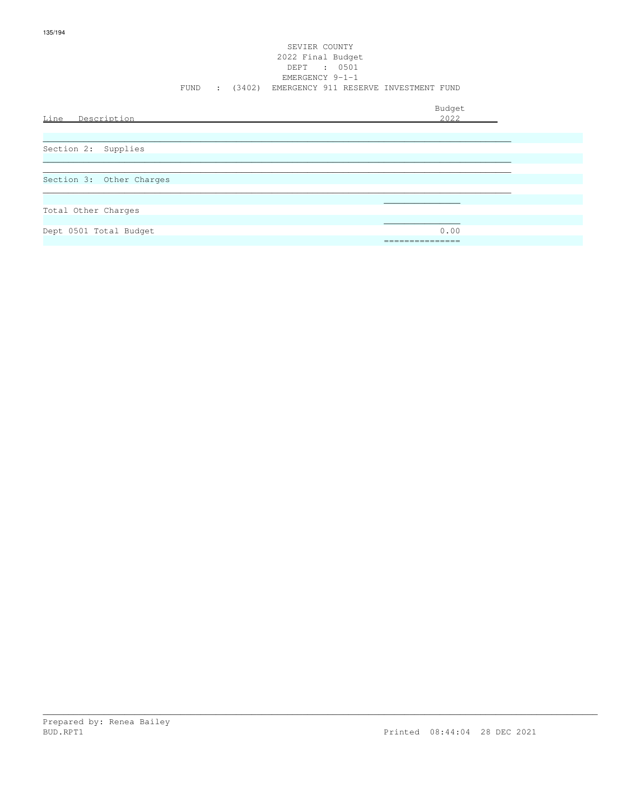### SEVIER COUNTY 2022 Final Budget DEPT : 0501 EMERGENCY 9-1-1 FUND : (3402) EMERGENCY 911 RESERVE INVESTMENT FUND

|                          | Budget          |
|--------------------------|-----------------|
| Line Description         | 2022            |
|                          |                 |
| Section 2: Supplies      |                 |
|                          |                 |
| Section 3: Other Charges |                 |
|                          |                 |
| Total Other Charges      |                 |
|                          |                 |
| Dept 0501 Total Budget   | 0.00            |
|                          | --------------- |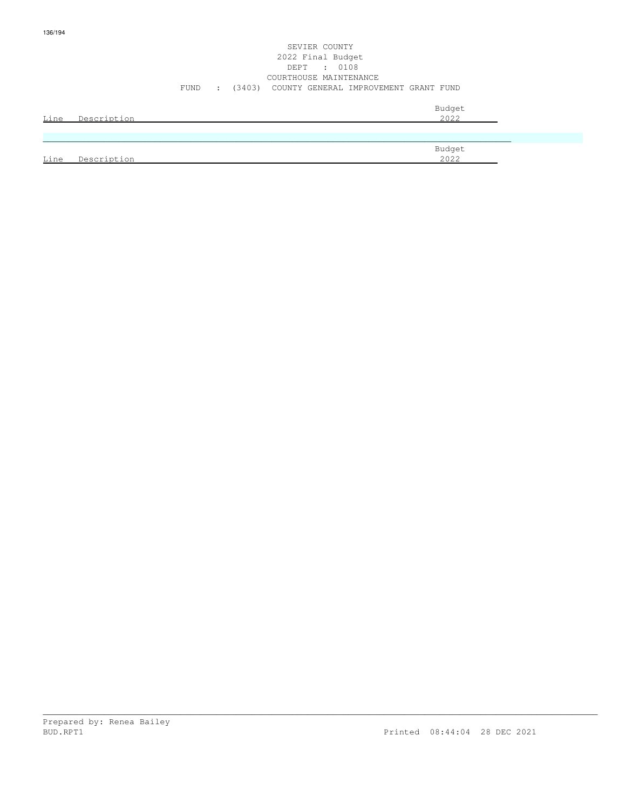### SEVIER COUNTY 2022 Final Budget DEPT : 0108 COURTHOUSE MAINTENANCE FUND : (3403) COUNTY GENERAL IMPROVEMENT GRANT FUND

| Line | Description | Budget<br>2022        |
|------|-------------|-----------------------|
|      |             |                       |
| Line | Description | Budget<br><u>2022</u> |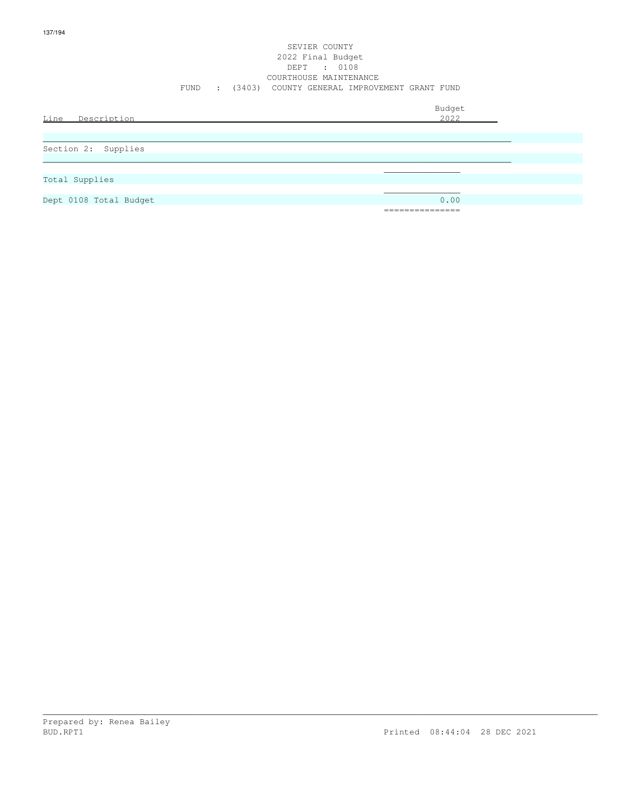### SEVIER COUNTY 2022 Final Budget DEPT : 0108 COURTHOUSE MAINTENANCE FUND : (3403) COUNTY GENERAL IMPROVEMENT GRANT FUND

| Line Description       | Budget<br>2022                 |
|------------------------|--------------------------------|
|                        |                                |
| Section 2: Supplies    |                                |
|                        |                                |
| Total Supplies         |                                |
|                        |                                |
| Dept 0108 Total Budget | 0.00                           |
|                        | ______________<br>------------ |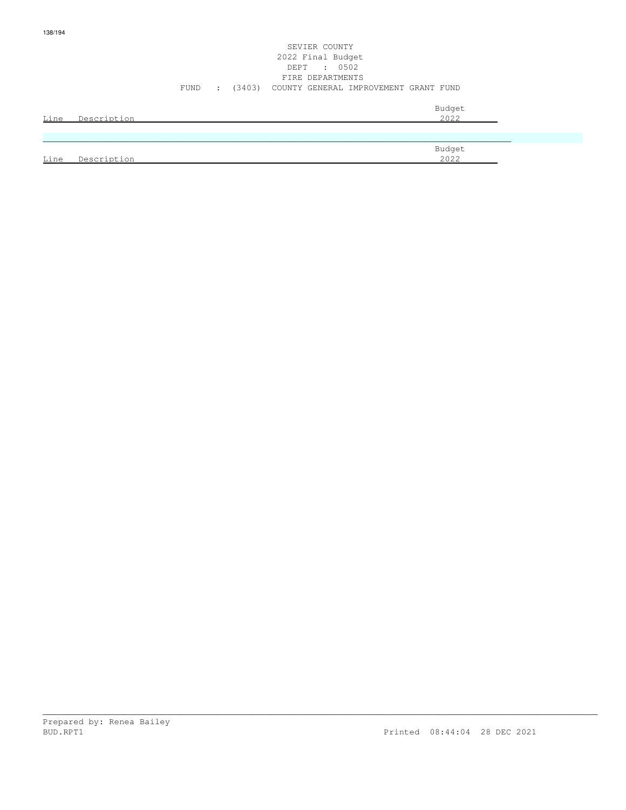### SEVIER COUNTY 2022 Final Budget DEPT : 0502 FIRE DEPARTMENTS FUND : (3403) COUNTY GENERAL IMPROVEMENT GRANT FUND

| <u>Line</u> | Description | Budget<br>2022 |
|-------------|-------------|----------------|
|             |             |                |
|             |             | Budget<br>2022 |
| Line        | Description |                |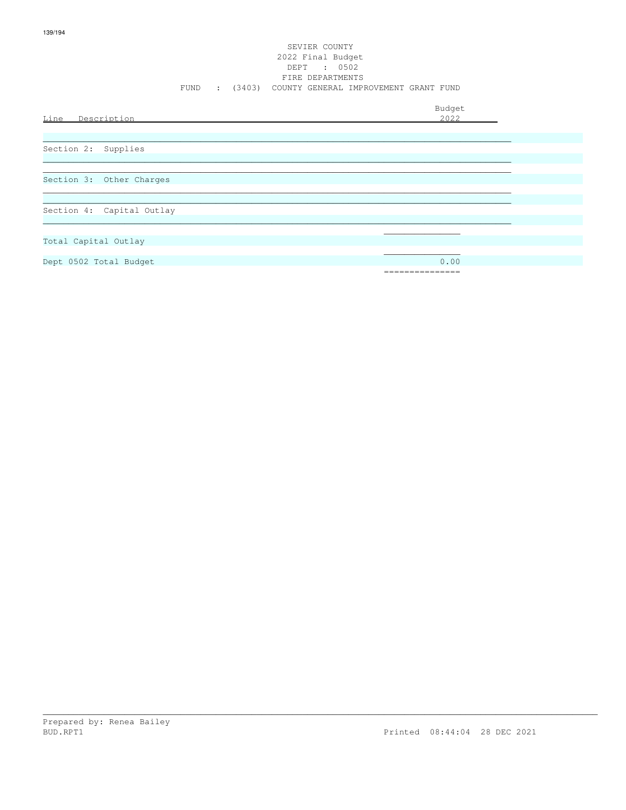### SEVIER COUNTY 2022 Final Budget DEPT : 0502 FIRE DEPARTMENTS FUND : (3403) COUNTY GENERAL IMPROVEMENT GRANT FUND

Budget

| Line Description          | puuget<br>2022 |
|---------------------------|----------------|
|                           |                |
| Section 2: Supplies       |                |
| Section 3: Other Charges  |                |
|                           |                |
| Section 4: Capital Outlay |                |
| Total Capital Outlay      |                |
| Dept 0502 Total Budget    | 0.00           |

===============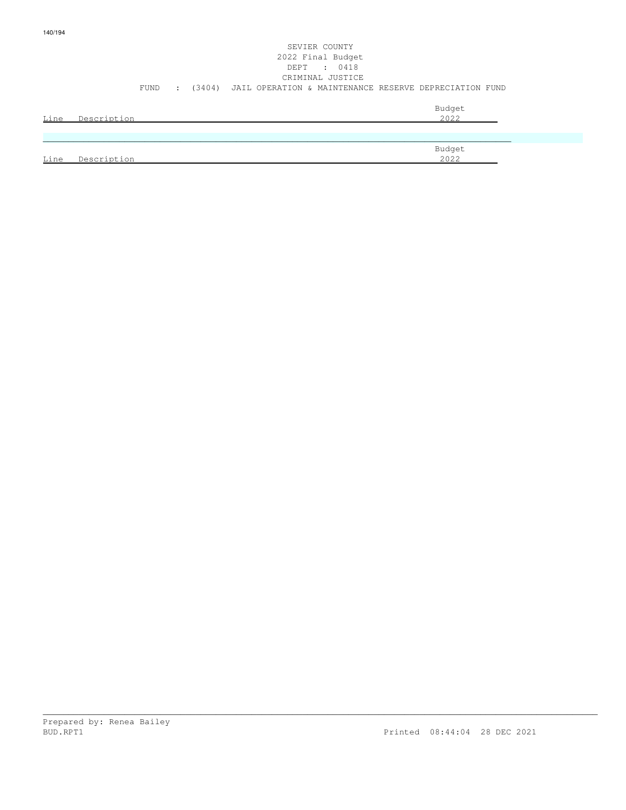|      |             |      |                          |                                                               | SEVIER COUNTY<br>2022 Final Budget<br>DEPT : 0418<br>CRIMINAL JUSTICE |                |  |
|------|-------------|------|--------------------------|---------------------------------------------------------------|-----------------------------------------------------------------------|----------------|--|
|      |             | FUND | <b>Contract Contract</b> | (3404) JAIL OPERATION & MAINTENANCE RESERVE DEPRECIATION FUND |                                                                       |                |  |
| Line | Description |      |                          |                                                               |                                                                       | Budget<br>2022 |  |

|                                | Budget               |
|--------------------------------|----------------------|
| Line<br>Descriptio<br>$\sim$ r | 2022<br><i>L</i> UZZ |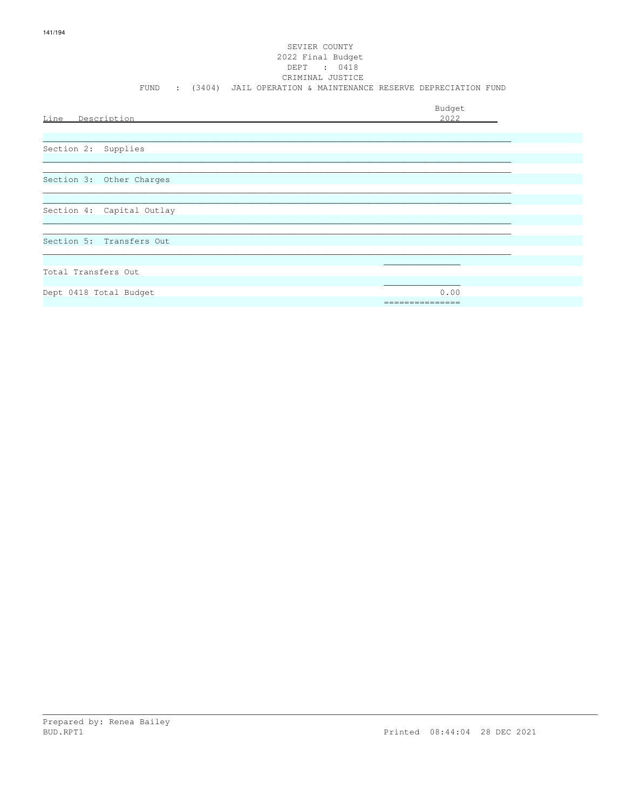# SEVIER COUNTY 2022 Final Budget DEPT : 0418<br>CRIMINAL JUSTICE FUND : (3404) JAIL OPERATION & MAINTENANCE RESERVE DEPRECIATION FUND  $Budgot$

| Line Description          | Buaget<br>2022 |
|---------------------------|----------------|
|                           |                |
| Section 2: Supplies       |                |
|                           |                |
| Section 3: Other Charges  |                |
|                           |                |
| Section 4: Capital Outlay |                |
|                           |                |
| Section 5: Transfers Out  |                |
|                           |                |
| Total Transfers Out       |                |
| Dept 0418 Total Budget    | 0.00           |
|                           |                |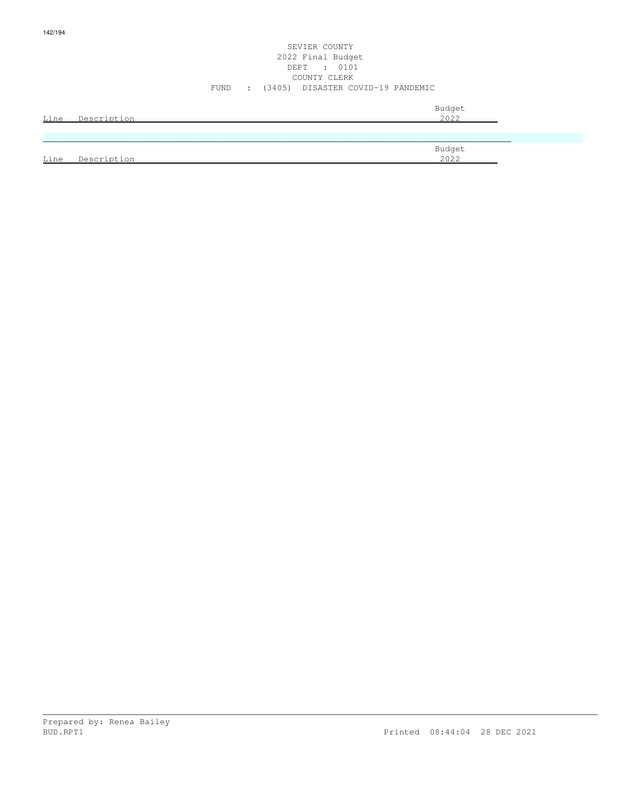### SEVIER COUNTY 2022 Final Budget DEPT : 0101 COUNTY CLERK FUND : (3405) DISASTER COVID-19 PANDEMIC

| Line | Description | Budget<br>2022 |
|------|-------------|----------------|
|      |             |                |
| Line | Description | Budget<br>2022 |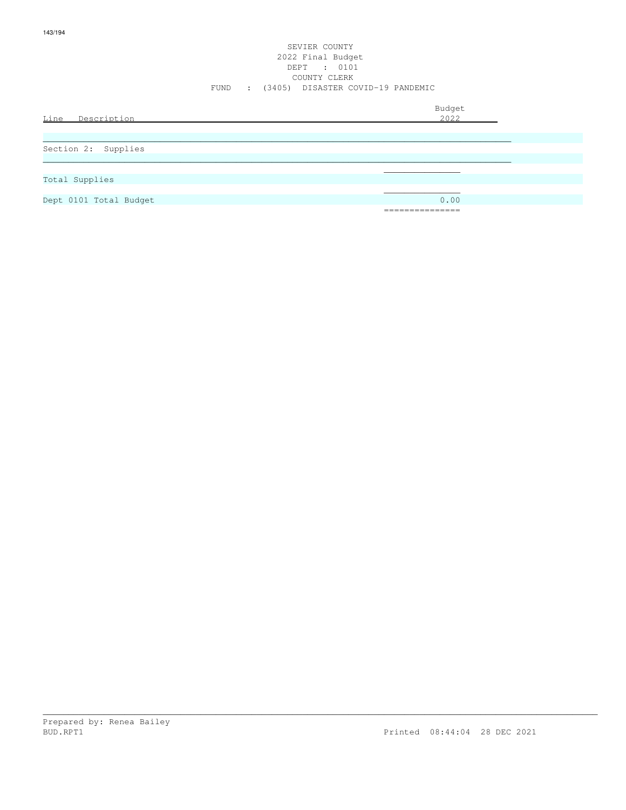### SEVIER COUNTY 2022 Final Budget DEPT : 0101 COUNTY CLERK FUND : (3405) DISASTER COVID-19 PANDEMIC

| Line Description       | Budget<br>2022            |
|------------------------|---------------------------|
| Section 2: Supplies    |                           |
| Total Supplies         |                           |
| Dept 0101 Total Budget | 0.00                      |
|                        | ------------<br>--------- |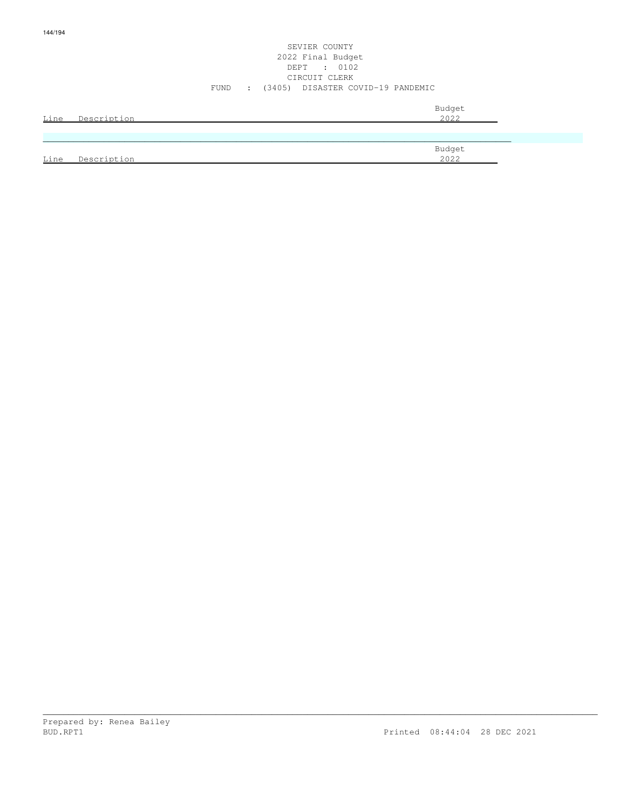### SEVIER COUNTY 2022 Final Budget DEPT : 0102 CIRCUIT CLERK FUND : (3405) DISASTER COVID-19 PANDEMIC

| Line | Description | Budget<br>2022 |
|------|-------------|----------------|
|      |             |                |
| Line | Description | Budget<br>2022 |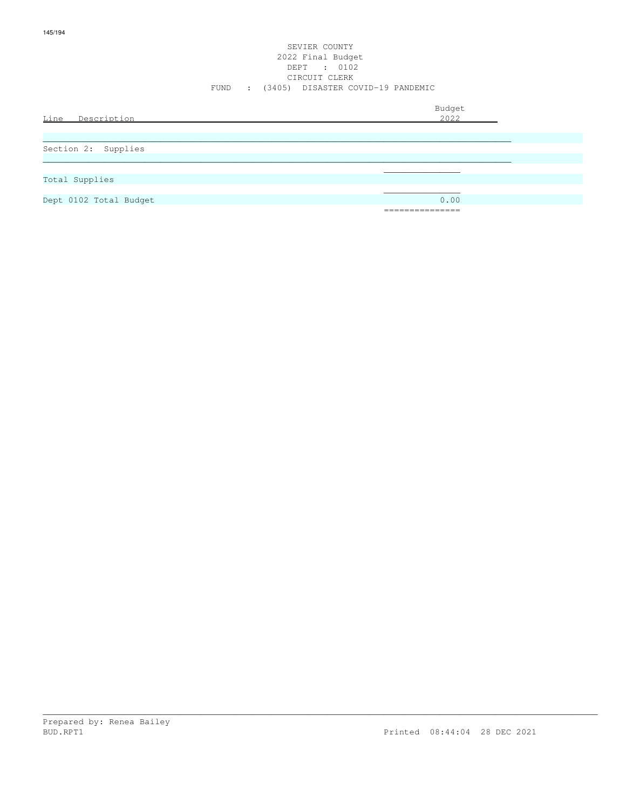### SEVIER COUNTY 2022 Final Budget DEPT : 0102 CIRCUIT CLERK FUND : (3405) DISASTER COVID-19 PANDEMIC

| Line Description       | Budget<br>2022                    |
|------------------------|-----------------------------------|
| Section 2: Supplies    |                                   |
| Total Supplies         |                                   |
| Dept 0102 Total Budget | 0.00<br>-----------<br>---------- |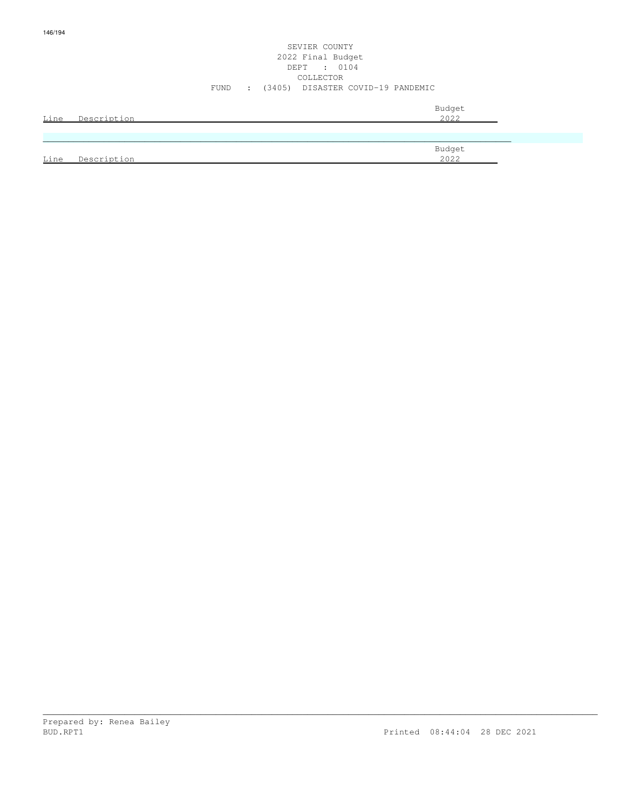### SEVIER COUNTY 2022 Final Budget DEPT : 0104 COLLECTOR FUND : (3405) DISASTER COVID-19 PANDEMIC

| Line | Description | Budget<br>2022 |
|------|-------------|----------------|
|      |             |                |
|      |             | Budget         |
| Line | Description | 2022           |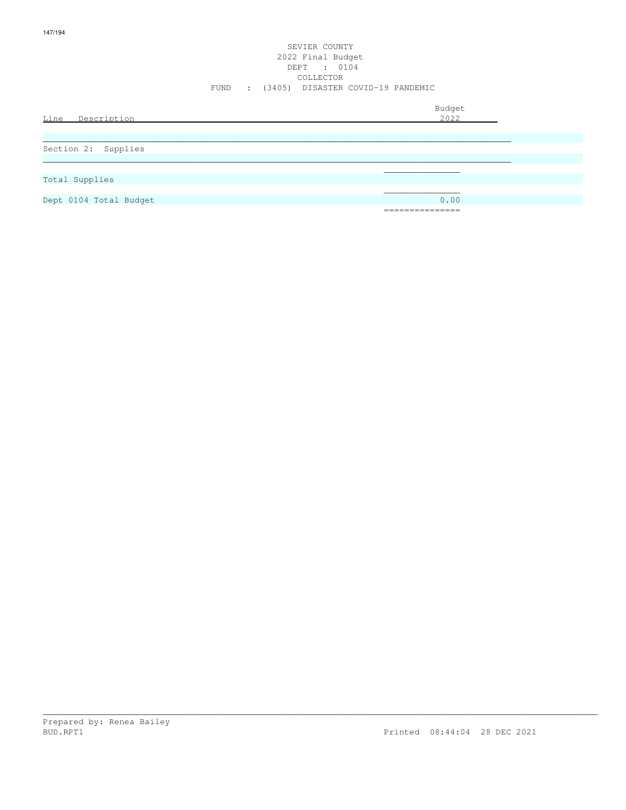### SEVIER COUNTY 2022 Final Budget DEPT : 0104 COLLECTOR FUND : (3405) DISASTER COVID-19 PANDEMIC

| Line<br>Description    | Budget<br>2022                          |
|------------------------|-----------------------------------------|
| Section 2: Supplies    |                                         |
| Total Supplies         |                                         |
| Dept 0104 Total Budget | 0.00<br>______________<br>------------- |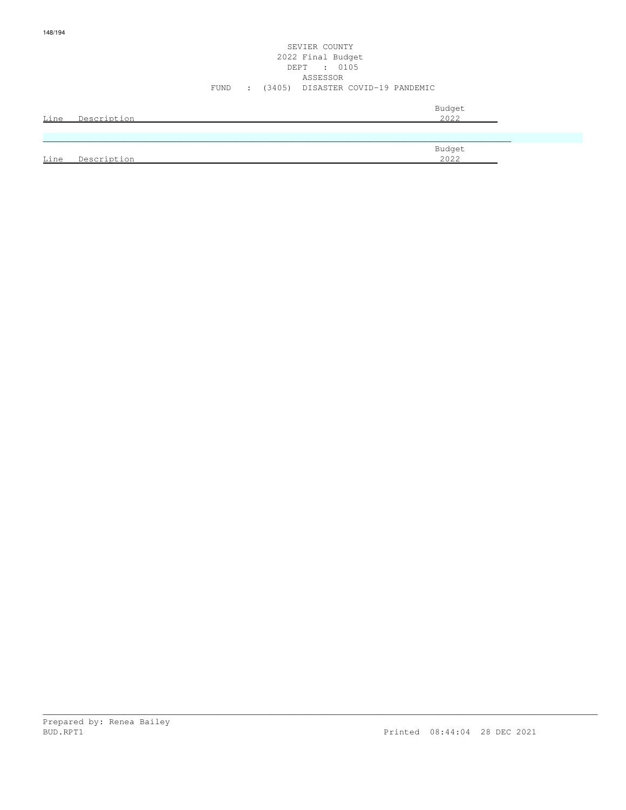### SEVIER COUNTY 2022 Final Budget DEPT : 0105 ASSESSOR FUND : (3405) DISASTER COVID-19 PANDEMIC

| Line | Description | Budget<br>2022 |
|------|-------------|----------------|
|      |             |                |
|      |             | Budget         |
| Line | Description | 2022           |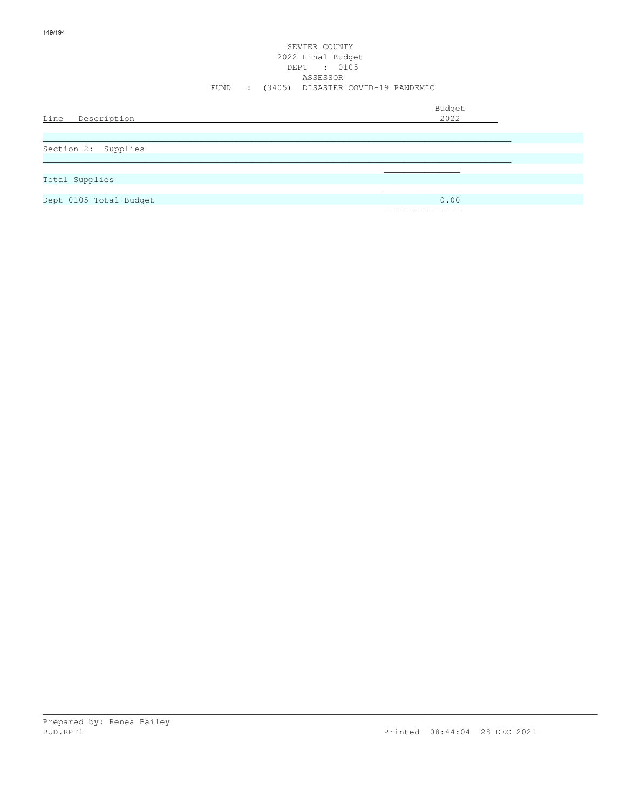### SEVIER COUNTY 2022 Final Budget DEPT : 0105 ASSESSOR FUND : (3405) DISASTER COVID-19 PANDEMIC

| Line Description       | Budget<br><u>2022</u> |
|------------------------|-----------------------|
| Section 2: Supplies    |                       |
| Total Supplies         |                       |
| Dept 0105 Total Budget | 0.00<br>============  |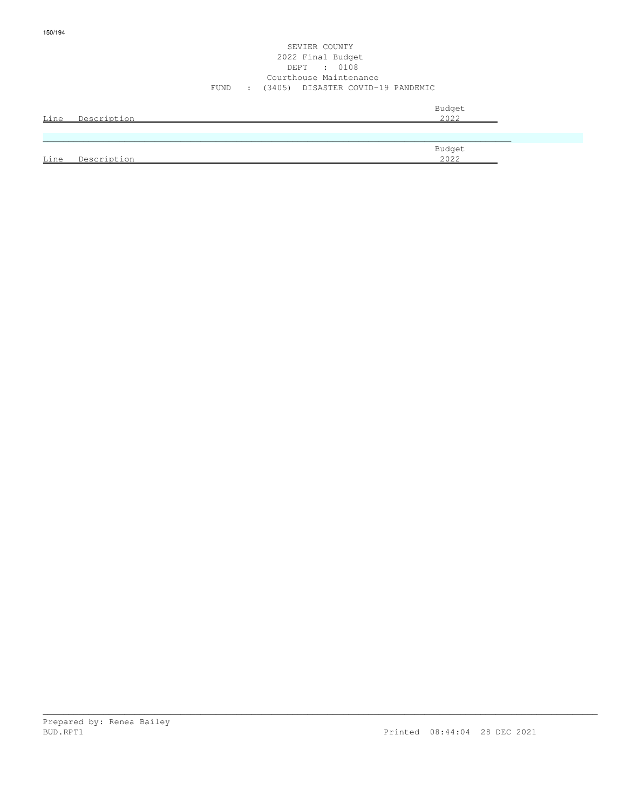#### SEVIER COUNTY 2022 Final Budget DEPT : 0108 Courthouse Maintenance FUND : (3405) DISASTER COVID-19 PANDEMIC

| Line | Description | Budget<br>2022 |
|------|-------------|----------------|
|      |             |                |
| Line | Description | Budget<br>2022 |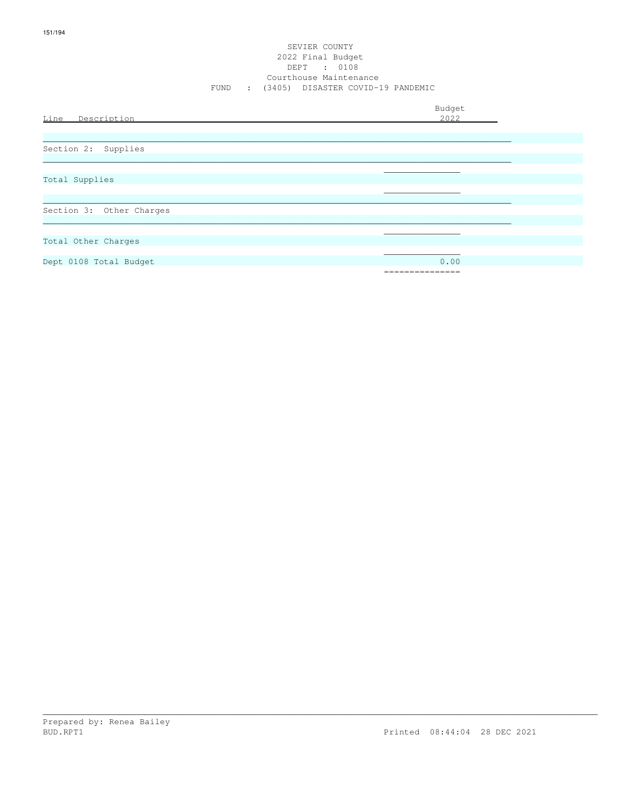#### SEVIER COUNTY 2022 Final Budget DEPT : 0108 Courthouse Maintenance FUND : (3405) DISASTER COVID-19 PANDEMIC

| Line Description         | Budget<br>2022 |
|--------------------------|----------------|
|                          |                |
| Section 2: Supplies      |                |
|                          |                |
| Total Supplies           |                |
|                          |                |
| Section 3: Other Charges |                |
|                          |                |
| Total Other Charges      |                |
| Dept 0108 Total Budget   | 0.00           |
|                          | ============   |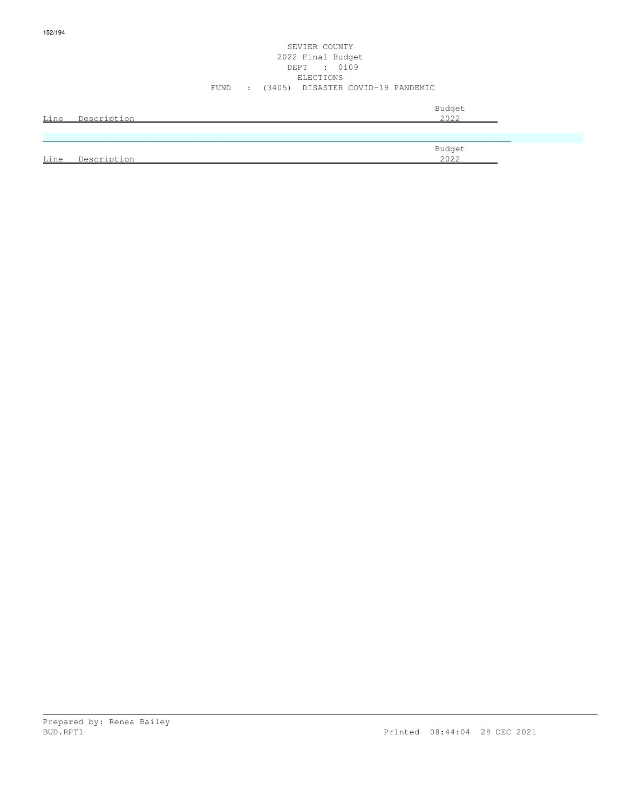### SEVIER COUNTY 2022 Final Budget DEPT : 0109 ELECTIONS FUND : (3405) DISASTER COVID-19 PANDEMIC

| Line        | Description | Budget<br>2022 |
|-------------|-------------|----------------|
|             |             |                |
|             |             | Budget         |
| <u>Line</u> | Description | 2022           |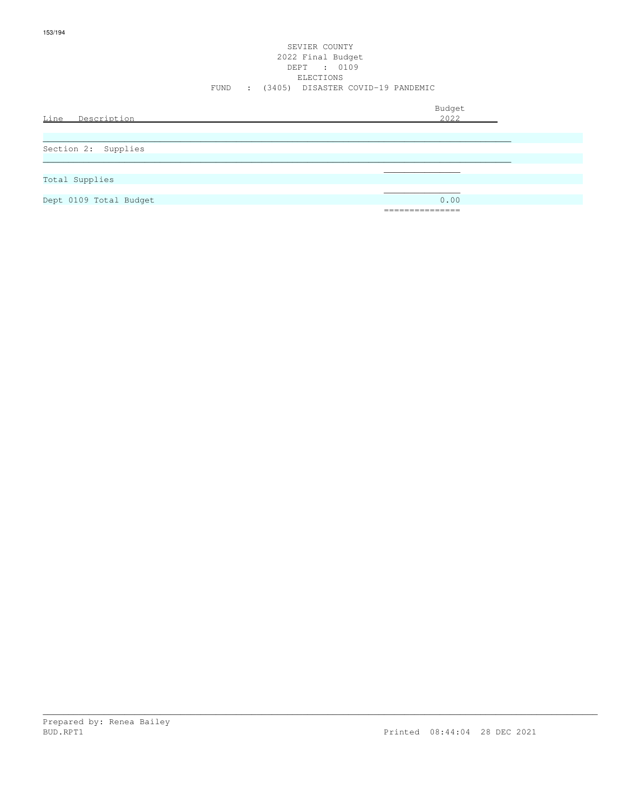### SEVIER COUNTY 2022 Final Budget DEPT : 0109 ELECTIONS FUND : (3405) DISASTER COVID-19 PANDEMIC

| Line<br>Description    | Budget<br>2022         |
|------------------------|------------------------|
| Section 2: Supplies    |                        |
| Total Supplies         |                        |
| Dept 0109 Total Budget | 0.00<br>============== |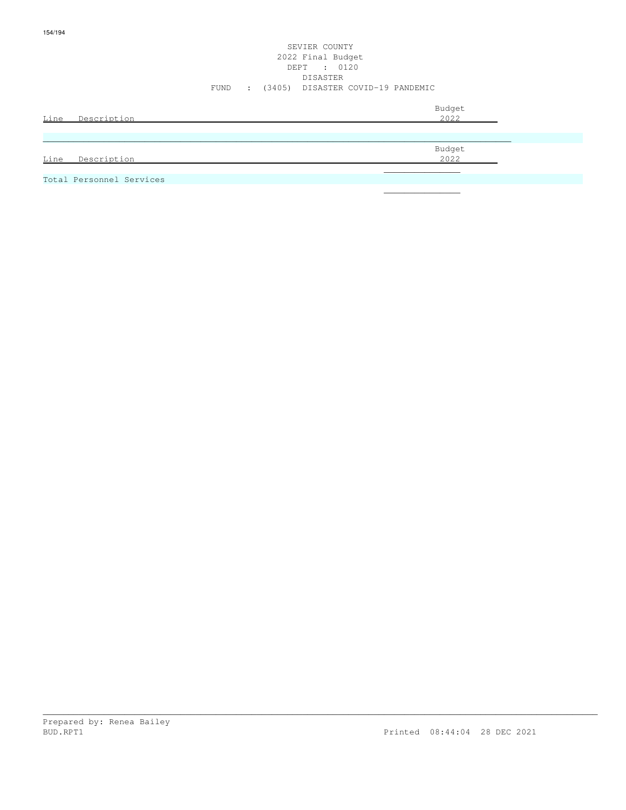### SEVIER COUNTY 2022 Final Budget DEPT : 0120 DISASTER FUND : (3405) DISASTER COVID-19 PANDEMIC

| Line<br>Description      | Budget<br><u>2022</u> |  |
|--------------------------|-----------------------|--|
|                          | Budget<br><u>2022</u> |  |
| Line<br>Description      |                       |  |
| Total Personnel Services |                       |  |

\_\_\_\_\_\_\_\_\_\_\_\_\_\_\_\_\_\_\_\_\_\_\_\_\_\_\_\_\_\_\_\_\_\_\_\_\_\_\_\_\_\_\_\_\_\_\_\_\_\_\_\_\_\_\_\_\_\_\_\_\_\_\_\_\_\_\_\_\_\_\_\_\_\_\_\_\_\_\_\_\_\_\_\_\_\_\_\_\_\_\_\_\_\_\_\_\_\_\_\_\_\_\_\_\_\_\_\_\_

 $\mathcal{L}_\mathcal{L}$  , we can assume that the contract of the contract of the contract of the contract of the contract of the contract of the contract of the contract of the contract of the contract of the contract of the contr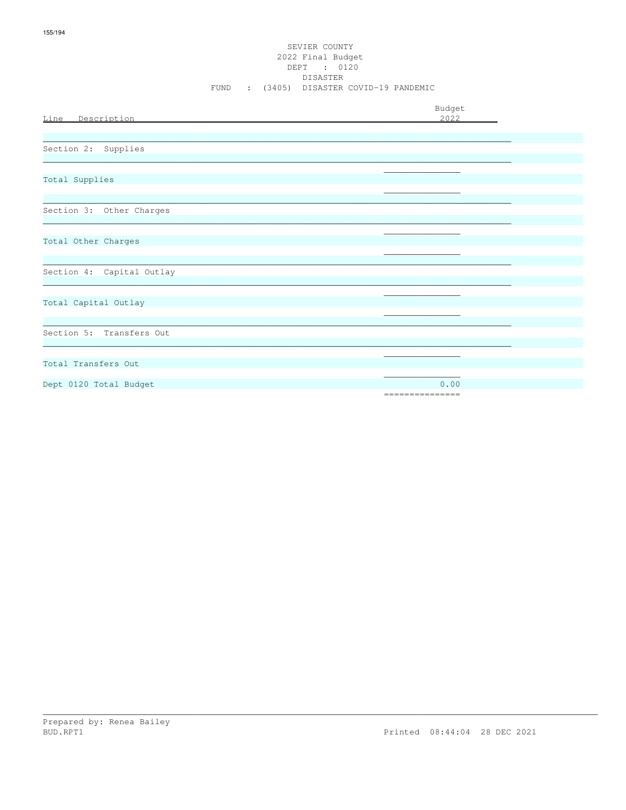### SEVIER COUNTY 2022 Final Budget DEPT : 0120 DISASTER FUND : (3405) DISASTER COVID-19 PANDEMIC

| Line Description          | Budget<br>2022          |
|---------------------------|-------------------------|
|                           |                         |
| Section 2: Supplies       |                         |
| Total Supplies            |                         |
| Section 3: Other Charges  |                         |
| Total Other Charges       |                         |
| Section 4: Capital Outlay |                         |
| Total Capital Outlay      |                         |
| Section 5: Transfers Out  |                         |
| Total Transfers Out       |                         |
| Dept 0120 Total Budget    | 0.00<br>=============== |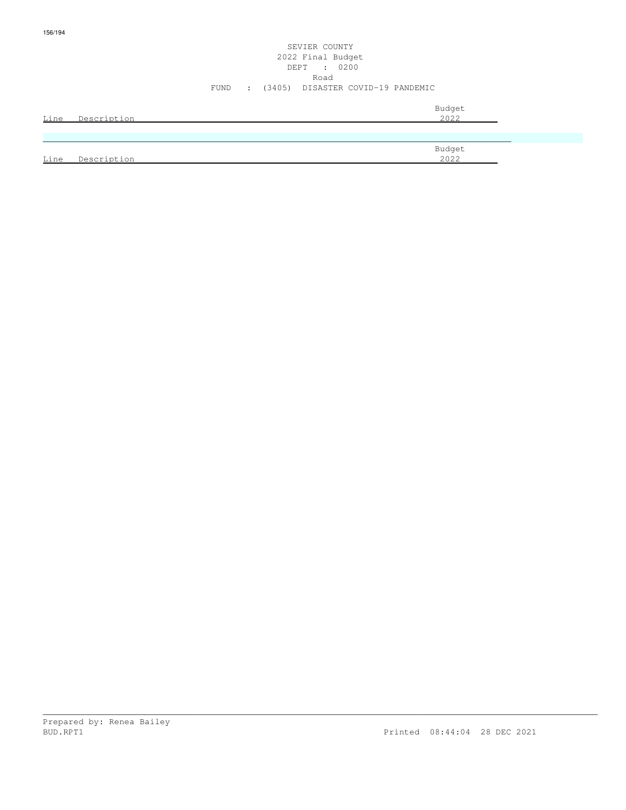### SEVIER COUNTY 2022 Final Budget DEPT : 0200 Road FUND : (3405) DISASTER COVID-19 PANDEMIC

| Line | Description | Budget<br>2022 |
|------|-------------|----------------|
|      |             |                |
|      |             | Budget         |
| Line | Description | 2022           |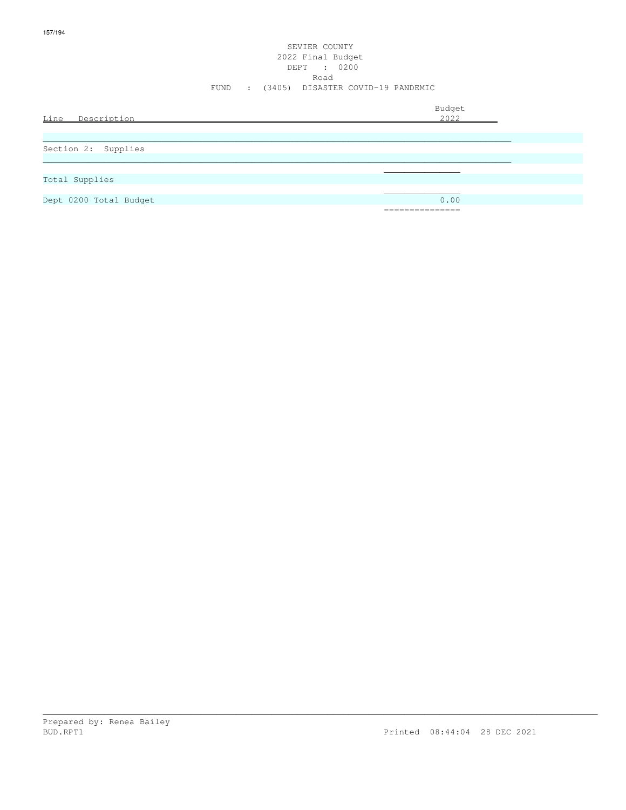### SEVIER COUNTY 2022 Final Budget DEPT : 0200 Road FUND : (3405) DISASTER COVID-19 PANDEMIC

| Line Description       | Budget<br>2022                   |
|------------------------|----------------------------------|
|                        |                                  |
| Section 2: Supplies    |                                  |
|                        |                                  |
|                        |                                  |
| Total Supplies         |                                  |
|                        |                                  |
| Dept 0200 Total Budget | 0.00                             |
|                        | ---------------<br>------------- |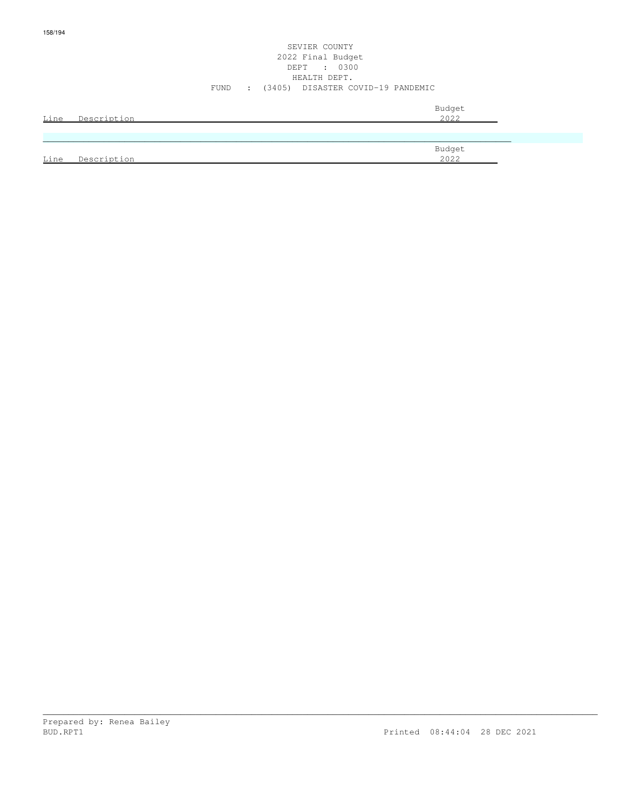### SEVIER COUNTY 2022 Final Budget DEPT : 0300 HEALTH DEPT. FUND : (3405) DISASTER COVID-19 PANDEMIC

|      | Line Description | Budget<br>2022 |
|------|------------------|----------------|
|      |                  |                |
|      |                  | Budget         |
| Line | Description      | 2022           |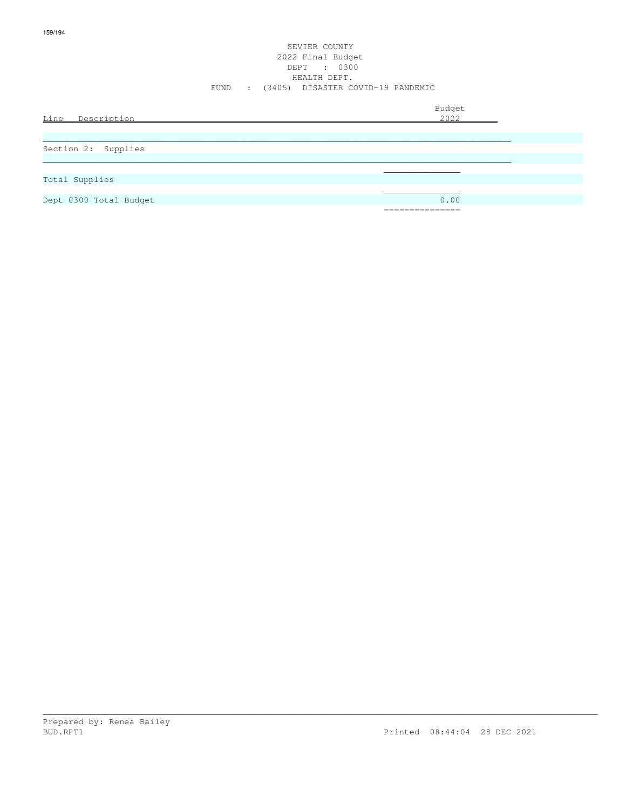### SEVIER COUNTY 2022 Final Budget DEPT : 0300 HEALTH DEPT. FUND : (3405) DISASTER COVID-19 PANDEMIC

| Line Description       | Budget<br>2022                          |
|------------------------|-----------------------------------------|
| Section 2: Supplies    |                                         |
| Total Supplies         |                                         |
| Dept 0300 Total Budget | 0.00<br>---------------<br>------------ |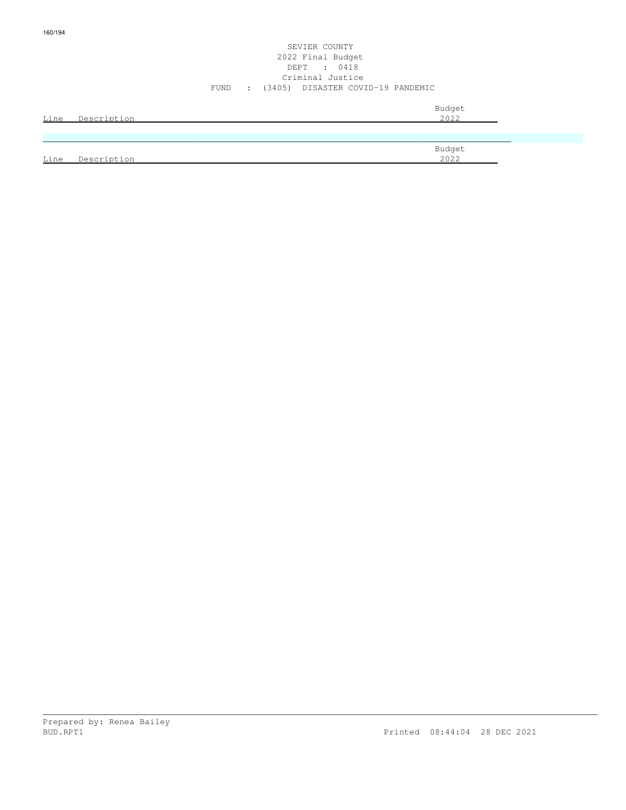### SEVIER COUNTY 2022 Final Budget DEPT : 0418 Criminal Justice FUND : (3405) DISASTER COVID-19 PANDEMIC

| Line | Description | Budget<br>2022 |
|------|-------------|----------------|
|      |             |                |
|      |             | Budget         |
| Line | Description | 2022           |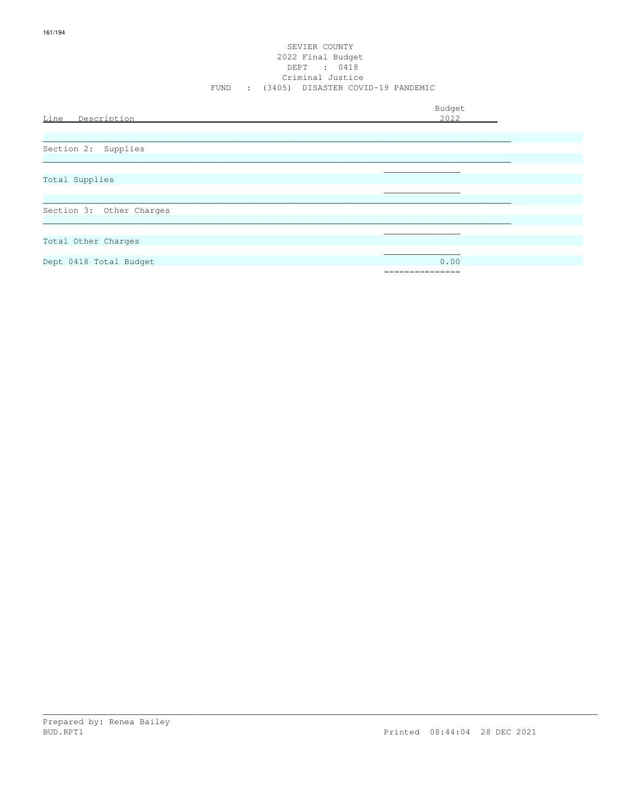### SEVIER COUNTY 2022 Final Budget DEPT : 0418 Criminal Justice FUND : (3405) DISASTER COVID-19 PANDEMIC

| Line Description         | Budget<br>2022 |
|--------------------------|----------------|
|                          |                |
| Section 2: Supplies      |                |
|                          |                |
| Total Supplies           |                |
| Section 3: Other Charges |                |
|                          |                |
| Total Other Charges      |                |
| Dept 0418 Total Budget   | 0.00           |
|                          | ============   |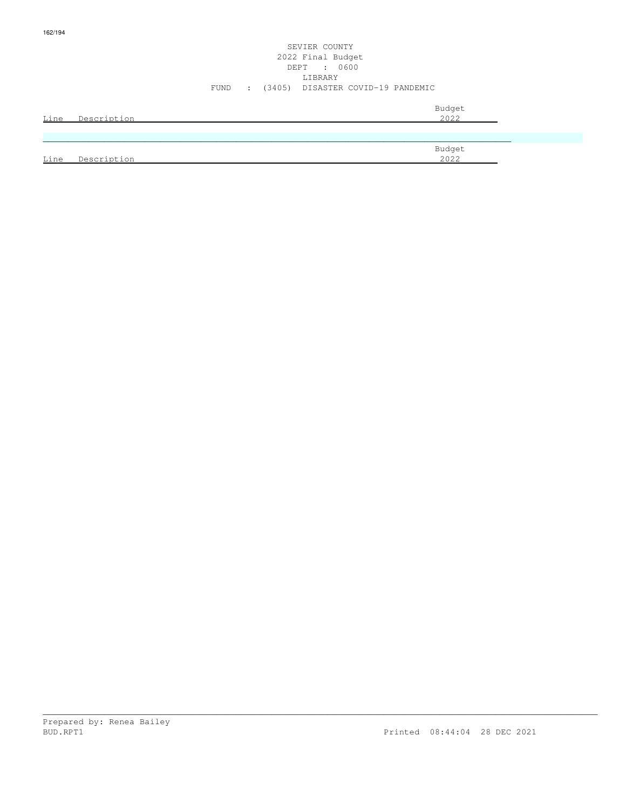### SEVIER COUNTY 2022 Final Budget DEPT : 0600 LIBRARY FUND : (3405) DISASTER COVID-19 PANDEMIC

| Line | Description | Budget<br>2022 |
|------|-------------|----------------|
|      |             |                |
|      |             | Budget         |
| Line | Description | 2022           |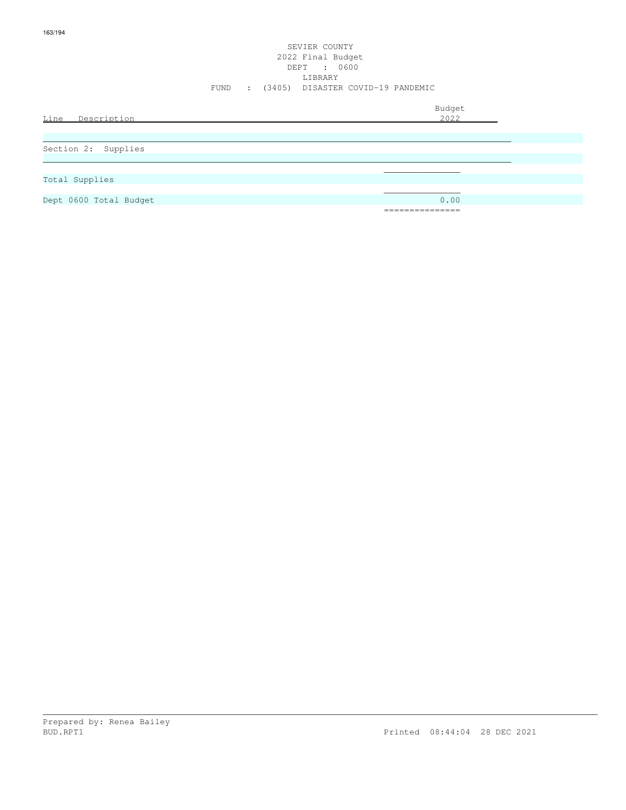### SEVIER COUNTY 2022 Final Budget DEPT : 0600 LIBRARY FUND : (3405) DISASTER COVID-19 PANDEMIC

| Line<br>Description    | Budget<br>2022                 |
|------------------------|--------------------------------|
|                        |                                |
| Section 2: Supplies    |                                |
|                        |                                |
|                        |                                |
| Total Supplies         |                                |
|                        |                                |
| Dept 0600 Total Budget | 0.00                           |
|                        | _______________<br>___________ |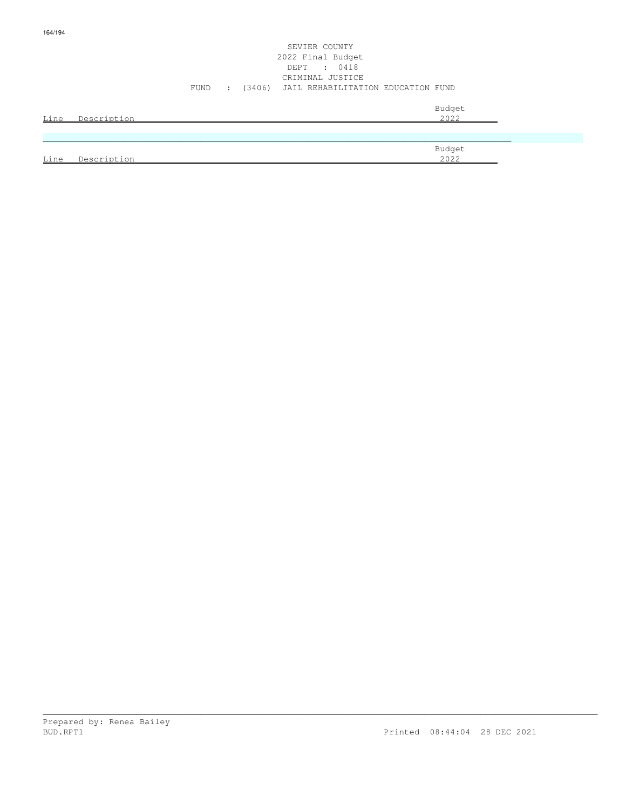### SEVIER COUNTY 2022 Final Budget DEPT : 0418 CRIMINAL JUSTICE FUND : (3406) JAIL REHABILITATION EDUCATION FUND

\_\_\_\_\_\_\_\_\_\_\_\_\_\_\_\_\_\_\_\_\_\_\_\_\_\_\_\_\_\_\_\_\_\_\_\_\_\_\_\_\_\_\_\_\_\_\_\_\_\_\_\_\_\_\_\_\_\_\_\_\_\_\_\_\_\_\_\_\_\_\_\_\_\_\_\_\_\_\_\_\_\_\_\_\_\_\_\_\_\_\_\_\_\_\_\_\_\_\_\_\_\_\_\_\_\_\_\_\_

| Line | Description | Budget<br>2022 |
|------|-------------|----------------|
|      |             |                |
|      |             |                |
|      |             | Budget         |

Line Description 2022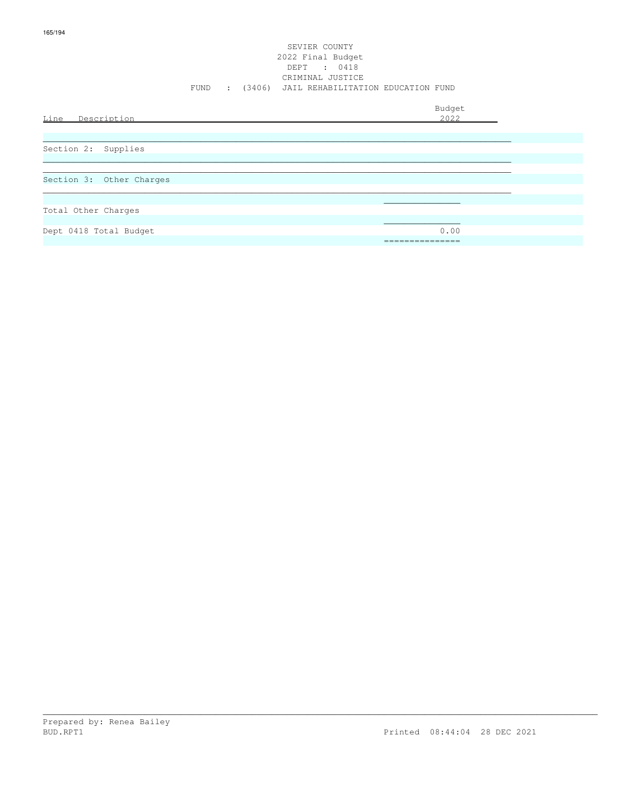### SEVIER COUNTY 2022 Final Budget DEPT : 0418 CRIMINAL JUSTICE FUND : (3406) JAIL REHABILITATION EDUCATION FUND

| Line Description         | Budget<br>2022   |
|--------------------------|------------------|
| Section 2: Supplies      |                  |
| Section 3: Other Charges |                  |
| Total Other Charges      |                  |
| Dept 0418 Total Budget   | 0.00<br>======== |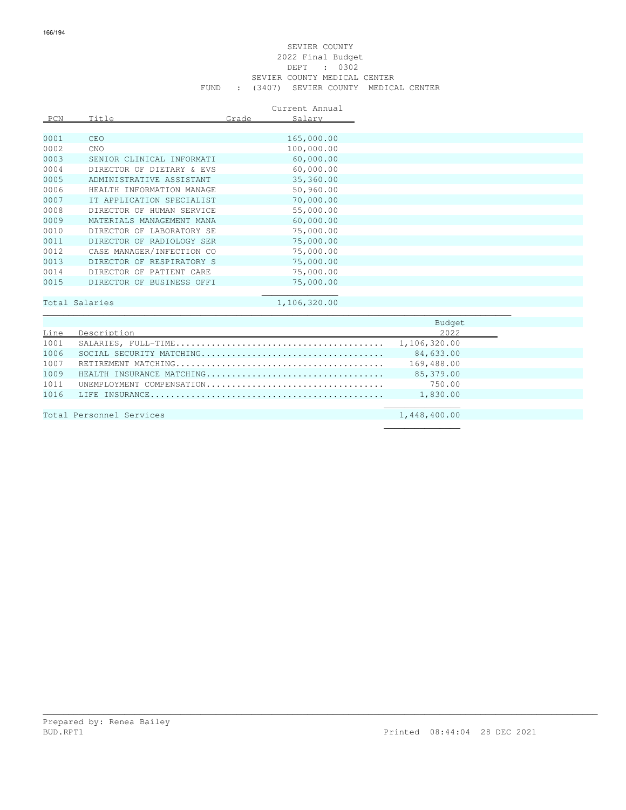### SEVIER COUNTY 2022 Final Budget DEPT : 0302 SEVIER COUNTY MEDICAL CENTER FUND : (3407) SEVIER COUNTY MEDICAL CENTER

|      |                           |       | Current Annual |              |
|------|---------------------------|-------|----------------|--------------|
| PCN  | Title                     | Grade | Salary         |              |
|      |                           |       |                |              |
| 0001 | <b>CEO</b>                |       | 165,000.00     |              |
| 0002 | CNO                       |       | 100,000.00     |              |
| 0003 | SENIOR CLINICAL INFORMATI |       | 60,000.00      |              |
| 0004 | DIRECTOR OF DIETARY & EVS |       | 60,000.00      |              |
| 0005 | ADMINISTRATIVE ASSISTANT  |       | 35,360.00      |              |
| 0006 | HEALTH INFORMATION MANAGE |       | 50,960.00      |              |
| 0007 | IT APPLICATION SPECIALIST |       | 70,000.00      |              |
| 0008 | DIRECTOR OF HUMAN SERVICE |       | 55,000.00      |              |
| 0009 | MATERIALS MANAGEMENT MANA |       | 60,000.00      |              |
| 0010 | DIRECTOR OF LABORATORY SE |       | 75,000.00      |              |
| 0011 | DIRECTOR OF RADIOLOGY SER |       | 75,000.00      |              |
| 0012 | CASE MANAGER/INFECTION CO |       | 75,000.00      |              |
| 0013 | DIRECTOR OF RESPIRATORY S |       | 75,000.00      |              |
| 0014 | DIRECTOR OF PATIENT CARE  |       | 75,000.00      |              |
| 0015 | DIRECTOR OF BUSINESS OFFI |       | 75,000.00      |              |
|      |                           |       |                |              |
|      | Total Salaries            |       | 1,106,320.00   |              |
|      |                           |       |                |              |
|      |                           |       |                | Budget       |
| Line | Description               |       |                | 2022         |
| 1001 |                           |       |                | 1,106,320.00 |
| 1006 |                           |       |                | 84,633.00    |
| 1007 |                           |       |                | 169,488.00   |
| 1009 | HEALTH INSURANCE MATCHING |       |                | 85,379.00    |
| 1011 | UNEMPLOYMENT COMPENSATION |       |                | 750.00       |

\_\_\_\_\_\_\_\_\_\_\_\_\_\_\_\_\_\_\_\_\_\_\_\_\_\_\_\_\_\_\_\_\_\_\_\_\_\_\_\_\_\_\_\_\_\_\_\_\_\_\_\_\_\_\_\_\_\_\_\_\_\_\_\_\_\_\_\_\_\_\_\_\_\_\_\_\_\_\_\_\_\_\_\_\_\_\_\_\_\_\_\_\_\_\_\_\_\_\_\_\_\_\_\_\_\_\_\_\_

1011 UNEMPLOYMENT COMPENSATION................................... 750.00 1016 LIFE INSURANCE.............................................. 1,830.00  $\mathcal{L}_\mathcal{L}$  , we can assume that the contract of the contract of the contract of the contract of the contract of the contract of the contract of the contract of the contract of the contract of the contract of the contr

 $\mathcal{L}_\mathcal{L}$  , which is a set of the set of the set of the set of the set of the set of the set of the set of the set of the set of the set of the set of the set of the set of the set of the set of the set of the set of

Total Personnel Services 1,448,400.00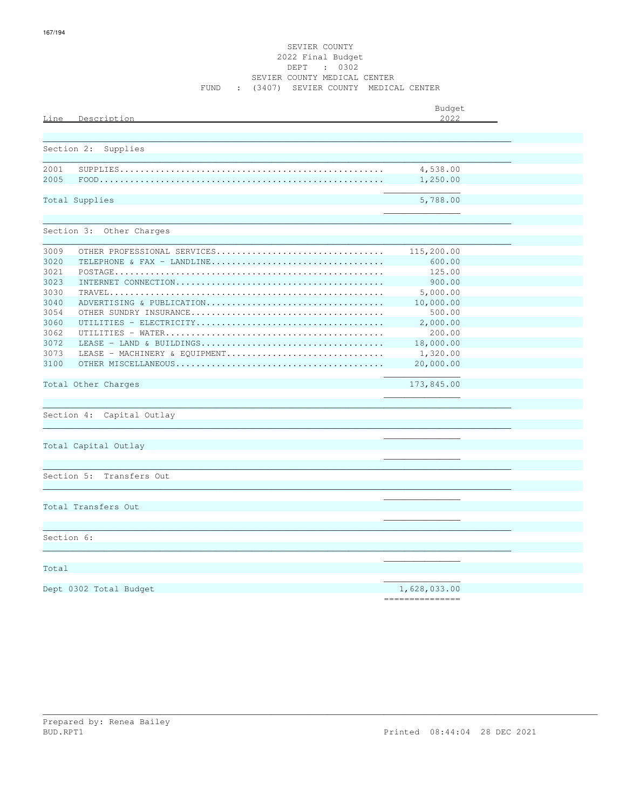### SEVIER COUNTY 2022 Final Budget DEPT : 0302 SEVIER COUNTY MEDICAL CENTER FUND : (3407) SEVIER COUNTY MEDICAL CENTER

| Line       | Description                   | Budget<br>2022  |  |
|------------|-------------------------------|-----------------|--|
|            |                               |                 |  |
| Section 2: | Supplies                      |                 |  |
| 2001       |                               | 4,538.00        |  |
| 2005       |                               | 1,250.00        |  |
|            | Total Supplies                | 5,788.00        |  |
|            | Section 3: Other Charges      |                 |  |
| 3009       | OTHER PROFESSIONAL SERVICES   | 115,200.00      |  |
| 3020       | TELEPHONE & FAX - LANDLINE    | 600.00          |  |
| 3021       |                               | 125.00          |  |
| 3023       |                               | 900.00          |  |
| 3030       |                               | 5,000.00        |  |
| 3040       | ADVERTISING & PUBLICATION     | 10,000.00       |  |
| 3054       |                               | 500.00          |  |
| 3060       |                               | 2,000.00        |  |
| 3062       |                               | 200.00          |  |
| 3072       |                               | 18,000.00       |  |
| 3073       | LEASE - MACHINERY & EOUIPMENT | 1,320.00        |  |
| 3100       |                               | 20,000.00       |  |
|            | Total Other Charges           | 173,845.00      |  |
|            | Section 4: Capital Outlay     |                 |  |
|            | Total Capital Outlay          |                 |  |
|            |                               |                 |  |
| Section 5: | Transfers Out                 |                 |  |
|            | Total Transfers Out           |                 |  |
|            |                               |                 |  |
| Section 6: |                               |                 |  |
| Total      |                               |                 |  |
|            |                               |                 |  |
|            | Dept 0302 Total Budget        | 1,628,033.00    |  |
|            |                               | --------------- |  |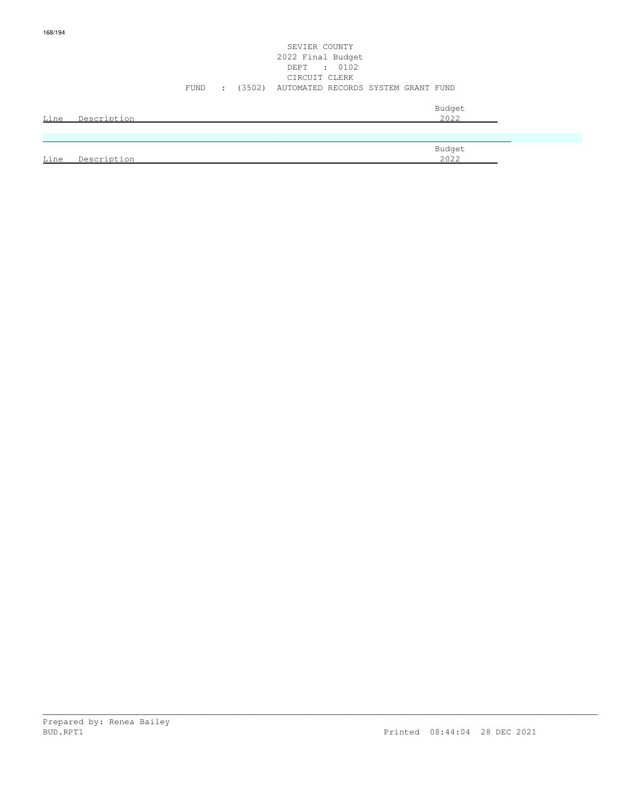# SEVIER COUNTY 2022 Final Budget DEPT : 0102 CIRCUIT CLERK FUND : (3502) AUTOMATED RECORDS SYSTEM GRANT FUND

|             |             | Budget |
|-------------|-------------|--------|
| <u>Line</u> | Description | 2022   |
|             |             |        |
|             |             |        |
|             |             |        |

|      |                            | Budget |  |
|------|----------------------------|--------|--|
| Line | $+$ ion<br>Descript:<br>-- | 2022   |  |
|      |                            |        |  |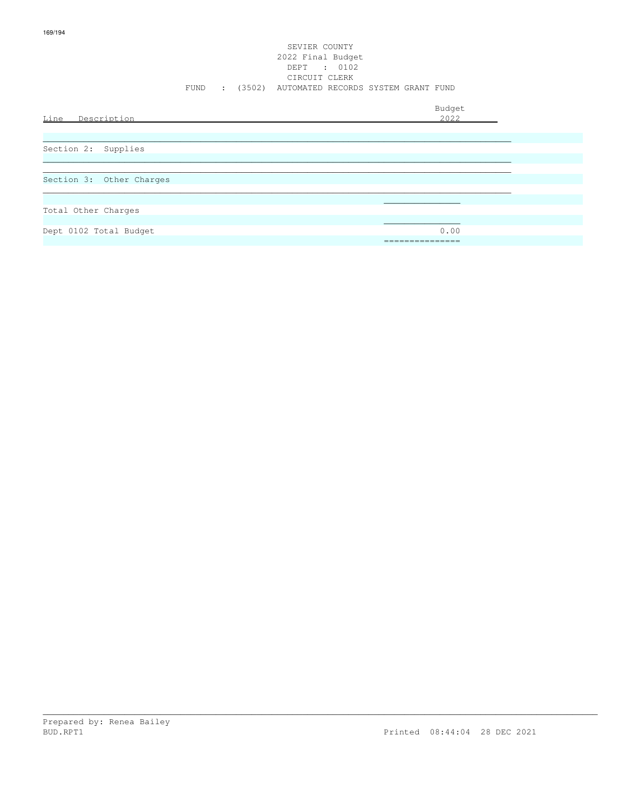### SEVIER COUNTY 2022 Final Budget DEPT : 0102 CIRCUIT CLERK FUND : (3502) AUTOMATED RECORDS SYSTEM GRANT FUND

Budget is a state of the state of the state of the state of the state of the state of the state of the state of the state of the state of the state of the state of the state of the state of the state of the state of the st Line Description 2022 \_\_\_\_\_\_\_\_\_\_\_\_\_\_\_\_\_\_\_\_\_\_\_\_\_\_\_\_\_\_\_\_\_\_\_\_\_\_\_\_\_\_\_\_\_\_\_\_\_\_\_\_\_\_\_\_\_\_\_\_\_\_\_\_\_\_\_\_\_\_\_\_\_\_\_\_\_\_\_\_\_\_\_\_\_\_\_\_\_\_\_\_ Section 2: Supplies  $\ldots$  . The contribution of the contribution of the contribution of the contribution of the contribution of the contribution of the contribution of the contribution of the contribution of the contribution of the contribut \_\_\_\_\_\_\_\_\_\_\_\_\_\_\_\_\_\_\_\_\_\_\_\_\_\_\_\_\_\_\_\_\_\_\_\_\_\_\_\_\_\_\_\_\_\_\_\_\_\_\_\_\_\_\_\_\_\_\_\_\_\_\_\_\_\_\_\_\_\_\_\_\_\_\_\_\_\_\_\_\_\_\_\_\_\_\_\_\_\_\_\_ Section 3: Other Charges \_\_\_\_\_\_\_\_\_\_\_\_\_\_\_\_\_\_\_\_\_\_\_\_\_\_\_\_\_\_\_\_\_\_\_\_\_\_\_\_\_\_\_\_\_\_\_\_\_\_\_\_\_\_\_\_\_\_\_\_\_\_\_\_\_\_\_\_\_\_\_\_\_\_\_\_\_\_\_\_\_\_\_\_\_\_\_\_\_\_\_\_  $\mathcal{L}_\text{max}$  , and the set of the set of the set of the set of the set of the set of the set of the set of the set of the set of the set of the set of the set of the set of the set of the set of the set of the set of the Total Other Charges  $\mathcal{L}_\text{max}$  , and the contract of the contract of the contract of the contract of the contract of the contract of the contract of the contract of the contract of the contract of the contract of the contract of the contr Dept 0102 Total Budget 0.00 ===============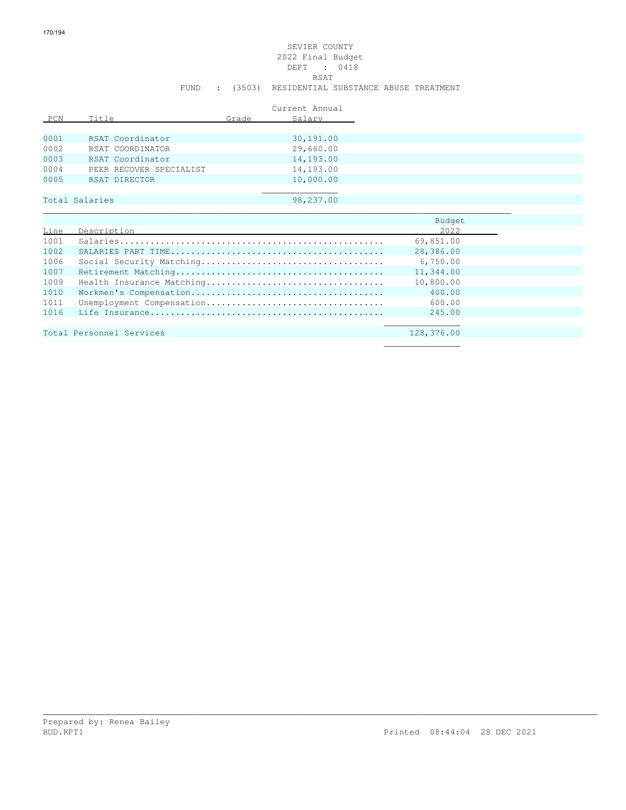### SEVIER COUNTY 2022 Final Budget DEPT : 0418 RSAT FUND : (3503) RESIDENTIAL SUBSTANCE ABUSE TREATMENT

|      |                         |       | Current Annual |
|------|-------------------------|-------|----------------|
| PCN  | Title                   | Grade | Salary         |
|      |                         |       |                |
| 0001 | RSAT Coordinator        |       | 30,191.00      |
| 0002 | RSAT COORDINATOR        |       | 29,660.00      |
| 0003 | RSAT Coordinator        |       | 14,193.00      |
| 0004 | PEER RECOVER SPECIALIST |       | 14,193.00      |
| 0005 | RSAT DIRECTOR           |       | 10,000.00      |
|      |                         |       |                |
|      | Total Salaries          |       | 98,237.00      |
|      |                         |       |                |

|      |                           | Budget    |  |
|------|---------------------------|-----------|--|
| Line | Description               | 2022      |  |
| 1001 |                           | 69,851.00 |  |
| 1002 |                           | 28,386.00 |  |
| 1006 |                           | 6,750.00  |  |
| 1007 |                           | 11,344.00 |  |
| 1009 | Health Insurance Matching | 10,800.00 |  |
| 1010 |                           | 400.00    |  |
| 1011 |                           | 600.00    |  |
| 1016 |                           | 245.00    |  |
|      |                           |           |  |
|      |                           |           |  |

| Total Personnel Services |  | 128,376.00 |
|--------------------------|--|------------|
|                          |  |            |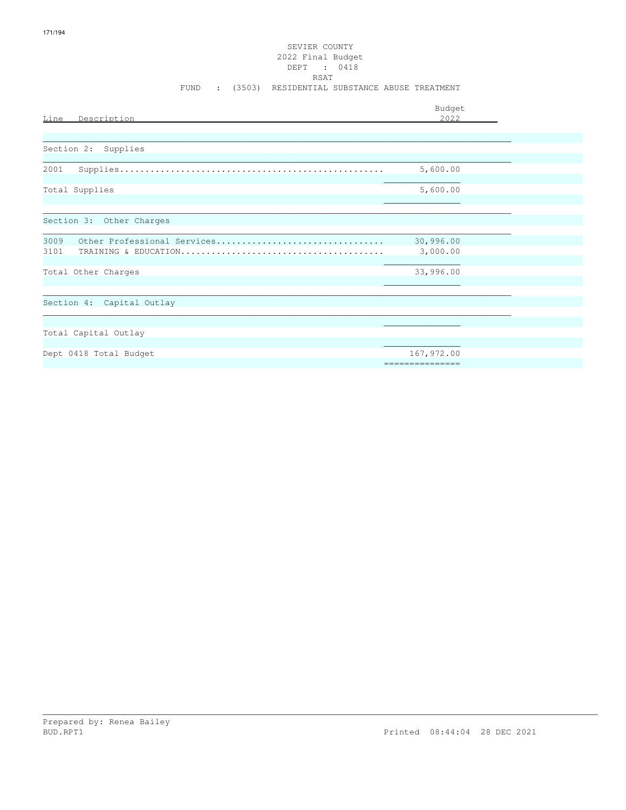### SEVIER COUNTY 2022 Final Budget DEPT : 0418 **RSAT** FUND : (3503) RESIDENTIAL SUBSTANCE ABUSE TREATMENT

|                                     | Budget           |  |
|-------------------------------------|------------------|--|
| Line<br>Description                 | 2.022            |  |
|                                     |                  |  |
| Section 2: Supplies                 |                  |  |
|                                     |                  |  |
| 2001                                | 5,600.00         |  |
| Total Supplies                      | 5,600.00         |  |
|                                     |                  |  |
| Section 3: Other Charges            |                  |  |
| 3009<br>Other Professional Services | 30,996.00        |  |
| 3101                                | 3,000.00         |  |
|                                     |                  |  |
| Total Other Charges                 | 33,996.00        |  |
|                                     |                  |  |
| Section 4: Capital Outlay           |                  |  |
|                                     |                  |  |
|                                     |                  |  |
| Total Capital Outlay                |                  |  |
|                                     |                  |  |
| Dept 0418 Total Budget              | 167,972.00       |  |
|                                     | ================ |  |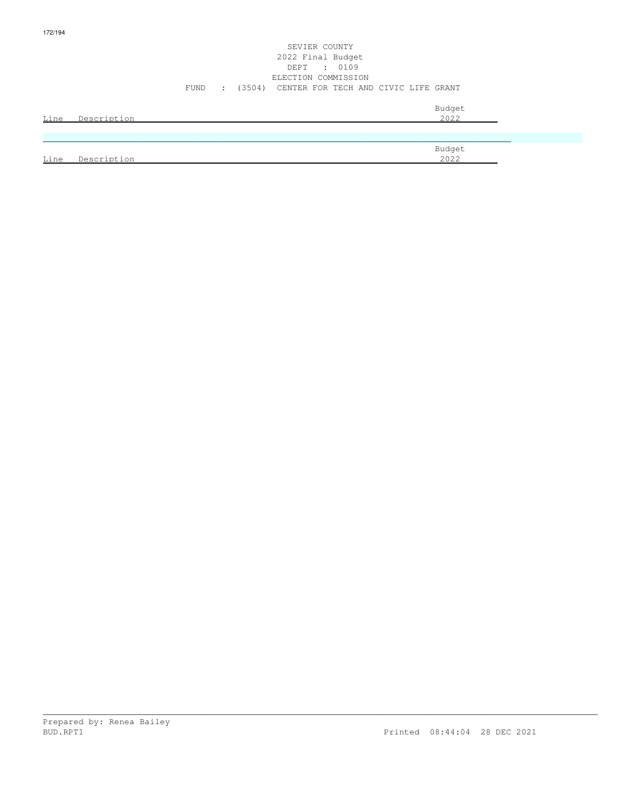### SEVIER COUNTY 2022 Final Budget DEPT : 0109 ELECTION COMMISSION FUND : (3504) CENTER FOR TECH AND CIVIC LIFE GRANT

|             | Line Description | Budget<br>2022 |
|-------------|------------------|----------------|
|             |                  |                |
| <u>Line</u> | Description      | Budget<br>2022 |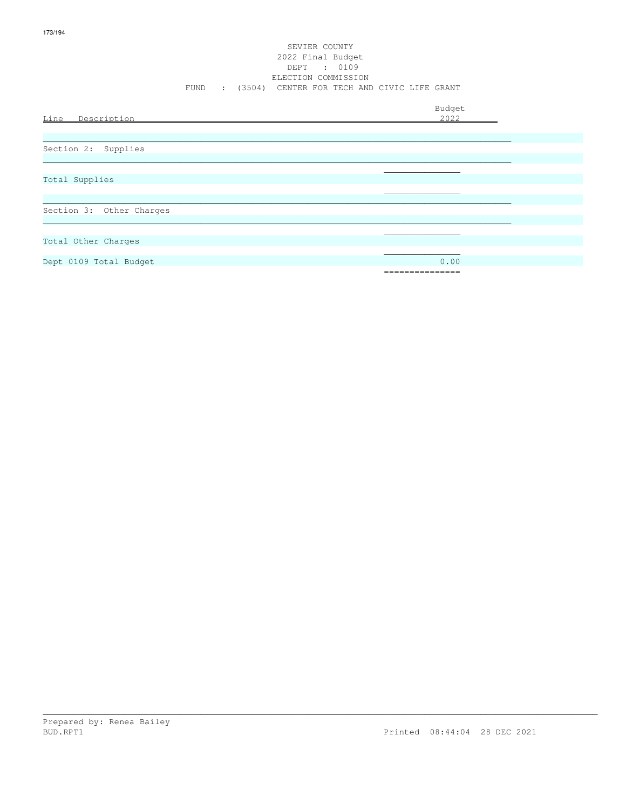### SEVIER COUNTY 2022 Final Budget DEPT : 0109 ELECTION COMMISSION FUND : (3504) CENTER FOR TECH AND CIVIC LIFE GRANT

| Line Description         | Budget<br>2022 |
|--------------------------|----------------|
|                          |                |
| Section 2: Supplies      |                |
|                          |                |
| Total Supplies           |                |
|                          |                |
|                          |                |
| Section 3: Other Charges |                |
|                          |                |
|                          |                |
| Total Other Charges      |                |
|                          |                |
| Dept 0109 Total Budget   | 0.00           |
|                          | =============  |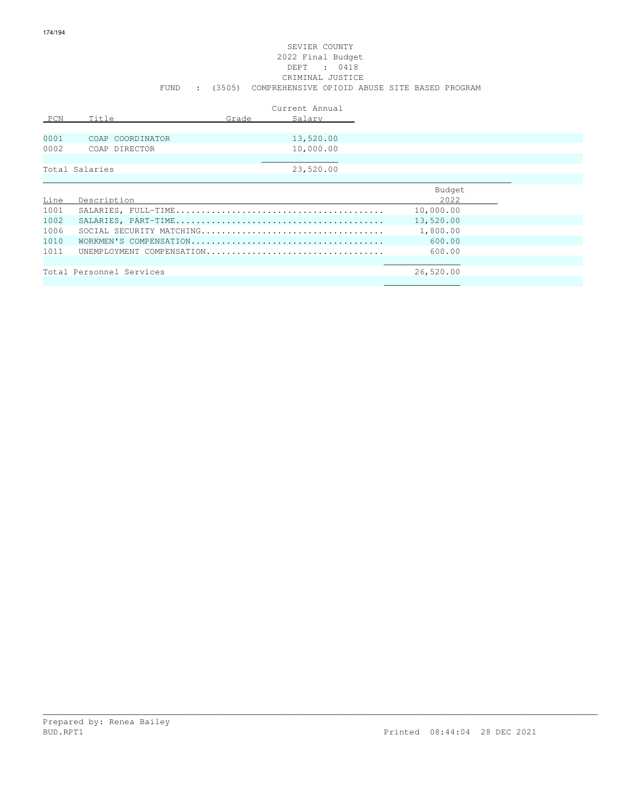### SEVIER COUNTY 2022 Final Budget DEPT : 0418 CRIMINAL JUSTICE FUND : (3505) COMPREHENSIVE OPIOID ABUSE SITE BASED PROGRAM

|      |                           |       | Current Annual |           |
|------|---------------------------|-------|----------------|-----------|
| PCN  | Title                     | Grade | Salary         |           |
|      |                           |       |                |           |
| 0001 | COAP COORDINATOR          |       | 13,520.00      |           |
| 0002 | COAP DIRECTOR             |       | 10,000.00      |           |
|      |                           |       |                |           |
|      | Total Salaries            |       | 23,520.00      |           |
|      |                           |       |                |           |
|      |                           |       |                | Budget    |
| Line | Description               |       |                | 2022      |
| 1001 |                           |       |                | 10,000.00 |
| 1002 |                           |       |                | 13,520.00 |
| 1006 |                           |       |                | 1,800.00  |
| 1010 |                           |       |                | 600.00    |
| 1011 | UNEMPLOYMENT COMPENSATION |       |                | 600.00    |
|      |                           |       |                |           |
|      | Total Personnel Services  |       |                | 26,520.00 |
|      |                           |       |                |           |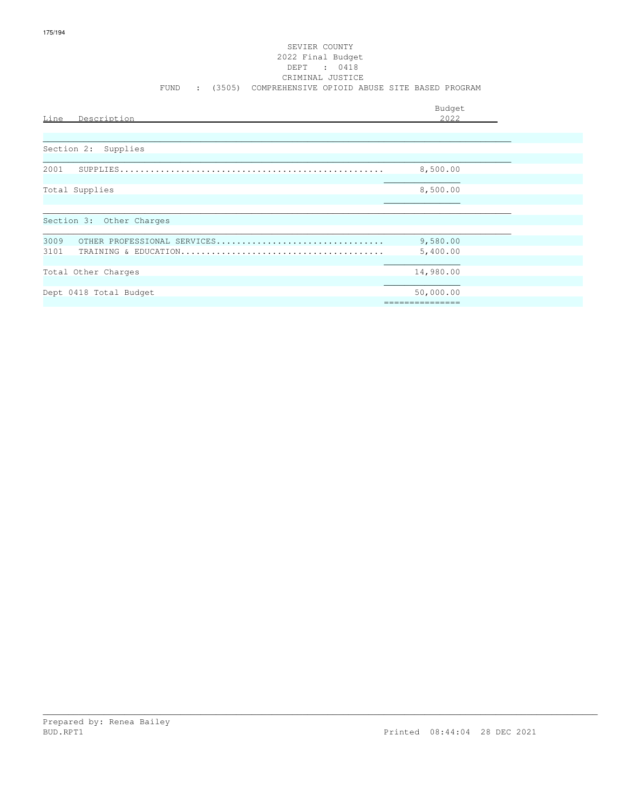### SEVIER COUNTY 2022 Final Budget DEPT : 0418 CRIMINAL JUSTICE FUND : (3505) COMPREHENSIVE OPIOID ABUSE SITE BASED PROGRAM

| Line<br>Description                         | Budget<br>2022               |  |
|---------------------------------------------|------------------------------|--|
| Section 2: Supplies                         |                              |  |
| 2001                                        | 8,500.00                     |  |
| Total Supplies                              | 8,500.00                     |  |
| Section 3: Other Charges                    |                              |  |
| 3009<br>OTHER PROFESSIONAL SERVICES<br>3101 | 9,580.00<br>5,400.00         |  |
| Total Other Charges                         | 14,980.00                    |  |
| Dept 0418 Total Budget                      | 50,000.00<br>=============== |  |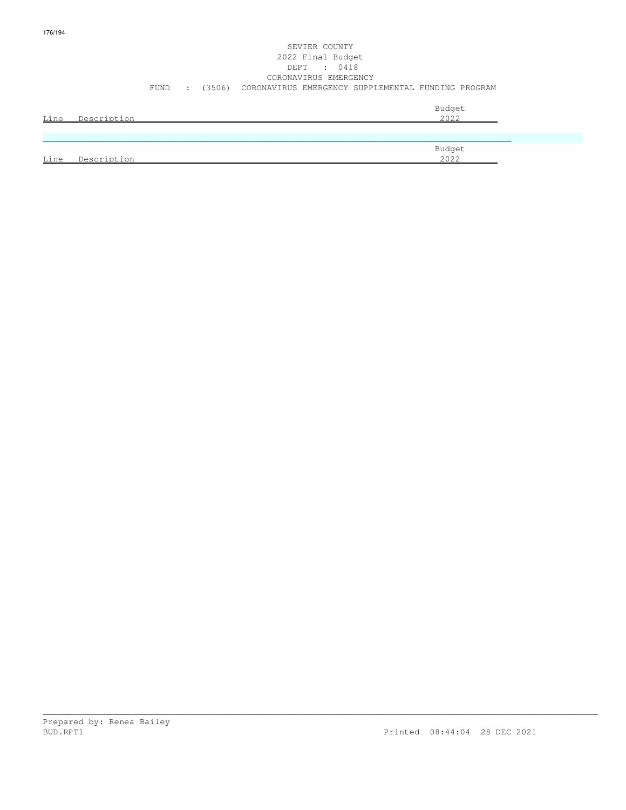# SEVIER COUNTY 2022 Final Budget DEPT : 0418 CORONAVIRUS EMERGENCY FUND : (3506) CORONAVIRUS EMERGENCY SUPPLEMENTAL FUNDING PROGRAM

|      |             | Budget |
|------|-------------|--------|
| Line | Description | 2022   |
|      |             |        |
|      |             |        |
|      |             | Budget |
| Line | Description | 2022   |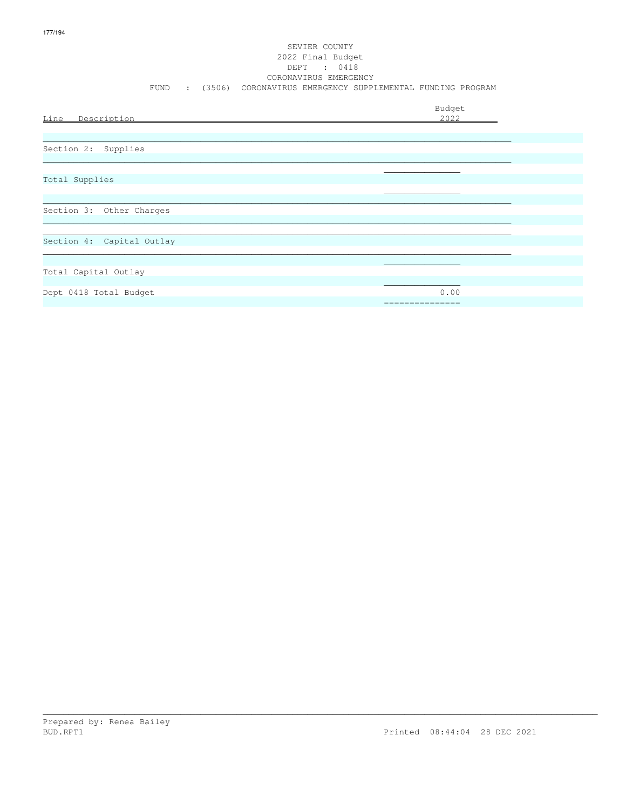# SEVIER COUNTY 2022 Final Budget DEPT : 0418<br>CORONAVIRUS EMERGENCY FUND : (3506) CORONAVIRUS EMERGENCY SUPPLEMENTAL FUNDING PROGRAM

| Line Description          | Budget<br>2022 |
|---------------------------|----------------|
| Section 2: Supplies       |                |
| Total Supplies            |                |
| Section 3: Other Charges  |                |
| Section 4: Capital Outlay |                |
| Total Capital Outlay      |                |
| Dept 0418 Total Budget    | 0.00           |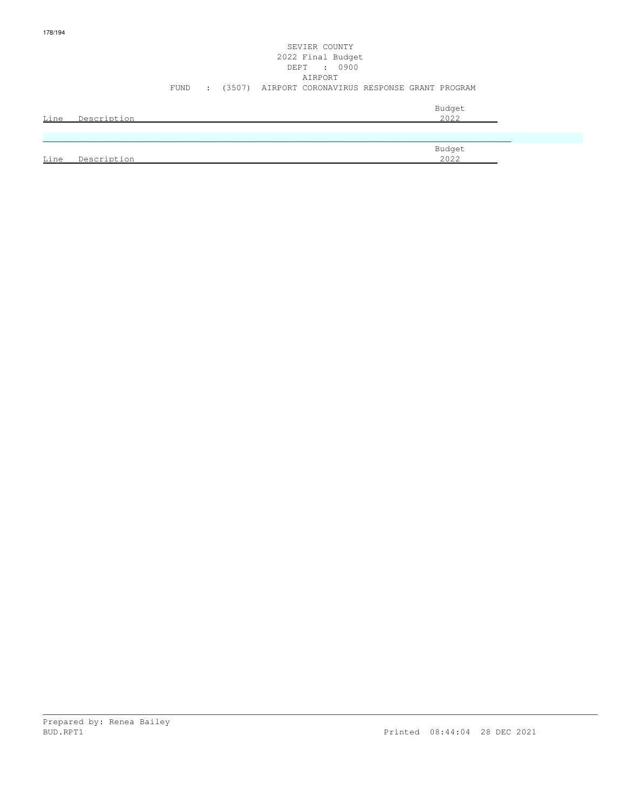# SEVIER COUNTY 2022 Final Budget DEPT : 0900 AIRPORT FUND : (3507) AIRPORT CORONAVIRUS RESPONSE GRANT PROGRAM

| Line | Description | Budget<br>2022 |
|------|-------------|----------------|
|      |             |                |
|      |             |                |
|      |             | Budget         |
| Line | Description | 2022           |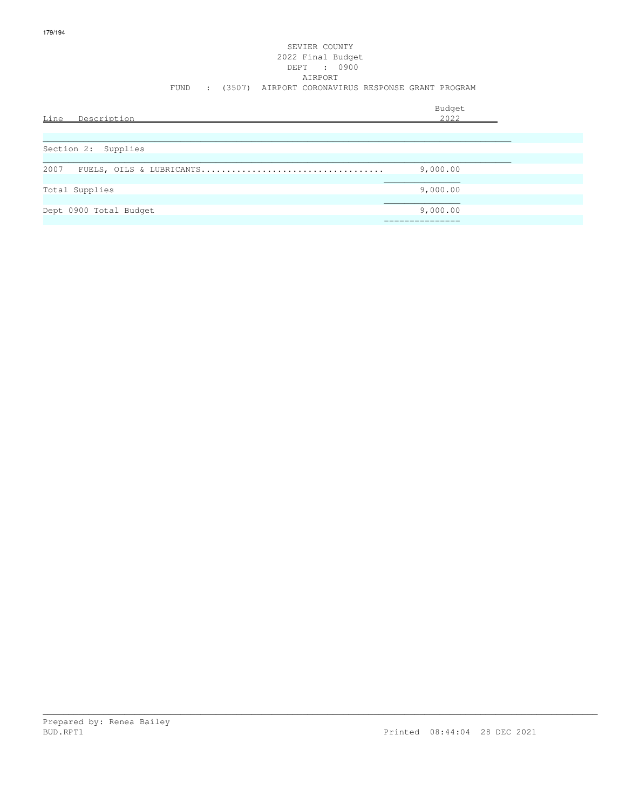# SEVIER COUNTY 2022 Final Budget DEPT : 0900 AIRPORT FUND : (3507) AIRPORT CORONAVIRUS RESPONSE GRANT PROGRAM

| Line<br>Description    | Budget<br>2022 |  |
|------------------------|----------------|--|
|                        |                |  |
| Section 2: Supplies    |                |  |
| 2007                   | 9,000.00       |  |
| Total Supplies         | 9,000.00       |  |
| Dept 0900 Total Budget | 9,000.00       |  |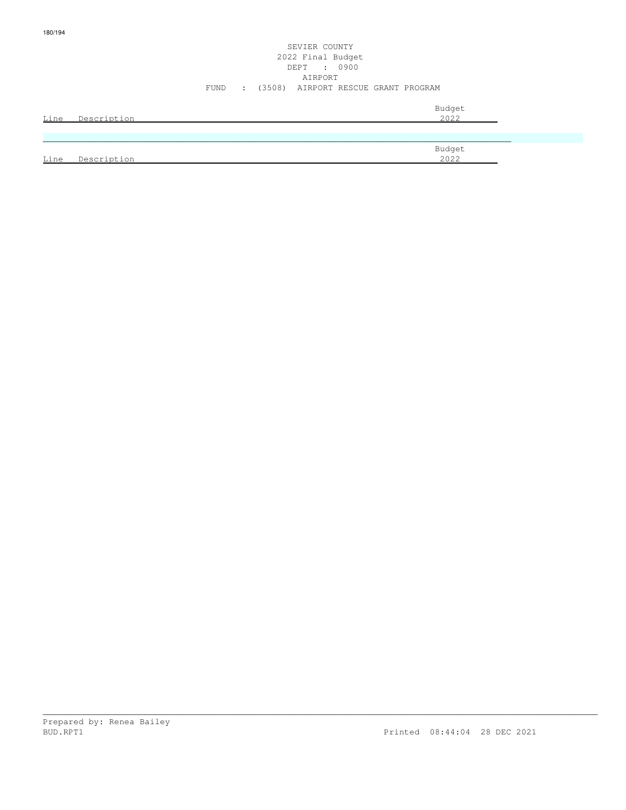### SEVIER COUNTY 2022 Final Budget DEPT : 0900 AIRPORT FUND : (3508) AIRPORT RESCUE GRANT PROGRAM

| <u>Line</u> | Description | Budget<br>2022 |
|-------------|-------------|----------------|
|             |             |                |
| Line        | Description | Budget<br>2022 |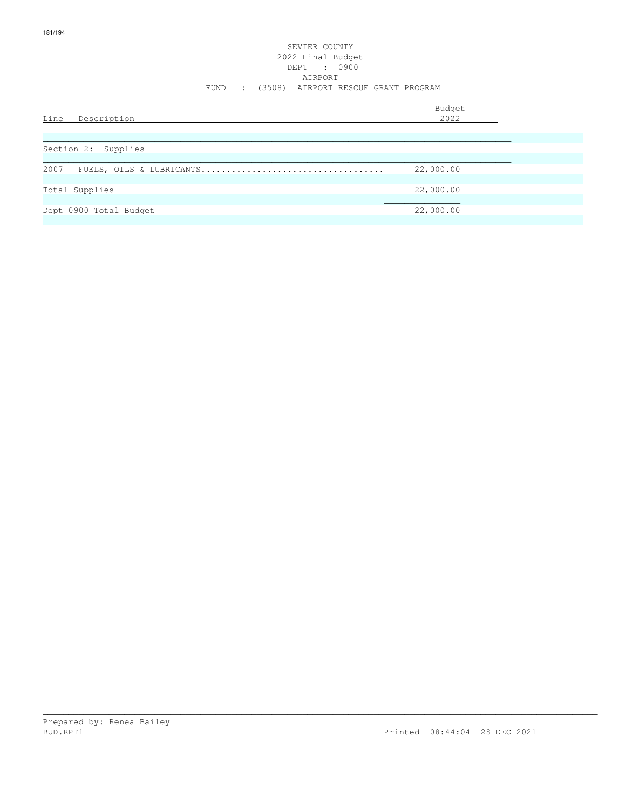### SEVIER COUNTY 2022 Final Budget DEPT : 0900 AIRPORT FUND : (3508) AIRPORT RESCUE GRANT PROGRAM

| Line Description       | Budget<br>2022               |
|------------------------|------------------------------|
| Section 2: Supplies    |                              |
| 2007                   | 22,000.00                    |
| Total Supplies         | 22,000.00                    |
| Dept 0900 Total Budget | 22,000.00<br>_______________ |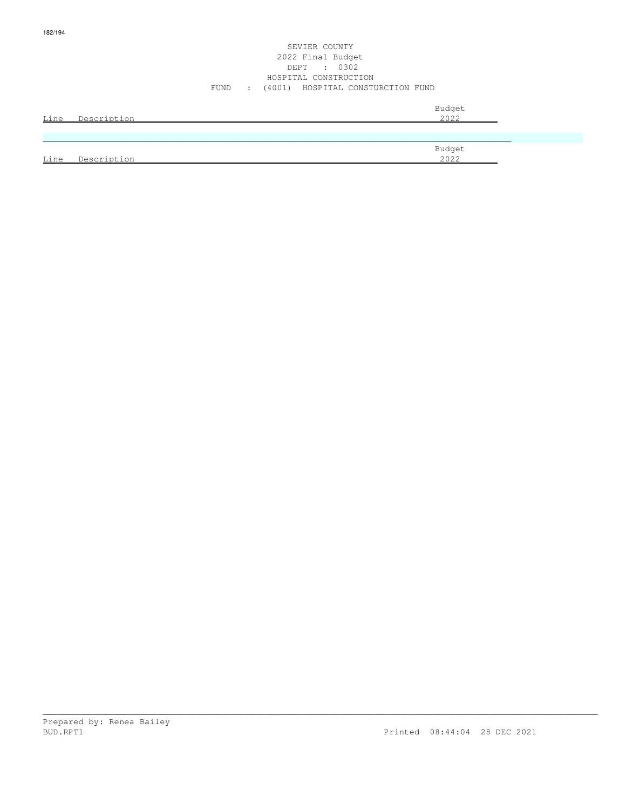#### SEVIER COUNTY 2022 Final Budget DEPT : 0302 HOSPITAL CONSTRUCTION FUND : (4001) HOSPITAL CONSTURCTION FUND

| <u>Line</u> | Description | Budget<br>2022 |
|-------------|-------------|----------------|
|             |             |                |
| Line        | Description | Budget<br>2022 |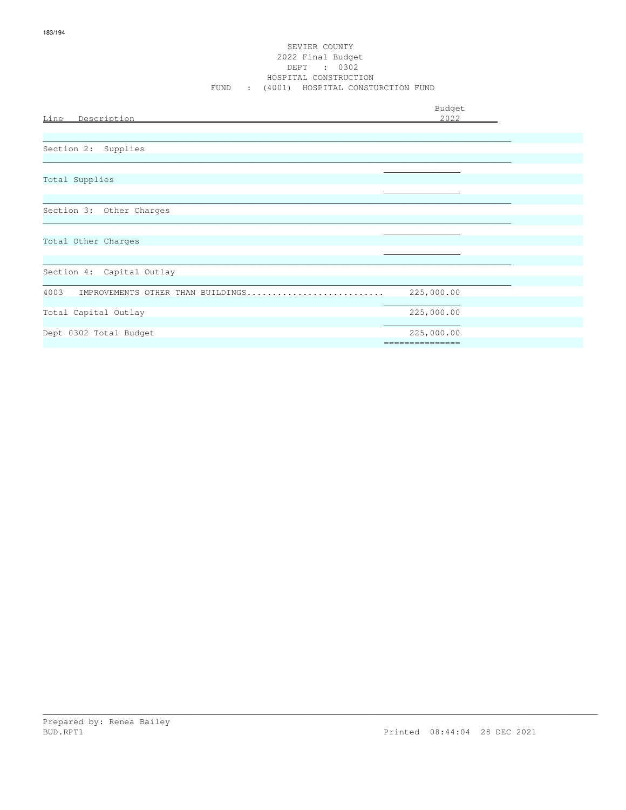#### SEVIER COUNTY 2022 Final Budget DEPT : 0302 HOSPITAL CONSTRUCTION FUND : (4001) HOSPITAL CONSTURCTION FUND

| Line Description                          | Budget<br>2022                |
|-------------------------------------------|-------------------------------|
| Section 2: Supplies                       |                               |
|                                           |                               |
| Total Supplies                            |                               |
| Section 3: Other Charges                  |                               |
| Total Other Charges                       |                               |
| Section 4: Capital Outlay                 |                               |
| 4003<br>IMPROVEMENTS OTHER THAN BUILDINGS | 225,000.00                    |
| Total Capital Outlay                      | 225,000.00                    |
| Dept 0302 Total Budget                    | 225,000.00<br>=============== |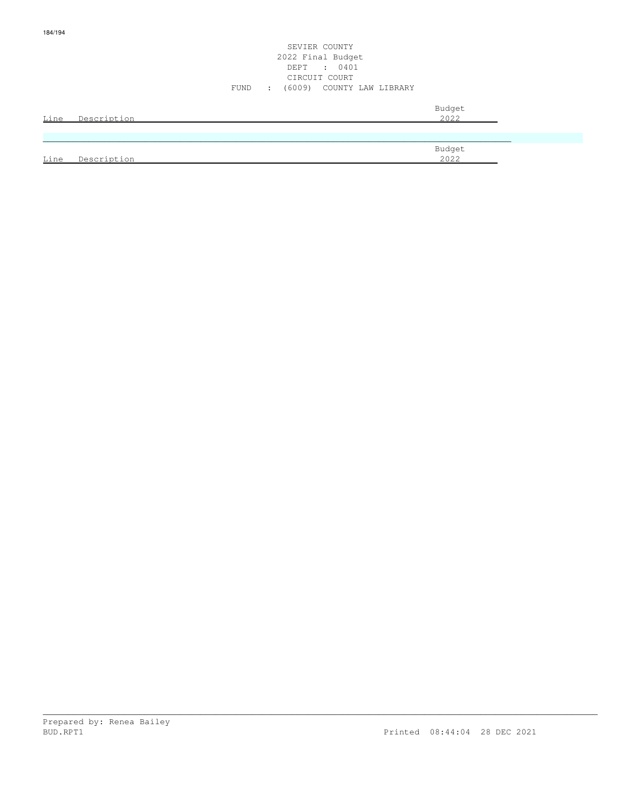#### SEVIER COUNTY 2022 Final Budget DEPT : 0401 CIRCUIT COURT FUND : (6009) COUNTY LAW LIBRARY

| Line | Description | Budget<br>2022 |
|------|-------------|----------------|
|      |             |                |
|      |             |                |
| Line | Description | Budget<br>2022 |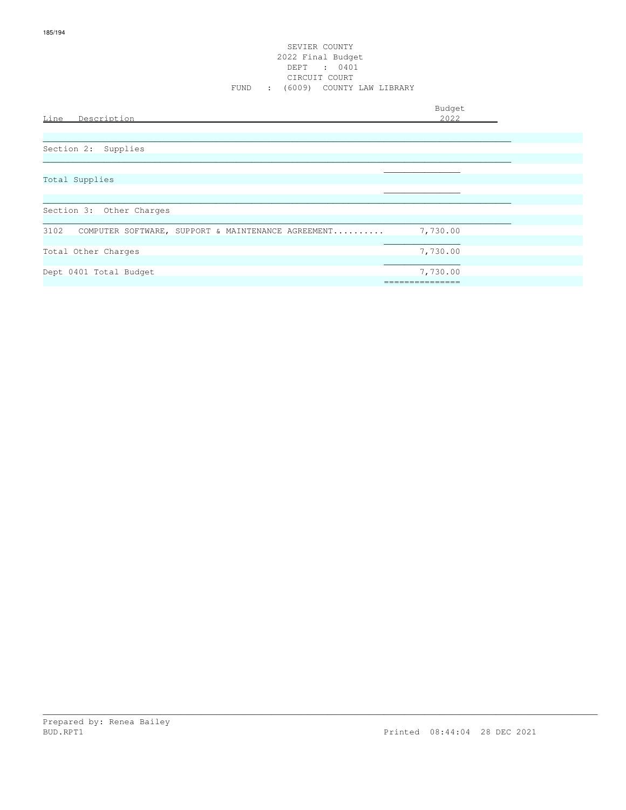#### SEVIER COUNTY 2022 Final Budget DEPT : 0401 CIRCUIT COURT FUND : (6009) COUNTY LAW LIBRARY

Budget is a state of the state of the state of the state of the state of the state of the state of the state of the state of the state of the state of the state of the state of the state of the state of the state of the st

### Line Description 2022

| Section 2: Supplies |  |
|---------------------|--|
|                     |  |
|                     |  |

## Total Supplies

| Section 3: Other Charges                                   |          |
|------------------------------------------------------------|----------|
|                                                            |          |
| 3102<br>COMPUTER SOFTWARE, SUPPORT & MAINTENANCE AGREEMENT | 7,730.00 |
|                                                            |          |
| Total Other Charges                                        | 7,730.00 |
|                                                            |          |
| Dept 0401 Total Budget                                     | 7,730.00 |
|                                                            |          |

\_\_\_\_\_\_\_\_\_\_\_\_\_\_\_\_\_\_\_\_\_\_\_\_\_\_\_\_\_\_\_\_\_\_\_\_\_\_\_\_\_\_\_\_\_\_\_\_\_\_\_\_\_\_\_\_\_\_\_\_\_\_\_\_\_\_\_\_\_\_\_\_\_\_\_\_\_\_\_\_\_\_\_\_\_\_\_\_\_\_\_\_\_\_\_\_\_\_\_\_\_\_\_\_\_\_\_\_\_

\_\_\_\_\_\_\_\_\_\_\_\_\_\_\_\_\_\_\_\_\_\_\_\_\_\_\_\_\_\_\_\_\_\_\_\_\_\_\_\_\_\_\_\_\_\_\_\_\_\_\_\_\_\_\_\_\_\_\_\_\_\_\_\_\_\_\_\_\_\_\_\_\_\_\_\_\_\_\_\_\_\_\_\_\_\_\_\_\_\_\_\_

 $\mathcal{L}_\mathcal{L}$  , we can assume that the contract of the contract of the contract of the contract of the contract of the contract of the contract of the contract of the contract of the contract of the contract of the contr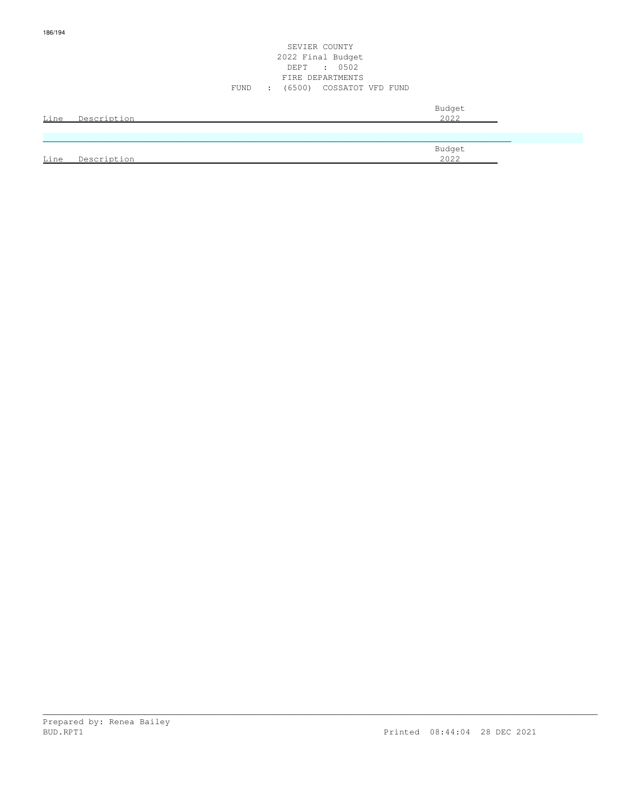#### SEVIER COUNTY 2022 Final Budget DEPT : 0502 FIRE DEPARTMENTS FUND : (6500) COSSATOT VFD FUND

|      | Line Description | Budget<br>2022 |
|------|------------------|----------------|
|      |                  |                |
|      |                  | Budget         |
| Line | Description      | 2022           |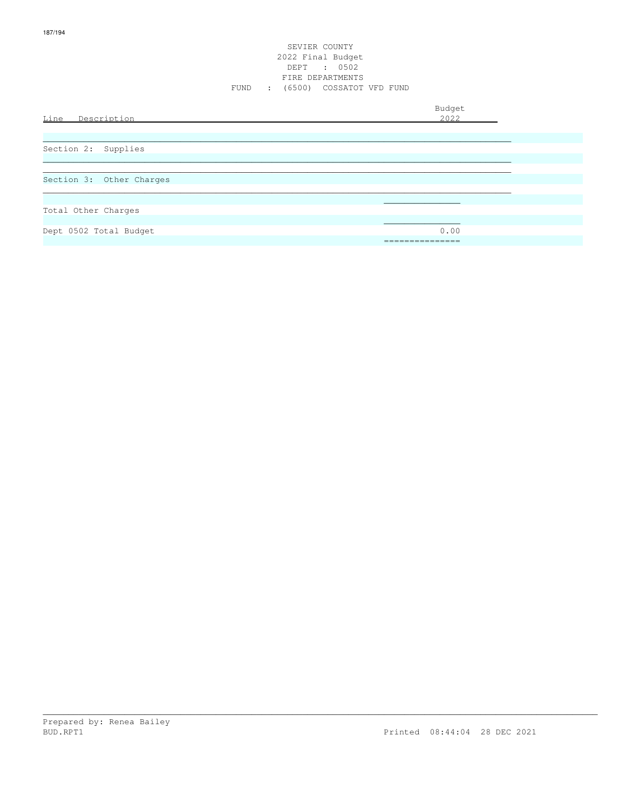#### SEVIER COUNTY 2022 Final Budget DEPT : 0502 FIRE DEPARTMENTS FUND : (6500) COSSATOT VFD FUND

| Line Description         | Budget<br>2022      |
|--------------------------|---------------------|
| Section 2: Supplies      |                     |
| Section 3: Other Charges |                     |
| Total Other Charges      |                     |
| Dept 0502 Total Budget   | 0.00<br>=========== |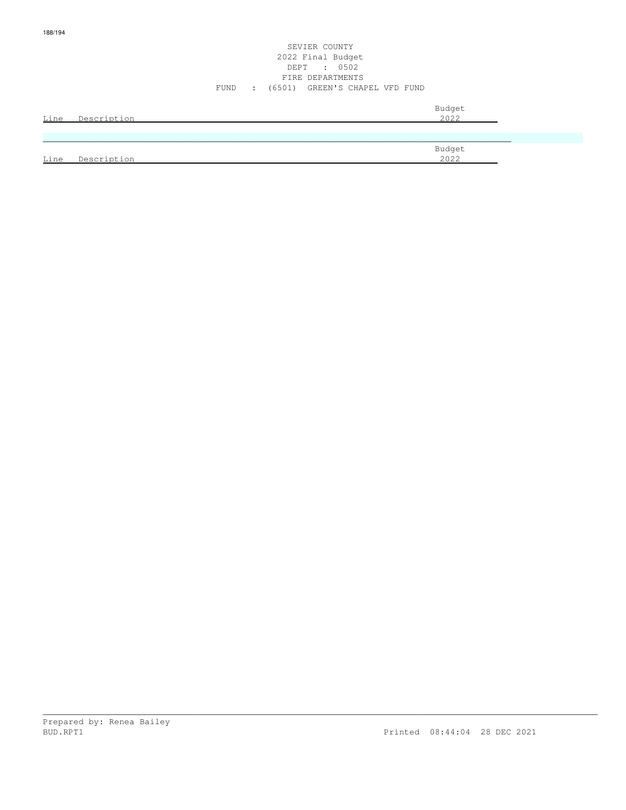#### SEVIER COUNTY 2022 Final Budget DEPT : 0502 FIRE DEPARTMENTS FUND : (6501) GREEN'S CHAPEL VFD FUND

| Line | Description | Budget<br>2022 |
|------|-------------|----------------|
|      |             |                |
|      |             | Budget         |
| Line | Description | 2022           |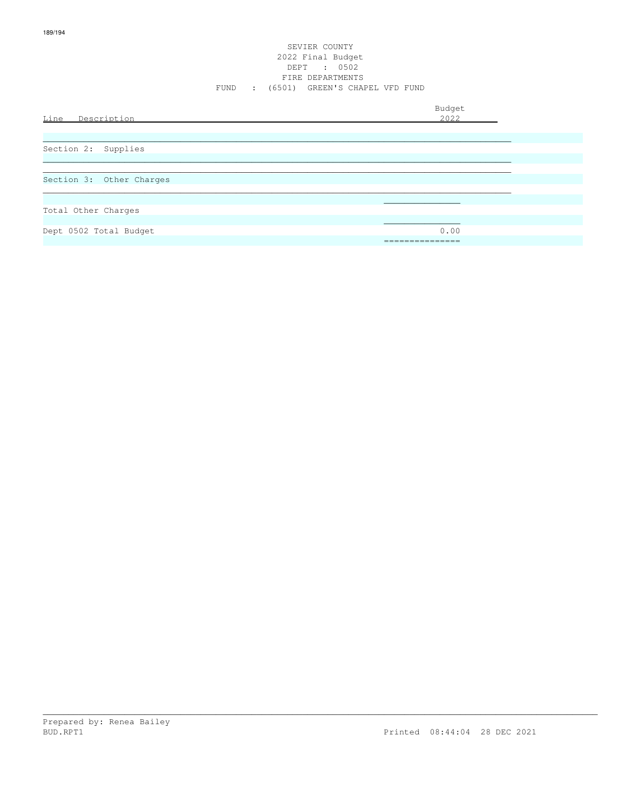#### SEVIER COUNTY 2022 Final Budget DEPT : 0502 FIRE DEPARTMENTS FUND : (6501) GREEN'S CHAPEL VFD FUND

| Line<br>Description      | Budget<br>2022          |
|--------------------------|-------------------------|
| Section 2: Supplies      |                         |
| Section 3: Other Charges |                         |
| Total Other Charges      |                         |
| Dept 0502 Total Budget   | 0.00<br>_______________ |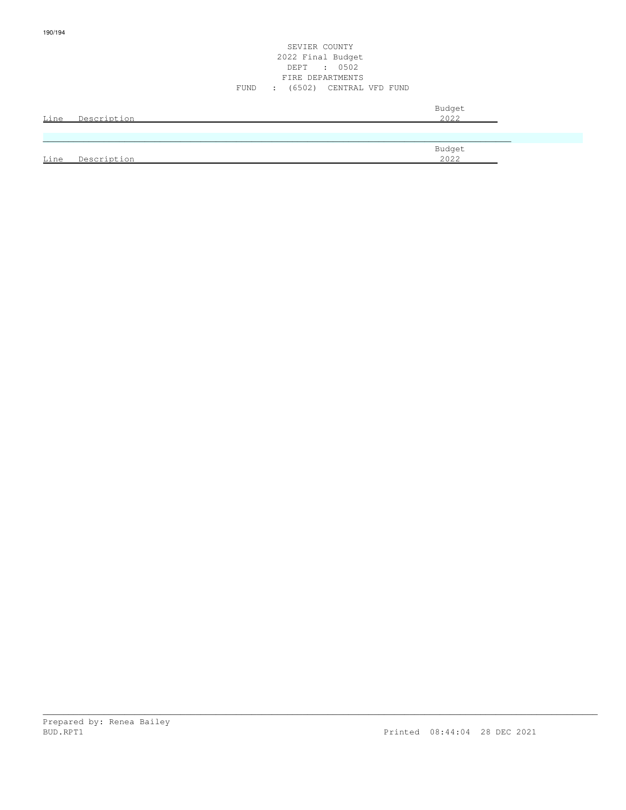#### SEVIER COUNTY 2022 Final Budget DEPT : 0502 FIRE DEPARTMENTS FUND : (6502) CENTRAL VFD FUND

| Line | Description | Budget<br>2022 |
|------|-------------|----------------|
|      |             |                |
| Line | Description | Budget<br>2022 |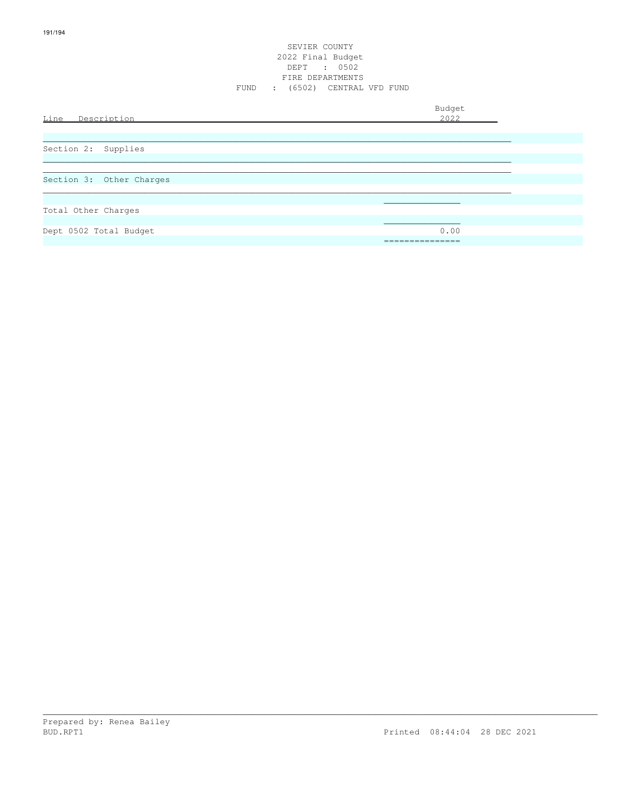# SEVIER COUNTY 2022 Final Budget DEPT : 0502<br>FIRE DEPARTMENTS FUND : (6502) CENTRAL VFD FUND

| Line Description         | Budget<br>2022                       |
|--------------------------|--------------------------------------|
| Section 2: Supplies      |                                      |
| Section 3: Other Charges |                                      |
| Total Other Charges      |                                      |
| Dept 0502 Total Budget   | 0.00<br>_______________<br>--------- |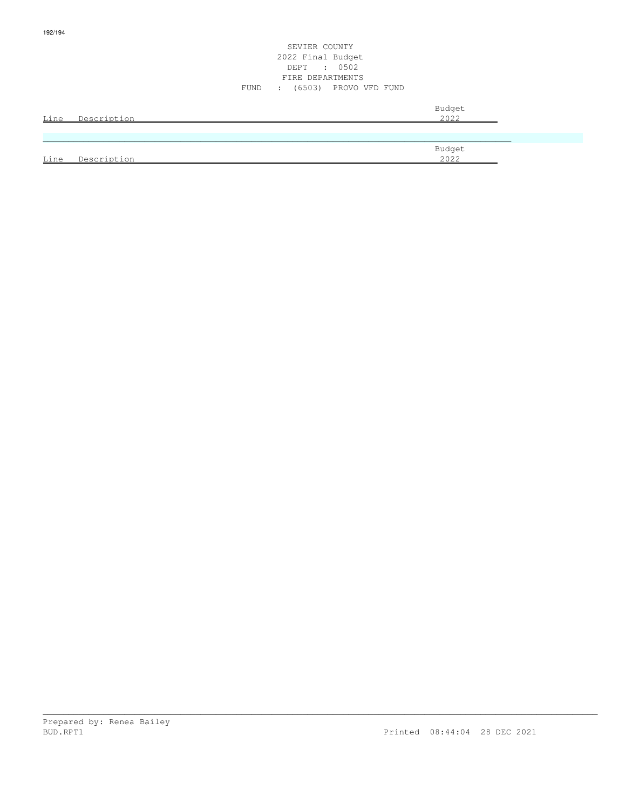#### SEVIER COUNTY 2022 Final Budget DEPT : 0502 FIRE DEPARTMENTS FUND : (6503) PROVO VFD FUND

| Line | Description | Budget<br>2022 |
|------|-------------|----------------|
|      |             |                |
|      |             | Budget         |
| Line | Description | 2022           |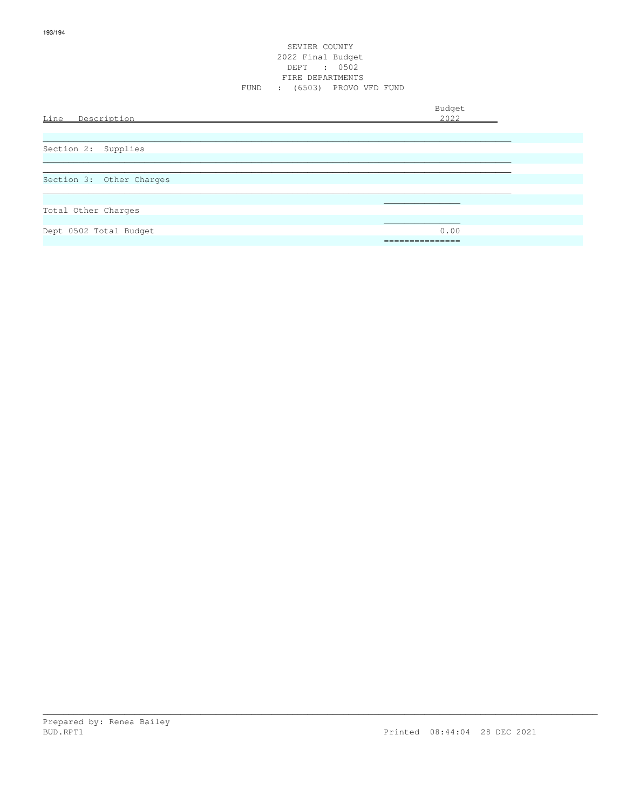# SEVIER COUNTY 2022 Final Budget DEPT : 0502<br>FIRE DEPARTMENTS FUND : (6503) PROVO VFD FUND

| Line Description         | Budget<br>2022         |
|--------------------------|------------------------|
| Section 2: Supplies      |                        |
| Section 3: Other Charges |                        |
| Total Other Charges      |                        |
| Dept 0502 Total Budget   | 0.00<br>______________ |